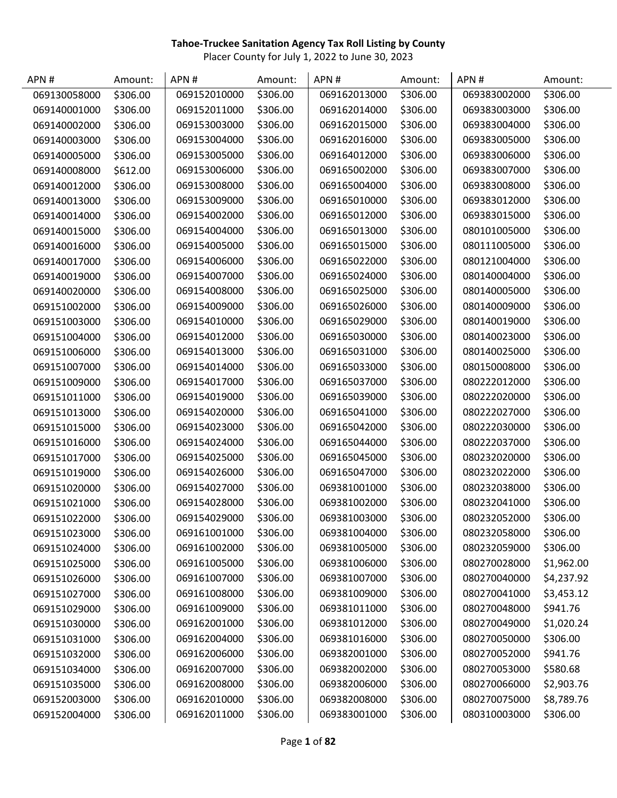| APN#         | Amount:  | APN#         | Amount:  | APN#         | Amount:  | APN#         | Amount:    |
|--------------|----------|--------------|----------|--------------|----------|--------------|------------|
| 069130058000 | \$306.00 | 069152010000 | \$306.00 | 069162013000 | \$306.00 | 069383002000 | \$306.00   |
| 069140001000 | \$306.00 | 069152011000 | \$306.00 | 069162014000 | \$306.00 | 069383003000 | \$306.00   |
| 069140002000 | \$306.00 | 069153003000 | \$306.00 | 069162015000 | \$306.00 | 069383004000 | \$306.00   |
| 069140003000 | \$306.00 | 069153004000 | \$306.00 | 069162016000 | \$306.00 | 069383005000 | \$306.00   |
| 069140005000 | \$306.00 | 069153005000 | \$306.00 | 069164012000 | \$306.00 | 069383006000 | \$306.00   |
| 069140008000 | \$612.00 | 069153006000 | \$306.00 | 069165002000 | \$306.00 | 069383007000 | \$306.00   |
| 069140012000 | \$306.00 | 069153008000 | \$306.00 | 069165004000 | \$306.00 | 069383008000 | \$306.00   |
| 069140013000 | \$306.00 | 069153009000 | \$306.00 | 069165010000 | \$306.00 | 069383012000 | \$306.00   |
| 069140014000 | \$306.00 | 069154002000 | \$306.00 | 069165012000 | \$306.00 | 069383015000 | \$306.00   |
| 069140015000 | \$306.00 | 069154004000 | \$306.00 | 069165013000 | \$306.00 | 080101005000 | \$306.00   |
| 069140016000 | \$306.00 | 069154005000 | \$306.00 | 069165015000 | \$306.00 | 080111005000 | \$306.00   |
| 069140017000 | \$306.00 | 069154006000 | \$306.00 | 069165022000 | \$306.00 | 080121004000 | \$306.00   |
| 069140019000 | \$306.00 | 069154007000 | \$306.00 | 069165024000 | \$306.00 | 080140004000 | \$306.00   |
| 069140020000 | \$306.00 | 069154008000 | \$306.00 | 069165025000 | \$306.00 | 080140005000 | \$306.00   |
| 069151002000 | \$306.00 | 069154009000 | \$306.00 | 069165026000 | \$306.00 | 080140009000 | \$306.00   |
| 069151003000 | \$306.00 | 069154010000 | \$306.00 | 069165029000 | \$306.00 | 080140019000 | \$306.00   |
| 069151004000 | \$306.00 | 069154012000 | \$306.00 | 069165030000 | \$306.00 | 080140023000 | \$306.00   |
| 069151006000 | \$306.00 | 069154013000 | \$306.00 | 069165031000 | \$306.00 | 080140025000 | \$306.00   |
| 069151007000 | \$306.00 | 069154014000 | \$306.00 | 069165033000 | \$306.00 | 080150008000 | \$306.00   |
| 069151009000 | \$306.00 | 069154017000 | \$306.00 | 069165037000 | \$306.00 | 080222012000 | \$306.00   |
| 069151011000 | \$306.00 | 069154019000 | \$306.00 | 069165039000 | \$306.00 | 080222020000 | \$306.00   |
| 069151013000 | \$306.00 | 069154020000 | \$306.00 | 069165041000 | \$306.00 | 080222027000 | \$306.00   |
| 069151015000 | \$306.00 | 069154023000 | \$306.00 | 069165042000 | \$306.00 | 080222030000 | \$306.00   |
| 069151016000 | \$306.00 | 069154024000 | \$306.00 | 069165044000 | \$306.00 | 080222037000 | \$306.00   |
| 069151017000 | \$306.00 | 069154025000 | \$306.00 | 069165045000 | \$306.00 | 080232020000 | \$306.00   |
| 069151019000 | \$306.00 | 069154026000 | \$306.00 | 069165047000 | \$306.00 | 080232022000 | \$306.00   |
| 069151020000 | \$306.00 | 069154027000 | \$306.00 | 069381001000 | \$306.00 | 080232038000 | \$306.00   |
| 069151021000 | \$306.00 | 069154028000 | \$306.00 | 069381002000 | \$306.00 | 080232041000 | \$306.00   |
| 069151022000 | \$306.00 | 069154029000 | \$306.00 | 069381003000 | \$306.00 | 080232052000 | \$306.00   |
| 069151023000 | \$306.00 | 069161001000 | \$306.00 | 069381004000 | \$306.00 | 080232058000 | \$306.00   |
| 069151024000 | \$306.00 | 069161002000 | \$306.00 | 069381005000 | \$306.00 | 080232059000 | \$306.00   |
| 069151025000 | \$306.00 | 069161005000 | \$306.00 | 069381006000 | \$306.00 | 080270028000 | \$1,962.00 |
| 069151026000 | \$306.00 | 069161007000 | \$306.00 | 069381007000 | \$306.00 | 080270040000 | \$4,237.92 |
| 069151027000 | \$306.00 | 069161008000 | \$306.00 | 069381009000 | \$306.00 | 080270041000 | \$3,453.12 |
| 069151029000 | \$306.00 | 069161009000 | \$306.00 | 069381011000 | \$306.00 | 080270048000 | \$941.76   |
| 069151030000 | \$306.00 | 069162001000 | \$306.00 | 069381012000 | \$306.00 | 080270049000 | \$1,020.24 |
| 069151031000 | \$306.00 | 069162004000 | \$306.00 | 069381016000 | \$306.00 | 080270050000 | \$306.00   |
| 069151032000 | \$306.00 | 069162006000 | \$306.00 | 069382001000 | \$306.00 | 080270052000 | \$941.76   |
| 069151034000 | \$306.00 | 069162007000 | \$306.00 | 069382002000 | \$306.00 | 080270053000 | \$580.68   |
| 069151035000 | \$306.00 | 069162008000 | \$306.00 | 069382006000 | \$306.00 | 080270066000 | \$2,903.76 |
| 069152003000 | \$306.00 | 069162010000 | \$306.00 | 069382008000 | \$306.00 | 080270075000 | \$8,789.76 |
| 069152004000 | \$306.00 | 069162011000 | \$306.00 | 069383001000 | \$306.00 | 080310003000 | \$306.00   |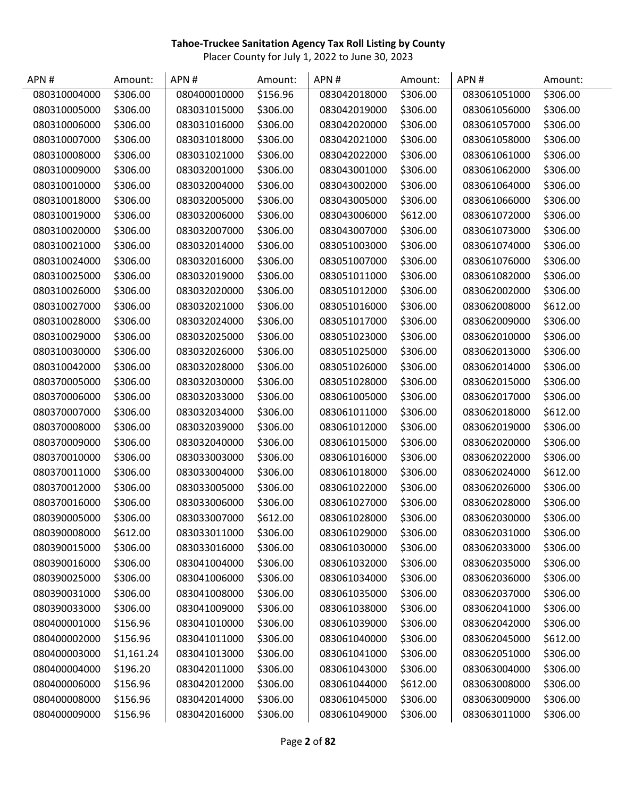| APN#         | Amount:    | APN#         | Amount:  | APN #        | Amount:  | APN#         | Amount:  |
|--------------|------------|--------------|----------|--------------|----------|--------------|----------|
| 080310004000 | \$306.00   | 080400010000 | \$156.96 | 083042018000 | \$306.00 | 083061051000 | \$306.00 |
| 080310005000 | \$306.00   | 083031015000 | \$306.00 | 083042019000 | \$306.00 | 083061056000 | \$306.00 |
| 080310006000 | \$306.00   | 083031016000 | \$306.00 | 083042020000 | \$306.00 | 083061057000 | \$306.00 |
| 080310007000 | \$306.00   | 083031018000 | \$306.00 | 083042021000 | \$306.00 | 083061058000 | \$306.00 |
| 080310008000 | \$306.00   | 083031021000 | \$306.00 | 083042022000 | \$306.00 | 083061061000 | \$306.00 |
| 080310009000 | \$306.00   | 083032001000 | \$306.00 | 083043001000 | \$306.00 | 083061062000 | \$306.00 |
| 080310010000 | \$306.00   | 083032004000 | \$306.00 | 083043002000 | \$306.00 | 083061064000 | \$306.00 |
| 080310018000 | \$306.00   | 083032005000 | \$306.00 | 083043005000 | \$306.00 | 083061066000 | \$306.00 |
| 080310019000 | \$306.00   | 083032006000 | \$306.00 | 083043006000 | \$612.00 | 083061072000 | \$306.00 |
| 080310020000 | \$306.00   | 083032007000 | \$306.00 | 083043007000 | \$306.00 | 083061073000 | \$306.00 |
| 080310021000 | \$306.00   | 083032014000 | \$306.00 | 083051003000 | \$306.00 | 083061074000 | \$306.00 |
| 080310024000 | \$306.00   | 083032016000 | \$306.00 | 083051007000 | \$306.00 | 083061076000 | \$306.00 |
| 080310025000 | \$306.00   | 083032019000 | \$306.00 | 083051011000 | \$306.00 | 083061082000 | \$306.00 |
| 080310026000 | \$306.00   | 083032020000 | \$306.00 | 083051012000 | \$306.00 | 083062002000 | \$306.00 |
| 080310027000 | \$306.00   | 083032021000 | \$306.00 | 083051016000 | \$306.00 | 083062008000 | \$612.00 |
| 080310028000 | \$306.00   | 083032024000 | \$306.00 | 083051017000 | \$306.00 | 083062009000 | \$306.00 |
| 080310029000 | \$306.00   | 083032025000 | \$306.00 | 083051023000 | \$306.00 | 083062010000 | \$306.00 |
| 080310030000 | \$306.00   | 083032026000 | \$306.00 | 083051025000 | \$306.00 | 083062013000 | \$306.00 |
| 080310042000 | \$306.00   | 083032028000 | \$306.00 | 083051026000 | \$306.00 | 083062014000 | \$306.00 |
| 080370005000 | \$306.00   | 083032030000 | \$306.00 | 083051028000 | \$306.00 | 083062015000 | \$306.00 |
| 080370006000 | \$306.00   | 083032033000 | \$306.00 | 083061005000 | \$306.00 | 083062017000 | \$306.00 |
| 080370007000 | \$306.00   | 083032034000 | \$306.00 | 083061011000 | \$306.00 | 083062018000 | \$612.00 |
| 080370008000 | \$306.00   | 083032039000 | \$306.00 | 083061012000 | \$306.00 | 083062019000 | \$306.00 |
| 080370009000 | \$306.00   | 083032040000 | \$306.00 | 083061015000 | \$306.00 | 083062020000 | \$306.00 |
| 080370010000 | \$306.00   | 083033003000 | \$306.00 | 083061016000 | \$306.00 | 083062022000 | \$306.00 |
| 080370011000 | \$306.00   | 083033004000 | \$306.00 | 083061018000 | \$306.00 | 083062024000 | \$612.00 |
| 080370012000 | \$306.00   | 083033005000 | \$306.00 | 083061022000 | \$306.00 | 083062026000 | \$306.00 |
| 080370016000 | \$306.00   | 083033006000 | \$306.00 | 083061027000 | \$306.00 | 083062028000 | \$306.00 |
| 080390005000 | \$306.00   | 083033007000 | \$612.00 | 083061028000 | \$306.00 | 083062030000 | \$306.00 |
| 080390008000 | \$612.00   | 083033011000 | \$306.00 | 083061029000 | \$306.00 | 083062031000 | \$306.00 |
| 080390015000 | \$306.00   | 083033016000 | \$306.00 | 083061030000 | \$306.00 | 083062033000 | \$306.00 |
| 080390016000 | \$306.00   | 083041004000 | \$306.00 | 083061032000 | \$306.00 | 083062035000 | \$306.00 |
| 080390025000 | \$306.00   | 083041006000 | \$306.00 | 083061034000 | \$306.00 | 083062036000 | \$306.00 |
| 080390031000 | \$306.00   | 083041008000 | \$306.00 | 083061035000 | \$306.00 | 083062037000 | \$306.00 |
| 080390033000 | \$306.00   | 083041009000 | \$306.00 | 083061038000 | \$306.00 | 083062041000 | \$306.00 |
| 080400001000 | \$156.96   | 083041010000 | \$306.00 | 083061039000 | \$306.00 | 083062042000 | \$306.00 |
| 080400002000 | \$156.96   | 083041011000 | \$306.00 | 083061040000 | \$306.00 | 083062045000 | \$612.00 |
| 080400003000 | \$1,161.24 | 083041013000 | \$306.00 | 083061041000 | \$306.00 | 083062051000 | \$306.00 |
| 080400004000 | \$196.20   | 083042011000 | \$306.00 | 083061043000 | \$306.00 | 083063004000 | \$306.00 |
| 080400006000 | \$156.96   | 083042012000 | \$306.00 | 083061044000 | \$612.00 | 083063008000 | \$306.00 |
| 080400008000 | \$156.96   | 083042014000 | \$306.00 | 083061045000 | \$306.00 | 083063009000 | \$306.00 |
| 080400009000 | \$156.96   | 083042016000 | \$306.00 | 083061049000 | \$306.00 | 083063011000 | \$306.00 |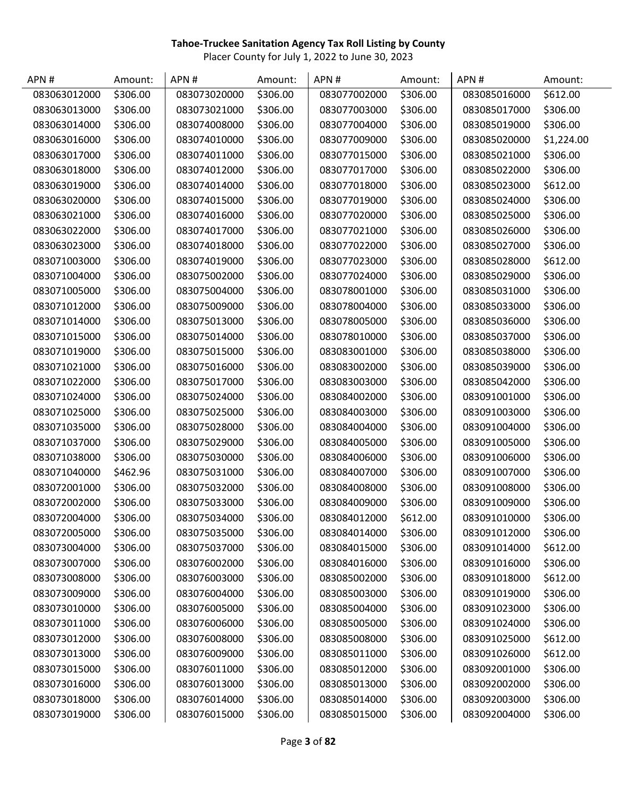| APN#         | Amount:  | APN#         | Amount:  | APN#         | Amount:  | APN#         | Amount:    |
|--------------|----------|--------------|----------|--------------|----------|--------------|------------|
| 083063012000 | \$306.00 | 083073020000 | \$306.00 | 083077002000 | \$306.00 | 083085016000 | \$612.00   |
| 083063013000 | \$306.00 | 083073021000 | \$306.00 | 083077003000 | \$306.00 | 083085017000 | \$306.00   |
| 083063014000 | \$306.00 | 083074008000 | \$306.00 | 083077004000 | \$306.00 | 083085019000 | \$306.00   |
| 083063016000 | \$306.00 | 083074010000 | \$306.00 | 083077009000 | \$306.00 | 083085020000 | \$1,224.00 |
| 083063017000 | \$306.00 | 083074011000 | \$306.00 | 083077015000 | \$306.00 | 083085021000 | \$306.00   |
| 083063018000 | \$306.00 | 083074012000 | \$306.00 | 083077017000 | \$306.00 | 083085022000 | \$306.00   |
| 083063019000 | \$306.00 | 083074014000 | \$306.00 | 083077018000 | \$306.00 | 083085023000 | \$612.00   |
| 083063020000 | \$306.00 | 083074015000 | \$306.00 | 083077019000 | \$306.00 | 083085024000 | \$306.00   |
| 083063021000 | \$306.00 | 083074016000 | \$306.00 | 083077020000 | \$306.00 | 083085025000 | \$306.00   |
| 083063022000 | \$306.00 | 083074017000 | \$306.00 | 083077021000 | \$306.00 | 083085026000 | \$306.00   |
| 083063023000 | \$306.00 | 083074018000 | \$306.00 | 083077022000 | \$306.00 | 083085027000 | \$306.00   |
| 083071003000 | \$306.00 | 083074019000 | \$306.00 | 083077023000 | \$306.00 | 083085028000 | \$612.00   |
| 083071004000 | \$306.00 | 083075002000 | \$306.00 | 083077024000 | \$306.00 | 083085029000 | \$306.00   |
| 083071005000 | \$306.00 | 083075004000 | \$306.00 | 083078001000 | \$306.00 | 083085031000 | \$306.00   |
| 083071012000 | \$306.00 | 083075009000 | \$306.00 | 083078004000 | \$306.00 | 083085033000 | \$306.00   |
| 083071014000 | \$306.00 | 083075013000 | \$306.00 | 083078005000 | \$306.00 | 083085036000 | \$306.00   |
| 083071015000 | \$306.00 | 083075014000 | \$306.00 | 083078010000 | \$306.00 | 083085037000 | \$306.00   |
| 083071019000 | \$306.00 | 083075015000 | \$306.00 | 083083001000 | \$306.00 | 083085038000 | \$306.00   |
| 083071021000 | \$306.00 | 083075016000 | \$306.00 | 083083002000 | \$306.00 | 083085039000 | \$306.00   |
| 083071022000 | \$306.00 | 083075017000 | \$306.00 | 083083003000 | \$306.00 | 083085042000 | \$306.00   |
| 083071024000 | \$306.00 | 083075024000 | \$306.00 | 083084002000 | \$306.00 | 083091001000 | \$306.00   |
| 083071025000 | \$306.00 | 083075025000 | \$306.00 | 083084003000 | \$306.00 | 083091003000 | \$306.00   |
| 083071035000 | \$306.00 | 083075028000 | \$306.00 | 083084004000 | \$306.00 | 083091004000 | \$306.00   |
| 083071037000 | \$306.00 | 083075029000 | \$306.00 | 083084005000 | \$306.00 | 083091005000 | \$306.00   |
| 083071038000 | \$306.00 | 083075030000 | \$306.00 | 083084006000 | \$306.00 | 083091006000 | \$306.00   |
| 083071040000 | \$462.96 | 083075031000 | \$306.00 | 083084007000 | \$306.00 | 083091007000 | \$306.00   |
| 083072001000 | \$306.00 | 083075032000 | \$306.00 | 083084008000 | \$306.00 | 083091008000 | \$306.00   |
| 083072002000 | \$306.00 | 083075033000 | \$306.00 | 083084009000 | \$306.00 | 083091009000 | \$306.00   |
| 083072004000 | \$306.00 | 083075034000 | \$306.00 | 083084012000 | \$612.00 | 083091010000 | \$306.00   |
| 083072005000 | \$306.00 | 083075035000 | \$306.00 | 083084014000 | \$306.00 | 083091012000 | \$306.00   |
| 083073004000 | \$306.00 | 083075037000 | \$306.00 | 083084015000 | \$306.00 | 083091014000 | \$612.00   |
| 083073007000 | \$306.00 | 083076002000 | \$306.00 | 083084016000 | \$306.00 | 083091016000 | \$306.00   |
| 083073008000 | \$306.00 | 083076003000 | \$306.00 | 083085002000 | \$306.00 | 083091018000 | \$612.00   |
| 083073009000 | \$306.00 | 083076004000 | \$306.00 | 083085003000 | \$306.00 | 083091019000 | \$306.00   |
| 083073010000 | \$306.00 | 083076005000 | \$306.00 | 083085004000 | \$306.00 | 083091023000 | \$306.00   |
| 083073011000 | \$306.00 | 083076006000 | \$306.00 | 083085005000 | \$306.00 | 083091024000 | \$306.00   |
| 083073012000 | \$306.00 | 083076008000 | \$306.00 | 083085008000 | \$306.00 | 083091025000 | \$612.00   |
| 083073013000 | \$306.00 | 083076009000 | \$306.00 | 083085011000 | \$306.00 | 083091026000 | \$612.00   |
| 083073015000 | \$306.00 | 083076011000 | \$306.00 | 083085012000 | \$306.00 | 083092001000 | \$306.00   |
| 083073016000 | \$306.00 | 083076013000 | \$306.00 | 083085013000 | \$306.00 | 083092002000 | \$306.00   |
| 083073018000 | \$306.00 | 083076014000 | \$306.00 | 083085014000 | \$306.00 | 083092003000 | \$306.00   |
| 083073019000 | \$306.00 | 083076015000 | \$306.00 | 083085015000 | \$306.00 | 083092004000 | \$306.00   |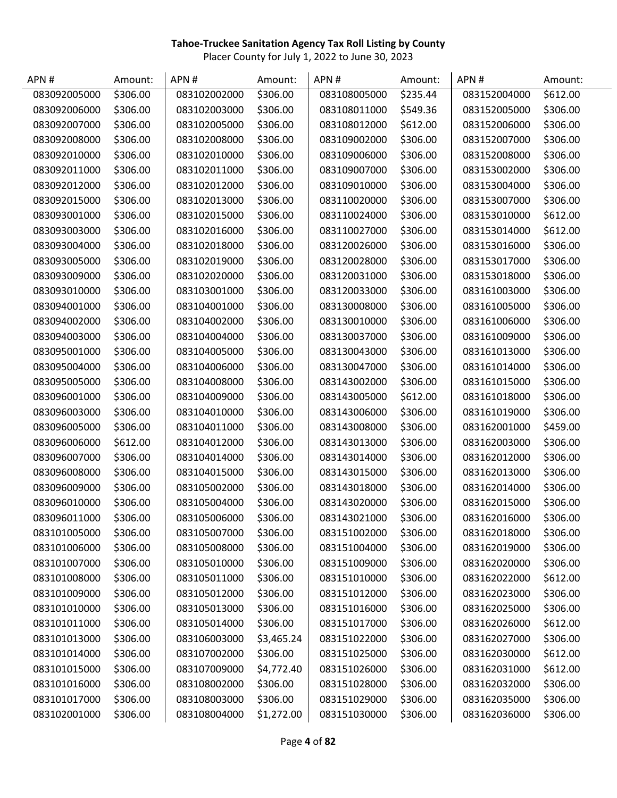| APN#         | Amount:  | APN#         | Amount:    | APN #        | Amount:  | APN#         | Amount:  |
|--------------|----------|--------------|------------|--------------|----------|--------------|----------|
| 083092005000 | \$306.00 | 083102002000 | \$306.00   | 083108005000 | \$235.44 | 083152004000 | \$612.00 |
| 083092006000 | \$306.00 | 083102003000 | \$306.00   | 083108011000 | \$549.36 | 083152005000 | \$306.00 |
| 083092007000 | \$306.00 | 083102005000 | \$306.00   | 083108012000 | \$612.00 | 083152006000 | \$306.00 |
| 083092008000 | \$306.00 | 083102008000 | \$306.00   | 083109002000 | \$306.00 | 083152007000 | \$306.00 |
| 083092010000 | \$306.00 | 083102010000 | \$306.00   | 083109006000 | \$306.00 | 083152008000 | \$306.00 |
| 083092011000 | \$306.00 | 083102011000 | \$306.00   | 083109007000 | \$306.00 | 083153002000 | \$306.00 |
| 083092012000 | \$306.00 | 083102012000 | \$306.00   | 083109010000 | \$306.00 | 083153004000 | \$306.00 |
| 083092015000 | \$306.00 | 083102013000 | \$306.00   | 083110020000 | \$306.00 | 083153007000 | \$306.00 |
| 083093001000 | \$306.00 | 083102015000 | \$306.00   | 083110024000 | \$306.00 | 083153010000 | \$612.00 |
| 083093003000 | \$306.00 | 083102016000 | \$306.00   | 083110027000 | \$306.00 | 083153014000 | \$612.00 |
| 083093004000 | \$306.00 | 083102018000 | \$306.00   | 083120026000 | \$306.00 | 083153016000 | \$306.00 |
| 083093005000 | \$306.00 | 083102019000 | \$306.00   | 083120028000 | \$306.00 | 083153017000 | \$306.00 |
| 083093009000 | \$306.00 | 083102020000 | \$306.00   | 083120031000 | \$306.00 | 083153018000 | \$306.00 |
| 083093010000 | \$306.00 | 083103001000 | \$306.00   | 083120033000 | \$306.00 | 083161003000 | \$306.00 |
| 083094001000 | \$306.00 | 083104001000 | \$306.00   | 083130008000 | \$306.00 | 083161005000 | \$306.00 |
| 083094002000 | \$306.00 | 083104002000 | \$306.00   | 083130010000 | \$306.00 | 083161006000 | \$306.00 |
| 083094003000 | \$306.00 | 083104004000 | \$306.00   | 083130037000 | \$306.00 | 083161009000 | \$306.00 |
| 083095001000 | \$306.00 | 083104005000 | \$306.00   | 083130043000 | \$306.00 | 083161013000 | \$306.00 |
| 083095004000 | \$306.00 | 083104006000 | \$306.00   | 083130047000 | \$306.00 | 083161014000 | \$306.00 |
| 083095005000 | \$306.00 | 083104008000 | \$306.00   | 083143002000 | \$306.00 | 083161015000 | \$306.00 |
| 083096001000 | \$306.00 | 083104009000 | \$306.00   | 083143005000 | \$612.00 | 083161018000 | \$306.00 |
| 083096003000 | \$306.00 | 083104010000 | \$306.00   | 083143006000 | \$306.00 | 083161019000 | \$306.00 |
| 083096005000 | \$306.00 | 083104011000 | \$306.00   | 083143008000 | \$306.00 | 083162001000 | \$459.00 |
| 083096006000 | \$612.00 | 083104012000 | \$306.00   | 083143013000 | \$306.00 | 083162003000 | \$306.00 |
| 083096007000 | \$306.00 | 083104014000 | \$306.00   | 083143014000 | \$306.00 | 083162012000 | \$306.00 |
| 083096008000 | \$306.00 | 083104015000 | \$306.00   | 083143015000 | \$306.00 | 083162013000 | \$306.00 |
| 083096009000 | \$306.00 | 083105002000 | \$306.00   | 083143018000 | \$306.00 | 083162014000 | \$306.00 |
| 083096010000 | \$306.00 | 083105004000 | \$306.00   | 083143020000 | \$306.00 | 083162015000 | \$306.00 |
| 083096011000 | \$306.00 | 083105006000 | \$306.00   | 083143021000 | \$306.00 | 083162016000 | \$306.00 |
| 083101005000 | \$306.00 | 083105007000 | \$306.00   | 083151002000 | \$306.00 | 083162018000 | \$306.00 |
| 083101006000 | \$306.00 | 083105008000 | \$306.00   | 083151004000 | \$306.00 | 083162019000 | \$306.00 |
| 083101007000 | \$306.00 | 083105010000 | \$306.00   | 083151009000 | \$306.00 | 083162020000 | \$306.00 |
| 083101008000 | \$306.00 | 083105011000 | \$306.00   | 083151010000 | \$306.00 | 083162022000 | \$612.00 |
| 083101009000 | \$306.00 | 083105012000 | \$306.00   | 083151012000 | \$306.00 | 083162023000 | \$306.00 |
| 083101010000 | \$306.00 | 083105013000 | \$306.00   | 083151016000 | \$306.00 | 083162025000 | \$306.00 |
| 083101011000 | \$306.00 | 083105014000 | \$306.00   | 083151017000 | \$306.00 | 083162026000 | \$612.00 |
| 083101013000 | \$306.00 | 083106003000 | \$3,465.24 | 083151022000 | \$306.00 | 083162027000 | \$306.00 |
| 083101014000 | \$306.00 | 083107002000 | \$306.00   | 083151025000 | \$306.00 | 083162030000 | \$612.00 |
| 083101015000 | \$306.00 | 083107009000 | \$4,772.40 | 083151026000 | \$306.00 | 083162031000 | \$612.00 |
| 083101016000 | \$306.00 | 083108002000 | \$306.00   | 083151028000 | \$306.00 | 083162032000 | \$306.00 |
| 083101017000 | \$306.00 | 083108003000 | \$306.00   | 083151029000 | \$306.00 | 083162035000 | \$306.00 |
| 083102001000 | \$306.00 | 083108004000 | \$1,272.00 | 083151030000 | \$306.00 | 083162036000 | \$306.00 |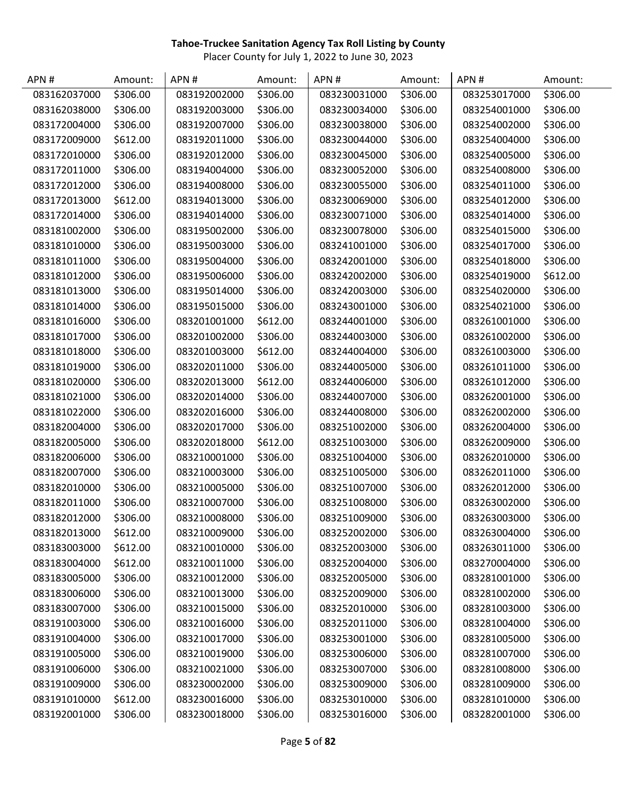| APN#         | Amount:  | APN#         | Amount:  | APN#         | Amount:  | APN#         | Amount:  |
|--------------|----------|--------------|----------|--------------|----------|--------------|----------|
| 083162037000 | \$306.00 | 083192002000 | \$306.00 | 083230031000 | \$306.00 | 083253017000 | \$306.00 |
| 083162038000 | \$306.00 | 083192003000 | \$306.00 | 083230034000 | \$306.00 | 083254001000 | \$306.00 |
| 083172004000 | \$306.00 | 083192007000 | \$306.00 | 083230038000 | \$306.00 | 083254002000 | \$306.00 |
| 083172009000 | \$612.00 | 083192011000 | \$306.00 | 083230044000 | \$306.00 | 083254004000 | \$306.00 |
| 083172010000 | \$306.00 | 083192012000 | \$306.00 | 083230045000 | \$306.00 | 083254005000 | \$306.00 |
| 083172011000 | \$306.00 | 083194004000 | \$306.00 | 083230052000 | \$306.00 | 083254008000 | \$306.00 |
| 083172012000 | \$306.00 | 083194008000 | \$306.00 | 083230055000 | \$306.00 | 083254011000 | \$306.00 |
| 083172013000 | \$612.00 | 083194013000 | \$306.00 | 083230069000 | \$306.00 | 083254012000 | \$306.00 |
| 083172014000 | \$306.00 | 083194014000 | \$306.00 | 083230071000 | \$306.00 | 083254014000 | \$306.00 |
| 083181002000 | \$306.00 | 083195002000 | \$306.00 | 083230078000 | \$306.00 | 083254015000 | \$306.00 |
| 083181010000 | \$306.00 | 083195003000 | \$306.00 | 083241001000 | \$306.00 | 083254017000 | \$306.00 |
| 083181011000 | \$306.00 | 083195004000 | \$306.00 | 083242001000 | \$306.00 | 083254018000 | \$306.00 |
| 083181012000 | \$306.00 | 083195006000 | \$306.00 | 083242002000 | \$306.00 | 083254019000 | \$612.00 |
| 083181013000 | \$306.00 | 083195014000 | \$306.00 | 083242003000 | \$306.00 | 083254020000 | \$306.00 |
| 083181014000 | \$306.00 | 083195015000 | \$306.00 | 083243001000 | \$306.00 | 083254021000 | \$306.00 |
| 083181016000 | \$306.00 | 083201001000 | \$612.00 | 083244001000 | \$306.00 | 083261001000 | \$306.00 |
| 083181017000 | \$306.00 | 083201002000 | \$306.00 | 083244003000 | \$306.00 | 083261002000 | \$306.00 |
| 083181018000 | \$306.00 | 083201003000 | \$612.00 | 083244004000 | \$306.00 | 083261003000 | \$306.00 |
| 083181019000 | \$306.00 | 083202011000 | \$306.00 | 083244005000 | \$306.00 | 083261011000 | \$306.00 |
| 083181020000 | \$306.00 | 083202013000 | \$612.00 | 083244006000 | \$306.00 | 083261012000 | \$306.00 |
| 083181021000 | \$306.00 | 083202014000 | \$306.00 | 083244007000 | \$306.00 | 083262001000 | \$306.00 |
| 083181022000 | \$306.00 | 083202016000 | \$306.00 | 083244008000 | \$306.00 | 083262002000 | \$306.00 |
| 083182004000 | \$306.00 | 083202017000 | \$306.00 | 083251002000 | \$306.00 | 083262004000 | \$306.00 |
| 083182005000 | \$306.00 | 083202018000 | \$612.00 | 083251003000 | \$306.00 | 083262009000 | \$306.00 |
| 083182006000 | \$306.00 | 083210001000 | \$306.00 | 083251004000 | \$306.00 | 083262010000 | \$306.00 |
| 083182007000 | \$306.00 | 083210003000 | \$306.00 | 083251005000 | \$306.00 | 083262011000 | \$306.00 |
| 083182010000 | \$306.00 | 083210005000 | \$306.00 | 083251007000 | \$306.00 | 083262012000 | \$306.00 |
| 083182011000 | \$306.00 | 083210007000 | \$306.00 | 083251008000 | \$306.00 | 083263002000 | \$306.00 |
| 083182012000 | \$306.00 | 083210008000 | \$306.00 | 083251009000 | \$306.00 | 083263003000 | \$306.00 |
| 083182013000 | \$612.00 | 083210009000 | \$306.00 | 083252002000 | \$306.00 | 083263004000 | \$306.00 |
| 083183003000 | \$612.00 | 083210010000 | \$306.00 | 083252003000 | \$306.00 | 083263011000 | \$306.00 |
| 083183004000 | \$612.00 | 083210011000 | \$306.00 | 083252004000 | \$306.00 | 083270004000 | \$306.00 |
| 083183005000 | \$306.00 | 083210012000 | \$306.00 | 083252005000 | \$306.00 | 083281001000 | \$306.00 |
| 083183006000 | \$306.00 | 083210013000 | \$306.00 | 083252009000 | \$306.00 | 083281002000 | \$306.00 |
| 083183007000 | \$306.00 | 083210015000 | \$306.00 | 083252010000 | \$306.00 | 083281003000 | \$306.00 |
| 083191003000 | \$306.00 | 083210016000 | \$306.00 | 083252011000 | \$306.00 | 083281004000 | \$306.00 |
| 083191004000 | \$306.00 | 083210017000 | \$306.00 | 083253001000 | \$306.00 | 083281005000 | \$306.00 |
| 083191005000 | \$306.00 | 083210019000 | \$306.00 | 083253006000 | \$306.00 | 083281007000 | \$306.00 |
| 083191006000 | \$306.00 | 083210021000 | \$306.00 | 083253007000 | \$306.00 | 083281008000 | \$306.00 |
| 083191009000 | \$306.00 | 083230002000 | \$306.00 | 083253009000 | \$306.00 | 083281009000 | \$306.00 |
| 083191010000 | \$612.00 | 083230016000 | \$306.00 | 083253010000 | \$306.00 | 083281010000 | \$306.00 |
| 083192001000 | \$306.00 | 083230018000 | \$306.00 | 083253016000 | \$306.00 | 083282001000 | \$306.00 |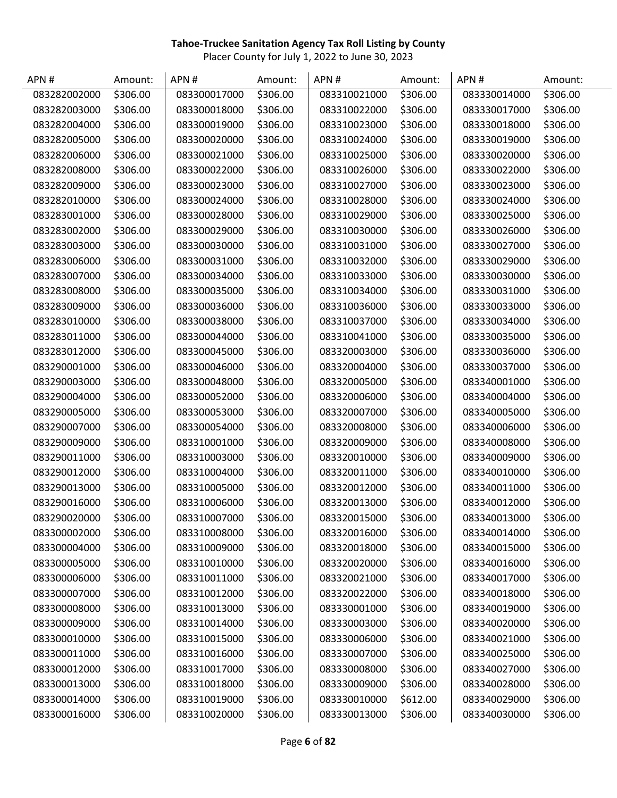| APN#         | Amount:  | APN#         | Amount:  | APN#         | Amount:  | APN#         | Amount:  |
|--------------|----------|--------------|----------|--------------|----------|--------------|----------|
| 083282002000 | \$306.00 | 083300017000 | \$306.00 | 083310021000 | \$306.00 | 083330014000 | \$306.00 |
| 083282003000 | \$306.00 | 083300018000 | \$306.00 | 083310022000 | \$306.00 | 083330017000 | \$306.00 |
| 083282004000 | \$306.00 | 083300019000 | \$306.00 | 083310023000 | \$306.00 | 083330018000 | \$306.00 |
| 083282005000 | \$306.00 | 083300020000 | \$306.00 | 083310024000 | \$306.00 | 083330019000 | \$306.00 |
| 083282006000 | \$306.00 | 083300021000 | \$306.00 | 083310025000 | \$306.00 | 083330020000 | \$306.00 |
| 083282008000 | \$306.00 | 083300022000 | \$306.00 | 083310026000 | \$306.00 | 083330022000 | \$306.00 |
| 083282009000 | \$306.00 | 083300023000 | \$306.00 | 083310027000 | \$306.00 | 083330023000 | \$306.00 |
| 083282010000 | \$306.00 | 083300024000 | \$306.00 | 083310028000 | \$306.00 | 083330024000 | \$306.00 |
| 083283001000 | \$306.00 | 083300028000 | \$306.00 | 083310029000 | \$306.00 | 083330025000 | \$306.00 |
| 083283002000 | \$306.00 | 083300029000 | \$306.00 | 083310030000 | \$306.00 | 083330026000 | \$306.00 |
| 083283003000 | \$306.00 | 083300030000 | \$306.00 | 083310031000 | \$306.00 | 083330027000 | \$306.00 |
| 083283006000 | \$306.00 | 083300031000 | \$306.00 | 083310032000 | \$306.00 | 083330029000 | \$306.00 |
| 083283007000 | \$306.00 | 083300034000 | \$306.00 | 083310033000 | \$306.00 | 083330030000 | \$306.00 |
| 083283008000 | \$306.00 | 083300035000 | \$306.00 | 083310034000 | \$306.00 | 083330031000 | \$306.00 |
| 083283009000 | \$306.00 | 083300036000 | \$306.00 | 083310036000 | \$306.00 | 083330033000 | \$306.00 |
| 083283010000 | \$306.00 | 083300038000 | \$306.00 | 083310037000 | \$306.00 | 083330034000 | \$306.00 |
| 083283011000 | \$306.00 | 083300044000 | \$306.00 | 083310041000 | \$306.00 | 083330035000 | \$306.00 |
| 083283012000 | \$306.00 | 083300045000 | \$306.00 | 083320003000 | \$306.00 | 083330036000 | \$306.00 |
| 083290001000 | \$306.00 | 083300046000 | \$306.00 | 083320004000 | \$306.00 | 083330037000 | \$306.00 |
| 083290003000 | \$306.00 | 083300048000 | \$306.00 | 083320005000 | \$306.00 | 083340001000 | \$306.00 |
| 083290004000 | \$306.00 | 083300052000 | \$306.00 | 083320006000 | \$306.00 | 083340004000 | \$306.00 |
| 083290005000 | \$306.00 | 083300053000 | \$306.00 | 083320007000 | \$306.00 | 083340005000 | \$306.00 |
| 083290007000 | \$306.00 | 083300054000 | \$306.00 | 083320008000 | \$306.00 | 083340006000 | \$306.00 |
| 083290009000 | \$306.00 | 083310001000 | \$306.00 | 083320009000 | \$306.00 | 083340008000 | \$306.00 |
| 083290011000 | \$306.00 | 083310003000 | \$306.00 | 083320010000 | \$306.00 | 083340009000 | \$306.00 |
| 083290012000 | \$306.00 | 083310004000 | \$306.00 | 083320011000 | \$306.00 | 083340010000 | \$306.00 |
| 083290013000 | \$306.00 | 083310005000 | \$306.00 | 083320012000 | \$306.00 | 083340011000 | \$306.00 |
| 083290016000 | \$306.00 | 083310006000 | \$306.00 | 083320013000 | \$306.00 | 083340012000 | \$306.00 |
| 083290020000 | \$306.00 | 083310007000 | \$306.00 | 083320015000 | \$306.00 | 083340013000 | \$306.00 |
| 083300002000 | \$306.00 | 083310008000 | \$306.00 | 083320016000 | \$306.00 | 083340014000 | \$306.00 |
| 083300004000 | \$306.00 | 083310009000 | \$306.00 | 083320018000 | \$306.00 | 083340015000 | \$306.00 |
| 083300005000 | \$306.00 | 083310010000 | \$306.00 | 083320020000 | \$306.00 | 083340016000 | \$306.00 |
| 083300006000 | \$306.00 | 083310011000 | \$306.00 | 083320021000 | \$306.00 | 083340017000 | \$306.00 |
| 083300007000 | \$306.00 | 083310012000 | \$306.00 | 083320022000 | \$306.00 | 083340018000 | \$306.00 |
| 083300008000 | \$306.00 | 083310013000 | \$306.00 | 083330001000 | \$306.00 | 083340019000 | \$306.00 |
| 083300009000 | \$306.00 | 083310014000 | \$306.00 | 083330003000 | \$306.00 | 083340020000 | \$306.00 |
| 083300010000 | \$306.00 | 083310015000 | \$306.00 | 083330006000 | \$306.00 | 083340021000 | \$306.00 |
| 083300011000 | \$306.00 | 083310016000 | \$306.00 | 083330007000 | \$306.00 | 083340025000 | \$306.00 |
| 083300012000 | \$306.00 | 083310017000 | \$306.00 | 083330008000 | \$306.00 | 083340027000 | \$306.00 |
| 083300013000 | \$306.00 | 083310018000 | \$306.00 | 083330009000 | \$306.00 | 083340028000 | \$306.00 |
| 083300014000 | \$306.00 | 083310019000 | \$306.00 | 083330010000 | \$612.00 | 083340029000 | \$306.00 |
| 083300016000 | \$306.00 | 083310020000 | \$306.00 | 083330013000 | \$306.00 | 083340030000 | \$306.00 |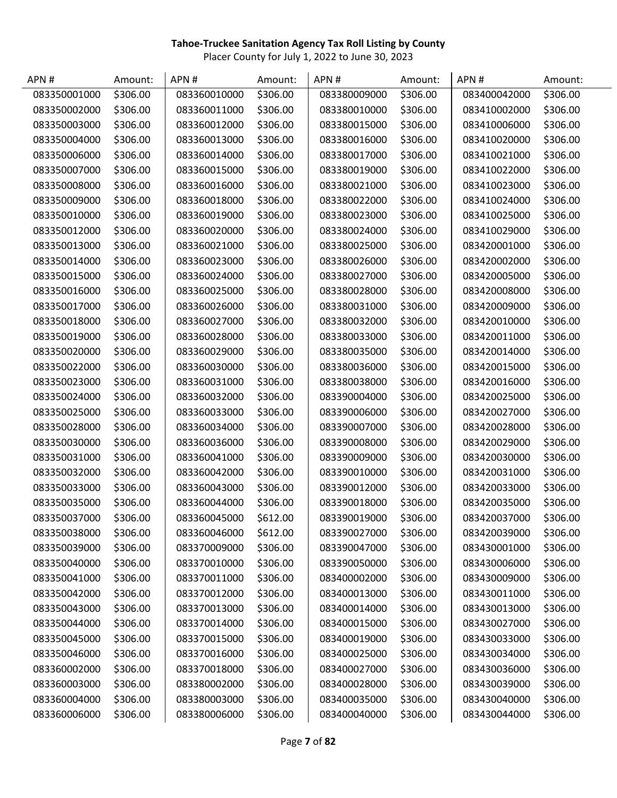| APN#         | Amount:  | APN#         | Amount:  | APN#         | Amount:  | APN#         | Amount:  |
|--------------|----------|--------------|----------|--------------|----------|--------------|----------|
| 083350001000 | \$306.00 | 083360010000 | \$306.00 | 083380009000 | \$306.00 | 083400042000 | \$306.00 |
| 083350002000 | \$306.00 | 083360011000 | \$306.00 | 083380010000 | \$306.00 | 083410002000 | \$306.00 |
| 083350003000 | \$306.00 | 083360012000 | \$306.00 | 083380015000 | \$306.00 | 083410006000 | \$306.00 |
| 083350004000 | \$306.00 | 083360013000 | \$306.00 | 083380016000 | \$306.00 | 083410020000 | \$306.00 |
| 083350006000 | \$306.00 | 083360014000 | \$306.00 | 083380017000 | \$306.00 | 083410021000 | \$306.00 |
| 083350007000 | \$306.00 | 083360015000 | \$306.00 | 083380019000 | \$306.00 | 083410022000 | \$306.00 |
| 083350008000 | \$306.00 | 083360016000 | \$306.00 | 083380021000 | \$306.00 | 083410023000 | \$306.00 |
| 083350009000 | \$306.00 | 083360018000 | \$306.00 | 083380022000 | \$306.00 | 083410024000 | \$306.00 |
| 083350010000 | \$306.00 | 083360019000 | \$306.00 | 083380023000 | \$306.00 | 083410025000 | \$306.00 |
| 083350012000 | \$306.00 | 083360020000 | \$306.00 | 083380024000 | \$306.00 | 083410029000 | \$306.00 |
| 083350013000 | \$306.00 | 083360021000 | \$306.00 | 083380025000 | \$306.00 | 083420001000 | \$306.00 |
| 083350014000 | \$306.00 | 083360023000 | \$306.00 | 083380026000 | \$306.00 | 083420002000 | \$306.00 |
| 083350015000 | \$306.00 | 083360024000 | \$306.00 | 083380027000 | \$306.00 | 083420005000 | \$306.00 |
| 083350016000 | \$306.00 | 083360025000 | \$306.00 | 083380028000 | \$306.00 | 083420008000 | \$306.00 |
| 083350017000 | \$306.00 | 083360026000 | \$306.00 | 083380031000 | \$306.00 | 083420009000 | \$306.00 |
| 083350018000 | \$306.00 | 083360027000 | \$306.00 | 083380032000 | \$306.00 | 083420010000 | \$306.00 |
| 083350019000 | \$306.00 | 083360028000 | \$306.00 | 083380033000 | \$306.00 | 083420011000 | \$306.00 |
| 083350020000 | \$306.00 | 083360029000 | \$306.00 | 083380035000 | \$306.00 | 083420014000 | \$306.00 |
| 083350022000 | \$306.00 | 083360030000 | \$306.00 | 083380036000 | \$306.00 | 083420015000 | \$306.00 |
| 083350023000 | \$306.00 | 083360031000 | \$306.00 | 083380038000 | \$306.00 | 083420016000 | \$306.00 |
| 083350024000 | \$306.00 | 083360032000 | \$306.00 | 083390004000 | \$306.00 | 083420025000 | \$306.00 |
| 083350025000 | \$306.00 | 083360033000 | \$306.00 | 083390006000 | \$306.00 | 083420027000 | \$306.00 |
| 083350028000 | \$306.00 | 083360034000 | \$306.00 | 083390007000 | \$306.00 | 083420028000 | \$306.00 |
| 083350030000 | \$306.00 | 083360036000 | \$306.00 | 083390008000 | \$306.00 | 083420029000 | \$306.00 |
| 083350031000 | \$306.00 | 083360041000 | \$306.00 | 083390009000 | \$306.00 | 083420030000 | \$306.00 |
| 083350032000 | \$306.00 | 083360042000 | \$306.00 | 083390010000 | \$306.00 | 083420031000 | \$306.00 |
| 083350033000 | \$306.00 | 083360043000 | \$306.00 | 083390012000 | \$306.00 | 083420033000 | \$306.00 |
| 083350035000 | \$306.00 | 083360044000 | \$306.00 | 083390018000 | \$306.00 | 083420035000 | \$306.00 |
| 083350037000 | \$306.00 | 083360045000 | \$612.00 | 083390019000 | \$306.00 | 083420037000 | \$306.00 |
| 083350038000 | \$306.00 | 083360046000 | \$612.00 | 083390027000 | \$306.00 | 083420039000 | \$306.00 |
| 083350039000 | \$306.00 | 083370009000 | \$306.00 | 083390047000 | \$306.00 | 083430001000 | \$306.00 |
| 083350040000 | \$306.00 | 083370010000 | \$306.00 | 083390050000 | \$306.00 | 083430006000 | \$306.00 |
| 083350041000 | \$306.00 | 083370011000 | \$306.00 | 083400002000 | \$306.00 | 083430009000 | \$306.00 |
| 083350042000 | \$306.00 | 083370012000 | \$306.00 | 083400013000 | \$306.00 | 083430011000 | \$306.00 |
| 083350043000 | \$306.00 | 083370013000 | \$306.00 | 083400014000 | \$306.00 | 083430013000 | \$306.00 |
| 083350044000 | \$306.00 | 083370014000 | \$306.00 | 083400015000 | \$306.00 | 083430027000 | \$306.00 |
| 083350045000 | \$306.00 | 083370015000 | \$306.00 | 083400019000 | \$306.00 | 083430033000 | \$306.00 |
| 083350046000 | \$306.00 | 083370016000 | \$306.00 | 083400025000 | \$306.00 | 083430034000 | \$306.00 |
| 083360002000 | \$306.00 | 083370018000 | \$306.00 | 083400027000 | \$306.00 | 083430036000 | \$306.00 |
| 083360003000 | \$306.00 | 083380002000 | \$306.00 | 083400028000 | \$306.00 | 083430039000 | \$306.00 |
| 083360004000 | \$306.00 | 083380003000 | \$306.00 | 083400035000 | \$306.00 | 083430040000 | \$306.00 |
| 083360006000 | \$306.00 | 083380006000 | \$306.00 | 083400040000 | \$306.00 | 083430044000 | \$306.00 |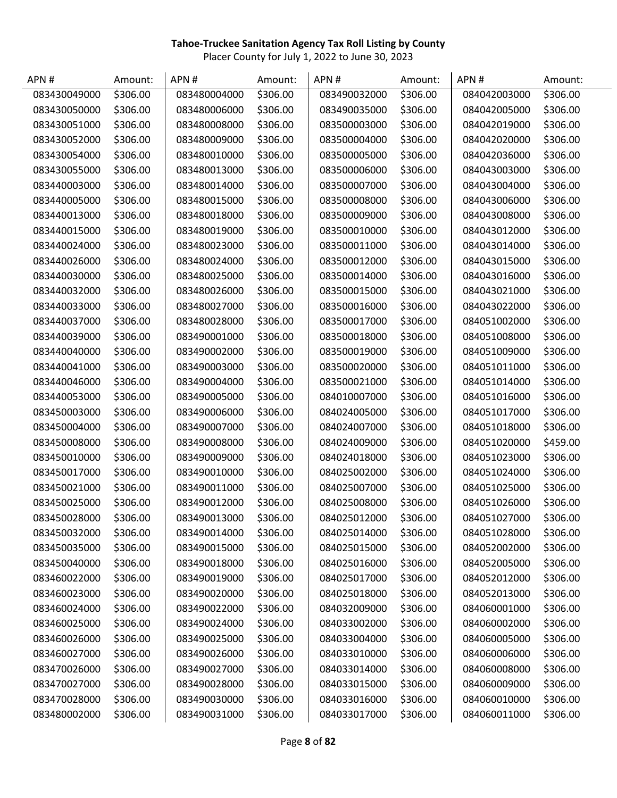| APN#         | Amount:  | APN#         | Amount:  | APN#         | Amount:  | APN#         | Amount:  |
|--------------|----------|--------------|----------|--------------|----------|--------------|----------|
| 083430049000 | \$306.00 | 083480004000 | \$306.00 | 083490032000 | \$306.00 | 084042003000 | \$306.00 |
| 083430050000 | \$306.00 | 083480006000 | \$306.00 | 083490035000 | \$306.00 | 084042005000 | \$306.00 |
| 083430051000 | \$306.00 | 083480008000 | \$306.00 | 083500003000 | \$306.00 | 084042019000 | \$306.00 |
| 083430052000 | \$306.00 | 083480009000 | \$306.00 | 083500004000 | \$306.00 | 084042020000 | \$306.00 |
| 083430054000 | \$306.00 | 083480010000 | \$306.00 | 083500005000 | \$306.00 | 084042036000 | \$306.00 |
| 083430055000 | \$306.00 | 083480013000 | \$306.00 | 083500006000 | \$306.00 | 084043003000 | \$306.00 |
| 083440003000 | \$306.00 | 083480014000 | \$306.00 | 083500007000 | \$306.00 | 084043004000 | \$306.00 |
| 083440005000 | \$306.00 | 083480015000 | \$306.00 | 083500008000 | \$306.00 | 084043006000 | \$306.00 |
| 083440013000 | \$306.00 | 083480018000 | \$306.00 | 083500009000 | \$306.00 | 084043008000 | \$306.00 |
| 083440015000 | \$306.00 | 083480019000 | \$306.00 | 083500010000 | \$306.00 | 084043012000 | \$306.00 |
| 083440024000 | \$306.00 | 083480023000 | \$306.00 | 083500011000 | \$306.00 | 084043014000 | \$306.00 |
| 083440026000 | \$306.00 | 083480024000 | \$306.00 | 083500012000 | \$306.00 | 084043015000 | \$306.00 |
| 083440030000 | \$306.00 | 083480025000 | \$306.00 | 083500014000 | \$306.00 | 084043016000 | \$306.00 |
| 083440032000 | \$306.00 | 083480026000 | \$306.00 | 083500015000 | \$306.00 | 084043021000 | \$306.00 |
| 083440033000 | \$306.00 | 083480027000 | \$306.00 | 083500016000 | \$306.00 | 084043022000 | \$306.00 |
| 083440037000 | \$306.00 | 083480028000 | \$306.00 | 083500017000 | \$306.00 | 084051002000 | \$306.00 |
| 083440039000 | \$306.00 | 083490001000 | \$306.00 | 083500018000 | \$306.00 | 084051008000 | \$306.00 |
| 083440040000 | \$306.00 | 083490002000 | \$306.00 | 083500019000 | \$306.00 | 084051009000 | \$306.00 |
| 083440041000 | \$306.00 | 083490003000 | \$306.00 | 083500020000 | \$306.00 | 084051011000 | \$306.00 |
| 083440046000 | \$306.00 | 083490004000 | \$306.00 | 083500021000 | \$306.00 | 084051014000 | \$306.00 |
| 083440053000 | \$306.00 | 083490005000 | \$306.00 | 084010007000 | \$306.00 | 084051016000 | \$306.00 |
| 083450003000 | \$306.00 | 083490006000 | \$306.00 | 084024005000 | \$306.00 | 084051017000 | \$306.00 |
| 083450004000 | \$306.00 | 083490007000 | \$306.00 | 084024007000 | \$306.00 | 084051018000 | \$306.00 |
| 083450008000 | \$306.00 | 083490008000 | \$306.00 | 084024009000 | \$306.00 | 084051020000 | \$459.00 |
| 083450010000 | \$306.00 | 083490009000 | \$306.00 | 084024018000 | \$306.00 | 084051023000 | \$306.00 |
| 083450017000 | \$306.00 | 083490010000 | \$306.00 | 084025002000 | \$306.00 | 084051024000 | \$306.00 |
| 083450021000 | \$306.00 | 083490011000 | \$306.00 | 084025007000 | \$306.00 | 084051025000 | \$306.00 |
| 083450025000 | \$306.00 | 083490012000 | \$306.00 | 084025008000 | \$306.00 | 084051026000 | \$306.00 |
| 083450028000 | \$306.00 | 083490013000 | \$306.00 | 084025012000 | \$306.00 | 084051027000 | \$306.00 |
| 083450032000 | \$306.00 | 083490014000 | \$306.00 | 084025014000 | \$306.00 | 084051028000 | \$306.00 |
| 083450035000 | \$306.00 | 083490015000 | \$306.00 | 084025015000 | \$306.00 | 084052002000 | \$306.00 |
| 083450040000 | \$306.00 | 083490018000 | \$306.00 | 084025016000 | \$306.00 | 084052005000 | \$306.00 |
| 083460022000 | \$306.00 | 083490019000 | \$306.00 | 084025017000 | \$306.00 | 084052012000 | \$306.00 |
| 083460023000 | \$306.00 | 083490020000 | \$306.00 | 084025018000 | \$306.00 | 084052013000 | \$306.00 |
| 083460024000 | \$306.00 | 083490022000 | \$306.00 | 084032009000 | \$306.00 | 084060001000 | \$306.00 |
| 083460025000 | \$306.00 | 083490024000 | \$306.00 | 084033002000 | \$306.00 | 084060002000 | \$306.00 |
| 083460026000 | \$306.00 | 083490025000 | \$306.00 | 084033004000 | \$306.00 | 084060005000 | \$306.00 |
| 083460027000 | \$306.00 | 083490026000 | \$306.00 | 084033010000 | \$306.00 | 084060006000 | \$306.00 |
| 083470026000 | \$306.00 | 083490027000 | \$306.00 | 084033014000 | \$306.00 | 084060008000 | \$306.00 |
| 083470027000 | \$306.00 | 083490028000 | \$306.00 | 084033015000 | \$306.00 | 084060009000 | \$306.00 |
| 083470028000 | \$306.00 | 083490030000 | \$306.00 | 084033016000 | \$306.00 | 084060010000 | \$306.00 |
| 083480002000 | \$306.00 | 083490031000 | \$306.00 | 084033017000 | \$306.00 | 084060011000 | \$306.00 |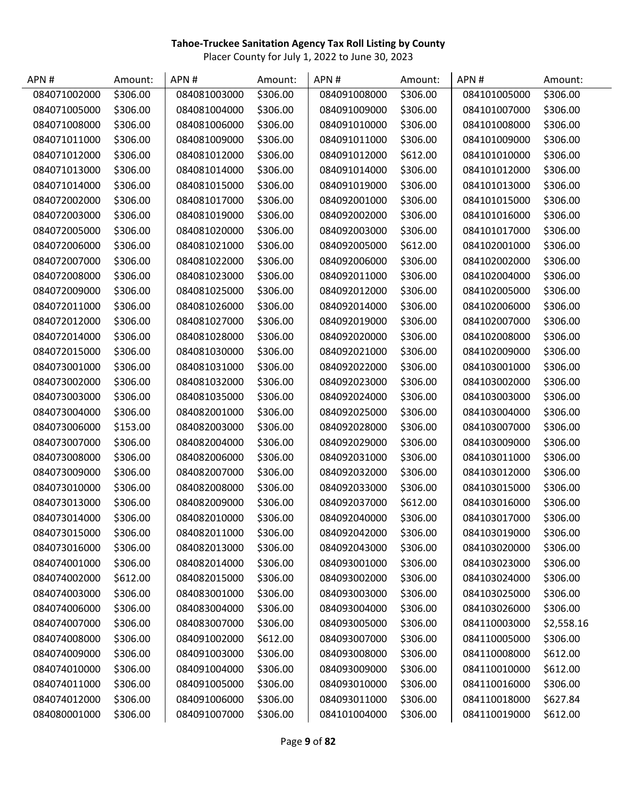| APN#         | Amount:  | APN#         | Amount:  | APN#         | Amount:  | APN#         | Amount:    |
|--------------|----------|--------------|----------|--------------|----------|--------------|------------|
| 084071002000 | \$306.00 | 084081003000 | \$306.00 | 084091008000 | \$306.00 | 084101005000 | \$306.00   |
| 084071005000 | \$306.00 | 084081004000 | \$306.00 | 084091009000 | \$306.00 | 084101007000 | \$306.00   |
| 084071008000 | \$306.00 | 084081006000 | \$306.00 | 084091010000 | \$306.00 | 084101008000 | \$306.00   |
| 084071011000 | \$306.00 | 084081009000 | \$306.00 | 084091011000 | \$306.00 | 084101009000 | \$306.00   |
| 084071012000 | \$306.00 | 084081012000 | \$306.00 | 084091012000 | \$612.00 | 084101010000 | \$306.00   |
| 084071013000 | \$306.00 | 084081014000 | \$306.00 | 084091014000 | \$306.00 | 084101012000 | \$306.00   |
| 084071014000 | \$306.00 | 084081015000 | \$306.00 | 084091019000 | \$306.00 | 084101013000 | \$306.00   |
| 084072002000 | \$306.00 | 084081017000 | \$306.00 | 084092001000 | \$306.00 | 084101015000 | \$306.00   |
| 084072003000 | \$306.00 | 084081019000 | \$306.00 | 084092002000 | \$306.00 | 084101016000 | \$306.00   |
| 084072005000 | \$306.00 | 084081020000 | \$306.00 | 084092003000 | \$306.00 | 084101017000 | \$306.00   |
| 084072006000 | \$306.00 | 084081021000 | \$306.00 | 084092005000 | \$612.00 | 084102001000 | \$306.00   |
| 084072007000 | \$306.00 | 084081022000 | \$306.00 | 084092006000 | \$306.00 | 084102002000 | \$306.00   |
| 084072008000 | \$306.00 | 084081023000 | \$306.00 | 084092011000 | \$306.00 | 084102004000 | \$306.00   |
| 084072009000 | \$306.00 | 084081025000 | \$306.00 | 084092012000 | \$306.00 | 084102005000 | \$306.00   |
| 084072011000 | \$306.00 | 084081026000 | \$306.00 | 084092014000 | \$306.00 | 084102006000 | \$306.00   |
| 084072012000 | \$306.00 | 084081027000 | \$306.00 | 084092019000 | \$306.00 | 084102007000 | \$306.00   |
| 084072014000 | \$306.00 | 084081028000 | \$306.00 | 084092020000 | \$306.00 | 084102008000 | \$306.00   |
| 084072015000 | \$306.00 | 084081030000 | \$306.00 | 084092021000 | \$306.00 | 084102009000 | \$306.00   |
| 084073001000 | \$306.00 | 084081031000 | \$306.00 | 084092022000 | \$306.00 | 084103001000 | \$306.00   |
| 084073002000 | \$306.00 | 084081032000 | \$306.00 | 084092023000 | \$306.00 | 084103002000 | \$306.00   |
| 084073003000 | \$306.00 | 084081035000 | \$306.00 | 084092024000 | \$306.00 | 084103003000 | \$306.00   |
| 084073004000 | \$306.00 | 084082001000 | \$306.00 | 084092025000 | \$306.00 | 084103004000 | \$306.00   |
| 084073006000 | \$153.00 | 084082003000 | \$306.00 | 084092028000 | \$306.00 | 084103007000 | \$306.00   |
| 084073007000 | \$306.00 | 084082004000 | \$306.00 | 084092029000 | \$306.00 | 084103009000 | \$306.00   |
| 084073008000 | \$306.00 | 084082006000 | \$306.00 | 084092031000 | \$306.00 | 084103011000 | \$306.00   |
| 084073009000 | \$306.00 | 084082007000 | \$306.00 | 084092032000 | \$306.00 | 084103012000 | \$306.00   |
| 084073010000 | \$306.00 | 084082008000 | \$306.00 | 084092033000 | \$306.00 | 084103015000 | \$306.00   |
| 084073013000 | \$306.00 | 084082009000 | \$306.00 | 084092037000 | \$612.00 | 084103016000 | \$306.00   |
| 084073014000 | \$306.00 | 084082010000 | \$306.00 | 084092040000 | \$306.00 | 084103017000 | \$306.00   |
| 084073015000 | \$306.00 | 084082011000 | \$306.00 | 084092042000 | \$306.00 | 084103019000 | \$306.00   |
| 084073016000 | \$306.00 | 084082013000 | \$306.00 | 084092043000 | \$306.00 | 084103020000 | \$306.00   |
| 084074001000 | \$306.00 | 084082014000 | \$306.00 | 084093001000 | \$306.00 | 084103023000 | \$306.00   |
| 084074002000 | \$612.00 | 084082015000 | \$306.00 | 084093002000 | \$306.00 | 084103024000 | \$306.00   |
| 084074003000 | \$306.00 | 084083001000 | \$306.00 | 084093003000 | \$306.00 | 084103025000 | \$306.00   |
| 084074006000 | \$306.00 | 084083004000 | \$306.00 | 084093004000 | \$306.00 | 084103026000 | \$306.00   |
| 084074007000 | \$306.00 | 084083007000 | \$306.00 | 084093005000 | \$306.00 | 084110003000 | \$2,558.16 |
| 084074008000 | \$306.00 | 084091002000 | \$612.00 | 084093007000 | \$306.00 | 084110005000 | \$306.00   |
| 084074009000 | \$306.00 | 084091003000 | \$306.00 | 084093008000 | \$306.00 | 084110008000 | \$612.00   |
| 084074010000 | \$306.00 | 084091004000 | \$306.00 | 084093009000 | \$306.00 | 084110010000 | \$612.00   |
| 084074011000 | \$306.00 | 084091005000 | \$306.00 | 084093010000 | \$306.00 | 084110016000 | \$306.00   |
| 084074012000 | \$306.00 | 084091006000 | \$306.00 | 084093011000 | \$306.00 | 084110018000 | \$627.84   |
| 084080001000 | \$306.00 | 084091007000 | \$306.00 | 084101004000 | \$306.00 | 084110019000 | \$612.00   |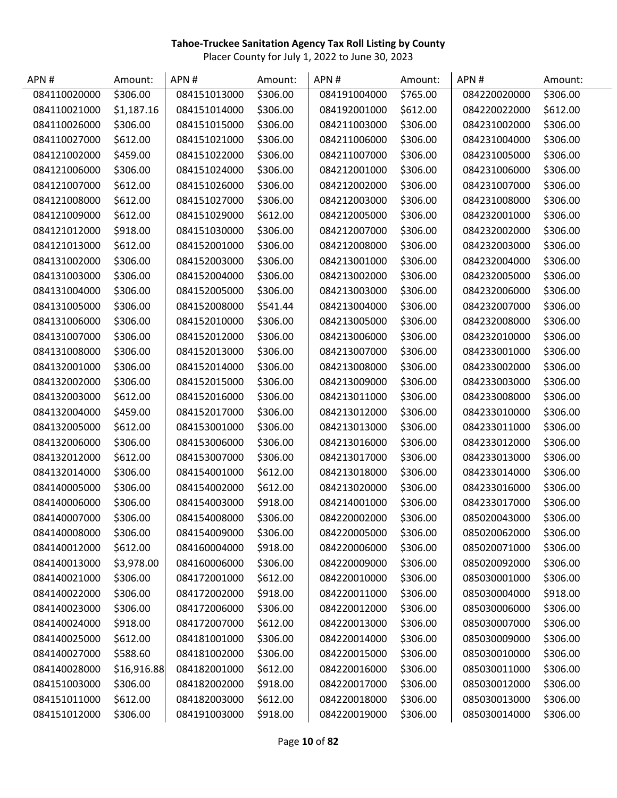| APN#         | Amount:     | APN#         | Amount:  | APN#         | Amount:  | APN#         | Amount:  |
|--------------|-------------|--------------|----------|--------------|----------|--------------|----------|
| 084110020000 | \$306.00    | 084151013000 | \$306.00 | 084191004000 | \$765.00 | 084220020000 | \$306.00 |
| 084110021000 | \$1,187.16  | 084151014000 | \$306.00 | 084192001000 | \$612.00 | 084220022000 | \$612.00 |
| 084110026000 | \$306.00    | 084151015000 | \$306.00 | 084211003000 | \$306.00 | 084231002000 | \$306.00 |
| 084110027000 | \$612.00    | 084151021000 | \$306.00 | 084211006000 | \$306.00 | 084231004000 | \$306.00 |
| 084121002000 | \$459.00    | 084151022000 | \$306.00 | 084211007000 | \$306.00 | 084231005000 | \$306.00 |
| 084121006000 | \$306.00    | 084151024000 | \$306.00 | 084212001000 | \$306.00 | 084231006000 | \$306.00 |
| 084121007000 | \$612.00    | 084151026000 | \$306.00 | 084212002000 | \$306.00 | 084231007000 | \$306.00 |
| 084121008000 | \$612.00    | 084151027000 | \$306.00 | 084212003000 | \$306.00 | 084231008000 | \$306.00 |
| 084121009000 | \$612.00    | 084151029000 | \$612.00 | 084212005000 | \$306.00 | 084232001000 | \$306.00 |
| 084121012000 | \$918.00    | 084151030000 | \$306.00 | 084212007000 | \$306.00 | 084232002000 | \$306.00 |
| 084121013000 | \$612.00    | 084152001000 | \$306.00 | 084212008000 | \$306.00 | 084232003000 | \$306.00 |
| 084131002000 | \$306.00    | 084152003000 | \$306.00 | 084213001000 | \$306.00 | 084232004000 | \$306.00 |
| 084131003000 | \$306.00    | 084152004000 | \$306.00 | 084213002000 | \$306.00 | 084232005000 | \$306.00 |
| 084131004000 | \$306.00    | 084152005000 | \$306.00 | 084213003000 | \$306.00 | 084232006000 | \$306.00 |
| 084131005000 | \$306.00    | 084152008000 | \$541.44 | 084213004000 | \$306.00 | 084232007000 | \$306.00 |
| 084131006000 | \$306.00    | 084152010000 | \$306.00 | 084213005000 | \$306.00 | 084232008000 | \$306.00 |
| 084131007000 | \$306.00    | 084152012000 | \$306.00 | 084213006000 | \$306.00 | 084232010000 | \$306.00 |
| 084131008000 | \$306.00    | 084152013000 | \$306.00 | 084213007000 | \$306.00 | 084233001000 | \$306.00 |
| 084132001000 | \$306.00    | 084152014000 | \$306.00 | 084213008000 | \$306.00 | 084233002000 | \$306.00 |
| 084132002000 | \$306.00    | 084152015000 | \$306.00 | 084213009000 | \$306.00 | 084233003000 | \$306.00 |
| 084132003000 | \$612.00    | 084152016000 | \$306.00 | 084213011000 | \$306.00 | 084233008000 | \$306.00 |
| 084132004000 | \$459.00    | 084152017000 | \$306.00 | 084213012000 | \$306.00 | 084233010000 | \$306.00 |
| 084132005000 | \$612.00    | 084153001000 | \$306.00 | 084213013000 | \$306.00 | 084233011000 | \$306.00 |
| 084132006000 | \$306.00    | 084153006000 | \$306.00 | 084213016000 | \$306.00 | 084233012000 | \$306.00 |
| 084132012000 | \$612.00    | 084153007000 | \$306.00 | 084213017000 | \$306.00 | 084233013000 | \$306.00 |
| 084132014000 | \$306.00    | 084154001000 | \$612.00 | 084213018000 | \$306.00 | 084233014000 | \$306.00 |
| 084140005000 | \$306.00    | 084154002000 | \$612.00 | 084213020000 | \$306.00 | 084233016000 | \$306.00 |
| 084140006000 | \$306.00    | 084154003000 | \$918.00 | 084214001000 | \$306.00 | 084233017000 | \$306.00 |
| 084140007000 | \$306.00    | 084154008000 | \$306.00 | 084220002000 | \$306.00 | 085020043000 | \$306.00 |
| 084140008000 | \$306.00    | 084154009000 | \$306.00 | 084220005000 | \$306.00 | 085020062000 | \$306.00 |
| 084140012000 | \$612.00    | 084160004000 | \$918.00 | 084220006000 | \$306.00 | 085020071000 | \$306.00 |
| 084140013000 | \$3,978.00  | 084160006000 | \$306.00 | 084220009000 | \$306.00 | 085020092000 | \$306.00 |
| 084140021000 | \$306.00    | 084172001000 | \$612.00 | 084220010000 | \$306.00 | 085030001000 | \$306.00 |
| 084140022000 | \$306.00    | 084172002000 | \$918.00 | 084220011000 | \$306.00 | 085030004000 | \$918.00 |
| 084140023000 | \$306.00    | 084172006000 | \$306.00 | 084220012000 | \$306.00 | 085030006000 | \$306.00 |
| 084140024000 | \$918.00    | 084172007000 | \$612.00 | 084220013000 | \$306.00 | 085030007000 | \$306.00 |
| 084140025000 | \$612.00    | 084181001000 | \$306.00 | 084220014000 | \$306.00 | 085030009000 | \$306.00 |
| 084140027000 | \$588.60    | 084181002000 | \$306.00 | 084220015000 | \$306.00 | 085030010000 | \$306.00 |
| 084140028000 | \$16,916.88 | 084182001000 | \$612.00 | 084220016000 | \$306.00 | 085030011000 | \$306.00 |
| 084151003000 | \$306.00    | 084182002000 | \$918.00 | 084220017000 | \$306.00 | 085030012000 | \$306.00 |
| 084151011000 | \$612.00    | 084182003000 | \$612.00 | 084220018000 | \$306.00 | 085030013000 | \$306.00 |
| 084151012000 | \$306.00    | 084191003000 | \$918.00 | 084220019000 | \$306.00 | 085030014000 | \$306.00 |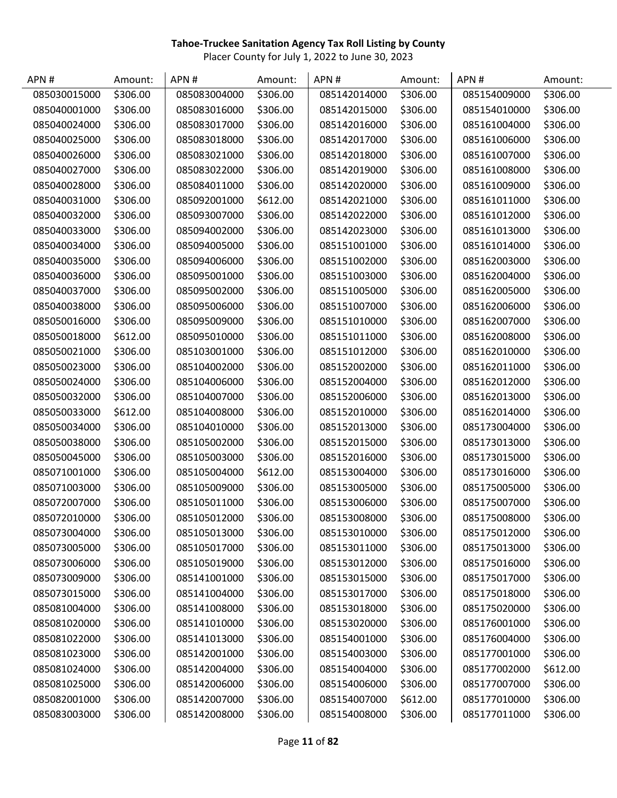| APN#         | Amount:  | APN#         | Amount:  | APN#         | Amount:  | APN#         | Amount:  |
|--------------|----------|--------------|----------|--------------|----------|--------------|----------|
| 085030015000 | \$306.00 | 085083004000 | \$306.00 | 085142014000 | \$306.00 | 085154009000 | \$306.00 |
| 085040001000 | \$306.00 | 085083016000 | \$306.00 | 085142015000 | \$306.00 | 085154010000 | \$306.00 |
| 085040024000 | \$306.00 | 085083017000 | \$306.00 | 085142016000 | \$306.00 | 085161004000 | \$306.00 |
| 085040025000 | \$306.00 | 085083018000 | \$306.00 | 085142017000 | \$306.00 | 085161006000 | \$306.00 |
| 085040026000 | \$306.00 | 085083021000 | \$306.00 | 085142018000 | \$306.00 | 085161007000 | \$306.00 |
| 085040027000 | \$306.00 | 085083022000 | \$306.00 | 085142019000 | \$306.00 | 085161008000 | \$306.00 |
| 085040028000 | \$306.00 | 085084011000 | \$306.00 | 085142020000 | \$306.00 | 085161009000 | \$306.00 |
| 085040031000 | \$306.00 | 085092001000 | \$612.00 | 085142021000 | \$306.00 | 085161011000 | \$306.00 |
| 085040032000 | \$306.00 | 085093007000 | \$306.00 | 085142022000 | \$306.00 | 085161012000 | \$306.00 |
| 085040033000 | \$306.00 | 085094002000 | \$306.00 | 085142023000 | \$306.00 | 085161013000 | \$306.00 |
| 085040034000 | \$306.00 | 085094005000 | \$306.00 | 085151001000 | \$306.00 | 085161014000 | \$306.00 |
| 085040035000 | \$306.00 | 085094006000 | \$306.00 | 085151002000 | \$306.00 | 085162003000 | \$306.00 |
| 085040036000 | \$306.00 | 085095001000 | \$306.00 | 085151003000 | \$306.00 | 085162004000 | \$306.00 |
| 085040037000 | \$306.00 | 085095002000 | \$306.00 | 085151005000 | \$306.00 | 085162005000 | \$306.00 |
| 085040038000 | \$306.00 | 085095006000 | \$306.00 | 085151007000 | \$306.00 | 085162006000 | \$306.00 |
| 085050016000 | \$306.00 | 085095009000 | \$306.00 | 085151010000 | \$306.00 | 085162007000 | \$306.00 |
| 085050018000 | \$612.00 | 085095010000 | \$306.00 | 085151011000 | \$306.00 | 085162008000 | \$306.00 |
| 085050021000 | \$306.00 | 085103001000 | \$306.00 | 085151012000 | \$306.00 | 085162010000 | \$306.00 |
| 085050023000 | \$306.00 | 085104002000 | \$306.00 | 085152002000 | \$306.00 | 085162011000 | \$306.00 |
| 085050024000 | \$306.00 | 085104006000 | \$306.00 | 085152004000 | \$306.00 | 085162012000 | \$306.00 |
| 085050032000 | \$306.00 | 085104007000 | \$306.00 | 085152006000 | \$306.00 | 085162013000 | \$306.00 |
| 085050033000 | \$612.00 | 085104008000 | \$306.00 | 085152010000 | \$306.00 | 085162014000 | \$306.00 |
| 085050034000 | \$306.00 | 085104010000 | \$306.00 | 085152013000 | \$306.00 | 085173004000 | \$306.00 |
| 085050038000 | \$306.00 | 085105002000 | \$306.00 | 085152015000 | \$306.00 | 085173013000 | \$306.00 |
| 085050045000 | \$306.00 | 085105003000 | \$306.00 | 085152016000 | \$306.00 | 085173015000 | \$306.00 |
| 085071001000 | \$306.00 | 085105004000 | \$612.00 | 085153004000 | \$306.00 | 085173016000 | \$306.00 |
| 085071003000 | \$306.00 | 085105009000 | \$306.00 | 085153005000 | \$306.00 | 085175005000 | \$306.00 |
| 085072007000 | \$306.00 | 085105011000 | \$306.00 | 085153006000 | \$306.00 | 085175007000 | \$306.00 |
| 085072010000 | \$306.00 | 085105012000 | \$306.00 | 085153008000 | \$306.00 | 085175008000 | \$306.00 |
| 085073004000 | \$306.00 | 085105013000 | \$306.00 | 085153010000 | \$306.00 | 085175012000 | \$306.00 |
| 085073005000 | \$306.00 | 085105017000 | \$306.00 | 085153011000 | \$306.00 | 085175013000 | \$306.00 |
| 085073006000 | \$306.00 | 085105019000 | \$306.00 | 085153012000 | \$306.00 | 085175016000 | \$306.00 |
| 085073009000 | \$306.00 | 085141001000 | \$306.00 | 085153015000 | \$306.00 | 085175017000 | \$306.00 |
| 085073015000 | \$306.00 | 085141004000 | \$306.00 | 085153017000 | \$306.00 | 085175018000 | \$306.00 |
| 085081004000 | \$306.00 | 085141008000 | \$306.00 | 085153018000 | \$306.00 | 085175020000 | \$306.00 |
| 085081020000 | \$306.00 | 085141010000 | \$306.00 | 085153020000 | \$306.00 | 085176001000 | \$306.00 |
| 085081022000 | \$306.00 | 085141013000 | \$306.00 | 085154001000 | \$306.00 | 085176004000 | \$306.00 |
| 085081023000 | \$306.00 | 085142001000 | \$306.00 | 085154003000 | \$306.00 | 085177001000 | \$306.00 |
| 085081024000 | \$306.00 | 085142004000 | \$306.00 | 085154004000 | \$306.00 | 085177002000 | \$612.00 |
| 085081025000 | \$306.00 | 085142006000 | \$306.00 | 085154006000 | \$306.00 | 085177007000 | \$306.00 |
| 085082001000 | \$306.00 | 085142007000 | \$306.00 | 085154007000 | \$612.00 | 085177010000 | \$306.00 |
| 085083003000 | \$306.00 | 085142008000 | \$306.00 | 085154008000 | \$306.00 | 085177011000 | \$306.00 |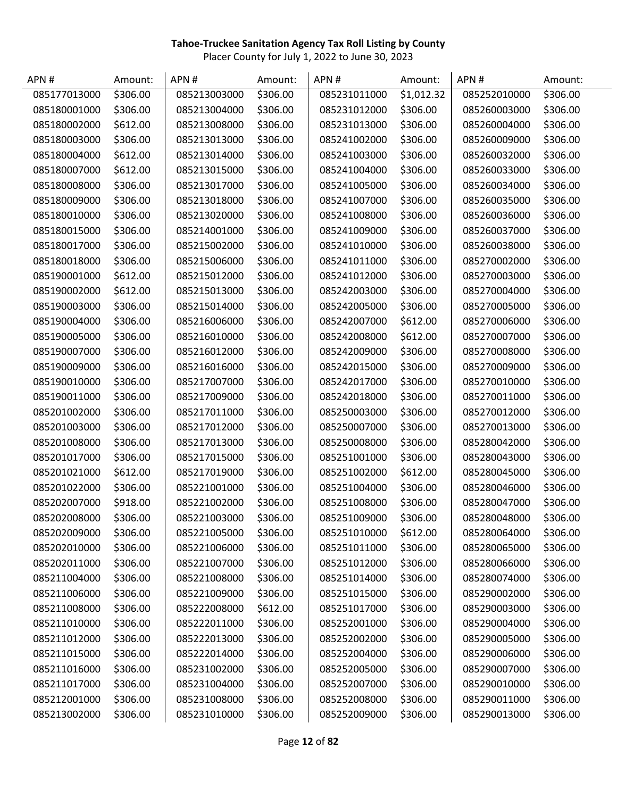| APN#         | Amount:  | APN#         | Amount:  | APN#         | Amount:    | APN#         | Amount:  |
|--------------|----------|--------------|----------|--------------|------------|--------------|----------|
| 085177013000 | \$306.00 | 085213003000 | \$306.00 | 085231011000 | \$1,012.32 | 085252010000 | \$306.00 |
| 085180001000 | \$306.00 | 085213004000 | \$306.00 | 085231012000 | \$306.00   | 085260003000 | \$306.00 |
| 085180002000 | \$612.00 | 085213008000 | \$306.00 | 085231013000 | \$306.00   | 085260004000 | \$306.00 |
| 085180003000 | \$306.00 | 085213013000 | \$306.00 | 085241002000 | \$306.00   | 085260009000 | \$306.00 |
| 085180004000 | \$612.00 | 085213014000 | \$306.00 | 085241003000 | \$306.00   | 085260032000 | \$306.00 |
| 085180007000 | \$612.00 | 085213015000 | \$306.00 | 085241004000 | \$306.00   | 085260033000 | \$306.00 |
| 085180008000 | \$306.00 | 085213017000 | \$306.00 | 085241005000 | \$306.00   | 085260034000 | \$306.00 |
| 085180009000 | \$306.00 | 085213018000 | \$306.00 | 085241007000 | \$306.00   | 085260035000 | \$306.00 |
| 085180010000 | \$306.00 | 085213020000 | \$306.00 | 085241008000 | \$306.00   | 085260036000 | \$306.00 |
| 085180015000 | \$306.00 | 085214001000 | \$306.00 | 085241009000 | \$306.00   | 085260037000 | \$306.00 |
| 085180017000 | \$306.00 | 085215002000 | \$306.00 | 085241010000 | \$306.00   | 085260038000 | \$306.00 |
| 085180018000 | \$306.00 | 085215006000 | \$306.00 | 085241011000 | \$306.00   | 085270002000 | \$306.00 |
| 085190001000 | \$612.00 | 085215012000 | \$306.00 | 085241012000 | \$306.00   | 085270003000 | \$306.00 |
| 085190002000 | \$612.00 | 085215013000 | \$306.00 | 085242003000 | \$306.00   | 085270004000 | \$306.00 |
| 085190003000 | \$306.00 | 085215014000 | \$306.00 | 085242005000 | \$306.00   | 085270005000 | \$306.00 |
| 085190004000 | \$306.00 | 085216006000 | \$306.00 | 085242007000 | \$612.00   | 085270006000 | \$306.00 |
| 085190005000 | \$306.00 | 085216010000 | \$306.00 | 085242008000 | \$612.00   | 085270007000 | \$306.00 |
| 085190007000 | \$306.00 | 085216012000 | \$306.00 | 085242009000 | \$306.00   | 085270008000 | \$306.00 |
| 085190009000 | \$306.00 | 085216016000 | \$306.00 | 085242015000 | \$306.00   | 085270009000 | \$306.00 |
| 085190010000 | \$306.00 | 085217007000 | \$306.00 | 085242017000 | \$306.00   | 085270010000 | \$306.00 |
| 085190011000 | \$306.00 | 085217009000 | \$306.00 | 085242018000 | \$306.00   | 085270011000 | \$306.00 |
| 085201002000 | \$306.00 | 085217011000 | \$306.00 | 085250003000 | \$306.00   | 085270012000 | \$306.00 |
| 085201003000 | \$306.00 | 085217012000 | \$306.00 | 085250007000 | \$306.00   | 085270013000 | \$306.00 |
| 085201008000 | \$306.00 | 085217013000 | \$306.00 | 085250008000 | \$306.00   | 085280042000 | \$306.00 |
| 085201017000 | \$306.00 | 085217015000 | \$306.00 | 085251001000 | \$306.00   | 085280043000 | \$306.00 |
| 085201021000 | \$612.00 | 085217019000 | \$306.00 | 085251002000 | \$612.00   | 085280045000 | \$306.00 |
| 085201022000 | \$306.00 | 085221001000 | \$306.00 | 085251004000 | \$306.00   | 085280046000 | \$306.00 |
| 085202007000 | \$918.00 | 085221002000 | \$306.00 | 085251008000 | \$306.00   | 085280047000 | \$306.00 |
| 085202008000 | \$306.00 | 085221003000 | \$306.00 | 085251009000 | \$306.00   | 085280048000 | \$306.00 |
| 085202009000 | \$306.00 | 085221005000 | \$306.00 | 085251010000 | \$612.00   | 085280064000 | \$306.00 |
| 085202010000 | \$306.00 | 085221006000 | \$306.00 | 085251011000 | \$306.00   | 085280065000 | \$306.00 |
| 085202011000 | \$306.00 | 085221007000 | \$306.00 | 085251012000 | \$306.00   | 085280066000 | \$306.00 |
| 085211004000 | \$306.00 | 085221008000 | \$306.00 | 085251014000 | \$306.00   | 085280074000 | \$306.00 |
| 085211006000 | \$306.00 | 085221009000 | \$306.00 | 085251015000 | \$306.00   | 085290002000 | \$306.00 |
| 085211008000 | \$306.00 | 085222008000 | \$612.00 | 085251017000 | \$306.00   | 085290003000 | \$306.00 |
| 085211010000 | \$306.00 | 085222011000 | \$306.00 | 085252001000 | \$306.00   | 085290004000 | \$306.00 |
| 085211012000 | \$306.00 | 085222013000 | \$306.00 | 085252002000 | \$306.00   | 085290005000 | \$306.00 |
| 085211015000 | \$306.00 | 085222014000 | \$306.00 | 085252004000 | \$306.00   | 085290006000 | \$306.00 |
| 085211016000 | \$306.00 | 085231002000 | \$306.00 | 085252005000 | \$306.00   | 085290007000 | \$306.00 |
| 085211017000 | \$306.00 | 085231004000 | \$306.00 | 085252007000 | \$306.00   | 085290010000 | \$306.00 |
| 085212001000 | \$306.00 | 085231008000 | \$306.00 | 085252008000 | \$306.00   | 085290011000 | \$306.00 |
| 085213002000 | \$306.00 | 085231010000 | \$306.00 | 085252009000 | \$306.00   | 085290013000 | \$306.00 |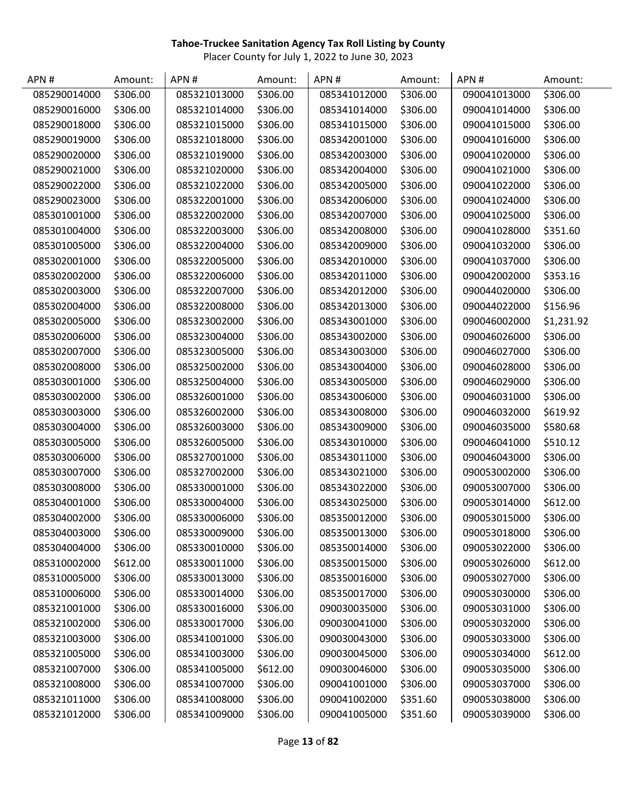| APN#         | Amount:  | APN#         | Amount:  | APN#         | Amount:  | APN#         | Amount:    |
|--------------|----------|--------------|----------|--------------|----------|--------------|------------|
| 085290014000 | \$306.00 | 085321013000 | \$306.00 | 085341012000 | \$306.00 | 090041013000 | \$306.00   |
| 085290016000 | \$306.00 | 085321014000 | \$306.00 | 085341014000 | \$306.00 | 090041014000 | \$306.00   |
| 085290018000 | \$306.00 | 085321015000 | \$306.00 | 085341015000 | \$306.00 | 090041015000 | \$306.00   |
| 085290019000 | \$306.00 | 085321018000 | \$306.00 | 085342001000 | \$306.00 | 090041016000 | \$306.00   |
| 085290020000 | \$306.00 | 085321019000 | \$306.00 | 085342003000 | \$306.00 | 090041020000 | \$306.00   |
| 085290021000 | \$306.00 | 085321020000 | \$306.00 | 085342004000 | \$306.00 | 090041021000 | \$306.00   |
| 085290022000 | \$306.00 | 085321022000 | \$306.00 | 085342005000 | \$306.00 | 090041022000 | \$306.00   |
| 085290023000 | \$306.00 | 085322001000 | \$306.00 | 085342006000 | \$306.00 | 090041024000 | \$306.00   |
| 085301001000 | \$306.00 | 085322002000 | \$306.00 | 085342007000 | \$306.00 | 090041025000 | \$306.00   |
| 085301004000 | \$306.00 | 085322003000 | \$306.00 | 085342008000 | \$306.00 | 090041028000 | \$351.60   |
| 085301005000 | \$306.00 | 085322004000 | \$306.00 | 085342009000 | \$306.00 | 090041032000 | \$306.00   |
| 085302001000 | \$306.00 | 085322005000 | \$306.00 | 085342010000 | \$306.00 | 090041037000 | \$306.00   |
| 085302002000 | \$306.00 | 085322006000 | \$306.00 | 085342011000 | \$306.00 | 090042002000 | \$353.16   |
| 085302003000 | \$306.00 | 085322007000 | \$306.00 | 085342012000 | \$306.00 | 090044020000 | \$306.00   |
| 085302004000 | \$306.00 | 085322008000 | \$306.00 | 085342013000 | \$306.00 | 090044022000 | \$156.96   |
| 085302005000 | \$306.00 | 085323002000 | \$306.00 | 085343001000 | \$306.00 | 090046002000 | \$1,231.92 |
| 085302006000 | \$306.00 | 085323004000 | \$306.00 | 085343002000 | \$306.00 | 090046026000 | \$306.00   |
| 085302007000 | \$306.00 | 085323005000 | \$306.00 | 085343003000 | \$306.00 | 090046027000 | \$306.00   |
| 085302008000 | \$306.00 | 085325002000 | \$306.00 | 085343004000 | \$306.00 | 090046028000 | \$306.00   |
| 085303001000 | \$306.00 | 085325004000 | \$306.00 | 085343005000 | \$306.00 | 090046029000 | \$306.00   |
| 085303002000 | \$306.00 | 085326001000 | \$306.00 | 085343006000 | \$306.00 | 090046031000 | \$306.00   |
| 085303003000 | \$306.00 | 085326002000 | \$306.00 | 085343008000 | \$306.00 | 090046032000 | \$619.92   |
| 085303004000 | \$306.00 | 085326003000 | \$306.00 | 085343009000 | \$306.00 | 090046035000 | \$580.68   |
| 085303005000 | \$306.00 | 085326005000 | \$306.00 | 085343010000 | \$306.00 | 090046041000 | \$510.12   |
| 085303006000 | \$306.00 | 085327001000 | \$306.00 | 085343011000 | \$306.00 | 090046043000 | \$306.00   |
| 085303007000 | \$306.00 | 085327002000 | \$306.00 | 085343021000 | \$306.00 | 090053002000 | \$306.00   |
| 085303008000 | \$306.00 | 085330001000 | \$306.00 | 085343022000 | \$306.00 | 090053007000 | \$306.00   |
| 085304001000 | \$306.00 | 085330004000 | \$306.00 | 085343025000 | \$306.00 | 090053014000 | \$612.00   |
| 085304002000 | \$306.00 | 085330006000 | \$306.00 | 085350012000 | \$306.00 | 090053015000 | \$306.00   |
| 085304003000 | \$306.00 | 085330009000 | \$306.00 | 085350013000 | \$306.00 | 090053018000 | \$306.00   |
| 085304004000 | \$306.00 | 085330010000 | \$306.00 | 085350014000 | \$306.00 | 090053022000 | \$306.00   |
| 085310002000 | \$612.00 | 085330011000 | \$306.00 | 085350015000 | \$306.00 | 090053026000 | \$612.00   |
| 085310005000 | \$306.00 | 085330013000 | \$306.00 | 085350016000 | \$306.00 | 090053027000 | \$306.00   |
| 085310006000 | \$306.00 | 085330014000 | \$306.00 | 085350017000 | \$306.00 | 090053030000 | \$306.00   |
| 085321001000 | \$306.00 | 085330016000 | \$306.00 | 090030035000 | \$306.00 | 090053031000 | \$306.00   |
| 085321002000 | \$306.00 | 085330017000 | \$306.00 | 090030041000 | \$306.00 | 090053032000 | \$306.00   |
| 085321003000 | \$306.00 | 085341001000 | \$306.00 | 090030043000 | \$306.00 | 090053033000 | \$306.00   |
| 085321005000 | \$306.00 | 085341003000 | \$306.00 | 090030045000 | \$306.00 | 090053034000 | \$612.00   |
| 085321007000 | \$306.00 | 085341005000 | \$612.00 | 090030046000 | \$306.00 | 090053035000 | \$306.00   |
| 085321008000 | \$306.00 | 085341007000 | \$306.00 | 090041001000 | \$306.00 | 090053037000 | \$306.00   |
| 085321011000 | \$306.00 | 085341008000 | \$306.00 | 090041002000 | \$351.60 | 090053038000 | \$306.00   |
| 085321012000 | \$306.00 | 085341009000 | \$306.00 | 090041005000 | \$351.60 | 090053039000 | \$306.00   |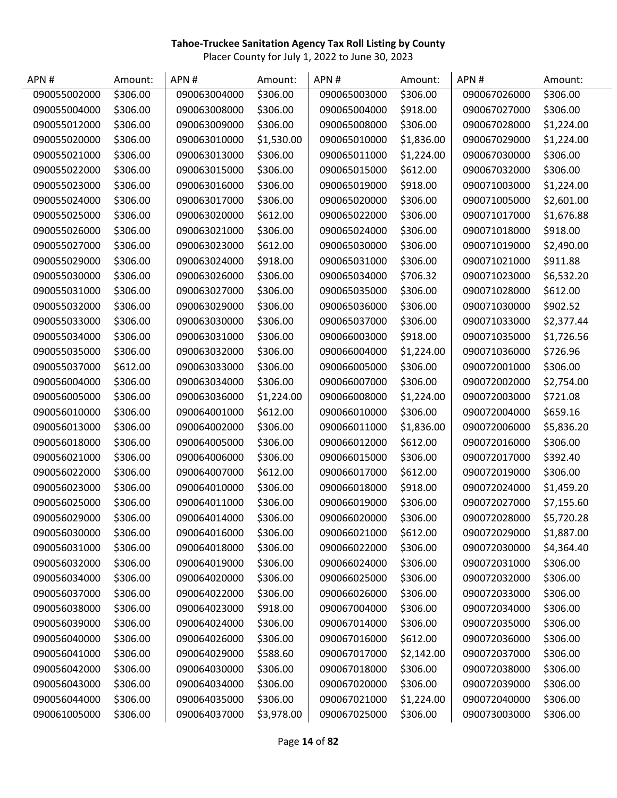| APN#         | Amount:  | APN#         | Amount:    | APN#         | Amount:    | APN#         | Amount:    |
|--------------|----------|--------------|------------|--------------|------------|--------------|------------|
| 090055002000 | \$306.00 | 090063004000 | \$306.00   | 090065003000 | \$306.00   | 090067026000 | \$306.00   |
| 090055004000 | \$306.00 | 090063008000 | \$306.00   | 090065004000 | \$918.00   | 090067027000 | \$306.00   |
| 090055012000 | \$306.00 | 090063009000 | \$306.00   | 090065008000 | \$306.00   | 090067028000 | \$1,224.00 |
| 090055020000 | \$306.00 | 090063010000 | \$1,530.00 | 090065010000 | \$1,836.00 | 090067029000 | \$1,224.00 |
| 090055021000 | \$306.00 | 090063013000 | \$306.00   | 090065011000 | \$1,224.00 | 090067030000 | \$306.00   |
| 090055022000 | \$306.00 | 090063015000 | \$306.00   | 090065015000 | \$612.00   | 090067032000 | \$306.00   |
| 090055023000 | \$306.00 | 090063016000 | \$306.00   | 090065019000 | \$918.00   | 090071003000 | \$1,224.00 |
| 090055024000 | \$306.00 | 090063017000 | \$306.00   | 090065020000 | \$306.00   | 090071005000 | \$2,601.00 |
| 090055025000 | \$306.00 | 090063020000 | \$612.00   | 090065022000 | \$306.00   | 090071017000 | \$1,676.88 |
| 090055026000 | \$306.00 | 090063021000 | \$306.00   | 090065024000 | \$306.00   | 090071018000 | \$918.00   |
| 090055027000 | \$306.00 | 090063023000 | \$612.00   | 090065030000 | \$306.00   | 090071019000 | \$2,490.00 |
| 090055029000 | \$306.00 | 090063024000 | \$918.00   | 090065031000 | \$306.00   | 090071021000 | \$911.88   |
| 090055030000 | \$306.00 | 090063026000 | \$306.00   | 090065034000 | \$706.32   | 090071023000 | \$6,532.20 |
| 090055031000 | \$306.00 | 090063027000 | \$306.00   | 090065035000 | \$306.00   | 090071028000 | \$612.00   |
| 090055032000 | \$306.00 | 090063029000 | \$306.00   | 090065036000 | \$306.00   | 090071030000 | \$902.52   |
| 090055033000 | \$306.00 | 090063030000 | \$306.00   | 090065037000 | \$306.00   | 090071033000 | \$2,377.44 |
| 090055034000 | \$306.00 | 090063031000 | \$306.00   | 090066003000 | \$918.00   | 090071035000 | \$1,726.56 |
| 090055035000 | \$306.00 | 090063032000 | \$306.00   | 090066004000 | \$1,224.00 | 090071036000 | \$726.96   |
| 090055037000 | \$612.00 | 090063033000 | \$306.00   | 090066005000 | \$306.00   | 090072001000 | \$306.00   |
| 090056004000 | \$306.00 | 090063034000 | \$306.00   | 090066007000 | \$306.00   | 090072002000 | \$2,754.00 |
| 090056005000 | \$306.00 | 090063036000 | \$1,224.00 | 090066008000 | \$1,224.00 | 090072003000 | \$721.08   |
| 090056010000 | \$306.00 | 090064001000 | \$612.00   | 090066010000 | \$306.00   | 090072004000 | \$659.16   |
| 090056013000 | \$306.00 | 090064002000 | \$306.00   | 090066011000 | \$1,836.00 | 090072006000 | \$5,836.20 |
| 090056018000 | \$306.00 | 090064005000 | \$306.00   | 090066012000 | \$612.00   | 090072016000 | \$306.00   |
| 090056021000 | \$306.00 | 090064006000 | \$306.00   | 090066015000 | \$306.00   | 090072017000 | \$392.40   |
| 090056022000 | \$306.00 | 090064007000 | \$612.00   | 090066017000 | \$612.00   | 090072019000 | \$306.00   |
| 090056023000 | \$306.00 | 090064010000 | \$306.00   | 090066018000 | \$918.00   | 090072024000 | \$1,459.20 |
| 090056025000 | \$306.00 | 090064011000 | \$306.00   | 090066019000 | \$306.00   | 090072027000 | \$7,155.60 |
| 090056029000 | \$306.00 | 090064014000 | \$306.00   | 090066020000 | \$306.00   | 090072028000 | \$5,720.28 |
| 090056030000 | \$306.00 | 090064016000 | \$306.00   | 090066021000 | \$612.00   | 090072029000 | \$1,887.00 |
| 090056031000 | \$306.00 | 090064018000 | \$306.00   | 090066022000 | \$306.00   | 090072030000 | \$4,364.40 |
| 090056032000 | \$306.00 | 090064019000 | \$306.00   | 090066024000 | \$306.00   | 090072031000 | \$306.00   |
| 090056034000 | \$306.00 | 090064020000 | \$306.00   | 090066025000 | \$306.00   | 090072032000 | \$306.00   |
| 090056037000 | \$306.00 | 090064022000 | \$306.00   | 090066026000 | \$306.00   | 090072033000 | \$306.00   |
| 090056038000 | \$306.00 | 090064023000 | \$918.00   | 090067004000 | \$306.00   | 090072034000 | \$306.00   |
| 090056039000 | \$306.00 | 090064024000 | \$306.00   | 090067014000 | \$306.00   | 090072035000 | \$306.00   |
| 090056040000 | \$306.00 | 090064026000 | \$306.00   | 090067016000 | \$612.00   | 090072036000 | \$306.00   |
| 090056041000 | \$306.00 | 090064029000 | \$588.60   | 090067017000 | \$2,142.00 | 090072037000 | \$306.00   |
| 090056042000 | \$306.00 | 090064030000 | \$306.00   | 090067018000 | \$306.00   | 090072038000 | \$306.00   |
| 090056043000 | \$306.00 | 090064034000 | \$306.00   | 090067020000 | \$306.00   | 090072039000 | \$306.00   |
| 090056044000 | \$306.00 | 090064035000 | \$306.00   | 090067021000 | \$1,224.00 | 090072040000 | \$306.00   |
| 090061005000 | \$306.00 | 090064037000 | \$3,978.00 | 090067025000 | \$306.00   | 090073003000 | \$306.00   |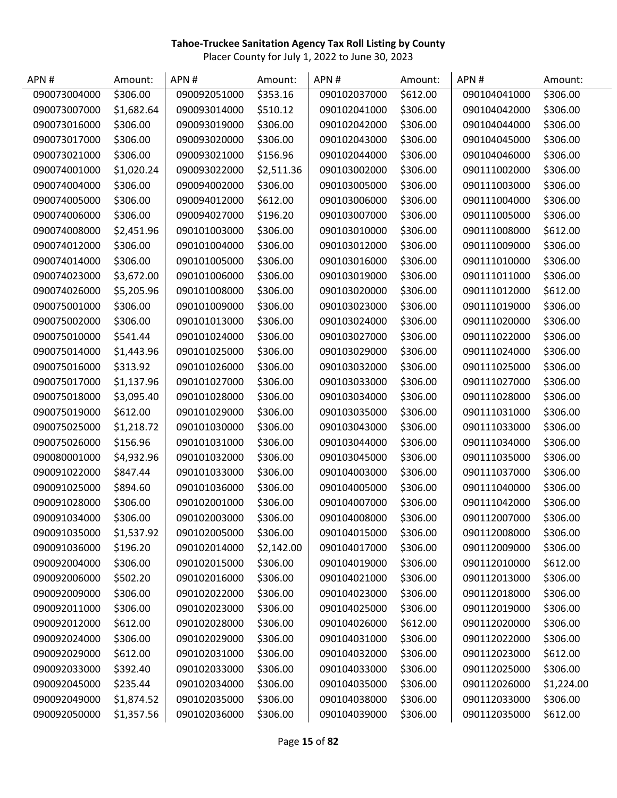| APN#         | Amount:    | APN#         | Amount:    | APN#         | Amount:  | APN#         | Amount:    |
|--------------|------------|--------------|------------|--------------|----------|--------------|------------|
| 090073004000 | \$306.00   | 090092051000 | \$353.16   | 090102037000 | \$612.00 | 090104041000 | \$306.00   |
| 090073007000 | \$1,682.64 | 090093014000 | \$510.12   | 090102041000 | \$306.00 | 090104042000 | \$306.00   |
| 090073016000 | \$306.00   | 090093019000 | \$306.00   | 090102042000 | \$306.00 | 090104044000 | \$306.00   |
| 090073017000 | \$306.00   | 090093020000 | \$306.00   | 090102043000 | \$306.00 | 090104045000 | \$306.00   |
| 090073021000 | \$306.00   | 090093021000 | \$156.96   | 090102044000 | \$306.00 | 090104046000 | \$306.00   |
| 090074001000 | \$1,020.24 | 090093022000 | \$2,511.36 | 090103002000 | \$306.00 | 090111002000 | \$306.00   |
| 090074004000 | \$306.00   | 090094002000 | \$306.00   | 090103005000 | \$306.00 | 090111003000 | \$306.00   |
| 090074005000 | \$306.00   | 090094012000 | \$612.00   | 090103006000 | \$306.00 | 090111004000 | \$306.00   |
| 090074006000 | \$306.00   | 090094027000 | \$196.20   | 090103007000 | \$306.00 | 090111005000 | \$306.00   |
| 090074008000 | \$2,451.96 | 090101003000 | \$306.00   | 090103010000 | \$306.00 | 090111008000 | \$612.00   |
| 090074012000 | \$306.00   | 090101004000 | \$306.00   | 090103012000 | \$306.00 | 090111009000 | \$306.00   |
| 090074014000 | \$306.00   | 090101005000 | \$306.00   | 090103016000 | \$306.00 | 090111010000 | \$306.00   |
| 090074023000 | \$3,672.00 | 090101006000 | \$306.00   | 090103019000 | \$306.00 | 090111011000 | \$306.00   |
| 090074026000 | \$5,205.96 | 090101008000 | \$306.00   | 090103020000 | \$306.00 | 090111012000 | \$612.00   |
| 090075001000 | \$306.00   | 090101009000 | \$306.00   | 090103023000 | \$306.00 | 090111019000 | \$306.00   |
| 090075002000 | \$306.00   | 090101013000 | \$306.00   | 090103024000 | \$306.00 | 090111020000 | \$306.00   |
| 090075010000 | \$541.44   | 090101024000 | \$306.00   | 090103027000 | \$306.00 | 090111022000 | \$306.00   |
| 090075014000 | \$1,443.96 | 090101025000 | \$306.00   | 090103029000 | \$306.00 | 090111024000 | \$306.00   |
| 090075016000 | \$313.92   | 090101026000 | \$306.00   | 090103032000 | \$306.00 | 090111025000 | \$306.00   |
| 090075017000 | \$1,137.96 | 090101027000 | \$306.00   | 090103033000 | \$306.00 | 090111027000 | \$306.00   |
| 090075018000 | \$3,095.40 | 090101028000 | \$306.00   | 090103034000 | \$306.00 | 090111028000 | \$306.00   |
| 090075019000 | \$612.00   | 090101029000 | \$306.00   | 090103035000 | \$306.00 | 090111031000 | \$306.00   |
| 090075025000 | \$1,218.72 | 090101030000 | \$306.00   | 090103043000 | \$306.00 | 090111033000 | \$306.00   |
| 090075026000 | \$156.96   | 090101031000 | \$306.00   | 090103044000 | \$306.00 | 090111034000 | \$306.00   |
| 090080001000 | \$4,932.96 | 090101032000 | \$306.00   | 090103045000 | \$306.00 | 090111035000 | \$306.00   |
| 090091022000 | \$847.44   | 090101033000 | \$306.00   | 090104003000 | \$306.00 | 090111037000 | \$306.00   |
| 090091025000 | \$894.60   | 090101036000 | \$306.00   | 090104005000 | \$306.00 | 090111040000 | \$306.00   |
| 090091028000 | \$306.00   | 090102001000 | \$306.00   | 090104007000 | \$306.00 | 090111042000 | \$306.00   |
| 090091034000 | \$306.00   | 090102003000 | \$306.00   | 090104008000 | \$306.00 | 090112007000 | \$306.00   |
| 090091035000 | \$1,537.92 | 090102005000 | \$306.00   | 090104015000 | \$306.00 | 090112008000 | \$306.00   |
| 090091036000 | \$196.20   | 090102014000 | \$2,142.00 | 090104017000 | \$306.00 | 090112009000 | \$306.00   |
| 090092004000 | \$306.00   | 090102015000 | \$306.00   | 090104019000 | \$306.00 | 090112010000 | \$612.00   |
| 090092006000 | \$502.20   | 090102016000 | \$306.00   | 090104021000 | \$306.00 | 090112013000 | \$306.00   |
| 090092009000 | \$306.00   | 090102022000 | \$306.00   | 090104023000 | \$306.00 | 090112018000 | \$306.00   |
| 090092011000 | \$306.00   | 090102023000 | \$306.00   | 090104025000 | \$306.00 | 090112019000 | \$306.00   |
| 090092012000 | \$612.00   | 090102028000 | \$306.00   | 090104026000 | \$612.00 | 090112020000 | \$306.00   |
| 090092024000 | \$306.00   | 090102029000 | \$306.00   | 090104031000 | \$306.00 | 090112022000 | \$306.00   |
| 090092029000 | \$612.00   | 090102031000 | \$306.00   | 090104032000 | \$306.00 | 090112023000 | \$612.00   |
| 090092033000 | \$392.40   | 090102033000 | \$306.00   | 090104033000 | \$306.00 | 090112025000 | \$306.00   |
| 090092045000 | \$235.44   | 090102034000 | \$306.00   | 090104035000 | \$306.00 | 090112026000 | \$1,224.00 |
| 090092049000 | \$1,874.52 | 090102035000 | \$306.00   | 090104038000 | \$306.00 | 090112033000 | \$306.00   |
| 090092050000 | \$1,357.56 | 090102036000 | \$306.00   | 090104039000 | \$306.00 | 090112035000 | \$612.00   |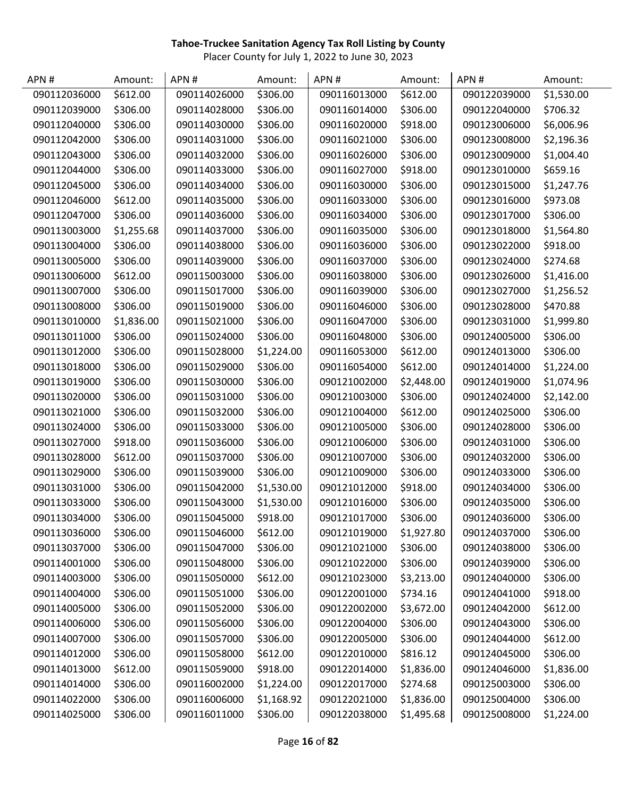| APN#         | Amount:    | APN#         | Amount:    | APN#         | Amount:    | APN#         | Amount:    |
|--------------|------------|--------------|------------|--------------|------------|--------------|------------|
| 090112036000 | \$612.00   | 090114026000 | \$306.00   | 090116013000 | \$612.00   | 090122039000 | \$1,530.00 |
| 090112039000 | \$306.00   | 090114028000 | \$306.00   | 090116014000 | \$306.00   | 090122040000 | \$706.32   |
| 090112040000 | \$306.00   | 090114030000 | \$306.00   | 090116020000 | \$918.00   | 090123006000 | \$6,006.96 |
| 090112042000 | \$306.00   | 090114031000 | \$306.00   | 090116021000 | \$306.00   | 090123008000 | \$2,196.36 |
| 090112043000 | \$306.00   | 090114032000 | \$306.00   | 090116026000 | \$306.00   | 090123009000 | \$1,004.40 |
| 090112044000 | \$306.00   | 090114033000 | \$306.00   | 090116027000 | \$918.00   | 090123010000 | \$659.16   |
| 090112045000 | \$306.00   | 090114034000 | \$306.00   | 090116030000 | \$306.00   | 090123015000 | \$1,247.76 |
| 090112046000 | \$612.00   | 090114035000 | \$306.00   | 090116033000 | \$306.00   | 090123016000 | \$973.08   |
| 090112047000 | \$306.00   | 090114036000 | \$306.00   | 090116034000 | \$306.00   | 090123017000 | \$306.00   |
| 090113003000 | \$1,255.68 | 090114037000 | \$306.00   | 090116035000 | \$306.00   | 090123018000 | \$1,564.80 |
| 090113004000 | \$306.00   | 090114038000 | \$306.00   | 090116036000 | \$306.00   | 090123022000 | \$918.00   |
| 090113005000 | \$306.00   | 090114039000 | \$306.00   | 090116037000 | \$306.00   | 090123024000 | \$274.68   |
| 090113006000 | \$612.00   | 090115003000 | \$306.00   | 090116038000 | \$306.00   | 090123026000 | \$1,416.00 |
| 090113007000 | \$306.00   | 090115017000 | \$306.00   | 090116039000 | \$306.00   | 090123027000 | \$1,256.52 |
| 090113008000 | \$306.00   | 090115019000 | \$306.00   | 090116046000 | \$306.00   | 090123028000 | \$470.88   |
| 090113010000 | \$1,836.00 | 090115021000 | \$306.00   | 090116047000 | \$306.00   | 090123031000 | \$1,999.80 |
| 090113011000 | \$306.00   | 090115024000 | \$306.00   | 090116048000 | \$306.00   | 090124005000 | \$306.00   |
| 090113012000 | \$306.00   | 090115028000 | \$1,224.00 | 090116053000 | \$612.00   | 090124013000 | \$306.00   |
| 090113018000 | \$306.00   | 090115029000 | \$306.00   | 090116054000 | \$612.00   | 090124014000 | \$1,224.00 |
| 090113019000 | \$306.00   | 090115030000 | \$306.00   | 090121002000 | \$2,448.00 | 090124019000 | \$1,074.96 |
| 090113020000 | \$306.00   | 090115031000 | \$306.00   | 090121003000 | \$306.00   | 090124024000 | \$2,142.00 |
| 090113021000 | \$306.00   | 090115032000 | \$306.00   | 090121004000 | \$612.00   | 090124025000 | \$306.00   |
| 090113024000 | \$306.00   | 090115033000 | \$306.00   | 090121005000 | \$306.00   | 090124028000 | \$306.00   |
| 090113027000 | \$918.00   | 090115036000 | \$306.00   | 090121006000 | \$306.00   | 090124031000 | \$306.00   |
| 090113028000 | \$612.00   | 090115037000 | \$306.00   | 090121007000 | \$306.00   | 090124032000 | \$306.00   |
| 090113029000 | \$306.00   | 090115039000 | \$306.00   | 090121009000 | \$306.00   | 090124033000 | \$306.00   |
| 090113031000 | \$306.00   | 090115042000 | \$1,530.00 | 090121012000 | \$918.00   | 090124034000 | \$306.00   |
| 090113033000 | \$306.00   | 090115043000 | \$1,530.00 | 090121016000 | \$306.00   | 090124035000 | \$306.00   |
| 090113034000 | \$306.00   | 090115045000 | \$918.00   | 090121017000 | \$306.00   | 090124036000 | \$306.00   |
| 090113036000 | \$306.00   | 090115046000 | \$612.00   | 090121019000 | \$1,927.80 | 090124037000 | \$306.00   |
| 090113037000 | \$306.00   | 090115047000 | \$306.00   | 090121021000 | \$306.00   | 090124038000 | \$306.00   |
| 090114001000 | \$306.00   | 090115048000 | \$306.00   | 090121022000 | \$306.00   | 090124039000 | \$306.00   |
| 090114003000 | \$306.00   | 090115050000 | \$612.00   | 090121023000 | \$3,213.00 | 090124040000 | \$306.00   |
| 090114004000 | \$306.00   | 090115051000 | \$306.00   | 090122001000 | \$734.16   | 090124041000 | \$918.00   |
| 090114005000 | \$306.00   | 090115052000 | \$306.00   | 090122002000 | \$3,672.00 | 090124042000 | \$612.00   |
| 090114006000 | \$306.00   | 090115056000 | \$306.00   | 090122004000 | \$306.00   | 090124043000 | \$306.00   |
| 090114007000 | \$306.00   | 090115057000 | \$306.00   | 090122005000 | \$306.00   | 090124044000 | \$612.00   |
| 090114012000 | \$306.00   | 090115058000 | \$612.00   | 090122010000 | \$816.12   | 090124045000 | \$306.00   |
| 090114013000 | \$612.00   | 090115059000 | \$918.00   | 090122014000 | \$1,836.00 | 090124046000 | \$1,836.00 |
| 090114014000 | \$306.00   | 090116002000 | \$1,224.00 | 090122017000 | \$274.68   | 090125003000 | \$306.00   |
| 090114022000 | \$306.00   | 090116006000 | \$1,168.92 | 090122021000 | \$1,836.00 | 090125004000 | \$306.00   |
| 090114025000 | \$306.00   | 090116011000 | \$306.00   | 090122038000 | \$1,495.68 | 090125008000 | \$1,224.00 |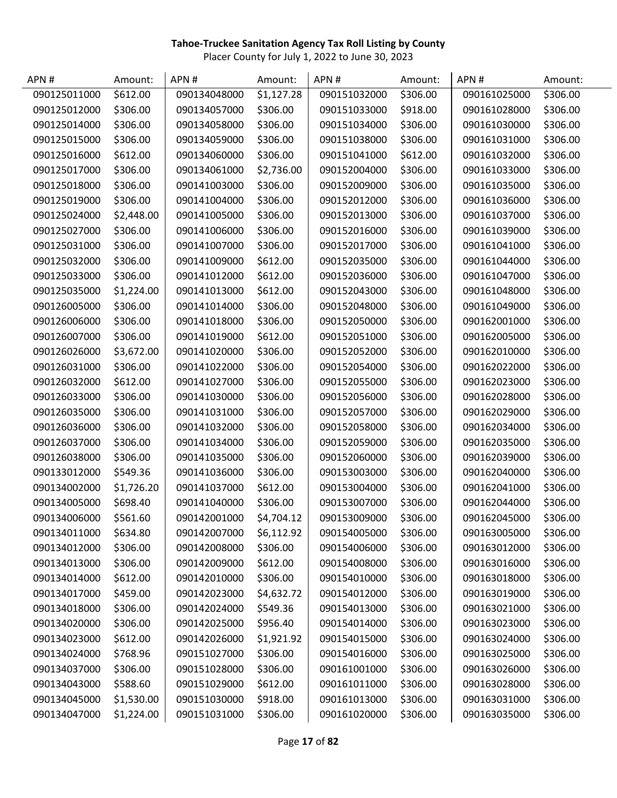| APN#         | Amount:    | APN#         | Amount:    | APN#         | Amount:  | APN#         | Amount:  |
|--------------|------------|--------------|------------|--------------|----------|--------------|----------|
| 090125011000 | \$612.00   | 090134048000 | \$1,127.28 | 090151032000 | \$306.00 | 090161025000 | \$306.00 |
| 090125012000 | \$306.00   | 090134057000 | \$306.00   | 090151033000 | \$918.00 | 090161028000 | \$306.00 |
| 090125014000 | \$306.00   | 090134058000 | \$306.00   | 090151034000 | \$306.00 | 090161030000 | \$306.00 |
| 090125015000 | \$306.00   | 090134059000 | \$306.00   | 090151038000 | \$306.00 | 090161031000 | \$306.00 |
| 090125016000 | \$612.00   | 090134060000 | \$306.00   | 090151041000 | \$612.00 | 090161032000 | \$306.00 |
| 090125017000 | \$306.00   | 090134061000 | \$2,736.00 | 090152004000 | \$306.00 | 090161033000 | \$306.00 |
| 090125018000 | \$306.00   | 090141003000 | \$306.00   | 090152009000 | \$306.00 | 090161035000 | \$306.00 |
| 090125019000 | \$306.00   | 090141004000 | \$306.00   | 090152012000 | \$306.00 | 090161036000 | \$306.00 |
| 090125024000 | \$2,448.00 | 090141005000 | \$306.00   | 090152013000 | \$306.00 | 090161037000 | \$306.00 |
| 090125027000 | \$306.00   | 090141006000 | \$306.00   | 090152016000 | \$306.00 | 090161039000 | \$306.00 |
| 090125031000 | \$306.00   | 090141007000 | \$306.00   | 090152017000 | \$306.00 | 090161041000 | \$306.00 |
| 090125032000 | \$306.00   | 090141009000 | \$612.00   | 090152035000 | \$306.00 | 090161044000 | \$306.00 |
| 090125033000 | \$306.00   | 090141012000 | \$612.00   | 090152036000 | \$306.00 | 090161047000 | \$306.00 |
| 090125035000 | \$1,224.00 | 090141013000 | \$612.00   | 090152043000 | \$306.00 | 090161048000 | \$306.00 |
| 090126005000 | \$306.00   | 090141014000 | \$306.00   | 090152048000 | \$306.00 | 090161049000 | \$306.00 |
| 090126006000 | \$306.00   | 090141018000 | \$306.00   | 090152050000 | \$306.00 | 090162001000 | \$306.00 |
| 090126007000 | \$306.00   | 090141019000 | \$612.00   | 090152051000 | \$306.00 | 090162005000 | \$306.00 |
| 090126026000 | \$3,672.00 | 090141020000 | \$306.00   | 090152052000 | \$306.00 | 090162010000 | \$306.00 |
| 090126031000 | \$306.00   | 090141022000 | \$306.00   | 090152054000 | \$306.00 | 090162022000 | \$306.00 |
| 090126032000 | \$612.00   | 090141027000 | \$306.00   | 090152055000 | \$306.00 | 090162023000 | \$306.00 |
| 090126033000 | \$306.00   | 090141030000 | \$306.00   | 090152056000 | \$306.00 | 090162028000 | \$306.00 |
| 090126035000 | \$306.00   | 090141031000 | \$306.00   | 090152057000 | \$306.00 | 090162029000 | \$306.00 |
| 090126036000 | \$306.00   | 090141032000 | \$306.00   | 090152058000 | \$306.00 | 090162034000 | \$306.00 |
| 090126037000 | \$306.00   | 090141034000 | \$306.00   | 090152059000 | \$306.00 | 090162035000 | \$306.00 |
| 090126038000 | \$306.00   | 090141035000 | \$306.00   | 090152060000 | \$306.00 | 090162039000 | \$306.00 |
| 090133012000 | \$549.36   | 090141036000 | \$306.00   | 090153003000 | \$306.00 | 090162040000 | \$306.00 |
| 090134002000 | \$1,726.20 | 090141037000 | \$612.00   | 090153004000 | \$306.00 | 090162041000 | \$306.00 |
| 090134005000 | \$698.40   | 090141040000 | \$306.00   | 090153007000 | \$306.00 | 090162044000 | \$306.00 |
| 090134006000 | \$561.60   | 090142001000 | \$4,704.12 | 090153009000 | \$306.00 | 090162045000 | \$306.00 |
| 090134011000 | \$634.80   | 090142007000 | \$6,112.92 | 090154005000 | \$306.00 | 090163005000 | \$306.00 |
| 090134012000 | \$306.00   | 090142008000 | \$306.00   | 090154006000 | \$306.00 | 090163012000 | \$306.00 |
| 090134013000 | \$306.00   | 090142009000 | \$612.00   | 090154008000 | \$306.00 | 090163016000 | \$306.00 |
| 090134014000 | \$612.00   | 090142010000 | \$306.00   | 090154010000 | \$306.00 | 090163018000 | \$306.00 |
| 090134017000 | \$459.00   | 090142023000 | \$4,632.72 | 090154012000 | \$306.00 | 090163019000 | \$306.00 |
| 090134018000 | \$306.00   | 090142024000 | \$549.36   | 090154013000 | \$306.00 | 090163021000 | \$306.00 |
| 090134020000 | \$306.00   | 090142025000 | \$956.40   | 090154014000 | \$306.00 | 090163023000 | \$306.00 |
| 090134023000 | \$612.00   | 090142026000 | \$1,921.92 | 090154015000 | \$306.00 | 090163024000 | \$306.00 |
| 090134024000 | \$768.96   | 090151027000 | \$306.00   | 090154016000 | \$306.00 | 090163025000 | \$306.00 |
| 090134037000 | \$306.00   | 090151028000 | \$306.00   | 090161001000 | \$306.00 | 090163026000 | \$306.00 |
| 090134043000 | \$588.60   | 090151029000 | \$612.00   | 090161011000 | \$306.00 | 090163028000 | \$306.00 |
| 090134045000 | \$1,530.00 | 090151030000 | \$918.00   | 090161013000 | \$306.00 | 090163031000 | \$306.00 |
| 090134047000 | \$1,224.00 | 090151031000 | \$306.00   | 090161020000 | \$306.00 | 090163035000 | \$306.00 |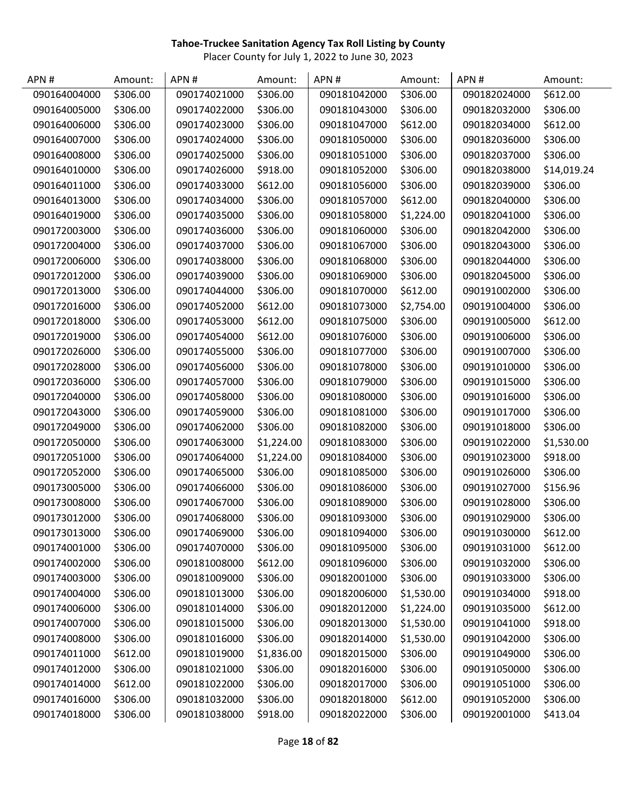| APN#         | Amount:  | APN#         | Amount:    | APN#         | Amount:    | APN#         | Amount:     |
|--------------|----------|--------------|------------|--------------|------------|--------------|-------------|
| 090164004000 | \$306.00 | 090174021000 | \$306.00   | 090181042000 | \$306.00   | 090182024000 | \$612.00    |
| 090164005000 | \$306.00 | 090174022000 | \$306.00   | 090181043000 | \$306.00   | 090182032000 | \$306.00    |
| 090164006000 | \$306.00 | 090174023000 | \$306.00   | 090181047000 | \$612.00   | 090182034000 | \$612.00    |
| 090164007000 | \$306.00 | 090174024000 | \$306.00   | 090181050000 | \$306.00   | 090182036000 | \$306.00    |
| 090164008000 | \$306.00 | 090174025000 | \$306.00   | 090181051000 | \$306.00   | 090182037000 | \$306.00    |
| 090164010000 | \$306.00 | 090174026000 | \$918.00   | 090181052000 | \$306.00   | 090182038000 | \$14,019.24 |
| 090164011000 | \$306.00 | 090174033000 | \$612.00   | 090181056000 | \$306.00   | 090182039000 | \$306.00    |
| 090164013000 | \$306.00 | 090174034000 | \$306.00   | 090181057000 | \$612.00   | 090182040000 | \$306.00    |
| 090164019000 | \$306.00 | 090174035000 | \$306.00   | 090181058000 | \$1,224.00 | 090182041000 | \$306.00    |
| 090172003000 | \$306.00 | 090174036000 | \$306.00   | 090181060000 | \$306.00   | 090182042000 | \$306.00    |
| 090172004000 | \$306.00 | 090174037000 | \$306.00   | 090181067000 | \$306.00   | 090182043000 | \$306.00    |
| 090172006000 | \$306.00 | 090174038000 | \$306.00   | 090181068000 | \$306.00   | 090182044000 | \$306.00    |
| 090172012000 | \$306.00 | 090174039000 | \$306.00   | 090181069000 | \$306.00   | 090182045000 | \$306.00    |
| 090172013000 | \$306.00 | 090174044000 | \$306.00   | 090181070000 | \$612.00   | 090191002000 | \$306.00    |
| 090172016000 | \$306.00 | 090174052000 | \$612.00   | 090181073000 | \$2,754.00 | 090191004000 | \$306.00    |
| 090172018000 | \$306.00 | 090174053000 | \$612.00   | 090181075000 | \$306.00   | 090191005000 | \$612.00    |
| 090172019000 | \$306.00 | 090174054000 | \$612.00   | 090181076000 | \$306.00   | 090191006000 | \$306.00    |
| 090172026000 | \$306.00 | 090174055000 | \$306.00   | 090181077000 | \$306.00   | 090191007000 | \$306.00    |
| 090172028000 | \$306.00 | 090174056000 | \$306.00   | 090181078000 | \$306.00   | 090191010000 | \$306.00    |
| 090172036000 | \$306.00 | 090174057000 | \$306.00   | 090181079000 | \$306.00   | 090191015000 | \$306.00    |
| 090172040000 | \$306.00 | 090174058000 | \$306.00   | 090181080000 | \$306.00   | 090191016000 | \$306.00    |
| 090172043000 | \$306.00 | 090174059000 | \$306.00   | 090181081000 | \$306.00   | 090191017000 | \$306.00    |
| 090172049000 | \$306.00 | 090174062000 | \$306.00   | 090181082000 | \$306.00   | 090191018000 | \$306.00    |
| 090172050000 | \$306.00 | 090174063000 | \$1,224.00 | 090181083000 | \$306.00   | 090191022000 | \$1,530.00  |
| 090172051000 | \$306.00 | 090174064000 | \$1,224.00 | 090181084000 | \$306.00   | 090191023000 | \$918.00    |
| 090172052000 | \$306.00 | 090174065000 | \$306.00   | 090181085000 | \$306.00   | 090191026000 | \$306.00    |
| 090173005000 | \$306.00 | 090174066000 | \$306.00   | 090181086000 | \$306.00   | 090191027000 | \$156.96    |
| 090173008000 | \$306.00 | 090174067000 | \$306.00   | 090181089000 | \$306.00   | 090191028000 | \$306.00    |
| 090173012000 | \$306.00 | 090174068000 | \$306.00   | 090181093000 | \$306.00   | 090191029000 | \$306.00    |
| 090173013000 | \$306.00 | 090174069000 | \$306.00   | 090181094000 | \$306.00   | 090191030000 | \$612.00    |
| 090174001000 | \$306.00 | 090174070000 | \$306.00   | 090181095000 | \$306.00   | 090191031000 | \$612.00    |
| 090174002000 | \$306.00 | 090181008000 | \$612.00   | 090181096000 | \$306.00   | 090191032000 | \$306.00    |
| 090174003000 | \$306.00 | 090181009000 | \$306.00   | 090182001000 | \$306.00   | 090191033000 | \$306.00    |
| 090174004000 | \$306.00 | 090181013000 | \$306.00   | 090182006000 | \$1,530.00 | 090191034000 | \$918.00    |
| 090174006000 | \$306.00 | 090181014000 | \$306.00   | 090182012000 | \$1,224.00 | 090191035000 | \$612.00    |
| 090174007000 | \$306.00 | 090181015000 | \$306.00   | 090182013000 | \$1,530.00 | 090191041000 | \$918.00    |
| 090174008000 | \$306.00 | 090181016000 | \$306.00   | 090182014000 | \$1,530.00 | 090191042000 | \$306.00    |
| 090174011000 | \$612.00 | 090181019000 | \$1,836.00 | 090182015000 | \$306.00   | 090191049000 | \$306.00    |
| 090174012000 | \$306.00 | 090181021000 | \$306.00   | 090182016000 | \$306.00   | 090191050000 | \$306.00    |
| 090174014000 | \$612.00 | 090181022000 | \$306.00   | 090182017000 | \$306.00   | 090191051000 | \$306.00    |
| 090174016000 | \$306.00 | 090181032000 | \$306.00   | 090182018000 | \$612.00   | 090191052000 | \$306.00    |
| 090174018000 | \$306.00 | 090181038000 | \$918.00   | 090182022000 | \$306.00   | 090192001000 | \$413.04    |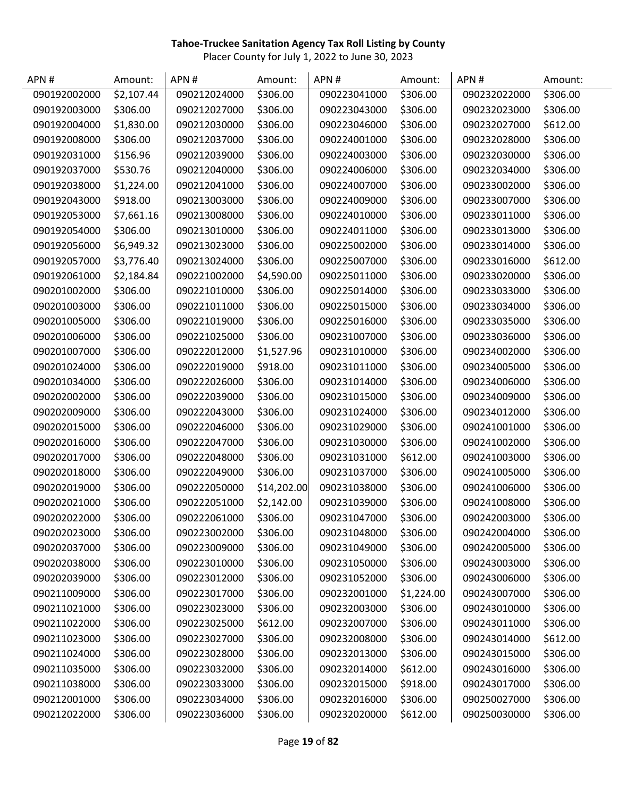| APN#         | Amount:    | APN#         | Amount:     | APN#         | Amount:    | APN#         | Amount:  |
|--------------|------------|--------------|-------------|--------------|------------|--------------|----------|
| 090192002000 | \$2,107.44 | 090212024000 | \$306.00    | 090223041000 | \$306.00   | 090232022000 | \$306.00 |
| 090192003000 | \$306.00   | 090212027000 | \$306.00    | 090223043000 | \$306.00   | 090232023000 | \$306.00 |
| 090192004000 | \$1,830.00 | 090212030000 | \$306.00    | 090223046000 | \$306.00   | 090232027000 | \$612.00 |
| 090192008000 | \$306.00   | 090212037000 | \$306.00    | 090224001000 | \$306.00   | 090232028000 | \$306.00 |
| 090192031000 | \$156.96   | 090212039000 | \$306.00    | 090224003000 | \$306.00   | 090232030000 | \$306.00 |
| 090192037000 | \$530.76   | 090212040000 | \$306.00    | 090224006000 | \$306.00   | 090232034000 | \$306.00 |
| 090192038000 | \$1,224.00 | 090212041000 | \$306.00    | 090224007000 | \$306.00   | 090233002000 | \$306.00 |
| 090192043000 | \$918.00   | 090213003000 | \$306.00    | 090224009000 | \$306.00   | 090233007000 | \$306.00 |
| 090192053000 | \$7,661.16 | 090213008000 | \$306.00    | 090224010000 | \$306.00   | 090233011000 | \$306.00 |
| 090192054000 | \$306.00   | 090213010000 | \$306.00    | 090224011000 | \$306.00   | 090233013000 | \$306.00 |
| 090192056000 | \$6,949.32 | 090213023000 | \$306.00    | 090225002000 | \$306.00   | 090233014000 | \$306.00 |
| 090192057000 | \$3,776.40 | 090213024000 | \$306.00    | 090225007000 | \$306.00   | 090233016000 | \$612.00 |
| 090192061000 | \$2,184.84 | 090221002000 | \$4,590.00  | 090225011000 | \$306.00   | 090233020000 | \$306.00 |
| 090201002000 | \$306.00   | 090221010000 | \$306.00    | 090225014000 | \$306.00   | 090233033000 | \$306.00 |
| 090201003000 | \$306.00   | 090221011000 | \$306.00    | 090225015000 | \$306.00   | 090233034000 | \$306.00 |
| 090201005000 | \$306.00   | 090221019000 | \$306.00    | 090225016000 | \$306.00   | 090233035000 | \$306.00 |
| 090201006000 | \$306.00   | 090221025000 | \$306.00    | 090231007000 | \$306.00   | 090233036000 | \$306.00 |
| 090201007000 | \$306.00   | 090222012000 | \$1,527.96  | 090231010000 | \$306.00   | 090234002000 | \$306.00 |
| 090201024000 | \$306.00   | 090222019000 | \$918.00    | 090231011000 | \$306.00   | 090234005000 | \$306.00 |
| 090201034000 | \$306.00   | 090222026000 | \$306.00    | 090231014000 | \$306.00   | 090234006000 | \$306.00 |
| 090202002000 | \$306.00   | 090222039000 | \$306.00    | 090231015000 | \$306.00   | 090234009000 | \$306.00 |
| 090202009000 | \$306.00   | 090222043000 | \$306.00    | 090231024000 | \$306.00   | 090234012000 | \$306.00 |
| 090202015000 | \$306.00   | 090222046000 | \$306.00    | 090231029000 | \$306.00   | 090241001000 | \$306.00 |
| 090202016000 | \$306.00   | 090222047000 | \$306.00    | 090231030000 | \$306.00   | 090241002000 | \$306.00 |
| 090202017000 | \$306.00   | 090222048000 | \$306.00    | 090231031000 | \$612.00   | 090241003000 | \$306.00 |
| 090202018000 | \$306.00   | 090222049000 | \$306.00    | 090231037000 | \$306.00   | 090241005000 | \$306.00 |
| 090202019000 | \$306.00   | 090222050000 | \$14,202.00 | 090231038000 | \$306.00   | 090241006000 | \$306.00 |
| 090202021000 | \$306.00   | 090222051000 | \$2,142.00  | 090231039000 | \$306.00   | 090241008000 | \$306.00 |
| 090202022000 | \$306.00   | 090222061000 | \$306.00    | 090231047000 | \$306.00   | 090242003000 | \$306.00 |
| 090202023000 | \$306.00   | 090223002000 | \$306.00    | 090231048000 | \$306.00   | 090242004000 | \$306.00 |
| 090202037000 | \$306.00   | 090223009000 | \$306.00    | 090231049000 | \$306.00   | 090242005000 | \$306.00 |
| 090202038000 | \$306.00   | 090223010000 | \$306.00    | 090231050000 | \$306.00   | 090243003000 | \$306.00 |
| 090202039000 | \$306.00   | 090223012000 | \$306.00    | 090231052000 | \$306.00   | 090243006000 | \$306.00 |
| 090211009000 | \$306.00   | 090223017000 | \$306.00    | 090232001000 | \$1,224.00 | 090243007000 | \$306.00 |
| 090211021000 | \$306.00   | 090223023000 | \$306.00    | 090232003000 | \$306.00   | 090243010000 | \$306.00 |
| 090211022000 | \$306.00   | 090223025000 | \$612.00    | 090232007000 | \$306.00   | 090243011000 | \$306.00 |
| 090211023000 | \$306.00   | 090223027000 | \$306.00    | 090232008000 | \$306.00   | 090243014000 | \$612.00 |
| 090211024000 | \$306.00   | 090223028000 | \$306.00    | 090232013000 | \$306.00   | 090243015000 | \$306.00 |
| 090211035000 | \$306.00   | 090223032000 | \$306.00    | 090232014000 | \$612.00   | 090243016000 | \$306.00 |
| 090211038000 | \$306.00   | 090223033000 | \$306.00    | 090232015000 | \$918.00   | 090243017000 | \$306.00 |
| 090212001000 | \$306.00   | 090223034000 | \$306.00    | 090232016000 | \$306.00   | 090250027000 | \$306.00 |
| 090212022000 | \$306.00   | 090223036000 | \$306.00    | 090232020000 | \$612.00   | 090250030000 | \$306.00 |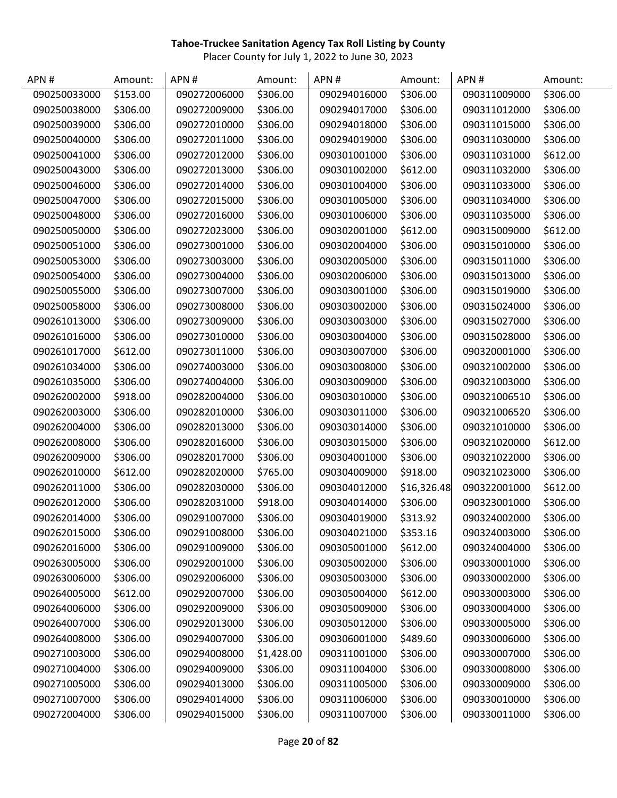| APN#         | Amount:  | APN#         | Amount:    | APN#         | Amount:     | APN#         | Amount:  |
|--------------|----------|--------------|------------|--------------|-------------|--------------|----------|
| 090250033000 | \$153.00 | 090272006000 | \$306.00   | 090294016000 | \$306.00    | 090311009000 | \$306.00 |
| 090250038000 | \$306.00 | 090272009000 | \$306.00   | 090294017000 | \$306.00    | 090311012000 | \$306.00 |
| 090250039000 | \$306.00 | 090272010000 | \$306.00   | 090294018000 | \$306.00    | 090311015000 | \$306.00 |
| 090250040000 | \$306.00 | 090272011000 | \$306.00   | 090294019000 | \$306.00    | 090311030000 | \$306.00 |
| 090250041000 | \$306.00 | 090272012000 | \$306.00   | 090301001000 | \$306.00    | 090311031000 | \$612.00 |
| 090250043000 | \$306.00 | 090272013000 | \$306.00   | 090301002000 | \$612.00    | 090311032000 | \$306.00 |
| 090250046000 | \$306.00 | 090272014000 | \$306.00   | 090301004000 | \$306.00    | 090311033000 | \$306.00 |
| 090250047000 | \$306.00 | 090272015000 | \$306.00   | 090301005000 | \$306.00    | 090311034000 | \$306.00 |
| 090250048000 | \$306.00 | 090272016000 | \$306.00   | 090301006000 | \$306.00    | 090311035000 | \$306.00 |
| 090250050000 | \$306.00 | 090272023000 | \$306.00   | 090302001000 | \$612.00    | 090315009000 | \$612.00 |
| 090250051000 | \$306.00 | 090273001000 | \$306.00   | 090302004000 | \$306.00    | 090315010000 | \$306.00 |
| 090250053000 | \$306.00 | 090273003000 | \$306.00   | 090302005000 | \$306.00    | 090315011000 | \$306.00 |
| 090250054000 | \$306.00 | 090273004000 | \$306.00   | 090302006000 | \$306.00    | 090315013000 | \$306.00 |
| 090250055000 | \$306.00 | 090273007000 | \$306.00   | 090303001000 | \$306.00    | 090315019000 | \$306.00 |
| 090250058000 | \$306.00 | 090273008000 | \$306.00   | 090303002000 | \$306.00    | 090315024000 | \$306.00 |
| 090261013000 | \$306.00 | 090273009000 | \$306.00   | 090303003000 | \$306.00    | 090315027000 | \$306.00 |
| 090261016000 | \$306.00 | 090273010000 | \$306.00   | 090303004000 | \$306.00    | 090315028000 | \$306.00 |
| 090261017000 | \$612.00 | 090273011000 | \$306.00   | 090303007000 | \$306.00    | 090320001000 | \$306.00 |
| 090261034000 | \$306.00 | 090274003000 | \$306.00   | 090303008000 | \$306.00    | 090321002000 | \$306.00 |
| 090261035000 | \$306.00 | 090274004000 | \$306.00   | 090303009000 | \$306.00    | 090321003000 | \$306.00 |
| 090262002000 | \$918.00 | 090282004000 | \$306.00   | 090303010000 | \$306.00    | 090321006510 | \$306.00 |
| 090262003000 | \$306.00 | 090282010000 | \$306.00   | 090303011000 | \$306.00    | 090321006520 | \$306.00 |
| 090262004000 | \$306.00 | 090282013000 | \$306.00   | 090303014000 | \$306.00    | 090321010000 | \$306.00 |
| 090262008000 | \$306.00 | 090282016000 | \$306.00   | 090303015000 | \$306.00    | 090321020000 | \$612.00 |
| 090262009000 | \$306.00 | 090282017000 | \$306.00   | 090304001000 | \$306.00    | 090321022000 | \$306.00 |
| 090262010000 | \$612.00 | 090282020000 | \$765.00   | 090304009000 | \$918.00    | 090321023000 | \$306.00 |
| 090262011000 | \$306.00 | 090282030000 | \$306.00   | 090304012000 | \$16,326.48 | 090322001000 | \$612.00 |
| 090262012000 | \$306.00 | 090282031000 | \$918.00   | 090304014000 | \$306.00    | 090323001000 | \$306.00 |
| 090262014000 | \$306.00 | 090291007000 | \$306.00   | 090304019000 | \$313.92    | 090324002000 | \$306.00 |
| 090262015000 | \$306.00 | 090291008000 | \$306.00   | 090304021000 | \$353.16    | 090324003000 | \$306.00 |
| 090262016000 | \$306.00 | 090291009000 | \$306.00   | 090305001000 | \$612.00    | 090324004000 | \$306.00 |
| 090263005000 | \$306.00 | 090292001000 | \$306.00   | 090305002000 | \$306.00    | 090330001000 | \$306.00 |
| 090263006000 | \$306.00 | 090292006000 | \$306.00   | 090305003000 | \$306.00    | 090330002000 | \$306.00 |
| 090264005000 | \$612.00 | 090292007000 | \$306.00   | 090305004000 | \$612.00    | 090330003000 | \$306.00 |
| 090264006000 | \$306.00 | 090292009000 | \$306.00   | 090305009000 | \$306.00    | 090330004000 | \$306.00 |
| 090264007000 | \$306.00 | 090292013000 | \$306.00   | 090305012000 | \$306.00    | 090330005000 | \$306.00 |
| 090264008000 | \$306.00 | 090294007000 | \$306.00   | 090306001000 | \$489.60    | 090330006000 | \$306.00 |
| 090271003000 | \$306.00 | 090294008000 | \$1,428.00 | 090311001000 | \$306.00    | 090330007000 | \$306.00 |
| 090271004000 | \$306.00 | 090294009000 | \$306.00   | 090311004000 | \$306.00    | 090330008000 | \$306.00 |
| 090271005000 | \$306.00 | 090294013000 | \$306.00   | 090311005000 | \$306.00    | 090330009000 | \$306.00 |
| 090271007000 | \$306.00 | 090294014000 | \$306.00   | 090311006000 | \$306.00    | 090330010000 | \$306.00 |
| 090272004000 | \$306.00 | 090294015000 | \$306.00   | 090311007000 | \$306.00    | 090330011000 | \$306.00 |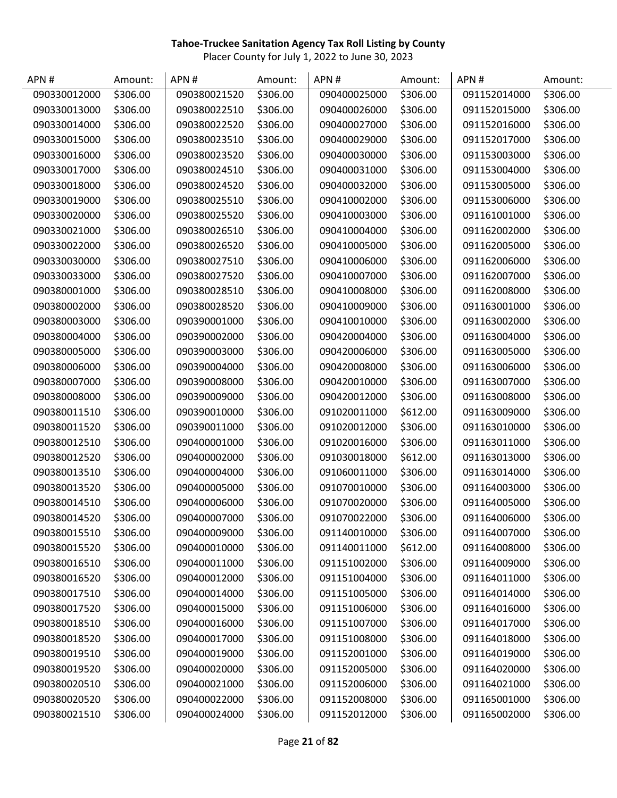| APN#         | Amount:  | APN#         | Amount:  | APN #        | Amount:  | APN#         | Amount:  |
|--------------|----------|--------------|----------|--------------|----------|--------------|----------|
| 090330012000 | \$306.00 | 090380021520 | \$306.00 | 090400025000 | \$306.00 | 091152014000 | \$306.00 |
| 090330013000 | \$306.00 | 090380022510 | \$306.00 | 090400026000 | \$306.00 | 091152015000 | \$306.00 |
| 090330014000 | \$306.00 | 090380022520 | \$306.00 | 090400027000 | \$306.00 | 091152016000 | \$306.00 |
| 090330015000 | \$306.00 | 090380023510 | \$306.00 | 090400029000 | \$306.00 | 091152017000 | \$306.00 |
| 090330016000 | \$306.00 | 090380023520 | \$306.00 | 090400030000 | \$306.00 | 091153003000 | \$306.00 |
| 090330017000 | \$306.00 | 090380024510 | \$306.00 | 090400031000 | \$306.00 | 091153004000 | \$306.00 |
| 090330018000 | \$306.00 | 090380024520 | \$306.00 | 090400032000 | \$306.00 | 091153005000 | \$306.00 |
| 090330019000 | \$306.00 | 090380025510 | \$306.00 | 090410002000 | \$306.00 | 091153006000 | \$306.00 |
| 090330020000 | \$306.00 | 090380025520 | \$306.00 | 090410003000 | \$306.00 | 091161001000 | \$306.00 |
| 090330021000 | \$306.00 | 090380026510 | \$306.00 | 090410004000 | \$306.00 | 091162002000 | \$306.00 |
| 090330022000 | \$306.00 | 090380026520 | \$306.00 | 090410005000 | \$306.00 | 091162005000 | \$306.00 |
| 090330030000 | \$306.00 | 090380027510 | \$306.00 | 090410006000 | \$306.00 | 091162006000 | \$306.00 |
| 090330033000 | \$306.00 | 090380027520 | \$306.00 | 090410007000 | \$306.00 | 091162007000 | \$306.00 |
| 090380001000 | \$306.00 | 090380028510 | \$306.00 | 090410008000 | \$306.00 | 091162008000 | \$306.00 |
| 090380002000 | \$306.00 | 090380028520 | \$306.00 | 090410009000 | \$306.00 | 091163001000 | \$306.00 |
| 090380003000 | \$306.00 | 090390001000 | \$306.00 | 090410010000 | \$306.00 | 091163002000 | \$306.00 |
| 090380004000 | \$306.00 | 090390002000 | \$306.00 | 090420004000 | \$306.00 | 091163004000 | \$306.00 |
| 090380005000 | \$306.00 | 090390003000 | \$306.00 | 090420006000 | \$306.00 | 091163005000 | \$306.00 |
| 090380006000 | \$306.00 | 090390004000 | \$306.00 | 090420008000 | \$306.00 | 091163006000 | \$306.00 |
| 090380007000 | \$306.00 | 090390008000 | \$306.00 | 090420010000 | \$306.00 | 091163007000 | \$306.00 |
| 090380008000 | \$306.00 | 090390009000 | \$306.00 | 090420012000 | \$306.00 | 091163008000 | \$306.00 |
| 090380011510 | \$306.00 | 090390010000 | \$306.00 | 091020011000 | \$612.00 | 091163009000 | \$306.00 |
| 090380011520 | \$306.00 | 090390011000 | \$306.00 | 091020012000 | \$306.00 | 091163010000 | \$306.00 |
| 090380012510 | \$306.00 | 090400001000 | \$306.00 | 091020016000 | \$306.00 | 091163011000 | \$306.00 |
| 090380012520 | \$306.00 | 090400002000 | \$306.00 | 091030018000 | \$612.00 | 091163013000 | \$306.00 |
| 090380013510 | \$306.00 | 090400004000 | \$306.00 | 091060011000 | \$306.00 | 091163014000 | \$306.00 |
| 090380013520 | \$306.00 | 090400005000 | \$306.00 | 091070010000 | \$306.00 | 091164003000 | \$306.00 |
| 090380014510 | \$306.00 | 090400006000 | \$306.00 | 091070020000 | \$306.00 | 091164005000 | \$306.00 |
| 090380014520 | \$306.00 | 090400007000 | \$306.00 | 091070022000 | \$306.00 | 091164006000 | \$306.00 |
| 090380015510 | \$306.00 | 090400009000 | \$306.00 | 091140010000 | \$306.00 | 091164007000 | \$306.00 |
| 090380015520 | \$306.00 | 090400010000 | \$306.00 | 091140011000 | \$612.00 | 091164008000 | \$306.00 |
| 090380016510 | \$306.00 | 090400011000 | \$306.00 | 091151002000 | \$306.00 | 091164009000 | \$306.00 |
| 090380016520 | \$306.00 | 090400012000 | \$306.00 | 091151004000 | \$306.00 | 091164011000 | \$306.00 |
| 090380017510 | \$306.00 | 090400014000 | \$306.00 | 091151005000 | \$306.00 | 091164014000 | \$306.00 |
| 090380017520 | \$306.00 | 090400015000 | \$306.00 | 091151006000 | \$306.00 | 091164016000 | \$306.00 |
| 090380018510 | \$306.00 | 090400016000 | \$306.00 | 091151007000 | \$306.00 | 091164017000 | \$306.00 |
| 090380018520 | \$306.00 | 090400017000 | \$306.00 | 091151008000 | \$306.00 | 091164018000 | \$306.00 |
| 090380019510 | \$306.00 | 090400019000 | \$306.00 | 091152001000 | \$306.00 | 091164019000 | \$306.00 |
| 090380019520 | \$306.00 | 090400020000 | \$306.00 | 091152005000 | \$306.00 | 091164020000 | \$306.00 |
| 090380020510 | \$306.00 | 090400021000 | \$306.00 | 091152006000 | \$306.00 | 091164021000 | \$306.00 |
| 090380020520 | \$306.00 | 090400022000 | \$306.00 | 091152008000 | \$306.00 | 091165001000 | \$306.00 |
| 090380021510 | \$306.00 | 090400024000 | \$306.00 | 091152012000 | \$306.00 | 091165002000 | \$306.00 |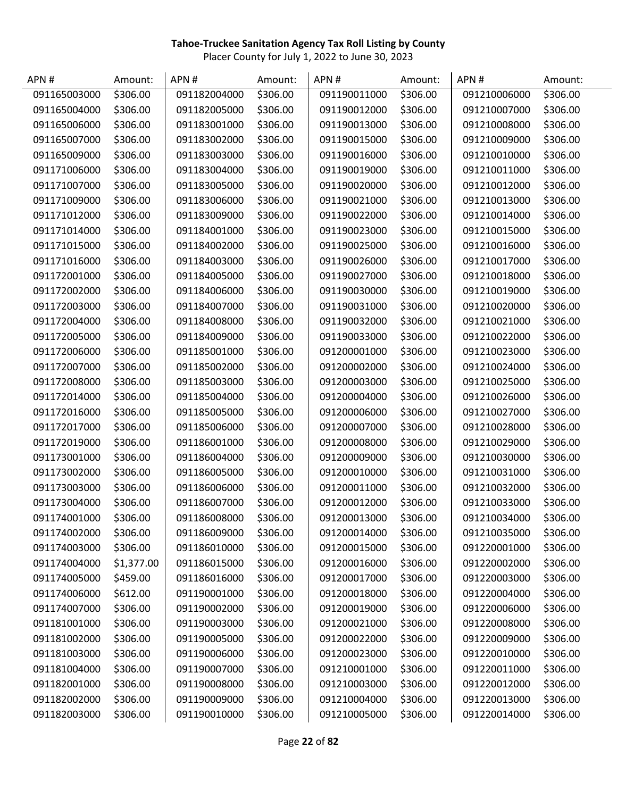| APN#         | Amount:    | APN#         | Amount:  | APN#         | Amount:  | APN#         | Amount:  |
|--------------|------------|--------------|----------|--------------|----------|--------------|----------|
| 091165003000 | \$306.00   | 091182004000 | \$306.00 | 091190011000 | \$306.00 | 091210006000 | \$306.00 |
| 091165004000 | \$306.00   | 091182005000 | \$306.00 | 091190012000 | \$306.00 | 091210007000 | \$306.00 |
| 091165006000 | \$306.00   | 091183001000 | \$306.00 | 091190013000 | \$306.00 | 091210008000 | \$306.00 |
| 091165007000 | \$306.00   | 091183002000 | \$306.00 | 091190015000 | \$306.00 | 091210009000 | \$306.00 |
| 091165009000 | \$306.00   | 091183003000 | \$306.00 | 091190016000 | \$306.00 | 091210010000 | \$306.00 |
| 091171006000 | \$306.00   | 091183004000 | \$306.00 | 091190019000 | \$306.00 | 091210011000 | \$306.00 |
| 091171007000 | \$306.00   | 091183005000 | \$306.00 | 091190020000 | \$306.00 | 091210012000 | \$306.00 |
| 091171009000 | \$306.00   | 091183006000 | \$306.00 | 091190021000 | \$306.00 | 091210013000 | \$306.00 |
| 091171012000 | \$306.00   | 091183009000 | \$306.00 | 091190022000 | \$306.00 | 091210014000 | \$306.00 |
| 091171014000 | \$306.00   | 091184001000 | \$306.00 | 091190023000 | \$306.00 | 091210015000 | \$306.00 |
| 091171015000 | \$306.00   | 091184002000 | \$306.00 | 091190025000 | \$306.00 | 091210016000 | \$306.00 |
| 091171016000 | \$306.00   | 091184003000 | \$306.00 | 091190026000 | \$306.00 | 091210017000 | \$306.00 |
| 091172001000 | \$306.00   | 091184005000 | \$306.00 | 091190027000 | \$306.00 | 091210018000 | \$306.00 |
| 091172002000 | \$306.00   | 091184006000 | \$306.00 | 091190030000 | \$306.00 | 091210019000 | \$306.00 |
| 091172003000 | \$306.00   | 091184007000 | \$306.00 | 091190031000 | \$306.00 | 091210020000 | \$306.00 |
| 091172004000 | \$306.00   | 091184008000 | \$306.00 | 091190032000 | \$306.00 | 091210021000 | \$306.00 |
| 091172005000 | \$306.00   | 091184009000 | \$306.00 | 091190033000 | \$306.00 | 091210022000 | \$306.00 |
| 091172006000 | \$306.00   | 091185001000 | \$306.00 | 091200001000 | \$306.00 | 091210023000 | \$306.00 |
| 091172007000 | \$306.00   | 091185002000 | \$306.00 | 091200002000 | \$306.00 | 091210024000 | \$306.00 |
| 091172008000 | \$306.00   | 091185003000 | \$306.00 | 091200003000 | \$306.00 | 091210025000 | \$306.00 |
| 091172014000 | \$306.00   | 091185004000 | \$306.00 | 091200004000 | \$306.00 | 091210026000 | \$306.00 |
| 091172016000 | \$306.00   | 091185005000 | \$306.00 | 091200006000 | \$306.00 | 091210027000 | \$306.00 |
| 091172017000 | \$306.00   | 091185006000 | \$306.00 | 091200007000 | \$306.00 | 091210028000 | \$306.00 |
| 091172019000 | \$306.00   | 091186001000 | \$306.00 | 091200008000 | \$306.00 | 091210029000 | \$306.00 |
| 091173001000 | \$306.00   | 091186004000 | \$306.00 | 091200009000 | \$306.00 | 091210030000 | \$306.00 |
| 091173002000 | \$306.00   | 091186005000 | \$306.00 | 091200010000 | \$306.00 | 091210031000 | \$306.00 |
| 091173003000 | \$306.00   | 091186006000 | \$306.00 | 091200011000 | \$306.00 | 091210032000 | \$306.00 |
| 091173004000 | \$306.00   | 091186007000 | \$306.00 | 091200012000 | \$306.00 | 091210033000 | \$306.00 |
| 091174001000 | \$306.00   | 091186008000 | \$306.00 | 091200013000 | \$306.00 | 091210034000 | \$306.00 |
| 091174002000 | \$306.00   | 091186009000 | \$306.00 | 091200014000 | \$306.00 | 091210035000 | \$306.00 |
| 091174003000 | \$306.00   | 091186010000 | \$306.00 | 091200015000 | \$306.00 | 091220001000 | \$306.00 |
| 091174004000 | \$1,377.00 | 091186015000 | \$306.00 | 091200016000 | \$306.00 | 091220002000 | \$306.00 |
| 091174005000 | \$459.00   | 091186016000 | \$306.00 | 091200017000 | \$306.00 | 091220003000 | \$306.00 |
| 091174006000 | \$612.00   | 091190001000 | \$306.00 | 091200018000 | \$306.00 | 091220004000 | \$306.00 |
| 091174007000 | \$306.00   | 091190002000 | \$306.00 | 091200019000 | \$306.00 | 091220006000 | \$306.00 |
| 091181001000 | \$306.00   | 091190003000 | \$306.00 | 091200021000 | \$306.00 | 091220008000 | \$306.00 |
| 091181002000 | \$306.00   | 091190005000 | \$306.00 | 091200022000 | \$306.00 | 091220009000 | \$306.00 |
| 091181003000 | \$306.00   | 091190006000 | \$306.00 | 091200023000 | \$306.00 | 091220010000 | \$306.00 |
| 091181004000 | \$306.00   | 091190007000 | \$306.00 | 091210001000 | \$306.00 | 091220011000 | \$306.00 |
| 091182001000 | \$306.00   | 091190008000 | \$306.00 | 091210003000 | \$306.00 | 091220012000 | \$306.00 |
| 091182002000 | \$306.00   | 091190009000 | \$306.00 | 091210004000 | \$306.00 | 091220013000 | \$306.00 |
| 091182003000 | \$306.00   | 091190010000 | \$306.00 | 091210005000 | \$306.00 | 091220014000 | \$306.00 |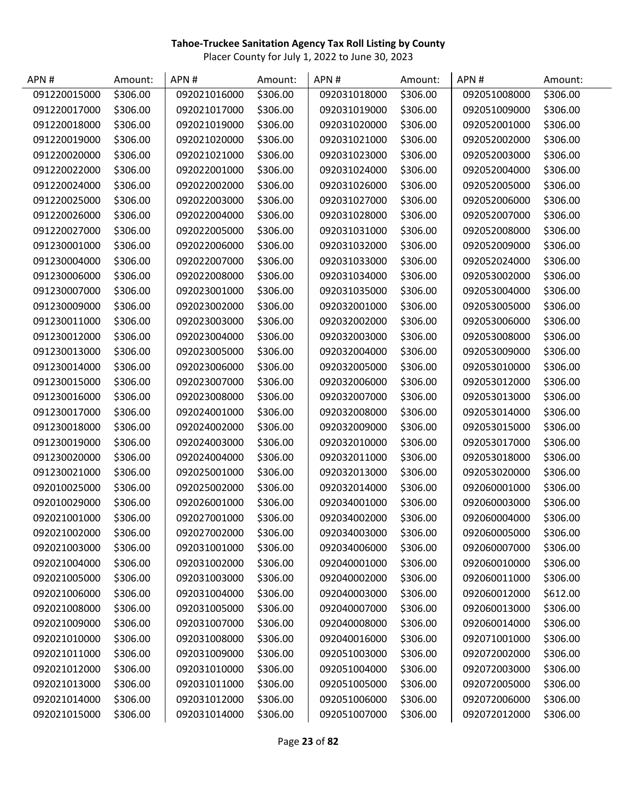| APN#         | Amount:  | APN#         | Amount:  | APN#         | Amount:  | APN#         | Amount:  |
|--------------|----------|--------------|----------|--------------|----------|--------------|----------|
| 091220015000 | \$306.00 | 092021016000 | \$306.00 | 092031018000 | \$306.00 | 092051008000 | \$306.00 |
| 091220017000 | \$306.00 | 092021017000 | \$306.00 | 092031019000 | \$306.00 | 092051009000 | \$306.00 |
| 091220018000 | \$306.00 | 092021019000 | \$306.00 | 092031020000 | \$306.00 | 092052001000 | \$306.00 |
| 091220019000 | \$306.00 | 092021020000 | \$306.00 | 092031021000 | \$306.00 | 092052002000 | \$306.00 |
| 091220020000 | \$306.00 | 092021021000 | \$306.00 | 092031023000 | \$306.00 | 092052003000 | \$306.00 |
| 091220022000 | \$306.00 | 092022001000 | \$306.00 | 092031024000 | \$306.00 | 092052004000 | \$306.00 |
| 091220024000 | \$306.00 | 092022002000 | \$306.00 | 092031026000 | \$306.00 | 092052005000 | \$306.00 |
| 091220025000 | \$306.00 | 092022003000 | \$306.00 | 092031027000 | \$306.00 | 092052006000 | \$306.00 |
| 091220026000 | \$306.00 | 092022004000 | \$306.00 | 092031028000 | \$306.00 | 092052007000 | \$306.00 |
| 091220027000 | \$306.00 | 092022005000 | \$306.00 | 092031031000 | \$306.00 | 092052008000 | \$306.00 |
| 091230001000 | \$306.00 | 092022006000 | \$306.00 | 092031032000 | \$306.00 | 092052009000 | \$306.00 |
| 091230004000 | \$306.00 | 092022007000 | \$306.00 | 092031033000 | \$306.00 | 092052024000 | \$306.00 |
| 091230006000 | \$306.00 | 092022008000 | \$306.00 | 092031034000 | \$306.00 | 092053002000 | \$306.00 |
| 091230007000 | \$306.00 | 092023001000 | \$306.00 | 092031035000 | \$306.00 | 092053004000 | \$306.00 |
| 091230009000 | \$306.00 | 092023002000 | \$306.00 | 092032001000 | \$306.00 | 092053005000 | \$306.00 |
| 091230011000 | \$306.00 | 092023003000 | \$306.00 | 092032002000 | \$306.00 | 092053006000 | \$306.00 |
| 091230012000 | \$306.00 | 092023004000 | \$306.00 | 092032003000 | \$306.00 | 092053008000 | \$306.00 |
| 091230013000 | \$306.00 | 092023005000 | \$306.00 | 092032004000 | \$306.00 | 092053009000 | \$306.00 |
| 091230014000 | \$306.00 | 092023006000 | \$306.00 | 092032005000 | \$306.00 | 092053010000 | \$306.00 |
| 091230015000 | \$306.00 | 092023007000 | \$306.00 | 092032006000 | \$306.00 | 092053012000 | \$306.00 |
| 091230016000 | \$306.00 | 092023008000 | \$306.00 | 092032007000 | \$306.00 | 092053013000 | \$306.00 |
| 091230017000 | \$306.00 | 092024001000 | \$306.00 | 092032008000 | \$306.00 | 092053014000 | \$306.00 |
| 091230018000 | \$306.00 | 092024002000 | \$306.00 | 092032009000 | \$306.00 | 092053015000 | \$306.00 |
| 091230019000 | \$306.00 | 092024003000 | \$306.00 | 092032010000 | \$306.00 | 092053017000 | \$306.00 |
| 091230020000 | \$306.00 | 092024004000 | \$306.00 | 092032011000 | \$306.00 | 092053018000 | \$306.00 |
| 091230021000 | \$306.00 | 092025001000 | \$306.00 | 092032013000 | \$306.00 | 092053020000 | \$306.00 |
| 092010025000 | \$306.00 | 092025002000 | \$306.00 | 092032014000 | \$306.00 | 092060001000 | \$306.00 |
| 092010029000 | \$306.00 | 092026001000 | \$306.00 | 092034001000 | \$306.00 | 092060003000 | \$306.00 |
| 092021001000 | \$306.00 | 092027001000 | \$306.00 | 092034002000 | \$306.00 | 092060004000 | \$306.00 |
| 092021002000 | \$306.00 | 092027002000 | \$306.00 | 092034003000 | \$306.00 | 092060005000 | \$306.00 |
| 092021003000 | \$306.00 | 092031001000 | \$306.00 | 092034006000 | \$306.00 | 092060007000 | \$306.00 |
| 092021004000 | \$306.00 | 092031002000 | \$306.00 | 092040001000 | \$306.00 | 092060010000 | \$306.00 |
| 092021005000 | \$306.00 | 092031003000 | \$306.00 | 092040002000 | \$306.00 | 092060011000 | \$306.00 |
| 092021006000 | \$306.00 | 092031004000 | \$306.00 | 092040003000 | \$306.00 | 092060012000 | \$612.00 |
| 092021008000 | \$306.00 | 092031005000 | \$306.00 | 092040007000 | \$306.00 | 092060013000 | \$306.00 |
| 092021009000 | \$306.00 | 092031007000 | \$306.00 | 092040008000 | \$306.00 | 092060014000 | \$306.00 |
| 092021010000 | \$306.00 | 092031008000 | \$306.00 | 092040016000 | \$306.00 | 092071001000 | \$306.00 |
| 092021011000 | \$306.00 | 092031009000 | \$306.00 | 092051003000 | \$306.00 | 092072002000 | \$306.00 |
| 092021012000 | \$306.00 | 092031010000 | \$306.00 | 092051004000 | \$306.00 | 092072003000 | \$306.00 |
| 092021013000 | \$306.00 | 092031011000 | \$306.00 | 092051005000 | \$306.00 | 092072005000 | \$306.00 |
| 092021014000 | \$306.00 | 092031012000 | \$306.00 | 092051006000 | \$306.00 | 092072006000 | \$306.00 |
| 092021015000 | \$306.00 | 092031014000 | \$306.00 | 092051007000 | \$306.00 | 092072012000 | \$306.00 |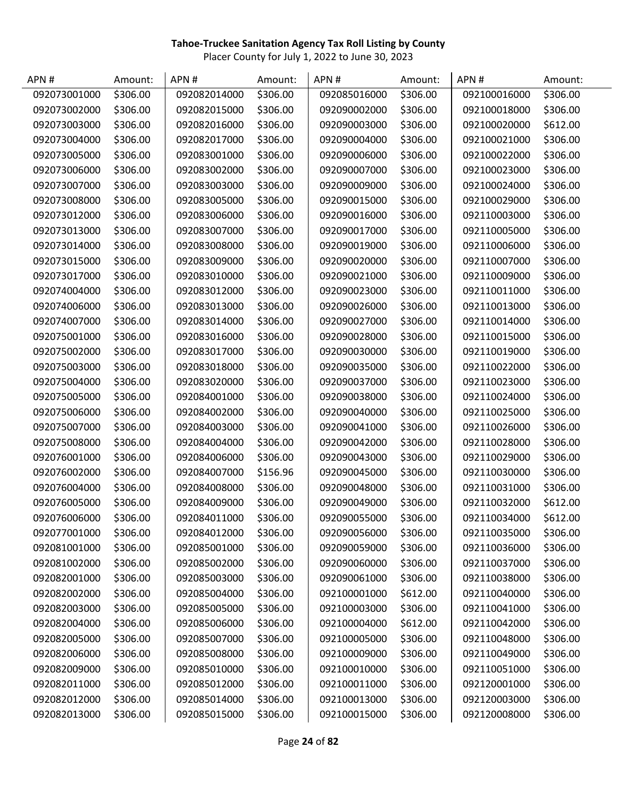| APN#         | Amount:  | APN#         | Amount:  | APN#         | Amount:  | APN#         | Amount:  |
|--------------|----------|--------------|----------|--------------|----------|--------------|----------|
| 092073001000 | \$306.00 | 092082014000 | \$306.00 | 092085016000 | \$306.00 | 092100016000 | \$306.00 |
| 092073002000 | \$306.00 | 092082015000 | \$306.00 | 092090002000 | \$306.00 | 092100018000 | \$306.00 |
| 092073003000 | \$306.00 | 092082016000 | \$306.00 | 092090003000 | \$306.00 | 092100020000 | \$612.00 |
| 092073004000 | \$306.00 | 092082017000 | \$306.00 | 092090004000 | \$306.00 | 092100021000 | \$306.00 |
| 092073005000 | \$306.00 | 092083001000 | \$306.00 | 092090006000 | \$306.00 | 092100022000 | \$306.00 |
| 092073006000 | \$306.00 | 092083002000 | \$306.00 | 092090007000 | \$306.00 | 092100023000 | \$306.00 |
| 092073007000 | \$306.00 | 092083003000 | \$306.00 | 092090009000 | \$306.00 | 092100024000 | \$306.00 |
| 092073008000 | \$306.00 | 092083005000 | \$306.00 | 092090015000 | \$306.00 | 092100029000 | \$306.00 |
| 092073012000 | \$306.00 | 092083006000 | \$306.00 | 092090016000 | \$306.00 | 092110003000 | \$306.00 |
| 092073013000 | \$306.00 | 092083007000 | \$306.00 | 092090017000 | \$306.00 | 092110005000 | \$306.00 |
| 092073014000 | \$306.00 | 092083008000 | \$306.00 | 092090019000 | \$306.00 | 092110006000 | \$306.00 |
| 092073015000 | \$306.00 | 092083009000 | \$306.00 | 092090020000 | \$306.00 | 092110007000 | \$306.00 |
| 092073017000 | \$306.00 | 092083010000 | \$306.00 | 092090021000 | \$306.00 | 092110009000 | \$306.00 |
| 092074004000 | \$306.00 | 092083012000 | \$306.00 | 092090023000 | \$306.00 | 092110011000 | \$306.00 |
| 092074006000 | \$306.00 | 092083013000 | \$306.00 | 092090026000 | \$306.00 | 092110013000 | \$306.00 |
| 092074007000 | \$306.00 | 092083014000 | \$306.00 | 092090027000 | \$306.00 | 092110014000 | \$306.00 |
| 092075001000 | \$306.00 | 092083016000 | \$306.00 | 092090028000 | \$306.00 | 092110015000 | \$306.00 |
| 092075002000 | \$306.00 | 092083017000 | \$306.00 | 092090030000 | \$306.00 | 092110019000 | \$306.00 |
| 092075003000 | \$306.00 | 092083018000 | \$306.00 | 092090035000 | \$306.00 | 092110022000 | \$306.00 |
| 092075004000 | \$306.00 | 092083020000 | \$306.00 | 092090037000 | \$306.00 | 092110023000 | \$306.00 |
| 092075005000 | \$306.00 | 092084001000 | \$306.00 | 092090038000 | \$306.00 | 092110024000 | \$306.00 |
| 092075006000 | \$306.00 | 092084002000 | \$306.00 | 092090040000 | \$306.00 | 092110025000 | \$306.00 |
| 092075007000 | \$306.00 | 092084003000 | \$306.00 | 092090041000 | \$306.00 | 092110026000 | \$306.00 |
| 092075008000 | \$306.00 | 092084004000 | \$306.00 | 092090042000 | \$306.00 | 092110028000 | \$306.00 |
| 092076001000 | \$306.00 | 092084006000 | \$306.00 | 092090043000 | \$306.00 | 092110029000 | \$306.00 |
| 092076002000 | \$306.00 | 092084007000 | \$156.96 | 092090045000 | \$306.00 | 092110030000 | \$306.00 |
| 092076004000 | \$306.00 | 092084008000 | \$306.00 | 092090048000 | \$306.00 | 092110031000 | \$306.00 |
| 092076005000 | \$306.00 | 092084009000 | \$306.00 | 092090049000 | \$306.00 | 092110032000 | \$612.00 |
| 092076006000 | \$306.00 | 092084011000 | \$306.00 | 092090055000 | \$306.00 | 092110034000 | \$612.00 |
| 092077001000 | \$306.00 | 092084012000 | \$306.00 | 092090056000 | \$306.00 | 092110035000 | \$306.00 |
| 092081001000 | \$306.00 | 092085001000 | \$306.00 | 092090059000 | \$306.00 | 092110036000 | \$306.00 |
| 092081002000 | \$306.00 | 092085002000 | \$306.00 | 092090060000 | \$306.00 | 092110037000 | \$306.00 |
| 092082001000 | \$306.00 | 092085003000 | \$306.00 | 092090061000 | \$306.00 | 092110038000 | \$306.00 |
| 092082002000 | \$306.00 | 092085004000 | \$306.00 | 092100001000 | \$612.00 | 092110040000 | \$306.00 |
| 092082003000 | \$306.00 | 092085005000 | \$306.00 | 092100003000 | \$306.00 | 092110041000 | \$306.00 |
| 092082004000 | \$306.00 | 092085006000 | \$306.00 | 092100004000 | \$612.00 | 092110042000 | \$306.00 |
| 092082005000 | \$306.00 | 092085007000 | \$306.00 | 092100005000 | \$306.00 | 092110048000 | \$306.00 |
| 092082006000 | \$306.00 | 092085008000 | \$306.00 | 092100009000 | \$306.00 | 092110049000 | \$306.00 |
| 092082009000 | \$306.00 | 092085010000 | \$306.00 | 092100010000 | \$306.00 | 092110051000 | \$306.00 |
| 092082011000 | \$306.00 | 092085012000 | \$306.00 | 092100011000 | \$306.00 | 092120001000 | \$306.00 |
| 092082012000 | \$306.00 | 092085014000 | \$306.00 | 092100013000 | \$306.00 | 092120003000 | \$306.00 |
| 092082013000 | \$306.00 | 092085015000 | \$306.00 | 092100015000 | \$306.00 | 092120008000 | \$306.00 |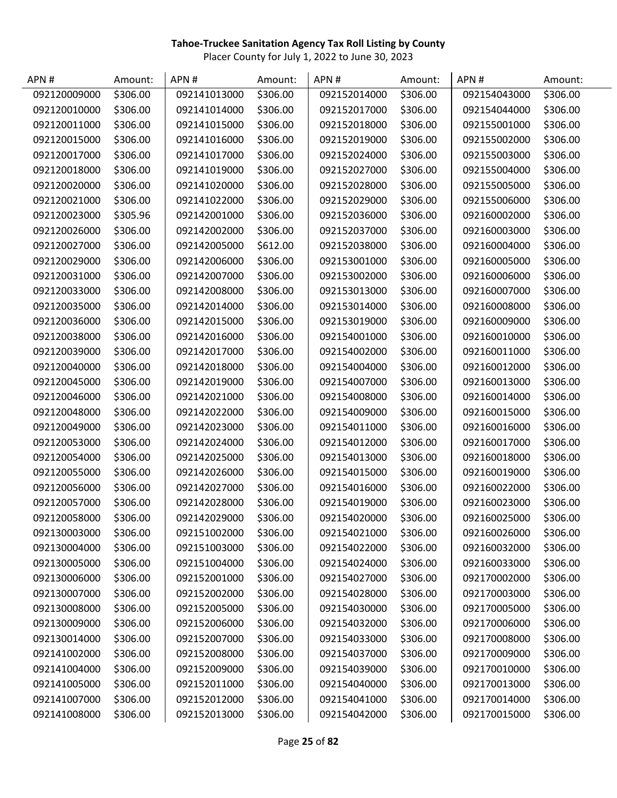| APN#         | Amount:  | APN#         | Amount:  | APN#         | Amount:  | APN#         | Amount:  |
|--------------|----------|--------------|----------|--------------|----------|--------------|----------|
| 092120009000 | \$306.00 | 092141013000 | \$306.00 | 092152014000 | \$306.00 | 092154043000 | \$306.00 |
| 092120010000 | \$306.00 | 092141014000 | \$306.00 | 092152017000 | \$306.00 | 092154044000 | \$306.00 |
| 092120011000 | \$306.00 | 092141015000 | \$306.00 | 092152018000 | \$306.00 | 092155001000 | \$306.00 |
| 092120015000 | \$306.00 | 092141016000 | \$306.00 | 092152019000 | \$306.00 | 092155002000 | \$306.00 |
| 092120017000 | \$306.00 | 092141017000 | \$306.00 | 092152024000 | \$306.00 | 092155003000 | \$306.00 |
| 092120018000 | \$306.00 | 092141019000 | \$306.00 | 092152027000 | \$306.00 | 092155004000 | \$306.00 |
| 092120020000 | \$306.00 | 092141020000 | \$306.00 | 092152028000 | \$306.00 | 092155005000 | \$306.00 |
| 092120021000 | \$306.00 | 092141022000 | \$306.00 | 092152029000 | \$306.00 | 092155006000 | \$306.00 |
| 092120023000 | \$305.96 | 092142001000 | \$306.00 | 092152036000 | \$306.00 | 092160002000 | \$306.00 |
| 092120026000 | \$306.00 | 092142002000 | \$306.00 | 092152037000 | \$306.00 | 092160003000 | \$306.00 |
| 092120027000 | \$306.00 | 092142005000 | \$612.00 | 092152038000 | \$306.00 | 092160004000 | \$306.00 |
| 092120029000 | \$306.00 | 092142006000 | \$306.00 | 092153001000 | \$306.00 | 092160005000 | \$306.00 |
| 092120031000 | \$306.00 | 092142007000 | \$306.00 | 092153002000 | \$306.00 | 092160006000 | \$306.00 |
| 092120033000 | \$306.00 | 092142008000 | \$306.00 | 092153013000 | \$306.00 | 092160007000 | \$306.00 |
| 092120035000 | \$306.00 | 092142014000 | \$306.00 | 092153014000 | \$306.00 | 092160008000 | \$306.00 |
| 092120036000 | \$306.00 | 092142015000 | \$306.00 | 092153019000 | \$306.00 | 092160009000 | \$306.00 |
| 092120038000 | \$306.00 | 092142016000 | \$306.00 | 092154001000 | \$306.00 | 092160010000 | \$306.00 |
| 092120039000 | \$306.00 | 092142017000 | \$306.00 | 092154002000 | \$306.00 | 092160011000 | \$306.00 |
| 092120040000 | \$306.00 | 092142018000 | \$306.00 | 092154004000 | \$306.00 | 092160012000 | \$306.00 |
| 092120045000 | \$306.00 | 092142019000 | \$306.00 | 092154007000 | \$306.00 | 092160013000 | \$306.00 |
| 092120046000 | \$306.00 | 092142021000 | \$306.00 | 092154008000 | \$306.00 | 092160014000 | \$306.00 |
| 092120048000 | \$306.00 | 092142022000 | \$306.00 | 092154009000 | \$306.00 | 092160015000 | \$306.00 |
| 092120049000 | \$306.00 | 092142023000 | \$306.00 | 092154011000 | \$306.00 | 092160016000 | \$306.00 |
| 092120053000 | \$306.00 | 092142024000 | \$306.00 | 092154012000 | \$306.00 | 092160017000 | \$306.00 |
| 092120054000 | \$306.00 | 092142025000 | \$306.00 | 092154013000 | \$306.00 | 092160018000 | \$306.00 |
| 092120055000 | \$306.00 | 092142026000 | \$306.00 | 092154015000 | \$306.00 | 092160019000 | \$306.00 |
| 092120056000 | \$306.00 | 092142027000 | \$306.00 | 092154016000 | \$306.00 | 092160022000 | \$306.00 |
| 092120057000 | \$306.00 | 092142028000 | \$306.00 | 092154019000 | \$306.00 | 092160023000 | \$306.00 |
| 092120058000 | \$306.00 | 092142029000 | \$306.00 | 092154020000 | \$306.00 | 092160025000 | \$306.00 |
| 092130003000 | \$306.00 | 092151002000 | \$306.00 | 092154021000 | \$306.00 | 092160026000 | \$306.00 |
| 092130004000 | \$306.00 | 092151003000 | \$306.00 | 092154022000 | \$306.00 | 092160032000 | \$306.00 |
| 092130005000 | \$306.00 | 092151004000 | \$306.00 | 092154024000 | \$306.00 | 092160033000 | \$306.00 |
| 092130006000 | \$306.00 | 092152001000 | \$306.00 | 092154027000 | \$306.00 | 092170002000 | \$306.00 |
| 092130007000 | \$306.00 | 092152002000 | \$306.00 | 092154028000 | \$306.00 | 092170003000 | \$306.00 |
| 092130008000 | \$306.00 | 092152005000 | \$306.00 | 092154030000 | \$306.00 | 092170005000 | \$306.00 |
| 092130009000 | \$306.00 | 092152006000 | \$306.00 | 092154032000 | \$306.00 | 092170006000 | \$306.00 |
| 092130014000 | \$306.00 | 092152007000 | \$306.00 | 092154033000 | \$306.00 | 092170008000 | \$306.00 |
| 092141002000 | \$306.00 | 092152008000 | \$306.00 | 092154037000 | \$306.00 | 092170009000 | \$306.00 |
| 092141004000 | \$306.00 | 092152009000 | \$306.00 | 092154039000 | \$306.00 | 092170010000 | \$306.00 |
| 092141005000 | \$306.00 | 092152011000 | \$306.00 | 092154040000 | \$306.00 | 092170013000 | \$306.00 |
| 092141007000 | \$306.00 | 092152012000 | \$306.00 | 092154041000 | \$306.00 | 092170014000 | \$306.00 |
| 092141008000 | \$306.00 | 092152013000 | \$306.00 | 092154042000 | \$306.00 | 092170015000 | \$306.00 |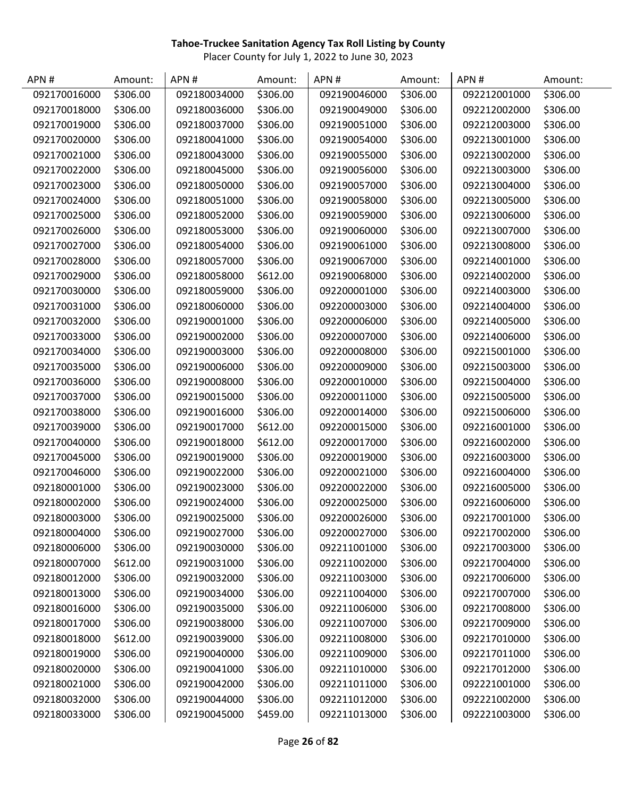| APN#         | Amount:  | APN#         | Amount:  | APN#         | Amount:  | APN#         | Amount:  |
|--------------|----------|--------------|----------|--------------|----------|--------------|----------|
| 092170016000 | \$306.00 | 092180034000 | \$306.00 | 092190046000 | \$306.00 | 092212001000 | \$306.00 |
| 092170018000 | \$306.00 | 092180036000 | \$306.00 | 092190049000 | \$306.00 | 092212002000 | \$306.00 |
| 092170019000 | \$306.00 | 092180037000 | \$306.00 | 092190051000 | \$306.00 | 092212003000 | \$306.00 |
| 092170020000 | \$306.00 | 092180041000 | \$306.00 | 092190054000 | \$306.00 | 092213001000 | \$306.00 |
| 092170021000 | \$306.00 | 092180043000 | \$306.00 | 092190055000 | \$306.00 | 092213002000 | \$306.00 |
| 092170022000 | \$306.00 | 092180045000 | \$306.00 | 092190056000 | \$306.00 | 092213003000 | \$306.00 |
| 092170023000 | \$306.00 | 092180050000 | \$306.00 | 092190057000 | \$306.00 | 092213004000 | \$306.00 |
| 092170024000 | \$306.00 | 092180051000 | \$306.00 | 092190058000 | \$306.00 | 092213005000 | \$306.00 |
| 092170025000 | \$306.00 | 092180052000 | \$306.00 | 092190059000 | \$306.00 | 092213006000 | \$306.00 |
| 092170026000 | \$306.00 | 092180053000 | \$306.00 | 092190060000 | \$306.00 | 092213007000 | \$306.00 |
| 092170027000 | \$306.00 | 092180054000 | \$306.00 | 092190061000 | \$306.00 | 092213008000 | \$306.00 |
| 092170028000 | \$306.00 | 092180057000 | \$306.00 | 092190067000 | \$306.00 | 092214001000 | \$306.00 |
| 092170029000 | \$306.00 | 092180058000 | \$612.00 | 092190068000 | \$306.00 | 092214002000 | \$306.00 |
| 092170030000 | \$306.00 | 092180059000 | \$306.00 | 092200001000 | \$306.00 | 092214003000 | \$306.00 |
| 092170031000 | \$306.00 | 092180060000 | \$306.00 | 092200003000 | \$306.00 | 092214004000 | \$306.00 |
| 092170032000 | \$306.00 | 092190001000 | \$306.00 | 092200006000 | \$306.00 | 092214005000 | \$306.00 |
| 092170033000 | \$306.00 | 092190002000 | \$306.00 | 092200007000 | \$306.00 | 092214006000 | \$306.00 |
| 092170034000 | \$306.00 | 092190003000 | \$306.00 | 092200008000 | \$306.00 | 092215001000 | \$306.00 |
| 092170035000 | \$306.00 | 092190006000 | \$306.00 | 092200009000 | \$306.00 | 092215003000 | \$306.00 |
| 092170036000 | \$306.00 | 092190008000 | \$306.00 | 092200010000 | \$306.00 | 092215004000 | \$306.00 |
| 092170037000 | \$306.00 | 092190015000 | \$306.00 | 092200011000 | \$306.00 | 092215005000 | \$306.00 |
| 092170038000 | \$306.00 | 092190016000 | \$306.00 | 092200014000 | \$306.00 | 092215006000 | \$306.00 |
| 092170039000 | \$306.00 | 092190017000 | \$612.00 | 092200015000 | \$306.00 | 092216001000 | \$306.00 |
| 092170040000 | \$306.00 | 092190018000 | \$612.00 | 092200017000 | \$306.00 | 092216002000 | \$306.00 |
| 092170045000 | \$306.00 | 092190019000 | \$306.00 | 092200019000 | \$306.00 | 092216003000 | \$306.00 |
| 092170046000 | \$306.00 | 092190022000 | \$306.00 | 092200021000 | \$306.00 | 092216004000 | \$306.00 |
| 092180001000 | \$306.00 | 092190023000 | \$306.00 | 092200022000 | \$306.00 | 092216005000 | \$306.00 |
| 092180002000 | \$306.00 | 092190024000 | \$306.00 | 092200025000 | \$306.00 | 092216006000 | \$306.00 |
| 092180003000 | \$306.00 | 092190025000 | \$306.00 | 092200026000 | \$306.00 | 092217001000 | \$306.00 |
| 092180004000 | \$306.00 | 092190027000 | \$306.00 | 092200027000 | \$306.00 | 092217002000 | \$306.00 |
| 092180006000 | \$306.00 | 092190030000 | \$306.00 | 092211001000 | \$306.00 | 092217003000 | \$306.00 |
| 092180007000 | \$612.00 | 092190031000 | \$306.00 | 092211002000 | \$306.00 | 092217004000 | \$306.00 |
| 092180012000 | \$306.00 | 092190032000 | \$306.00 | 092211003000 | \$306.00 | 092217006000 | \$306.00 |
| 092180013000 | \$306.00 | 092190034000 | \$306.00 | 092211004000 | \$306.00 | 092217007000 | \$306.00 |
| 092180016000 | \$306.00 | 092190035000 | \$306.00 | 092211006000 | \$306.00 | 092217008000 | \$306.00 |
| 092180017000 | \$306.00 | 092190038000 | \$306.00 | 092211007000 | \$306.00 | 092217009000 | \$306.00 |
| 092180018000 | \$612.00 | 092190039000 | \$306.00 | 092211008000 | \$306.00 | 092217010000 | \$306.00 |
| 092180019000 | \$306.00 | 092190040000 | \$306.00 | 092211009000 | \$306.00 | 092217011000 | \$306.00 |
| 092180020000 | \$306.00 | 092190041000 | \$306.00 | 092211010000 | \$306.00 | 092217012000 | \$306.00 |
| 092180021000 | \$306.00 | 092190042000 | \$306.00 | 092211011000 | \$306.00 | 092221001000 | \$306.00 |
| 092180032000 | \$306.00 | 092190044000 | \$306.00 | 092211012000 | \$306.00 | 092221002000 | \$306.00 |
| 092180033000 | \$306.00 | 092190045000 | \$459.00 | 092211013000 | \$306.00 | 092221003000 | \$306.00 |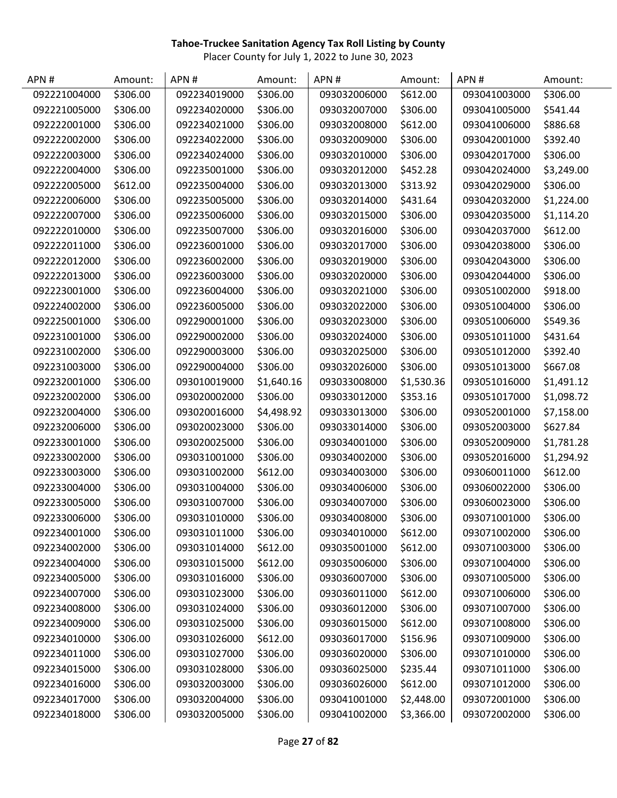| APN#         | Amount:  | APN#         | Amount:    | APN#         | Amount:    | APN#         | Amount:    |
|--------------|----------|--------------|------------|--------------|------------|--------------|------------|
| 092221004000 | \$306.00 | 092234019000 | \$306.00   | 093032006000 | \$612.00   | 093041003000 | \$306.00   |
| 092221005000 | \$306.00 | 092234020000 | \$306.00   | 093032007000 | \$306.00   | 093041005000 | \$541.44   |
| 092222001000 | \$306.00 | 092234021000 | \$306.00   | 093032008000 | \$612.00   | 093041006000 | \$886.68   |
| 092222002000 | \$306.00 | 092234022000 | \$306.00   | 093032009000 | \$306.00   | 093042001000 | \$392.40   |
| 092222003000 | \$306.00 | 092234024000 | \$306.00   | 093032010000 | \$306.00   | 093042017000 | \$306.00   |
| 092222004000 | \$306.00 | 092235001000 | \$306.00   | 093032012000 | \$452.28   | 093042024000 | \$3,249.00 |
| 092222005000 | \$612.00 | 092235004000 | \$306.00   | 093032013000 | \$313.92   | 093042029000 | \$306.00   |
| 092222006000 | \$306.00 | 092235005000 | \$306.00   | 093032014000 | \$431.64   | 093042032000 | \$1,224.00 |
| 092222007000 | \$306.00 | 092235006000 | \$306.00   | 093032015000 | \$306.00   | 093042035000 | \$1,114.20 |
| 092222010000 | \$306.00 | 092235007000 | \$306.00   | 093032016000 | \$306.00   | 093042037000 | \$612.00   |
| 092222011000 | \$306.00 | 092236001000 | \$306.00   | 093032017000 | \$306.00   | 093042038000 | \$306.00   |
| 092222012000 | \$306.00 | 092236002000 | \$306.00   | 093032019000 | \$306.00   | 093042043000 | \$306.00   |
| 092222013000 | \$306.00 | 092236003000 | \$306.00   | 093032020000 | \$306.00   | 093042044000 | \$306.00   |
| 092223001000 | \$306.00 | 092236004000 | \$306.00   | 093032021000 | \$306.00   | 093051002000 | \$918.00   |
| 092224002000 | \$306.00 | 092236005000 | \$306.00   | 093032022000 | \$306.00   | 093051004000 | \$306.00   |
| 092225001000 | \$306.00 | 092290001000 | \$306.00   | 093032023000 | \$306.00   | 093051006000 | \$549.36   |
| 092231001000 | \$306.00 | 092290002000 | \$306.00   | 093032024000 | \$306.00   | 093051011000 | \$431.64   |
| 092231002000 | \$306.00 | 092290003000 | \$306.00   | 093032025000 | \$306.00   | 093051012000 | \$392.40   |
| 092231003000 | \$306.00 | 092290004000 | \$306.00   | 093032026000 | \$306.00   | 093051013000 | \$667.08   |
| 092232001000 | \$306.00 | 093010019000 | \$1,640.16 | 093033008000 | \$1,530.36 | 093051016000 | \$1,491.12 |
| 092232002000 | \$306.00 | 093020002000 | \$306.00   | 093033012000 | \$353.16   | 093051017000 | \$1,098.72 |
| 092232004000 | \$306.00 | 093020016000 | \$4,498.92 | 093033013000 | \$306.00   | 093052001000 | \$7,158.00 |
| 092232006000 | \$306.00 | 093020023000 | \$306.00   | 093033014000 | \$306.00   | 093052003000 | \$627.84   |
| 092233001000 | \$306.00 | 093020025000 | \$306.00   | 093034001000 | \$306.00   | 093052009000 | \$1,781.28 |
| 092233002000 | \$306.00 | 093031001000 | \$306.00   | 093034002000 | \$306.00   | 093052016000 | \$1,294.92 |
| 092233003000 | \$306.00 | 093031002000 | \$612.00   | 093034003000 | \$306.00   | 093060011000 | \$612.00   |
| 092233004000 | \$306.00 | 093031004000 | \$306.00   | 093034006000 | \$306.00   | 093060022000 | \$306.00   |
| 092233005000 | \$306.00 | 093031007000 | \$306.00   | 093034007000 | \$306.00   | 093060023000 | \$306.00   |
| 092233006000 | \$306.00 | 093031010000 | \$306.00   | 093034008000 | \$306.00   | 093071001000 | \$306.00   |
| 092234001000 | \$306.00 | 093031011000 | \$306.00   | 093034010000 | \$612.00   | 093071002000 | \$306.00   |
| 092234002000 | \$306.00 | 093031014000 | \$612.00   | 093035001000 | \$612.00   | 093071003000 | \$306.00   |
| 092234004000 | \$306.00 | 093031015000 | \$612.00   | 093035006000 | \$306.00   | 093071004000 | \$306.00   |
| 092234005000 | \$306.00 | 093031016000 | \$306.00   | 093036007000 | \$306.00   | 093071005000 | \$306.00   |
| 092234007000 | \$306.00 | 093031023000 | \$306.00   | 093036011000 | \$612.00   | 093071006000 | \$306.00   |
| 092234008000 | \$306.00 | 093031024000 | \$306.00   | 093036012000 | \$306.00   | 093071007000 | \$306.00   |
| 092234009000 | \$306.00 | 093031025000 | \$306.00   | 093036015000 | \$612.00   | 093071008000 | \$306.00   |
| 092234010000 | \$306.00 | 093031026000 | \$612.00   | 093036017000 | \$156.96   | 093071009000 | \$306.00   |
| 092234011000 | \$306.00 | 093031027000 | \$306.00   | 093036020000 | \$306.00   | 093071010000 | \$306.00   |
| 092234015000 | \$306.00 | 093031028000 | \$306.00   | 093036025000 | \$235.44   | 093071011000 | \$306.00   |
| 092234016000 | \$306.00 | 093032003000 | \$306.00   | 093036026000 | \$612.00   | 093071012000 | \$306.00   |
| 092234017000 | \$306.00 | 093032004000 | \$306.00   | 093041001000 | \$2,448.00 | 093072001000 | \$306.00   |
| 092234018000 | \$306.00 | 093032005000 | \$306.00   | 093041002000 | \$3,366.00 | 093072002000 | \$306.00   |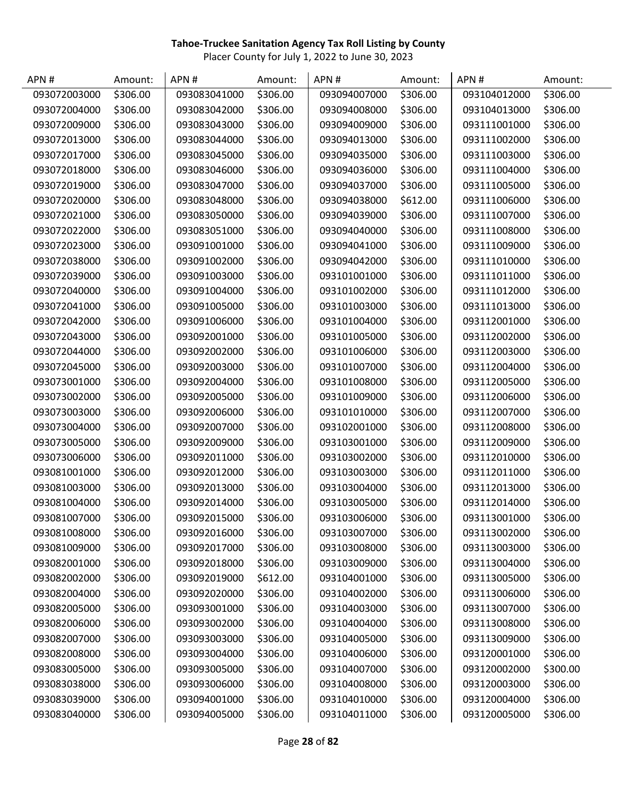| APN#         | Amount:  | APN#         | Amount:  | APN#         | Amount:  | APN#         | Amount:  |
|--------------|----------|--------------|----------|--------------|----------|--------------|----------|
| 093072003000 | \$306.00 | 093083041000 | \$306.00 | 093094007000 | \$306.00 | 093104012000 | \$306.00 |
| 093072004000 | \$306.00 | 093083042000 | \$306.00 | 093094008000 | \$306.00 | 093104013000 | \$306.00 |
| 093072009000 | \$306.00 | 093083043000 | \$306.00 | 093094009000 | \$306.00 | 093111001000 | \$306.00 |
| 093072013000 | \$306.00 | 093083044000 | \$306.00 | 093094013000 | \$306.00 | 093111002000 | \$306.00 |
| 093072017000 | \$306.00 | 093083045000 | \$306.00 | 093094035000 | \$306.00 | 093111003000 | \$306.00 |
| 093072018000 | \$306.00 | 093083046000 | \$306.00 | 093094036000 | \$306.00 | 093111004000 | \$306.00 |
| 093072019000 | \$306.00 | 093083047000 | \$306.00 | 093094037000 | \$306.00 | 093111005000 | \$306.00 |
| 093072020000 | \$306.00 | 093083048000 | \$306.00 | 093094038000 | \$612.00 | 093111006000 | \$306.00 |
| 093072021000 | \$306.00 | 093083050000 | \$306.00 | 093094039000 | \$306.00 | 093111007000 | \$306.00 |
| 093072022000 | \$306.00 | 093083051000 | \$306.00 | 093094040000 | \$306.00 | 093111008000 | \$306.00 |
| 093072023000 | \$306.00 | 093091001000 | \$306.00 | 093094041000 | \$306.00 | 093111009000 | \$306.00 |
| 093072038000 | \$306.00 | 093091002000 | \$306.00 | 093094042000 | \$306.00 | 093111010000 | \$306.00 |
| 093072039000 | \$306.00 | 093091003000 | \$306.00 | 093101001000 | \$306.00 | 093111011000 | \$306.00 |
| 093072040000 | \$306.00 | 093091004000 | \$306.00 | 093101002000 | \$306.00 | 093111012000 | \$306.00 |
| 093072041000 | \$306.00 | 093091005000 | \$306.00 | 093101003000 | \$306.00 | 093111013000 | \$306.00 |
| 093072042000 | \$306.00 | 093091006000 | \$306.00 | 093101004000 | \$306.00 | 093112001000 | \$306.00 |
| 093072043000 | \$306.00 | 093092001000 | \$306.00 | 093101005000 | \$306.00 | 093112002000 | \$306.00 |
| 093072044000 | \$306.00 | 093092002000 | \$306.00 | 093101006000 | \$306.00 | 093112003000 | \$306.00 |
| 093072045000 | \$306.00 | 093092003000 | \$306.00 | 093101007000 | \$306.00 | 093112004000 | \$306.00 |
| 093073001000 | \$306.00 | 093092004000 | \$306.00 | 093101008000 | \$306.00 | 093112005000 | \$306.00 |
| 093073002000 | \$306.00 | 093092005000 | \$306.00 | 093101009000 | \$306.00 | 093112006000 | \$306.00 |
| 093073003000 | \$306.00 | 093092006000 | \$306.00 | 093101010000 | \$306.00 | 093112007000 | \$306.00 |
| 093073004000 | \$306.00 | 093092007000 | \$306.00 | 093102001000 | \$306.00 | 093112008000 | \$306.00 |
| 093073005000 | \$306.00 | 093092009000 | \$306.00 | 093103001000 | \$306.00 | 093112009000 | \$306.00 |
| 093073006000 | \$306.00 | 093092011000 | \$306.00 | 093103002000 | \$306.00 | 093112010000 | \$306.00 |
| 093081001000 | \$306.00 | 093092012000 | \$306.00 | 093103003000 | \$306.00 | 093112011000 | \$306.00 |
| 093081003000 | \$306.00 | 093092013000 | \$306.00 | 093103004000 | \$306.00 | 093112013000 | \$306.00 |
| 093081004000 | \$306.00 | 093092014000 | \$306.00 | 093103005000 | \$306.00 | 093112014000 | \$306.00 |
| 093081007000 | \$306.00 | 093092015000 | \$306.00 | 093103006000 | \$306.00 | 093113001000 | \$306.00 |
| 093081008000 | \$306.00 | 093092016000 | \$306.00 | 093103007000 | \$306.00 | 093113002000 | \$306.00 |
| 093081009000 | \$306.00 | 093092017000 | \$306.00 | 093103008000 | \$306.00 | 093113003000 | \$306.00 |
| 093082001000 | \$306.00 | 093092018000 | \$306.00 | 093103009000 | \$306.00 | 093113004000 | \$306.00 |
| 093082002000 | \$306.00 | 093092019000 | \$612.00 | 093104001000 | \$306.00 | 093113005000 | \$306.00 |
| 093082004000 | \$306.00 | 093092020000 | \$306.00 | 093104002000 | \$306.00 | 093113006000 | \$306.00 |
| 093082005000 | \$306.00 | 093093001000 | \$306.00 | 093104003000 | \$306.00 | 093113007000 | \$306.00 |
| 093082006000 | \$306.00 | 093093002000 | \$306.00 | 093104004000 | \$306.00 | 093113008000 | \$306.00 |
| 093082007000 | \$306.00 | 093093003000 | \$306.00 | 093104005000 | \$306.00 | 093113009000 | \$306.00 |
| 093082008000 | \$306.00 | 093093004000 | \$306.00 | 093104006000 | \$306.00 | 093120001000 | \$306.00 |
| 093083005000 | \$306.00 | 093093005000 | \$306.00 | 093104007000 | \$306.00 | 093120002000 | \$300.00 |
| 093083038000 | \$306.00 | 093093006000 | \$306.00 | 093104008000 | \$306.00 | 093120003000 | \$306.00 |
| 093083039000 | \$306.00 | 093094001000 | \$306.00 | 093104010000 | \$306.00 | 093120004000 | \$306.00 |
| 093083040000 | \$306.00 | 093094005000 | \$306.00 | 093104011000 | \$306.00 | 093120005000 | \$306.00 |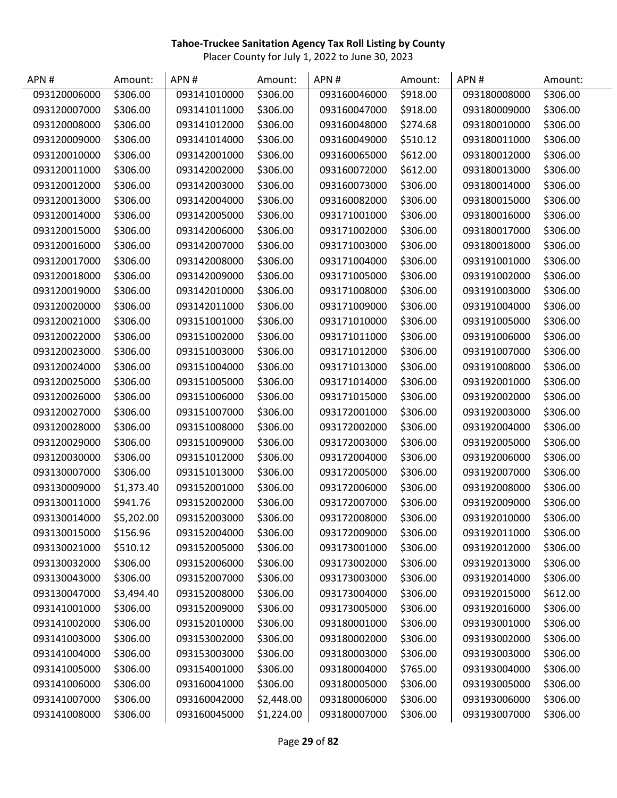| APN#         | Amount:    | APN#         | Amount:    | APN#         | Amount:  | APN#         | Amount:  |
|--------------|------------|--------------|------------|--------------|----------|--------------|----------|
| 093120006000 | \$306.00   | 093141010000 | \$306.00   | 093160046000 | \$918.00 | 093180008000 | \$306.00 |
| 093120007000 | \$306.00   | 093141011000 | \$306.00   | 093160047000 | \$918.00 | 093180009000 | \$306.00 |
| 093120008000 | \$306.00   | 093141012000 | \$306.00   | 093160048000 | \$274.68 | 093180010000 | \$306.00 |
| 093120009000 | \$306.00   | 093141014000 | \$306.00   | 093160049000 | \$510.12 | 093180011000 | \$306.00 |
| 093120010000 | \$306.00   | 093142001000 | \$306.00   | 093160065000 | \$612.00 | 093180012000 | \$306.00 |
| 093120011000 | \$306.00   | 093142002000 | \$306.00   | 093160072000 | \$612.00 | 093180013000 | \$306.00 |
| 093120012000 | \$306.00   | 093142003000 | \$306.00   | 093160073000 | \$306.00 | 093180014000 | \$306.00 |
| 093120013000 | \$306.00   | 093142004000 | \$306.00   | 093160082000 | \$306.00 | 093180015000 | \$306.00 |
| 093120014000 | \$306.00   | 093142005000 | \$306.00   | 093171001000 | \$306.00 | 093180016000 | \$306.00 |
| 093120015000 | \$306.00   | 093142006000 | \$306.00   | 093171002000 | \$306.00 | 093180017000 | \$306.00 |
| 093120016000 | \$306.00   | 093142007000 | \$306.00   | 093171003000 | \$306.00 | 093180018000 | \$306.00 |
| 093120017000 | \$306.00   | 093142008000 | \$306.00   | 093171004000 | \$306.00 | 093191001000 | \$306.00 |
| 093120018000 | \$306.00   | 093142009000 | \$306.00   | 093171005000 | \$306.00 | 093191002000 | \$306.00 |
| 093120019000 | \$306.00   | 093142010000 | \$306.00   | 093171008000 | \$306.00 | 093191003000 | \$306.00 |
| 093120020000 | \$306.00   | 093142011000 | \$306.00   | 093171009000 | \$306.00 | 093191004000 | \$306.00 |
| 093120021000 | \$306.00   | 093151001000 | \$306.00   | 093171010000 | \$306.00 | 093191005000 | \$306.00 |
| 093120022000 | \$306.00   | 093151002000 | \$306.00   | 093171011000 | \$306.00 | 093191006000 | \$306.00 |
| 093120023000 | \$306.00   | 093151003000 | \$306.00   | 093171012000 | \$306.00 | 093191007000 | \$306.00 |
| 093120024000 | \$306.00   | 093151004000 | \$306.00   | 093171013000 | \$306.00 | 093191008000 | \$306.00 |
| 093120025000 | \$306.00   | 093151005000 | \$306.00   | 093171014000 | \$306.00 | 093192001000 | \$306.00 |
| 093120026000 | \$306.00   | 093151006000 | \$306.00   | 093171015000 | \$306.00 | 093192002000 | \$306.00 |
| 093120027000 | \$306.00   | 093151007000 | \$306.00   | 093172001000 | \$306.00 | 093192003000 | \$306.00 |
| 093120028000 | \$306.00   | 093151008000 | \$306.00   | 093172002000 | \$306.00 | 093192004000 | \$306.00 |
| 093120029000 | \$306.00   | 093151009000 | \$306.00   | 093172003000 | \$306.00 | 093192005000 | \$306.00 |
| 093120030000 | \$306.00   | 093151012000 | \$306.00   | 093172004000 | \$306.00 | 093192006000 | \$306.00 |
| 093130007000 | \$306.00   | 093151013000 | \$306.00   | 093172005000 | \$306.00 | 093192007000 | \$306.00 |
| 093130009000 | \$1,373.40 | 093152001000 | \$306.00   | 093172006000 | \$306.00 | 093192008000 | \$306.00 |
| 093130011000 | \$941.76   | 093152002000 | \$306.00   | 093172007000 | \$306.00 | 093192009000 | \$306.00 |
| 093130014000 | \$5,202.00 | 093152003000 | \$306.00   | 093172008000 | \$306.00 | 093192010000 | \$306.00 |
| 093130015000 | \$156.96   | 093152004000 | \$306.00   | 093172009000 | \$306.00 | 093192011000 | \$306.00 |
| 093130021000 | \$510.12   | 093152005000 | \$306.00   | 093173001000 | \$306.00 | 093192012000 | \$306.00 |
| 093130032000 | \$306.00   | 093152006000 | \$306.00   | 093173002000 | \$306.00 | 093192013000 | \$306.00 |
| 093130043000 | \$306.00   | 093152007000 | \$306.00   | 093173003000 | \$306.00 | 093192014000 | \$306.00 |
| 093130047000 | \$3,494.40 | 093152008000 | \$306.00   | 093173004000 | \$306.00 | 093192015000 | \$612.00 |
| 093141001000 | \$306.00   | 093152009000 | \$306.00   | 093173005000 | \$306.00 | 093192016000 | \$306.00 |
| 093141002000 | \$306.00   | 093152010000 | \$306.00   | 093180001000 | \$306.00 | 093193001000 | \$306.00 |
| 093141003000 | \$306.00   | 093153002000 | \$306.00   | 093180002000 | \$306.00 | 093193002000 | \$306.00 |
| 093141004000 | \$306.00   | 093153003000 | \$306.00   | 093180003000 | \$306.00 | 093193003000 | \$306.00 |
| 093141005000 | \$306.00   | 093154001000 | \$306.00   | 093180004000 | \$765.00 | 093193004000 | \$306.00 |
| 093141006000 | \$306.00   | 093160041000 | \$306.00   | 093180005000 | \$306.00 | 093193005000 | \$306.00 |
| 093141007000 | \$306.00   | 093160042000 | \$2,448.00 | 093180006000 | \$306.00 | 093193006000 | \$306.00 |
| 093141008000 | \$306.00   | 093160045000 | \$1,224.00 | 093180007000 | \$306.00 | 093193007000 | \$306.00 |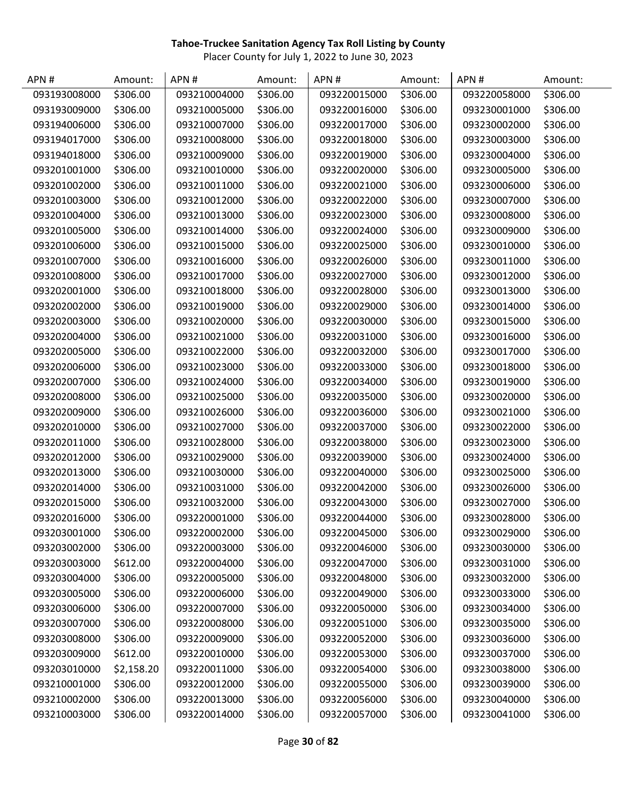| APN#         | Amount:    | APN#         | Amount:  | APN#         | Amount:  | APN#         | Amount:  |
|--------------|------------|--------------|----------|--------------|----------|--------------|----------|
| 093193008000 | \$306.00   | 093210004000 | \$306.00 | 093220015000 | \$306.00 | 093220058000 | \$306.00 |
| 093193009000 | \$306.00   | 093210005000 | \$306.00 | 093220016000 | \$306.00 | 093230001000 | \$306.00 |
| 093194006000 | \$306.00   | 093210007000 | \$306.00 | 093220017000 | \$306.00 | 093230002000 | \$306.00 |
| 093194017000 | \$306.00   | 093210008000 | \$306.00 | 093220018000 | \$306.00 | 093230003000 | \$306.00 |
| 093194018000 | \$306.00   | 093210009000 | \$306.00 | 093220019000 | \$306.00 | 093230004000 | \$306.00 |
| 093201001000 | \$306.00   | 093210010000 | \$306.00 | 093220020000 | \$306.00 | 093230005000 | \$306.00 |
| 093201002000 | \$306.00   | 093210011000 | \$306.00 | 093220021000 | \$306.00 | 093230006000 | \$306.00 |
| 093201003000 | \$306.00   | 093210012000 | \$306.00 | 093220022000 | \$306.00 | 093230007000 | \$306.00 |
| 093201004000 | \$306.00   | 093210013000 | \$306.00 | 093220023000 | \$306.00 | 093230008000 | \$306.00 |
| 093201005000 | \$306.00   | 093210014000 | \$306.00 | 093220024000 | \$306.00 | 093230009000 | \$306.00 |
| 093201006000 | \$306.00   | 093210015000 | \$306.00 | 093220025000 | \$306.00 | 093230010000 | \$306.00 |
| 093201007000 | \$306.00   | 093210016000 | \$306.00 | 093220026000 | \$306.00 | 093230011000 | \$306.00 |
| 093201008000 | \$306.00   | 093210017000 | \$306.00 | 093220027000 | \$306.00 | 093230012000 | \$306.00 |
| 093202001000 | \$306.00   | 093210018000 | \$306.00 | 093220028000 | \$306.00 | 093230013000 | \$306.00 |
| 093202002000 | \$306.00   | 093210019000 | \$306.00 | 093220029000 | \$306.00 | 093230014000 | \$306.00 |
| 093202003000 | \$306.00   | 093210020000 | \$306.00 | 093220030000 | \$306.00 | 093230015000 | \$306.00 |
| 093202004000 | \$306.00   | 093210021000 | \$306.00 | 093220031000 | \$306.00 | 093230016000 | \$306.00 |
| 093202005000 | \$306.00   | 093210022000 | \$306.00 | 093220032000 | \$306.00 | 093230017000 | \$306.00 |
| 093202006000 | \$306.00   | 093210023000 | \$306.00 | 093220033000 | \$306.00 | 093230018000 | \$306.00 |
| 093202007000 | \$306.00   | 093210024000 | \$306.00 | 093220034000 | \$306.00 | 093230019000 | \$306.00 |
| 093202008000 | \$306.00   | 093210025000 | \$306.00 | 093220035000 | \$306.00 | 093230020000 | \$306.00 |
| 093202009000 | \$306.00   | 093210026000 | \$306.00 | 093220036000 | \$306.00 | 093230021000 | \$306.00 |
| 093202010000 | \$306.00   | 093210027000 | \$306.00 | 093220037000 | \$306.00 | 093230022000 | \$306.00 |
| 093202011000 | \$306.00   | 093210028000 | \$306.00 | 093220038000 | \$306.00 | 093230023000 | \$306.00 |
| 093202012000 | \$306.00   | 093210029000 | \$306.00 | 093220039000 | \$306.00 | 093230024000 | \$306.00 |
| 093202013000 | \$306.00   | 093210030000 | \$306.00 | 093220040000 | \$306.00 | 093230025000 | \$306.00 |
| 093202014000 | \$306.00   | 093210031000 | \$306.00 | 093220042000 | \$306.00 | 093230026000 | \$306.00 |
| 093202015000 | \$306.00   | 093210032000 | \$306.00 | 093220043000 | \$306.00 | 093230027000 | \$306.00 |
| 093202016000 | \$306.00   | 093220001000 | \$306.00 | 093220044000 | \$306.00 | 093230028000 | \$306.00 |
| 093203001000 | \$306.00   | 093220002000 | \$306.00 | 093220045000 | \$306.00 | 093230029000 | \$306.00 |
| 093203002000 | \$306.00   | 093220003000 | \$306.00 | 093220046000 | \$306.00 | 093230030000 | \$306.00 |
| 093203003000 | \$612.00   | 093220004000 | \$306.00 | 093220047000 | \$306.00 | 093230031000 | \$306.00 |
| 093203004000 | \$306.00   | 093220005000 | \$306.00 | 093220048000 | \$306.00 | 093230032000 | \$306.00 |
| 093203005000 | \$306.00   | 093220006000 | \$306.00 | 093220049000 | \$306.00 | 093230033000 | \$306.00 |
| 093203006000 | \$306.00   | 093220007000 | \$306.00 | 093220050000 | \$306.00 | 093230034000 | \$306.00 |
| 093203007000 | \$306.00   | 093220008000 | \$306.00 | 093220051000 | \$306.00 | 093230035000 | \$306.00 |
| 093203008000 | \$306.00   | 093220009000 | \$306.00 | 093220052000 | \$306.00 | 093230036000 | \$306.00 |
| 093203009000 | \$612.00   | 093220010000 | \$306.00 | 093220053000 | \$306.00 | 093230037000 | \$306.00 |
| 093203010000 | \$2,158.20 | 093220011000 | \$306.00 | 093220054000 | \$306.00 | 093230038000 | \$306.00 |
| 093210001000 | \$306.00   | 093220012000 | \$306.00 | 093220055000 | \$306.00 | 093230039000 | \$306.00 |
| 093210002000 | \$306.00   | 093220013000 | \$306.00 | 093220056000 | \$306.00 | 093230040000 | \$306.00 |
| 093210003000 | \$306.00   | 093220014000 | \$306.00 | 093220057000 | \$306.00 | 093230041000 | \$306.00 |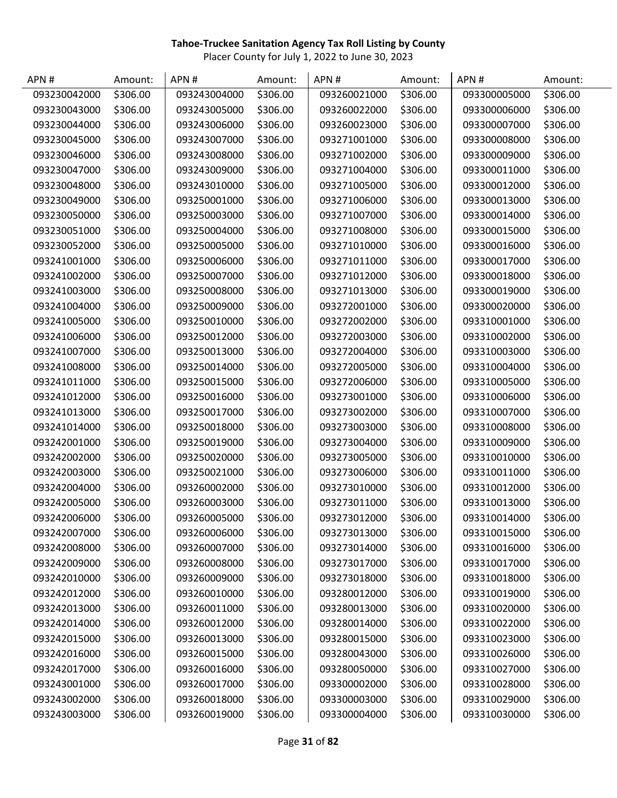| APN#         | Amount:  | APN#         | Amount:  | APN #        | Amount:  | APN#         | Amount:  |
|--------------|----------|--------------|----------|--------------|----------|--------------|----------|
| 093230042000 | \$306.00 | 093243004000 | \$306.00 | 093260021000 | \$306.00 | 093300005000 | \$306.00 |
| 093230043000 | \$306.00 | 093243005000 | \$306.00 | 093260022000 | \$306.00 | 093300006000 | \$306.00 |
| 093230044000 | \$306.00 | 093243006000 | \$306.00 | 093260023000 | \$306.00 | 093300007000 | \$306.00 |
| 093230045000 | \$306.00 | 093243007000 | \$306.00 | 093271001000 | \$306.00 | 093300008000 | \$306.00 |
| 093230046000 | \$306.00 | 093243008000 | \$306.00 | 093271002000 | \$306.00 | 093300009000 | \$306.00 |
| 093230047000 | \$306.00 | 093243009000 | \$306.00 | 093271004000 | \$306.00 | 093300011000 | \$306.00 |
| 093230048000 | \$306.00 | 093243010000 | \$306.00 | 093271005000 | \$306.00 | 093300012000 | \$306.00 |
| 093230049000 | \$306.00 | 093250001000 | \$306.00 | 093271006000 | \$306.00 | 093300013000 | \$306.00 |
| 093230050000 | \$306.00 | 093250003000 | \$306.00 | 093271007000 | \$306.00 | 093300014000 | \$306.00 |
| 093230051000 | \$306.00 | 093250004000 | \$306.00 | 093271008000 | \$306.00 | 093300015000 | \$306.00 |
| 093230052000 | \$306.00 | 093250005000 | \$306.00 | 093271010000 | \$306.00 | 093300016000 | \$306.00 |
| 093241001000 | \$306.00 | 093250006000 | \$306.00 | 093271011000 | \$306.00 | 093300017000 | \$306.00 |
| 093241002000 | \$306.00 | 093250007000 | \$306.00 | 093271012000 | \$306.00 | 093300018000 | \$306.00 |
| 093241003000 | \$306.00 | 093250008000 | \$306.00 | 093271013000 | \$306.00 | 093300019000 | \$306.00 |
| 093241004000 | \$306.00 | 093250009000 | \$306.00 | 093272001000 | \$306.00 | 093300020000 | \$306.00 |
| 093241005000 | \$306.00 | 093250010000 | \$306.00 | 093272002000 | \$306.00 | 093310001000 | \$306.00 |
| 093241006000 | \$306.00 | 093250012000 | \$306.00 | 093272003000 | \$306.00 | 093310002000 | \$306.00 |
| 093241007000 | \$306.00 | 093250013000 | \$306.00 | 093272004000 | \$306.00 | 093310003000 | \$306.00 |
| 093241008000 | \$306.00 | 093250014000 | \$306.00 | 093272005000 | \$306.00 | 093310004000 | \$306.00 |
| 093241011000 | \$306.00 | 093250015000 | \$306.00 | 093272006000 | \$306.00 | 093310005000 | \$306.00 |
| 093241012000 | \$306.00 | 093250016000 | \$306.00 | 093273001000 | \$306.00 | 093310006000 | \$306.00 |
| 093241013000 | \$306.00 | 093250017000 | \$306.00 | 093273002000 | \$306.00 | 093310007000 | \$306.00 |
| 093241014000 | \$306.00 | 093250018000 | \$306.00 | 093273003000 | \$306.00 | 093310008000 | \$306.00 |
| 093242001000 | \$306.00 | 093250019000 | \$306.00 | 093273004000 | \$306.00 | 093310009000 | \$306.00 |
| 093242002000 | \$306.00 | 093250020000 | \$306.00 | 093273005000 | \$306.00 | 093310010000 | \$306.00 |
| 093242003000 | \$306.00 | 093250021000 | \$306.00 | 093273006000 | \$306.00 | 093310011000 | \$306.00 |
| 093242004000 | \$306.00 | 093260002000 | \$306.00 | 093273010000 | \$306.00 | 093310012000 | \$306.00 |
| 093242005000 | \$306.00 | 093260003000 | \$306.00 | 093273011000 | \$306.00 | 093310013000 | \$306.00 |
| 093242006000 | \$306.00 | 093260005000 | \$306.00 | 093273012000 | \$306.00 | 093310014000 | \$306.00 |
| 093242007000 | \$306.00 | 093260006000 | \$306.00 | 093273013000 | \$306.00 | 093310015000 | \$306.00 |
| 093242008000 | \$306.00 | 093260007000 | \$306.00 | 093273014000 | \$306.00 | 093310016000 | \$306.00 |
| 093242009000 | \$306.00 | 093260008000 | \$306.00 | 093273017000 | \$306.00 | 093310017000 | \$306.00 |
| 093242010000 | \$306.00 | 093260009000 | \$306.00 | 093273018000 | \$306.00 | 093310018000 | \$306.00 |
| 093242012000 | \$306.00 | 093260010000 | \$306.00 | 093280012000 | \$306.00 | 093310019000 | \$306.00 |
| 093242013000 | \$306.00 | 093260011000 | \$306.00 | 093280013000 | \$306.00 | 093310020000 | \$306.00 |
| 093242014000 | \$306.00 | 093260012000 | \$306.00 | 093280014000 | \$306.00 | 093310022000 | \$306.00 |
| 093242015000 | \$306.00 | 093260013000 | \$306.00 | 093280015000 | \$306.00 | 093310023000 | \$306.00 |
| 093242016000 | \$306.00 | 093260015000 | \$306.00 | 093280043000 | \$306.00 | 093310026000 | \$306.00 |
| 093242017000 | \$306.00 | 093260016000 | \$306.00 | 093280050000 | \$306.00 | 093310027000 | \$306.00 |
| 093243001000 | \$306.00 | 093260017000 | \$306.00 | 093300002000 | \$306.00 | 093310028000 | \$306.00 |
| 093243002000 | \$306.00 | 093260018000 | \$306.00 | 093300003000 | \$306.00 | 093310029000 | \$306.00 |
| 093243003000 | \$306.00 | 093260019000 | \$306.00 | 093300004000 | \$306.00 | 093310030000 | \$306.00 |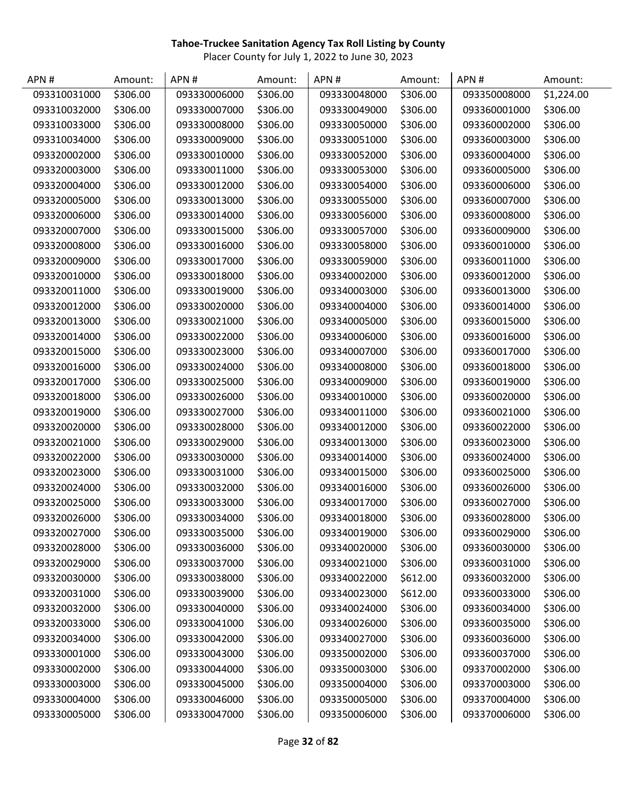| APN#         | Amount:  | APN#         | Amount:  | APN #        | Amount:  | APN#         | Amount:    |
|--------------|----------|--------------|----------|--------------|----------|--------------|------------|
| 093310031000 | \$306.00 | 093330006000 | \$306.00 | 093330048000 | \$306.00 | 093350008000 | \$1,224.00 |
| 093310032000 | \$306.00 | 093330007000 | \$306.00 | 093330049000 | \$306.00 | 093360001000 | \$306.00   |
| 093310033000 | \$306.00 | 093330008000 | \$306.00 | 093330050000 | \$306.00 | 093360002000 | \$306.00   |
| 093310034000 | \$306.00 | 093330009000 | \$306.00 | 093330051000 | \$306.00 | 093360003000 | \$306.00   |
| 093320002000 | \$306.00 | 093330010000 | \$306.00 | 093330052000 | \$306.00 | 093360004000 | \$306.00   |
| 093320003000 | \$306.00 | 093330011000 | \$306.00 | 093330053000 | \$306.00 | 093360005000 | \$306.00   |
| 093320004000 | \$306.00 | 093330012000 | \$306.00 | 093330054000 | \$306.00 | 093360006000 | \$306.00   |
| 093320005000 | \$306.00 | 093330013000 | \$306.00 | 093330055000 | \$306.00 | 093360007000 | \$306.00   |
| 093320006000 | \$306.00 | 093330014000 | \$306.00 | 093330056000 | \$306.00 | 093360008000 | \$306.00   |
| 093320007000 | \$306.00 | 093330015000 | \$306.00 | 093330057000 | \$306.00 | 093360009000 | \$306.00   |
| 093320008000 | \$306.00 | 093330016000 | \$306.00 | 093330058000 | \$306.00 | 093360010000 | \$306.00   |
| 093320009000 | \$306.00 | 093330017000 | \$306.00 | 093330059000 | \$306.00 | 093360011000 | \$306.00   |
| 093320010000 | \$306.00 | 093330018000 | \$306.00 | 093340002000 | \$306.00 | 093360012000 | \$306.00   |
| 093320011000 | \$306.00 | 093330019000 | \$306.00 | 093340003000 | \$306.00 | 093360013000 | \$306.00   |
| 093320012000 | \$306.00 | 093330020000 | \$306.00 | 093340004000 | \$306.00 | 093360014000 | \$306.00   |
| 093320013000 | \$306.00 | 093330021000 | \$306.00 | 093340005000 | \$306.00 | 093360015000 | \$306.00   |
| 093320014000 | \$306.00 | 093330022000 | \$306.00 | 093340006000 | \$306.00 | 093360016000 | \$306.00   |
| 093320015000 | \$306.00 | 093330023000 | \$306.00 | 093340007000 | \$306.00 | 093360017000 | \$306.00   |
| 093320016000 | \$306.00 | 093330024000 | \$306.00 | 093340008000 | \$306.00 | 093360018000 | \$306.00   |
| 093320017000 | \$306.00 | 093330025000 | \$306.00 | 093340009000 | \$306.00 | 093360019000 | \$306.00   |
| 093320018000 | \$306.00 | 093330026000 | \$306.00 | 093340010000 | \$306.00 | 093360020000 | \$306.00   |
| 093320019000 | \$306.00 | 093330027000 | \$306.00 | 093340011000 | \$306.00 | 093360021000 | \$306.00   |
| 093320020000 | \$306.00 | 093330028000 | \$306.00 | 093340012000 | \$306.00 | 093360022000 | \$306.00   |
| 093320021000 | \$306.00 | 093330029000 | \$306.00 | 093340013000 | \$306.00 | 093360023000 | \$306.00   |
| 093320022000 | \$306.00 | 093330030000 | \$306.00 | 093340014000 | \$306.00 | 093360024000 | \$306.00   |
| 093320023000 | \$306.00 | 093330031000 | \$306.00 | 093340015000 | \$306.00 | 093360025000 | \$306.00   |
| 093320024000 | \$306.00 | 093330032000 | \$306.00 | 093340016000 | \$306.00 | 093360026000 | \$306.00   |
| 093320025000 | \$306.00 | 093330033000 | \$306.00 | 093340017000 | \$306.00 | 093360027000 | \$306.00   |
| 093320026000 | \$306.00 | 093330034000 | \$306.00 | 093340018000 | \$306.00 | 093360028000 | \$306.00   |
| 093320027000 | \$306.00 | 093330035000 | \$306.00 | 093340019000 | \$306.00 | 093360029000 | \$306.00   |
| 093320028000 | \$306.00 | 093330036000 | \$306.00 | 093340020000 | \$306.00 | 093360030000 | \$306.00   |
| 093320029000 | \$306.00 | 093330037000 | \$306.00 | 093340021000 | \$306.00 | 093360031000 | \$306.00   |
| 093320030000 | \$306.00 | 093330038000 | \$306.00 | 093340022000 | \$612.00 | 093360032000 | \$306.00   |
| 093320031000 | \$306.00 | 093330039000 | \$306.00 | 093340023000 | \$612.00 | 093360033000 | \$306.00   |
| 093320032000 | \$306.00 | 093330040000 | \$306.00 | 093340024000 | \$306.00 | 093360034000 | \$306.00   |
| 093320033000 | \$306.00 | 093330041000 | \$306.00 | 093340026000 | \$306.00 | 093360035000 | \$306.00   |
| 093320034000 | \$306.00 | 093330042000 | \$306.00 | 093340027000 | \$306.00 | 093360036000 | \$306.00   |
| 093330001000 | \$306.00 | 093330043000 | \$306.00 | 093350002000 | \$306.00 | 093360037000 | \$306.00   |
| 093330002000 | \$306.00 | 093330044000 | \$306.00 | 093350003000 | \$306.00 | 093370002000 | \$306.00   |
| 093330003000 | \$306.00 | 093330045000 | \$306.00 | 093350004000 | \$306.00 | 093370003000 | \$306.00   |
| 093330004000 | \$306.00 | 093330046000 | \$306.00 | 093350005000 | \$306.00 | 093370004000 | \$306.00   |
| 093330005000 | \$306.00 | 093330047000 | \$306.00 | 093350006000 | \$306.00 | 093370006000 | \$306.00   |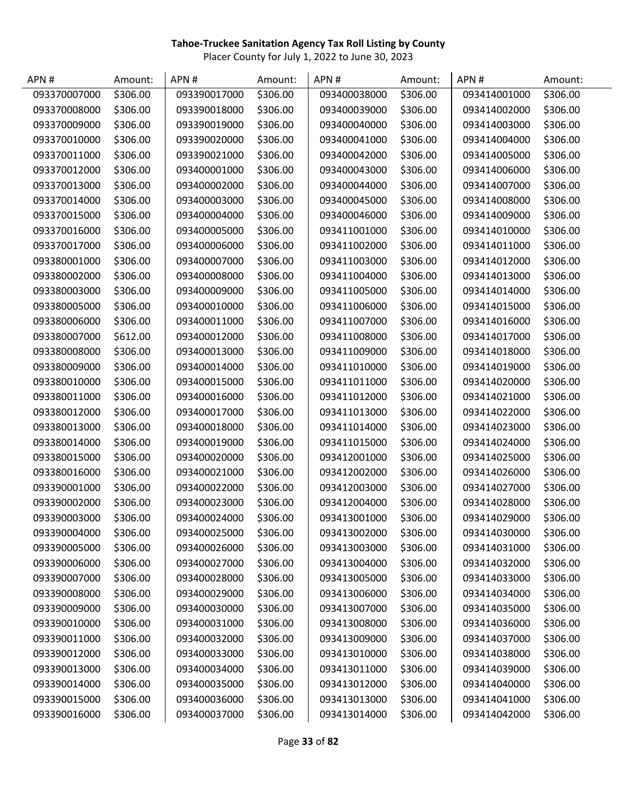| APN#         | Amount:  | APN#         | Amount:  | APN #        | Amount:  | APN#         | Amount:  |
|--------------|----------|--------------|----------|--------------|----------|--------------|----------|
| 093370007000 | \$306.00 | 093390017000 | \$306.00 | 093400038000 | \$306.00 | 093414001000 | \$306.00 |
| 093370008000 | \$306.00 | 093390018000 | \$306.00 | 093400039000 | \$306.00 | 093414002000 | \$306.00 |
| 093370009000 | \$306.00 | 093390019000 | \$306.00 | 093400040000 | \$306.00 | 093414003000 | \$306.00 |
| 093370010000 | \$306.00 | 093390020000 | \$306.00 | 093400041000 | \$306.00 | 093414004000 | \$306.00 |
| 093370011000 | \$306.00 | 093390021000 | \$306.00 | 093400042000 | \$306.00 | 093414005000 | \$306.00 |
| 093370012000 | \$306.00 | 093400001000 | \$306.00 | 093400043000 | \$306.00 | 093414006000 | \$306.00 |
| 093370013000 | \$306.00 | 093400002000 | \$306.00 | 093400044000 | \$306.00 | 093414007000 | \$306.00 |
| 093370014000 | \$306.00 | 093400003000 | \$306.00 | 093400045000 | \$306.00 | 093414008000 | \$306.00 |
| 093370015000 | \$306.00 | 093400004000 | \$306.00 | 093400046000 | \$306.00 | 093414009000 | \$306.00 |
| 093370016000 | \$306.00 | 093400005000 | \$306.00 | 093411001000 | \$306.00 | 093414010000 | \$306.00 |
| 093370017000 | \$306.00 | 093400006000 | \$306.00 | 093411002000 | \$306.00 | 093414011000 | \$306.00 |
| 093380001000 | \$306.00 | 093400007000 | \$306.00 | 093411003000 | \$306.00 | 093414012000 | \$306.00 |
| 093380002000 | \$306.00 | 093400008000 | \$306.00 | 093411004000 | \$306.00 | 093414013000 | \$306.00 |
| 093380003000 | \$306.00 | 093400009000 | \$306.00 | 093411005000 | \$306.00 | 093414014000 | \$306.00 |
| 093380005000 | \$306.00 | 093400010000 | \$306.00 | 093411006000 | \$306.00 | 093414015000 | \$306.00 |
| 093380006000 | \$306.00 | 093400011000 | \$306.00 | 093411007000 | \$306.00 | 093414016000 | \$306.00 |
| 093380007000 | \$612.00 | 093400012000 | \$306.00 | 093411008000 | \$306.00 | 093414017000 | \$306.00 |
| 093380008000 | \$306.00 | 093400013000 | \$306.00 | 093411009000 | \$306.00 | 093414018000 | \$306.00 |
| 093380009000 | \$306.00 | 093400014000 | \$306.00 | 093411010000 | \$306.00 | 093414019000 | \$306.00 |
| 093380010000 | \$306.00 | 093400015000 | \$306.00 | 093411011000 | \$306.00 | 093414020000 | \$306.00 |
| 093380011000 | \$306.00 | 093400016000 | \$306.00 | 093411012000 | \$306.00 | 093414021000 | \$306.00 |
| 093380012000 | \$306.00 | 093400017000 | \$306.00 | 093411013000 | \$306.00 | 093414022000 | \$306.00 |
| 093380013000 | \$306.00 | 093400018000 | \$306.00 | 093411014000 | \$306.00 | 093414023000 | \$306.00 |
| 093380014000 | \$306.00 | 093400019000 | \$306.00 | 093411015000 | \$306.00 | 093414024000 | \$306.00 |
| 093380015000 | \$306.00 | 093400020000 | \$306.00 | 093412001000 | \$306.00 | 093414025000 | \$306.00 |
| 093380016000 | \$306.00 | 093400021000 | \$306.00 | 093412002000 | \$306.00 | 093414026000 | \$306.00 |
| 093390001000 | \$306.00 | 093400022000 | \$306.00 | 093412003000 | \$306.00 | 093414027000 | \$306.00 |
| 093390002000 | \$306.00 | 093400023000 | \$306.00 | 093412004000 | \$306.00 | 093414028000 | \$306.00 |
| 093390003000 | \$306.00 | 093400024000 | \$306.00 | 093413001000 | \$306.00 | 093414029000 | \$306.00 |
| 093390004000 | \$306.00 | 093400025000 | \$306.00 | 093413002000 | \$306.00 | 093414030000 | \$306.00 |
| 093390005000 | \$306.00 | 093400026000 | \$306.00 | 093413003000 | \$306.00 | 093414031000 | \$306.00 |
| 093390006000 | \$306.00 | 093400027000 | \$306.00 | 093413004000 | \$306.00 | 093414032000 | \$306.00 |
| 093390007000 | \$306.00 | 093400028000 | \$306.00 | 093413005000 | \$306.00 | 093414033000 | \$306.00 |
| 093390008000 | \$306.00 | 093400029000 | \$306.00 | 093413006000 | \$306.00 | 093414034000 | \$306.00 |
| 093390009000 | \$306.00 | 093400030000 | \$306.00 | 093413007000 | \$306.00 | 093414035000 | \$306.00 |
| 093390010000 | \$306.00 | 093400031000 | \$306.00 | 093413008000 | \$306.00 | 093414036000 | \$306.00 |
| 093390011000 | \$306.00 | 093400032000 | \$306.00 | 093413009000 | \$306.00 | 093414037000 | \$306.00 |
| 093390012000 | \$306.00 | 093400033000 | \$306.00 | 093413010000 | \$306.00 | 093414038000 | \$306.00 |
| 093390013000 | \$306.00 | 093400034000 | \$306.00 | 093413011000 | \$306.00 | 093414039000 | \$306.00 |
| 093390014000 | \$306.00 | 093400035000 | \$306.00 | 093413012000 | \$306.00 | 093414040000 | \$306.00 |
| 093390015000 | \$306.00 | 093400036000 | \$306.00 | 093413013000 | \$306.00 | 093414041000 | \$306.00 |
| 093390016000 | \$306.00 | 093400037000 | \$306.00 | 093413014000 | \$306.00 | 093414042000 | \$306.00 |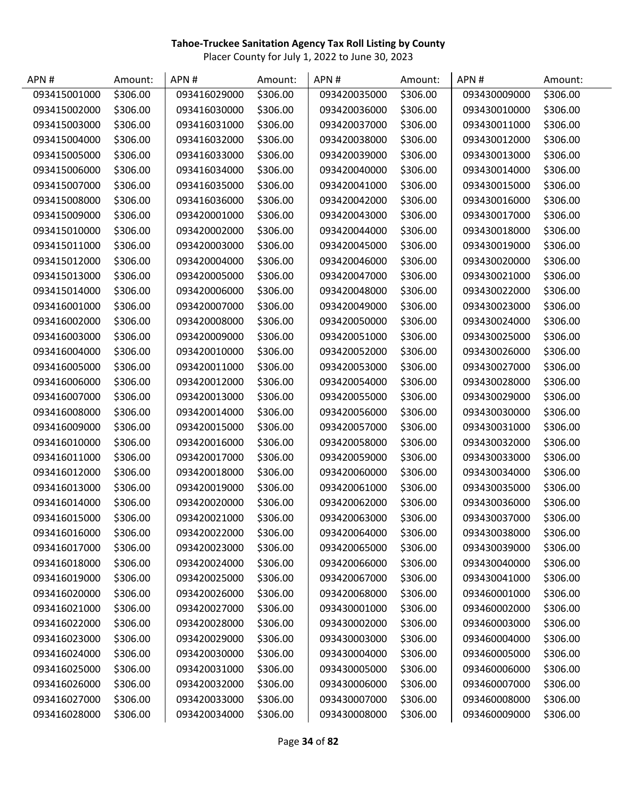| APN#         | Amount:  | APN#         | Amount:  | APN#         | Amount:  | APN#         | Amount:  |
|--------------|----------|--------------|----------|--------------|----------|--------------|----------|
| 093415001000 | \$306.00 | 093416029000 | \$306.00 | 093420035000 | \$306.00 | 093430009000 | \$306.00 |
| 093415002000 | \$306.00 | 093416030000 | \$306.00 | 093420036000 | \$306.00 | 093430010000 | \$306.00 |
| 093415003000 | \$306.00 | 093416031000 | \$306.00 | 093420037000 | \$306.00 | 093430011000 | \$306.00 |
| 093415004000 | \$306.00 | 093416032000 | \$306.00 | 093420038000 | \$306.00 | 093430012000 | \$306.00 |
| 093415005000 | \$306.00 | 093416033000 | \$306.00 | 093420039000 | \$306.00 | 093430013000 | \$306.00 |
| 093415006000 | \$306.00 | 093416034000 | \$306.00 | 093420040000 | \$306.00 | 093430014000 | \$306.00 |
| 093415007000 | \$306.00 | 093416035000 | \$306.00 | 093420041000 | \$306.00 | 093430015000 | \$306.00 |
| 093415008000 | \$306.00 | 093416036000 | \$306.00 | 093420042000 | \$306.00 | 093430016000 | \$306.00 |
| 093415009000 | \$306.00 | 093420001000 | \$306.00 | 093420043000 | \$306.00 | 093430017000 | \$306.00 |
| 093415010000 | \$306.00 | 093420002000 | \$306.00 | 093420044000 | \$306.00 | 093430018000 | \$306.00 |
| 093415011000 | \$306.00 | 093420003000 | \$306.00 | 093420045000 | \$306.00 | 093430019000 | \$306.00 |
| 093415012000 | \$306.00 | 093420004000 | \$306.00 | 093420046000 | \$306.00 | 093430020000 | \$306.00 |
| 093415013000 | \$306.00 | 093420005000 | \$306.00 | 093420047000 | \$306.00 | 093430021000 | \$306.00 |
| 093415014000 | \$306.00 | 093420006000 | \$306.00 | 093420048000 | \$306.00 | 093430022000 | \$306.00 |
| 093416001000 | \$306.00 | 093420007000 | \$306.00 | 093420049000 | \$306.00 | 093430023000 | \$306.00 |
| 093416002000 | \$306.00 | 093420008000 | \$306.00 | 093420050000 | \$306.00 | 093430024000 | \$306.00 |
| 093416003000 | \$306.00 | 093420009000 | \$306.00 | 093420051000 | \$306.00 | 093430025000 | \$306.00 |
| 093416004000 | \$306.00 | 093420010000 | \$306.00 | 093420052000 | \$306.00 | 093430026000 | \$306.00 |
| 093416005000 | \$306.00 | 093420011000 | \$306.00 | 093420053000 | \$306.00 | 093430027000 | \$306.00 |
| 093416006000 | \$306.00 | 093420012000 | \$306.00 | 093420054000 | \$306.00 | 093430028000 | \$306.00 |
| 093416007000 | \$306.00 | 093420013000 | \$306.00 | 093420055000 | \$306.00 | 093430029000 | \$306.00 |
| 093416008000 | \$306.00 | 093420014000 | \$306.00 | 093420056000 | \$306.00 | 093430030000 | \$306.00 |
| 093416009000 | \$306.00 | 093420015000 | \$306.00 | 093420057000 | \$306.00 | 093430031000 | \$306.00 |
| 093416010000 | \$306.00 | 093420016000 | \$306.00 | 093420058000 | \$306.00 | 093430032000 | \$306.00 |
| 093416011000 | \$306.00 | 093420017000 | \$306.00 | 093420059000 | \$306.00 | 093430033000 | \$306.00 |
| 093416012000 | \$306.00 | 093420018000 | \$306.00 | 093420060000 | \$306.00 | 093430034000 | \$306.00 |
| 093416013000 | \$306.00 | 093420019000 | \$306.00 | 093420061000 | \$306.00 | 093430035000 | \$306.00 |
| 093416014000 | \$306.00 | 093420020000 | \$306.00 | 093420062000 | \$306.00 | 093430036000 | \$306.00 |
| 093416015000 | \$306.00 | 093420021000 | \$306.00 | 093420063000 | \$306.00 | 093430037000 | \$306.00 |
| 093416016000 | \$306.00 | 093420022000 | \$306.00 | 093420064000 | \$306.00 | 093430038000 | \$306.00 |
| 093416017000 | \$306.00 | 093420023000 | \$306.00 | 093420065000 | \$306.00 | 093430039000 | \$306.00 |
| 093416018000 | \$306.00 | 093420024000 | \$306.00 | 093420066000 | \$306.00 | 093430040000 | \$306.00 |
| 093416019000 | \$306.00 | 093420025000 | \$306.00 | 093420067000 | \$306.00 | 093430041000 | \$306.00 |
| 093416020000 | \$306.00 | 093420026000 | \$306.00 | 093420068000 | \$306.00 | 093460001000 | \$306.00 |
| 093416021000 | \$306.00 | 093420027000 | \$306.00 | 093430001000 | \$306.00 | 093460002000 | \$306.00 |
| 093416022000 | \$306.00 | 093420028000 | \$306.00 | 093430002000 | \$306.00 | 093460003000 | \$306.00 |
| 093416023000 | \$306.00 | 093420029000 | \$306.00 | 093430003000 | \$306.00 | 093460004000 | \$306.00 |
| 093416024000 | \$306.00 | 093420030000 | \$306.00 | 093430004000 | \$306.00 | 093460005000 | \$306.00 |
| 093416025000 | \$306.00 | 093420031000 | \$306.00 | 093430005000 | \$306.00 | 093460006000 | \$306.00 |
| 093416026000 | \$306.00 | 093420032000 | \$306.00 | 093430006000 | \$306.00 | 093460007000 | \$306.00 |
| 093416027000 | \$306.00 | 093420033000 | \$306.00 | 093430007000 | \$306.00 | 093460008000 | \$306.00 |
| 093416028000 | \$306.00 | 093420034000 | \$306.00 | 093430008000 | \$306.00 | 093460009000 | \$306.00 |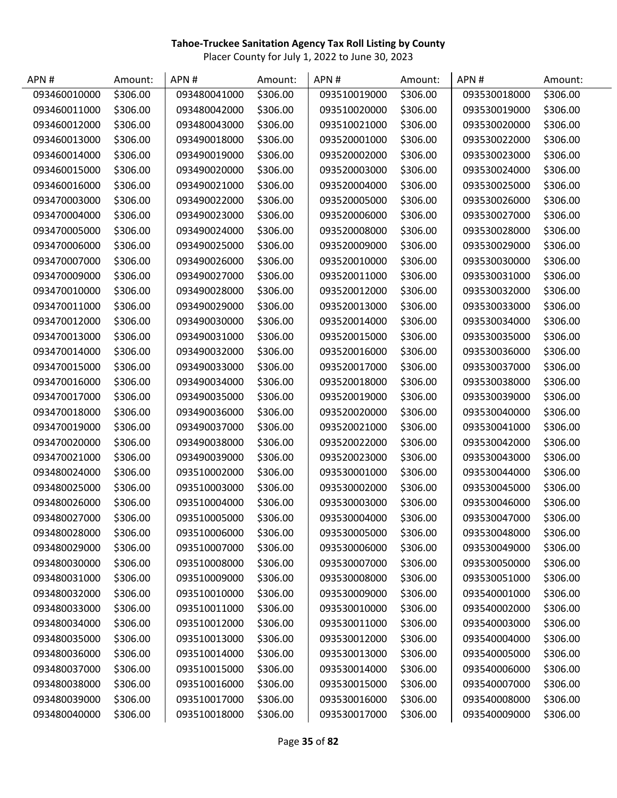| APN#         | Amount:  | APN#         | Amount:  | APN#         | Amount:  | APN#         | Amount:  |
|--------------|----------|--------------|----------|--------------|----------|--------------|----------|
| 093460010000 | \$306.00 | 093480041000 | \$306.00 | 093510019000 | \$306.00 | 093530018000 | \$306.00 |
| 093460011000 | \$306.00 | 093480042000 | \$306.00 | 093510020000 | \$306.00 | 093530019000 | \$306.00 |
| 093460012000 | \$306.00 | 093480043000 | \$306.00 | 093510021000 | \$306.00 | 093530020000 | \$306.00 |
| 093460013000 | \$306.00 | 093490018000 | \$306.00 | 093520001000 | \$306.00 | 093530022000 | \$306.00 |
| 093460014000 | \$306.00 | 093490019000 | \$306.00 | 093520002000 | \$306.00 | 093530023000 | \$306.00 |
| 093460015000 | \$306.00 | 093490020000 | \$306.00 | 093520003000 | \$306.00 | 093530024000 | \$306.00 |
| 093460016000 | \$306.00 | 093490021000 | \$306.00 | 093520004000 | \$306.00 | 093530025000 | \$306.00 |
| 093470003000 | \$306.00 | 093490022000 | \$306.00 | 093520005000 | \$306.00 | 093530026000 | \$306.00 |
| 093470004000 | \$306.00 | 093490023000 | \$306.00 | 093520006000 | \$306.00 | 093530027000 | \$306.00 |
| 093470005000 | \$306.00 | 093490024000 | \$306.00 | 093520008000 | \$306.00 | 093530028000 | \$306.00 |
| 093470006000 | \$306.00 | 093490025000 | \$306.00 | 093520009000 | \$306.00 | 093530029000 | \$306.00 |
| 093470007000 | \$306.00 | 093490026000 | \$306.00 | 093520010000 | \$306.00 | 093530030000 | \$306.00 |
| 093470009000 | \$306.00 | 093490027000 | \$306.00 | 093520011000 | \$306.00 | 093530031000 | \$306.00 |
| 093470010000 | \$306.00 | 093490028000 | \$306.00 | 093520012000 | \$306.00 | 093530032000 | \$306.00 |
| 093470011000 | \$306.00 | 093490029000 | \$306.00 | 093520013000 | \$306.00 | 093530033000 | \$306.00 |
| 093470012000 | \$306.00 | 093490030000 | \$306.00 | 093520014000 | \$306.00 | 093530034000 | \$306.00 |
| 093470013000 | \$306.00 | 093490031000 | \$306.00 | 093520015000 | \$306.00 | 093530035000 | \$306.00 |
| 093470014000 | \$306.00 | 093490032000 | \$306.00 | 093520016000 | \$306.00 | 093530036000 | \$306.00 |
| 093470015000 | \$306.00 | 093490033000 | \$306.00 | 093520017000 | \$306.00 | 093530037000 | \$306.00 |
| 093470016000 | \$306.00 | 093490034000 | \$306.00 | 093520018000 | \$306.00 | 093530038000 | \$306.00 |
| 093470017000 | \$306.00 | 093490035000 | \$306.00 | 093520019000 | \$306.00 | 093530039000 | \$306.00 |
| 093470018000 | \$306.00 | 093490036000 | \$306.00 | 093520020000 | \$306.00 | 093530040000 | \$306.00 |
| 093470019000 | \$306.00 | 093490037000 | \$306.00 | 093520021000 | \$306.00 | 093530041000 | \$306.00 |
| 093470020000 | \$306.00 | 093490038000 | \$306.00 | 093520022000 | \$306.00 | 093530042000 | \$306.00 |
| 093470021000 | \$306.00 | 093490039000 | \$306.00 | 093520023000 | \$306.00 | 093530043000 | \$306.00 |
| 093480024000 | \$306.00 | 093510002000 | \$306.00 | 093530001000 | \$306.00 | 093530044000 | \$306.00 |
| 093480025000 | \$306.00 | 093510003000 | \$306.00 | 093530002000 | \$306.00 | 093530045000 | \$306.00 |
| 093480026000 | \$306.00 | 093510004000 | \$306.00 | 093530003000 | \$306.00 | 093530046000 | \$306.00 |
| 093480027000 | \$306.00 | 093510005000 | \$306.00 | 093530004000 | \$306.00 | 093530047000 | \$306.00 |
| 093480028000 | \$306.00 | 093510006000 | \$306.00 | 093530005000 | \$306.00 | 093530048000 | \$306.00 |
| 093480029000 | \$306.00 | 093510007000 | \$306.00 | 093530006000 | \$306.00 | 093530049000 | \$306.00 |
| 093480030000 | \$306.00 | 093510008000 | \$306.00 | 093530007000 | \$306.00 | 093530050000 | \$306.00 |
| 093480031000 | \$306.00 | 093510009000 | \$306.00 | 093530008000 | \$306.00 | 093530051000 | \$306.00 |
| 093480032000 | \$306.00 | 093510010000 | \$306.00 | 093530009000 | \$306.00 | 093540001000 | \$306.00 |
| 093480033000 | \$306.00 | 093510011000 | \$306.00 | 093530010000 | \$306.00 | 093540002000 | \$306.00 |
| 093480034000 | \$306.00 | 093510012000 | \$306.00 | 093530011000 | \$306.00 | 093540003000 | \$306.00 |
| 093480035000 | \$306.00 | 093510013000 | \$306.00 | 093530012000 | \$306.00 | 093540004000 | \$306.00 |
| 093480036000 | \$306.00 | 093510014000 | \$306.00 | 093530013000 | \$306.00 | 093540005000 | \$306.00 |
| 093480037000 | \$306.00 | 093510015000 | \$306.00 | 093530014000 | \$306.00 | 093540006000 | \$306.00 |
| 093480038000 | \$306.00 | 093510016000 | \$306.00 | 093530015000 | \$306.00 | 093540007000 | \$306.00 |
| 093480039000 | \$306.00 | 093510017000 | \$306.00 | 093530016000 | \$306.00 | 093540008000 | \$306.00 |
| 093480040000 | \$306.00 | 093510018000 | \$306.00 | 093530017000 | \$306.00 | 093540009000 | \$306.00 |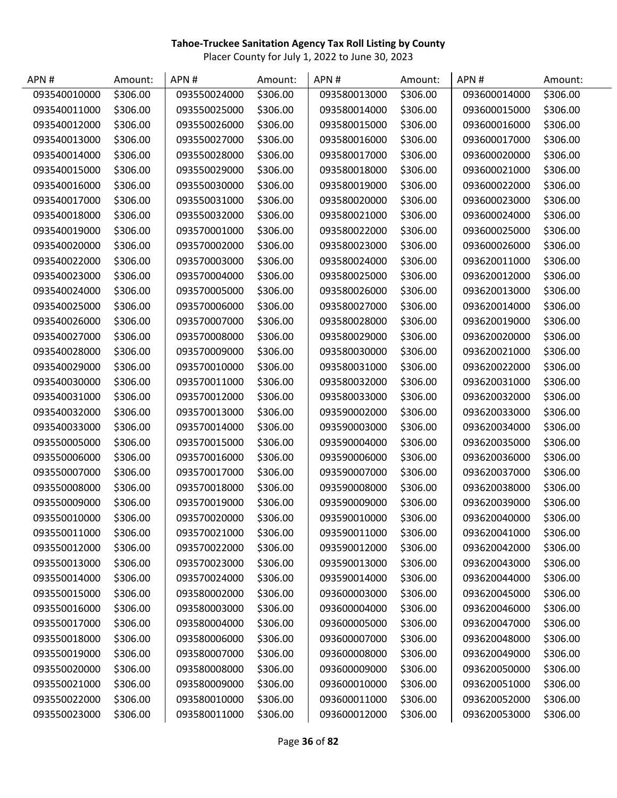| APN#         | Amount:  | APN#         | Amount:  | APN#         | Amount:  | APN#         | Amount:  |
|--------------|----------|--------------|----------|--------------|----------|--------------|----------|
| 093540010000 | \$306.00 | 093550024000 | \$306.00 | 093580013000 | \$306.00 | 093600014000 | \$306.00 |
| 093540011000 | \$306.00 | 093550025000 | \$306.00 | 093580014000 | \$306.00 | 093600015000 | \$306.00 |
| 093540012000 | \$306.00 | 093550026000 | \$306.00 | 093580015000 | \$306.00 | 093600016000 | \$306.00 |
| 093540013000 | \$306.00 | 093550027000 | \$306.00 | 093580016000 | \$306.00 | 093600017000 | \$306.00 |
| 093540014000 | \$306.00 | 093550028000 | \$306.00 | 093580017000 | \$306.00 | 093600020000 | \$306.00 |
| 093540015000 | \$306.00 | 093550029000 | \$306.00 | 093580018000 | \$306.00 | 093600021000 | \$306.00 |
| 093540016000 | \$306.00 | 093550030000 | \$306.00 | 093580019000 | \$306.00 | 093600022000 | \$306.00 |
| 093540017000 | \$306.00 | 093550031000 | \$306.00 | 093580020000 | \$306.00 | 093600023000 | \$306.00 |
| 093540018000 | \$306.00 | 093550032000 | \$306.00 | 093580021000 | \$306.00 | 093600024000 | \$306.00 |
| 093540019000 | \$306.00 | 093570001000 | \$306.00 | 093580022000 | \$306.00 | 093600025000 | \$306.00 |
| 093540020000 | \$306.00 | 093570002000 | \$306.00 | 093580023000 | \$306.00 | 093600026000 | \$306.00 |
| 093540022000 | \$306.00 | 093570003000 | \$306.00 | 093580024000 | \$306.00 | 093620011000 | \$306.00 |
| 093540023000 | \$306.00 | 093570004000 | \$306.00 | 093580025000 | \$306.00 | 093620012000 | \$306.00 |
| 093540024000 | \$306.00 | 093570005000 | \$306.00 | 093580026000 | \$306.00 | 093620013000 | \$306.00 |
| 093540025000 | \$306.00 | 093570006000 | \$306.00 | 093580027000 | \$306.00 | 093620014000 | \$306.00 |
| 093540026000 | \$306.00 | 093570007000 | \$306.00 | 093580028000 | \$306.00 | 093620019000 | \$306.00 |
| 093540027000 | \$306.00 | 093570008000 | \$306.00 | 093580029000 | \$306.00 | 093620020000 | \$306.00 |
| 093540028000 | \$306.00 | 093570009000 | \$306.00 | 093580030000 | \$306.00 | 093620021000 | \$306.00 |
| 093540029000 | \$306.00 | 093570010000 | \$306.00 | 093580031000 | \$306.00 | 093620022000 | \$306.00 |
| 093540030000 | \$306.00 | 093570011000 | \$306.00 | 093580032000 | \$306.00 | 093620031000 | \$306.00 |
| 093540031000 | \$306.00 | 093570012000 | \$306.00 | 093580033000 | \$306.00 | 093620032000 | \$306.00 |
| 093540032000 | \$306.00 | 093570013000 | \$306.00 | 093590002000 | \$306.00 | 093620033000 | \$306.00 |
| 093540033000 | \$306.00 | 093570014000 | \$306.00 | 093590003000 | \$306.00 | 093620034000 | \$306.00 |
| 093550005000 | \$306.00 | 093570015000 | \$306.00 | 093590004000 | \$306.00 | 093620035000 | \$306.00 |
| 093550006000 | \$306.00 | 093570016000 | \$306.00 | 093590006000 | \$306.00 | 093620036000 | \$306.00 |
| 093550007000 | \$306.00 | 093570017000 | \$306.00 | 093590007000 | \$306.00 | 093620037000 | \$306.00 |
| 093550008000 | \$306.00 | 093570018000 | \$306.00 | 093590008000 | \$306.00 | 093620038000 | \$306.00 |
| 093550009000 | \$306.00 | 093570019000 | \$306.00 | 093590009000 | \$306.00 | 093620039000 | \$306.00 |
| 093550010000 | \$306.00 | 093570020000 | \$306.00 | 093590010000 | \$306.00 | 093620040000 | \$306.00 |
| 093550011000 | \$306.00 | 093570021000 | \$306.00 | 093590011000 | \$306.00 | 093620041000 | \$306.00 |
| 093550012000 | \$306.00 | 093570022000 | \$306.00 | 093590012000 | \$306.00 | 093620042000 | \$306.00 |
| 093550013000 | \$306.00 | 093570023000 | \$306.00 | 093590013000 | \$306.00 | 093620043000 | \$306.00 |
| 093550014000 | \$306.00 | 093570024000 | \$306.00 | 093590014000 | \$306.00 | 093620044000 | \$306.00 |
| 093550015000 | \$306.00 | 093580002000 | \$306.00 | 093600003000 | \$306.00 | 093620045000 | \$306.00 |
| 093550016000 | \$306.00 | 093580003000 | \$306.00 | 093600004000 | \$306.00 | 093620046000 | \$306.00 |
| 093550017000 | \$306.00 | 093580004000 | \$306.00 | 093600005000 | \$306.00 | 093620047000 | \$306.00 |
| 093550018000 | \$306.00 | 093580006000 | \$306.00 | 093600007000 | \$306.00 | 093620048000 | \$306.00 |
| 093550019000 | \$306.00 | 093580007000 | \$306.00 | 093600008000 | \$306.00 | 093620049000 | \$306.00 |
| 093550020000 | \$306.00 | 093580008000 | \$306.00 | 093600009000 | \$306.00 | 093620050000 | \$306.00 |
| 093550021000 | \$306.00 | 093580009000 | \$306.00 | 093600010000 | \$306.00 | 093620051000 | \$306.00 |
| 093550022000 | \$306.00 | 093580010000 | \$306.00 | 093600011000 | \$306.00 | 093620052000 | \$306.00 |
| 093550023000 | \$306.00 | 093580011000 | \$306.00 | 093600012000 | \$306.00 | 093620053000 | \$306.00 |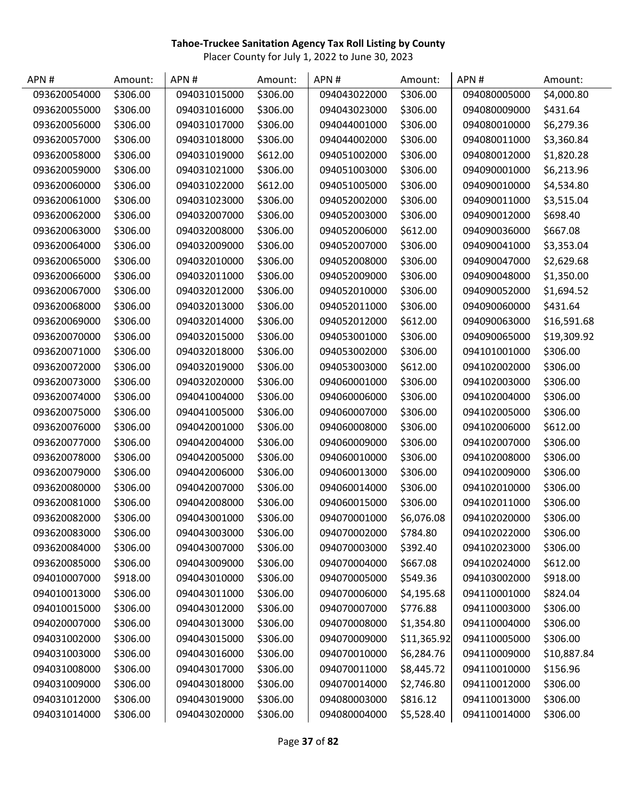| APN#         | Amount:  | APN#         | Amount:  | APN#         | Amount:     | APN#         | Amount:     |
|--------------|----------|--------------|----------|--------------|-------------|--------------|-------------|
| 093620054000 | \$306.00 | 094031015000 | \$306.00 | 094043022000 | \$306.00    | 094080005000 | \$4,000.80  |
| 093620055000 | \$306.00 | 094031016000 | \$306.00 | 094043023000 | \$306.00    | 094080009000 | \$431.64    |
| 093620056000 | \$306.00 | 094031017000 | \$306.00 | 094044001000 | \$306.00    | 094080010000 | \$6,279.36  |
| 093620057000 | \$306.00 | 094031018000 | \$306.00 | 094044002000 | \$306.00    | 094080011000 | \$3,360.84  |
| 093620058000 | \$306.00 | 094031019000 | \$612.00 | 094051002000 | \$306.00    | 094080012000 | \$1,820.28  |
| 093620059000 | \$306.00 | 094031021000 | \$306.00 | 094051003000 | \$306.00    | 094090001000 | \$6,213.96  |
| 093620060000 | \$306.00 | 094031022000 | \$612.00 | 094051005000 | \$306.00    | 094090010000 | \$4,534.80  |
| 093620061000 | \$306.00 | 094031023000 | \$306.00 | 094052002000 | \$306.00    | 094090011000 | \$3,515.04  |
| 093620062000 | \$306.00 | 094032007000 | \$306.00 | 094052003000 | \$306.00    | 094090012000 | \$698.40    |
| 093620063000 | \$306.00 | 094032008000 | \$306.00 | 094052006000 | \$612.00    | 094090036000 | \$667.08    |
| 093620064000 | \$306.00 | 094032009000 | \$306.00 | 094052007000 | \$306.00    | 094090041000 | \$3,353.04  |
| 093620065000 | \$306.00 | 094032010000 | \$306.00 | 094052008000 | \$306.00    | 094090047000 | \$2,629.68  |
| 093620066000 | \$306.00 | 094032011000 | \$306.00 | 094052009000 | \$306.00    | 094090048000 | \$1,350.00  |
| 093620067000 | \$306.00 | 094032012000 | \$306.00 | 094052010000 | \$306.00    | 094090052000 | \$1,694.52  |
| 093620068000 | \$306.00 | 094032013000 | \$306.00 | 094052011000 | \$306.00    | 094090060000 | \$431.64    |
| 093620069000 | \$306.00 | 094032014000 | \$306.00 | 094052012000 | \$612.00    | 094090063000 | \$16,591.68 |
| 093620070000 | \$306.00 | 094032015000 | \$306.00 | 094053001000 | \$306.00    | 094090065000 | \$19,309.92 |
| 093620071000 | \$306.00 | 094032018000 | \$306.00 | 094053002000 | \$306.00    | 094101001000 | \$306.00    |
| 093620072000 | \$306.00 | 094032019000 | \$306.00 | 094053003000 | \$612.00    | 094102002000 | \$306.00    |
| 093620073000 | \$306.00 | 094032020000 | \$306.00 | 094060001000 | \$306.00    | 094102003000 | \$306.00    |
| 093620074000 | \$306.00 | 094041004000 | \$306.00 | 094060006000 | \$306.00    | 094102004000 | \$306.00    |
| 093620075000 | \$306.00 | 094041005000 | \$306.00 | 094060007000 | \$306.00    | 094102005000 | \$306.00    |
| 093620076000 | \$306.00 | 094042001000 | \$306.00 | 094060008000 | \$306.00    | 094102006000 | \$612.00    |
| 093620077000 | \$306.00 | 094042004000 | \$306.00 | 094060009000 | \$306.00    | 094102007000 | \$306.00    |
| 093620078000 | \$306.00 | 094042005000 | \$306.00 | 094060010000 | \$306.00    | 094102008000 | \$306.00    |
| 093620079000 | \$306.00 | 094042006000 | \$306.00 | 094060013000 | \$306.00    | 094102009000 | \$306.00    |
| 093620080000 | \$306.00 | 094042007000 | \$306.00 | 094060014000 | \$306.00    | 094102010000 | \$306.00    |
| 093620081000 | \$306.00 | 094042008000 | \$306.00 | 094060015000 | \$306.00    | 094102011000 | \$306.00    |
| 093620082000 | \$306.00 | 094043001000 | \$306.00 | 094070001000 | \$6,076.08  | 094102020000 | \$306.00    |
| 093620083000 | \$306.00 | 094043003000 | \$306.00 | 094070002000 | \$784.80    | 094102022000 | \$306.00    |
| 093620084000 | \$306.00 | 094043007000 | \$306.00 | 094070003000 | \$392.40    | 094102023000 | \$306.00    |
| 093620085000 | \$306.00 | 094043009000 | \$306.00 | 094070004000 | \$667.08    | 094102024000 | \$612.00    |
| 094010007000 | \$918.00 | 094043010000 | \$306.00 | 094070005000 | \$549.36    | 094103002000 | \$918.00    |
| 094010013000 | \$306.00 | 094043011000 | \$306.00 | 094070006000 | \$4,195.68  | 094110001000 | \$824.04    |
| 094010015000 | \$306.00 | 094043012000 | \$306.00 | 094070007000 | \$776.88    | 094110003000 | \$306.00    |
| 094020007000 | \$306.00 | 094043013000 | \$306.00 | 094070008000 | \$1,354.80  | 094110004000 | \$306.00    |
| 094031002000 | \$306.00 | 094043015000 | \$306.00 | 094070009000 | \$11,365.92 | 094110005000 | \$306.00    |
| 094031003000 | \$306.00 | 094043016000 | \$306.00 | 094070010000 | \$6,284.76  | 094110009000 | \$10,887.84 |
| 094031008000 | \$306.00 | 094043017000 | \$306.00 | 094070011000 | \$8,445.72  | 094110010000 | \$156.96    |
| 094031009000 | \$306.00 | 094043018000 | \$306.00 | 094070014000 | \$2,746.80  | 094110012000 | \$306.00    |
| 094031012000 | \$306.00 | 094043019000 | \$306.00 | 094080003000 | \$816.12    | 094110013000 | \$306.00    |
| 094031014000 | \$306.00 | 094043020000 | \$306.00 | 094080004000 | \$5,528.40  | 094110014000 | \$306.00    |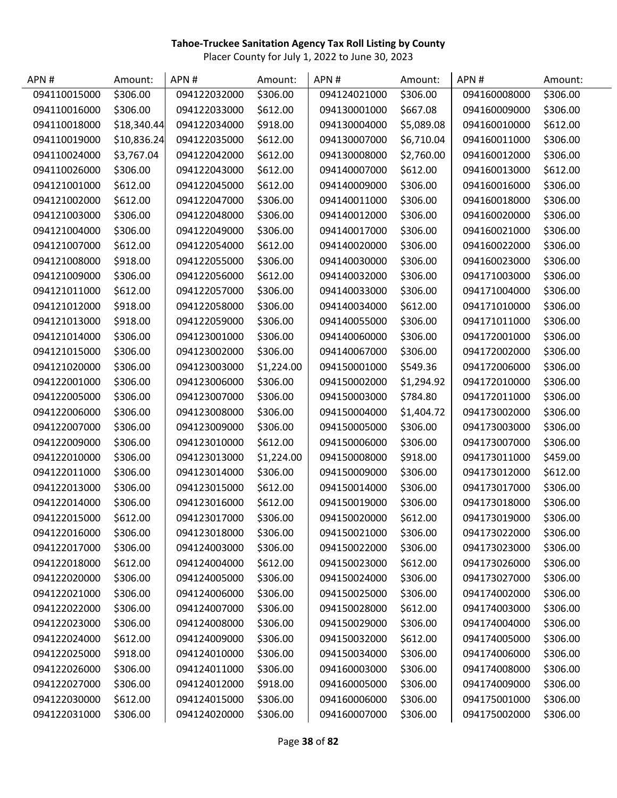| APN#         | Amount:     | APN#         | Amount:    | APN#         | Amount:    | APN#         | Amount:  |
|--------------|-------------|--------------|------------|--------------|------------|--------------|----------|
| 094110015000 | \$306.00    | 094122032000 | \$306.00   | 094124021000 | \$306.00   | 094160008000 | \$306.00 |
| 094110016000 | \$306.00    | 094122033000 | \$612.00   | 094130001000 | \$667.08   | 094160009000 | \$306.00 |
| 094110018000 | \$18,340.44 | 094122034000 | \$918.00   | 094130004000 | \$5,089.08 | 094160010000 | \$612.00 |
| 094110019000 | \$10,836.24 | 094122035000 | \$612.00   | 094130007000 | \$6,710.04 | 094160011000 | \$306.00 |
| 094110024000 | \$3,767.04  | 094122042000 | \$612.00   | 094130008000 | \$2,760.00 | 094160012000 | \$306.00 |
| 094110026000 | \$306.00    | 094122043000 | \$612.00   | 094140007000 | \$612.00   | 094160013000 | \$612.00 |
| 094121001000 | \$612.00    | 094122045000 | \$612.00   | 094140009000 | \$306.00   | 094160016000 | \$306.00 |
| 094121002000 | \$612.00    | 094122047000 | \$306.00   | 094140011000 | \$306.00   | 094160018000 | \$306.00 |
| 094121003000 | \$306.00    | 094122048000 | \$306.00   | 094140012000 | \$306.00   | 094160020000 | \$306.00 |
| 094121004000 | \$306.00    | 094122049000 | \$306.00   | 094140017000 | \$306.00   | 094160021000 | \$306.00 |
| 094121007000 | \$612.00    | 094122054000 | \$612.00   | 094140020000 | \$306.00   | 094160022000 | \$306.00 |
| 094121008000 | \$918.00    | 094122055000 | \$306.00   | 094140030000 | \$306.00   | 094160023000 | \$306.00 |
| 094121009000 | \$306.00    | 094122056000 | \$612.00   | 094140032000 | \$306.00   | 094171003000 | \$306.00 |
| 094121011000 | \$612.00    | 094122057000 | \$306.00   | 094140033000 | \$306.00   | 094171004000 | \$306.00 |
| 094121012000 | \$918.00    | 094122058000 | \$306.00   | 094140034000 | \$612.00   | 094171010000 | \$306.00 |
| 094121013000 | \$918.00    | 094122059000 | \$306.00   | 094140055000 | \$306.00   | 094171011000 | \$306.00 |
| 094121014000 | \$306.00    | 094123001000 | \$306.00   | 094140060000 | \$306.00   | 094172001000 | \$306.00 |
| 094121015000 | \$306.00    | 094123002000 | \$306.00   | 094140067000 | \$306.00   | 094172002000 | \$306.00 |
| 094121020000 | \$306.00    | 094123003000 | \$1,224.00 | 094150001000 | \$549.36   | 094172006000 | \$306.00 |
| 094122001000 | \$306.00    | 094123006000 | \$306.00   | 094150002000 | \$1,294.92 | 094172010000 | \$306.00 |
| 094122005000 | \$306.00    | 094123007000 | \$306.00   | 094150003000 | \$784.80   | 094172011000 | \$306.00 |
| 094122006000 | \$306.00    | 094123008000 | \$306.00   | 094150004000 | \$1,404.72 | 094173002000 | \$306.00 |
| 094122007000 | \$306.00    | 094123009000 | \$306.00   | 094150005000 | \$306.00   | 094173003000 | \$306.00 |
| 094122009000 | \$306.00    | 094123010000 | \$612.00   | 094150006000 | \$306.00   | 094173007000 | \$306.00 |
| 094122010000 | \$306.00    | 094123013000 | \$1,224.00 | 094150008000 | \$918.00   | 094173011000 | \$459.00 |
| 094122011000 | \$306.00    | 094123014000 | \$306.00   | 094150009000 | \$306.00   | 094173012000 | \$612.00 |
| 094122013000 | \$306.00    | 094123015000 | \$612.00   | 094150014000 | \$306.00   | 094173017000 | \$306.00 |
| 094122014000 | \$306.00    | 094123016000 | \$612.00   | 094150019000 | \$306.00   | 094173018000 | \$306.00 |
| 094122015000 | \$612.00    | 094123017000 | \$306.00   | 094150020000 | \$612.00   | 094173019000 | \$306.00 |
| 094122016000 | \$306.00    | 094123018000 | \$306.00   | 094150021000 | \$306.00   | 094173022000 | \$306.00 |
| 094122017000 | \$306.00    | 094124003000 | \$306.00   | 094150022000 | \$306.00   | 094173023000 | \$306.00 |
| 094122018000 | \$612.00    | 094124004000 | \$612.00   | 094150023000 | \$612.00   | 094173026000 | \$306.00 |
| 094122020000 | \$306.00    | 094124005000 | \$306.00   | 094150024000 | \$306.00   | 094173027000 | \$306.00 |
| 094122021000 | \$306.00    | 094124006000 | \$306.00   | 094150025000 | \$306.00   | 094174002000 | \$306.00 |
| 094122022000 | \$306.00    | 094124007000 | \$306.00   | 094150028000 | \$612.00   | 094174003000 | \$306.00 |
| 094122023000 | \$306.00    | 094124008000 | \$306.00   | 094150029000 | \$306.00   | 094174004000 | \$306.00 |
| 094122024000 | \$612.00    | 094124009000 | \$306.00   | 094150032000 | \$612.00   | 094174005000 | \$306.00 |
| 094122025000 | \$918.00    | 094124010000 | \$306.00   | 094150034000 | \$306.00   | 094174006000 | \$306.00 |
| 094122026000 | \$306.00    | 094124011000 | \$306.00   | 094160003000 | \$306.00   | 094174008000 | \$306.00 |
| 094122027000 | \$306.00    | 094124012000 | \$918.00   | 094160005000 | \$306.00   | 094174009000 | \$306.00 |
| 094122030000 | \$612.00    | 094124015000 | \$306.00   | 094160006000 | \$306.00   | 094175001000 | \$306.00 |
| 094122031000 | \$306.00    | 094124020000 | \$306.00   | 094160007000 | \$306.00   | 094175002000 | \$306.00 |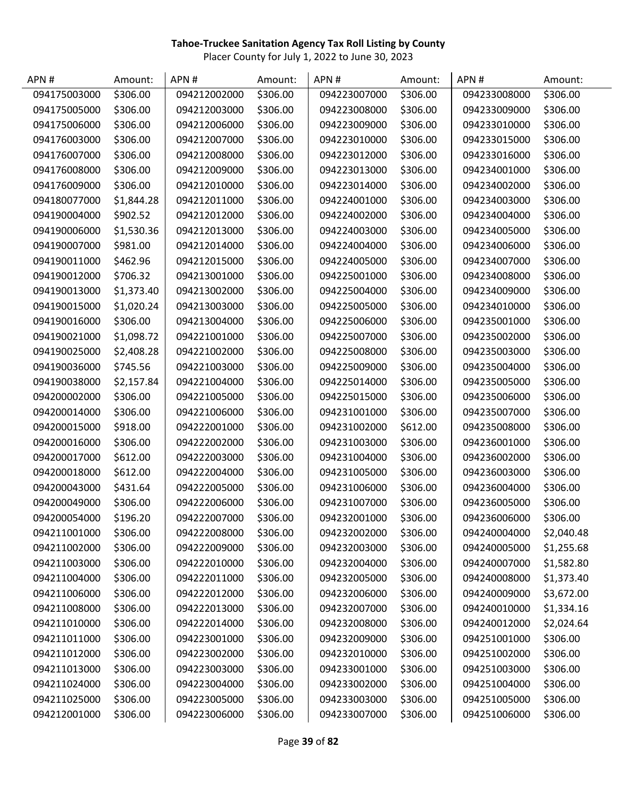| APN#         | Amount:    | APN#         | Amount:  | APN#         | Amount:  | APN#         | Amount:    |
|--------------|------------|--------------|----------|--------------|----------|--------------|------------|
| 094175003000 | \$306.00   | 094212002000 | \$306.00 | 094223007000 | \$306.00 | 094233008000 | \$306.00   |
| 094175005000 | \$306.00   | 094212003000 | \$306.00 | 094223008000 | \$306.00 | 094233009000 | \$306.00   |
| 094175006000 | \$306.00   | 094212006000 | \$306.00 | 094223009000 | \$306.00 | 094233010000 | \$306.00   |
| 094176003000 | \$306.00   | 094212007000 | \$306.00 | 094223010000 | \$306.00 | 094233015000 | \$306.00   |
| 094176007000 | \$306.00   | 094212008000 | \$306.00 | 094223012000 | \$306.00 | 094233016000 | \$306.00   |
| 094176008000 | \$306.00   | 094212009000 | \$306.00 | 094223013000 | \$306.00 | 094234001000 | \$306.00   |
| 094176009000 | \$306.00   | 094212010000 | \$306.00 | 094223014000 | \$306.00 | 094234002000 | \$306.00   |
| 094180077000 | \$1,844.28 | 094212011000 | \$306.00 | 094224001000 | \$306.00 | 094234003000 | \$306.00   |
| 094190004000 | \$902.52   | 094212012000 | \$306.00 | 094224002000 | \$306.00 | 094234004000 | \$306.00   |
| 094190006000 | \$1,530.36 | 094212013000 | \$306.00 | 094224003000 | \$306.00 | 094234005000 | \$306.00   |
| 094190007000 | \$981.00   | 094212014000 | \$306.00 | 094224004000 | \$306.00 | 094234006000 | \$306.00   |
| 094190011000 | \$462.96   | 094212015000 | \$306.00 | 094224005000 | \$306.00 | 094234007000 | \$306.00   |
| 094190012000 | \$706.32   | 094213001000 | \$306.00 | 094225001000 | \$306.00 | 094234008000 | \$306.00   |
| 094190013000 | \$1,373.40 | 094213002000 | \$306.00 | 094225004000 | \$306.00 | 094234009000 | \$306.00   |
| 094190015000 | \$1,020.24 | 094213003000 | \$306.00 | 094225005000 | \$306.00 | 094234010000 | \$306.00   |
| 094190016000 | \$306.00   | 094213004000 | \$306.00 | 094225006000 | \$306.00 | 094235001000 | \$306.00   |
| 094190021000 | \$1,098.72 | 094221001000 | \$306.00 | 094225007000 | \$306.00 | 094235002000 | \$306.00   |
| 094190025000 | \$2,408.28 | 094221002000 | \$306.00 | 094225008000 | \$306.00 | 094235003000 | \$306.00   |
| 094190036000 | \$745.56   | 094221003000 | \$306.00 | 094225009000 | \$306.00 | 094235004000 | \$306.00   |
| 094190038000 | \$2,157.84 | 094221004000 | \$306.00 | 094225014000 | \$306.00 | 094235005000 | \$306.00   |
| 094200002000 | \$306.00   | 094221005000 | \$306.00 | 094225015000 | \$306.00 | 094235006000 | \$306.00   |
| 094200014000 | \$306.00   | 094221006000 | \$306.00 | 094231001000 | \$306.00 | 094235007000 | \$306.00   |
| 094200015000 | \$918.00   | 094222001000 | \$306.00 | 094231002000 | \$612.00 | 094235008000 | \$306.00   |
| 094200016000 | \$306.00   | 094222002000 | \$306.00 | 094231003000 | \$306.00 | 094236001000 | \$306.00   |
| 094200017000 | \$612.00   | 094222003000 | \$306.00 | 094231004000 | \$306.00 | 094236002000 | \$306.00   |
| 094200018000 | \$612.00   | 094222004000 | \$306.00 | 094231005000 | \$306.00 | 094236003000 | \$306.00   |
| 094200043000 | \$431.64   | 094222005000 | \$306.00 | 094231006000 | \$306.00 | 094236004000 | \$306.00   |
| 094200049000 | \$306.00   | 094222006000 | \$306.00 | 094231007000 | \$306.00 | 094236005000 | \$306.00   |
| 094200054000 | \$196.20   | 094222007000 | \$306.00 | 094232001000 | \$306.00 | 094236006000 | \$306.00   |
| 094211001000 | \$306.00   | 094222008000 | \$306.00 | 094232002000 | \$306.00 | 094240004000 | \$2,040.48 |
| 094211002000 | \$306.00   | 094222009000 | \$306.00 | 094232003000 | \$306.00 | 094240005000 | \$1,255.68 |
| 094211003000 | \$306.00   | 094222010000 | \$306.00 | 094232004000 | \$306.00 | 094240007000 | \$1,582.80 |
| 094211004000 | \$306.00   | 094222011000 | \$306.00 | 094232005000 | \$306.00 | 094240008000 | \$1,373.40 |
| 094211006000 | \$306.00   | 094222012000 | \$306.00 | 094232006000 | \$306.00 | 094240009000 | \$3,672.00 |
| 094211008000 | \$306.00   | 094222013000 | \$306.00 | 094232007000 | \$306.00 | 094240010000 | \$1,334.16 |
| 094211010000 | \$306.00   | 094222014000 | \$306.00 | 094232008000 | \$306.00 | 094240012000 | \$2,024.64 |
| 094211011000 | \$306.00   | 094223001000 | \$306.00 | 094232009000 | \$306.00 | 094251001000 | \$306.00   |
| 094211012000 | \$306.00   | 094223002000 | \$306.00 | 094232010000 | \$306.00 | 094251002000 | \$306.00   |
| 094211013000 | \$306.00   | 094223003000 | \$306.00 | 094233001000 | \$306.00 | 094251003000 | \$306.00   |
| 094211024000 | \$306.00   | 094223004000 | \$306.00 | 094233002000 | \$306.00 | 094251004000 | \$306.00   |
| 094211025000 | \$306.00   | 094223005000 | \$306.00 | 094233003000 | \$306.00 | 094251005000 | \$306.00   |
| 094212001000 | \$306.00   | 094223006000 | \$306.00 | 094233007000 | \$306.00 | 094251006000 | \$306.00   |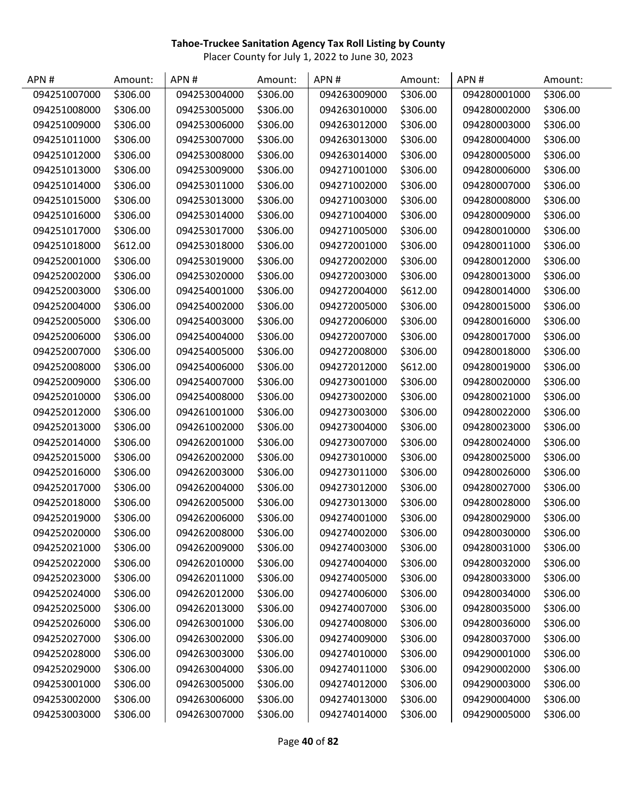| APN#         | Amount:  | APN#         | Amount:  | APN#         | Amount:  | APN#         | Amount:  |
|--------------|----------|--------------|----------|--------------|----------|--------------|----------|
| 094251007000 | \$306.00 | 094253004000 | \$306.00 | 094263009000 | \$306.00 | 094280001000 | \$306.00 |
| 094251008000 | \$306.00 | 094253005000 | \$306.00 | 094263010000 | \$306.00 | 094280002000 | \$306.00 |
| 094251009000 | \$306.00 | 094253006000 | \$306.00 | 094263012000 | \$306.00 | 094280003000 | \$306.00 |
| 094251011000 | \$306.00 | 094253007000 | \$306.00 | 094263013000 | \$306.00 | 094280004000 | \$306.00 |
| 094251012000 | \$306.00 | 094253008000 | \$306.00 | 094263014000 | \$306.00 | 094280005000 | \$306.00 |
| 094251013000 | \$306.00 | 094253009000 | \$306.00 | 094271001000 | \$306.00 | 094280006000 | \$306.00 |
| 094251014000 | \$306.00 | 094253011000 | \$306.00 | 094271002000 | \$306.00 | 094280007000 | \$306.00 |
| 094251015000 | \$306.00 | 094253013000 | \$306.00 | 094271003000 | \$306.00 | 094280008000 | \$306.00 |
| 094251016000 | \$306.00 | 094253014000 | \$306.00 | 094271004000 | \$306.00 | 094280009000 | \$306.00 |
| 094251017000 | \$306.00 | 094253017000 | \$306.00 | 094271005000 | \$306.00 | 094280010000 | \$306.00 |
| 094251018000 | \$612.00 | 094253018000 | \$306.00 | 094272001000 | \$306.00 | 094280011000 | \$306.00 |
| 094252001000 | \$306.00 | 094253019000 | \$306.00 | 094272002000 | \$306.00 | 094280012000 | \$306.00 |
| 094252002000 | \$306.00 | 094253020000 | \$306.00 | 094272003000 | \$306.00 | 094280013000 | \$306.00 |
| 094252003000 | \$306.00 | 094254001000 | \$306.00 | 094272004000 | \$612.00 | 094280014000 | \$306.00 |
| 094252004000 | \$306.00 | 094254002000 | \$306.00 | 094272005000 | \$306.00 | 094280015000 | \$306.00 |
| 094252005000 | \$306.00 | 094254003000 | \$306.00 | 094272006000 | \$306.00 | 094280016000 | \$306.00 |
| 094252006000 | \$306.00 | 094254004000 | \$306.00 | 094272007000 | \$306.00 | 094280017000 | \$306.00 |
| 094252007000 | \$306.00 | 094254005000 | \$306.00 | 094272008000 | \$306.00 | 094280018000 | \$306.00 |
| 094252008000 | \$306.00 | 094254006000 | \$306.00 | 094272012000 | \$612.00 | 094280019000 | \$306.00 |
| 094252009000 | \$306.00 | 094254007000 | \$306.00 | 094273001000 | \$306.00 | 094280020000 | \$306.00 |
| 094252010000 | \$306.00 | 094254008000 | \$306.00 | 094273002000 | \$306.00 | 094280021000 | \$306.00 |
| 094252012000 | \$306.00 | 094261001000 | \$306.00 | 094273003000 | \$306.00 | 094280022000 | \$306.00 |
| 094252013000 | \$306.00 | 094261002000 | \$306.00 | 094273004000 | \$306.00 | 094280023000 | \$306.00 |
| 094252014000 | \$306.00 | 094262001000 | \$306.00 | 094273007000 | \$306.00 | 094280024000 | \$306.00 |
| 094252015000 | \$306.00 | 094262002000 | \$306.00 | 094273010000 | \$306.00 | 094280025000 | \$306.00 |
| 094252016000 | \$306.00 | 094262003000 | \$306.00 | 094273011000 | \$306.00 | 094280026000 | \$306.00 |
| 094252017000 | \$306.00 | 094262004000 | \$306.00 | 094273012000 | \$306.00 | 094280027000 | \$306.00 |
| 094252018000 | \$306.00 | 094262005000 | \$306.00 | 094273013000 | \$306.00 | 094280028000 | \$306.00 |
| 094252019000 | \$306.00 | 094262006000 | \$306.00 | 094274001000 | \$306.00 | 094280029000 | \$306.00 |
| 094252020000 | \$306.00 | 094262008000 | \$306.00 | 094274002000 | \$306.00 | 094280030000 | \$306.00 |
| 094252021000 | \$306.00 | 094262009000 | \$306.00 | 094274003000 | \$306.00 | 094280031000 | \$306.00 |
| 094252022000 | \$306.00 | 094262010000 | \$306.00 | 094274004000 | \$306.00 | 094280032000 | \$306.00 |
| 094252023000 | \$306.00 | 094262011000 | \$306.00 | 094274005000 | \$306.00 | 094280033000 | \$306.00 |
| 094252024000 | \$306.00 | 094262012000 | \$306.00 | 094274006000 | \$306.00 | 094280034000 | \$306.00 |
| 094252025000 | \$306.00 | 094262013000 | \$306.00 | 094274007000 | \$306.00 | 094280035000 | \$306.00 |
| 094252026000 | \$306.00 | 094263001000 | \$306.00 | 094274008000 | \$306.00 | 094280036000 | \$306.00 |
| 094252027000 | \$306.00 | 094263002000 | \$306.00 | 094274009000 | \$306.00 | 094280037000 | \$306.00 |
| 094252028000 | \$306.00 | 094263003000 | \$306.00 | 094274010000 | \$306.00 | 094290001000 | \$306.00 |
| 094252029000 | \$306.00 | 094263004000 | \$306.00 | 094274011000 | \$306.00 | 094290002000 | \$306.00 |
| 094253001000 | \$306.00 | 094263005000 | \$306.00 | 094274012000 | \$306.00 | 094290003000 | \$306.00 |
| 094253002000 | \$306.00 | 094263006000 | \$306.00 | 094274013000 | \$306.00 | 094290004000 | \$306.00 |
| 094253003000 | \$306.00 | 094263007000 | \$306.00 | 094274014000 | \$306.00 | 094290005000 | \$306.00 |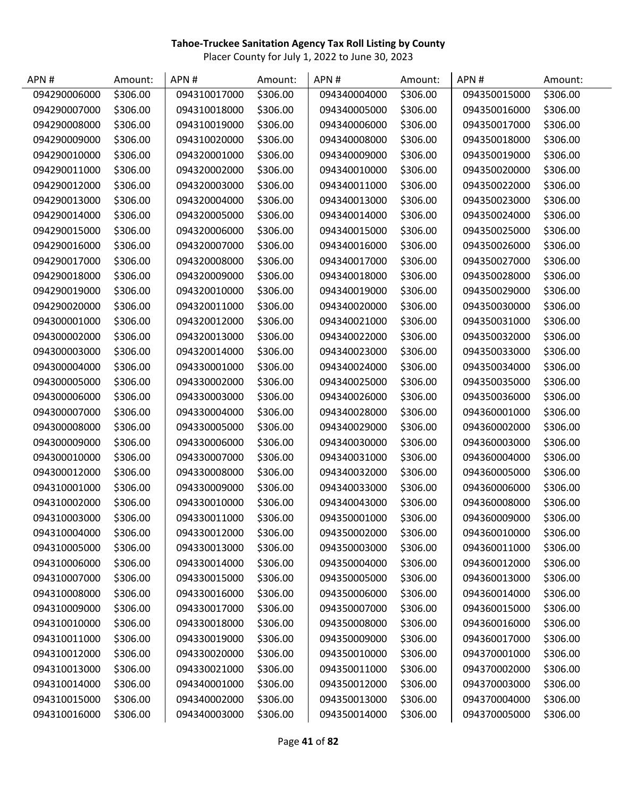| APN#         | Amount:  | APN#         | Amount:  | APN#         | Amount:  | APN#         | Amount:  |
|--------------|----------|--------------|----------|--------------|----------|--------------|----------|
| 094290006000 | \$306.00 | 094310017000 | \$306.00 | 094340004000 | \$306.00 | 094350015000 | \$306.00 |
| 094290007000 | \$306.00 | 094310018000 | \$306.00 | 094340005000 | \$306.00 | 094350016000 | \$306.00 |
| 094290008000 | \$306.00 | 094310019000 | \$306.00 | 094340006000 | \$306.00 | 094350017000 | \$306.00 |
| 094290009000 | \$306.00 | 094310020000 | \$306.00 | 094340008000 | \$306.00 | 094350018000 | \$306.00 |
| 094290010000 | \$306.00 | 094320001000 | \$306.00 | 094340009000 | \$306.00 | 094350019000 | \$306.00 |
| 094290011000 | \$306.00 | 094320002000 | \$306.00 | 094340010000 | \$306.00 | 094350020000 | \$306.00 |
| 094290012000 | \$306.00 | 094320003000 | \$306.00 | 094340011000 | \$306.00 | 094350022000 | \$306.00 |
| 094290013000 | \$306.00 | 094320004000 | \$306.00 | 094340013000 | \$306.00 | 094350023000 | \$306.00 |
| 094290014000 | \$306.00 | 094320005000 | \$306.00 | 094340014000 | \$306.00 | 094350024000 | \$306.00 |
| 094290015000 | \$306.00 | 094320006000 | \$306.00 | 094340015000 | \$306.00 | 094350025000 | \$306.00 |
| 094290016000 | \$306.00 | 094320007000 | \$306.00 | 094340016000 | \$306.00 | 094350026000 | \$306.00 |
| 094290017000 | \$306.00 | 094320008000 | \$306.00 | 094340017000 | \$306.00 | 094350027000 | \$306.00 |
| 094290018000 | \$306.00 | 094320009000 | \$306.00 | 094340018000 | \$306.00 | 094350028000 | \$306.00 |
| 094290019000 | \$306.00 | 094320010000 | \$306.00 | 094340019000 | \$306.00 | 094350029000 | \$306.00 |
| 094290020000 | \$306.00 | 094320011000 | \$306.00 | 094340020000 | \$306.00 | 094350030000 | \$306.00 |
| 094300001000 | \$306.00 | 094320012000 | \$306.00 | 094340021000 | \$306.00 | 094350031000 | \$306.00 |
| 094300002000 | \$306.00 | 094320013000 | \$306.00 | 094340022000 | \$306.00 | 094350032000 | \$306.00 |
| 094300003000 | \$306.00 | 094320014000 | \$306.00 | 094340023000 | \$306.00 | 094350033000 | \$306.00 |
| 094300004000 | \$306.00 | 094330001000 | \$306.00 | 094340024000 | \$306.00 | 094350034000 | \$306.00 |
| 094300005000 | \$306.00 | 094330002000 | \$306.00 | 094340025000 | \$306.00 | 094350035000 | \$306.00 |
| 094300006000 | \$306.00 | 094330003000 | \$306.00 | 094340026000 | \$306.00 | 094350036000 | \$306.00 |
| 094300007000 | \$306.00 | 094330004000 | \$306.00 | 094340028000 | \$306.00 | 094360001000 | \$306.00 |
| 094300008000 | \$306.00 | 094330005000 | \$306.00 | 094340029000 | \$306.00 | 094360002000 | \$306.00 |
| 094300009000 | \$306.00 | 094330006000 | \$306.00 | 094340030000 | \$306.00 | 094360003000 | \$306.00 |
| 094300010000 | \$306.00 | 094330007000 | \$306.00 | 094340031000 | \$306.00 | 094360004000 | \$306.00 |
| 094300012000 | \$306.00 | 094330008000 | \$306.00 | 094340032000 | \$306.00 | 094360005000 | \$306.00 |
| 094310001000 | \$306.00 | 094330009000 | \$306.00 | 094340033000 | \$306.00 | 094360006000 | \$306.00 |
| 094310002000 | \$306.00 | 094330010000 | \$306.00 | 094340043000 | \$306.00 | 094360008000 | \$306.00 |
| 094310003000 | \$306.00 | 094330011000 | \$306.00 | 094350001000 | \$306.00 | 094360009000 | \$306.00 |
| 094310004000 | \$306.00 | 094330012000 | \$306.00 | 094350002000 | \$306.00 | 094360010000 | \$306.00 |
| 094310005000 | \$306.00 | 094330013000 | \$306.00 | 094350003000 | \$306.00 | 094360011000 | \$306.00 |
| 094310006000 | \$306.00 | 094330014000 | \$306.00 | 094350004000 | \$306.00 | 094360012000 | \$306.00 |
| 094310007000 | \$306.00 | 094330015000 | \$306.00 | 094350005000 | \$306.00 | 094360013000 | \$306.00 |
| 094310008000 | \$306.00 | 094330016000 | \$306.00 | 094350006000 | \$306.00 | 094360014000 | \$306.00 |
| 094310009000 | \$306.00 | 094330017000 | \$306.00 | 094350007000 | \$306.00 | 094360015000 | \$306.00 |
| 094310010000 | \$306.00 | 094330018000 | \$306.00 | 094350008000 | \$306.00 | 094360016000 | \$306.00 |
| 094310011000 | \$306.00 | 094330019000 | \$306.00 | 094350009000 | \$306.00 | 094360017000 | \$306.00 |
| 094310012000 | \$306.00 | 094330020000 | \$306.00 | 094350010000 | \$306.00 | 094370001000 | \$306.00 |
| 094310013000 | \$306.00 | 094330021000 | \$306.00 | 094350011000 | \$306.00 | 094370002000 | \$306.00 |
| 094310014000 | \$306.00 | 094340001000 | \$306.00 | 094350012000 | \$306.00 | 094370003000 | \$306.00 |
| 094310015000 | \$306.00 | 094340002000 | \$306.00 | 094350013000 | \$306.00 | 094370004000 | \$306.00 |
| 094310016000 | \$306.00 | 094340003000 | \$306.00 | 094350014000 | \$306.00 | 094370005000 | \$306.00 |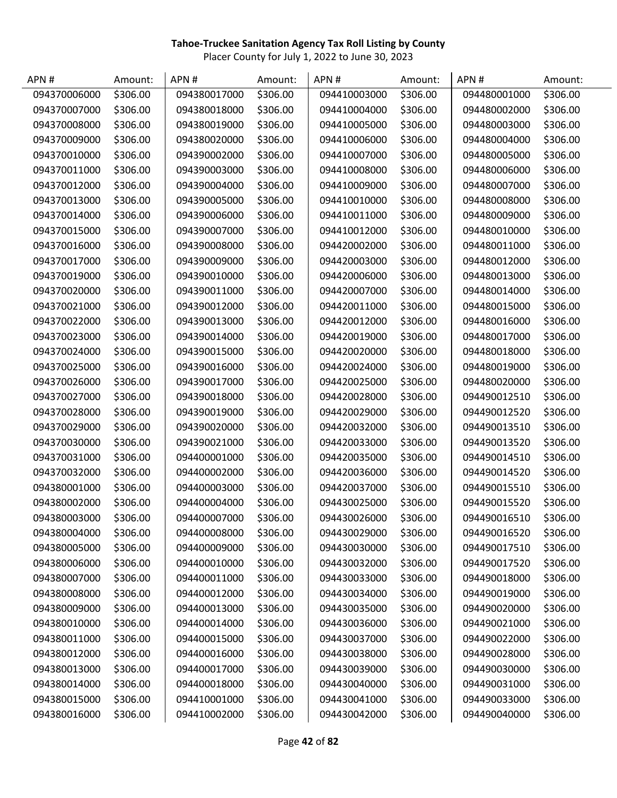| APN#         | Amount:  | APN#         | Amount:  | APN#         | Amount:  | APN#         | Amount:  |
|--------------|----------|--------------|----------|--------------|----------|--------------|----------|
| 094370006000 | \$306.00 | 094380017000 | \$306.00 | 094410003000 | \$306.00 | 094480001000 | \$306.00 |
| 094370007000 | \$306.00 | 094380018000 | \$306.00 | 094410004000 | \$306.00 | 094480002000 | \$306.00 |
| 094370008000 | \$306.00 | 094380019000 | \$306.00 | 094410005000 | \$306.00 | 094480003000 | \$306.00 |
| 094370009000 | \$306.00 | 094380020000 | \$306.00 | 094410006000 | \$306.00 | 094480004000 | \$306.00 |
| 094370010000 | \$306.00 | 094390002000 | \$306.00 | 094410007000 | \$306.00 | 094480005000 | \$306.00 |
| 094370011000 | \$306.00 | 094390003000 | \$306.00 | 094410008000 | \$306.00 | 094480006000 | \$306.00 |
| 094370012000 | \$306.00 | 094390004000 | \$306.00 | 094410009000 | \$306.00 | 094480007000 | \$306.00 |
| 094370013000 | \$306.00 | 094390005000 | \$306.00 | 094410010000 | \$306.00 | 094480008000 | \$306.00 |
| 094370014000 | \$306.00 | 094390006000 | \$306.00 | 094410011000 | \$306.00 | 094480009000 | \$306.00 |
| 094370015000 | \$306.00 | 094390007000 | \$306.00 | 094410012000 | \$306.00 | 094480010000 | \$306.00 |
| 094370016000 | \$306.00 | 094390008000 | \$306.00 | 094420002000 | \$306.00 | 094480011000 | \$306.00 |
| 094370017000 | \$306.00 | 094390009000 | \$306.00 | 094420003000 | \$306.00 | 094480012000 | \$306.00 |
| 094370019000 | \$306.00 | 094390010000 | \$306.00 | 094420006000 | \$306.00 | 094480013000 | \$306.00 |
| 094370020000 | \$306.00 | 094390011000 | \$306.00 | 094420007000 | \$306.00 | 094480014000 | \$306.00 |
| 094370021000 | \$306.00 | 094390012000 | \$306.00 | 094420011000 | \$306.00 | 094480015000 | \$306.00 |
| 094370022000 | \$306.00 | 094390013000 | \$306.00 | 094420012000 | \$306.00 | 094480016000 | \$306.00 |
| 094370023000 | \$306.00 | 094390014000 | \$306.00 | 094420019000 | \$306.00 | 094480017000 | \$306.00 |
| 094370024000 | \$306.00 | 094390015000 | \$306.00 | 094420020000 | \$306.00 | 094480018000 | \$306.00 |
| 094370025000 | \$306.00 | 094390016000 | \$306.00 | 094420024000 | \$306.00 | 094480019000 | \$306.00 |
| 094370026000 | \$306.00 | 094390017000 | \$306.00 | 094420025000 | \$306.00 | 094480020000 | \$306.00 |
| 094370027000 | \$306.00 | 094390018000 | \$306.00 | 094420028000 | \$306.00 | 094490012510 | \$306.00 |
| 094370028000 | \$306.00 | 094390019000 | \$306.00 | 094420029000 | \$306.00 | 094490012520 | \$306.00 |
| 094370029000 | \$306.00 | 094390020000 | \$306.00 | 094420032000 | \$306.00 | 094490013510 | \$306.00 |
| 094370030000 | \$306.00 | 094390021000 | \$306.00 | 094420033000 | \$306.00 | 094490013520 | \$306.00 |
| 094370031000 | \$306.00 | 094400001000 | \$306.00 | 094420035000 | \$306.00 | 094490014510 | \$306.00 |
| 094370032000 | \$306.00 | 094400002000 | \$306.00 | 094420036000 | \$306.00 | 094490014520 | \$306.00 |
| 094380001000 | \$306.00 | 094400003000 | \$306.00 | 094420037000 | \$306.00 | 094490015510 | \$306.00 |
| 094380002000 | \$306.00 | 094400004000 | \$306.00 | 094430025000 | \$306.00 | 094490015520 | \$306.00 |
| 094380003000 | \$306.00 | 094400007000 | \$306.00 | 094430026000 | \$306.00 | 094490016510 | \$306.00 |
| 094380004000 | \$306.00 | 094400008000 | \$306.00 | 094430029000 | \$306.00 | 094490016520 | \$306.00 |
| 094380005000 | \$306.00 | 094400009000 | \$306.00 | 094430030000 | \$306.00 | 094490017510 | \$306.00 |
| 094380006000 | \$306.00 | 094400010000 | \$306.00 | 094430032000 | \$306.00 | 094490017520 | \$306.00 |
| 094380007000 | \$306.00 | 094400011000 | \$306.00 | 094430033000 | \$306.00 | 094490018000 | \$306.00 |
| 094380008000 | \$306.00 | 094400012000 | \$306.00 | 094430034000 | \$306.00 | 094490019000 | \$306.00 |
| 094380009000 | \$306.00 | 094400013000 | \$306.00 | 094430035000 | \$306.00 | 094490020000 | \$306.00 |
| 094380010000 | \$306.00 | 094400014000 | \$306.00 | 094430036000 | \$306.00 | 094490021000 | \$306.00 |
| 094380011000 | \$306.00 | 094400015000 | \$306.00 | 094430037000 | \$306.00 | 094490022000 | \$306.00 |
| 094380012000 | \$306.00 | 094400016000 | \$306.00 | 094430038000 | \$306.00 | 094490028000 | \$306.00 |
| 094380013000 | \$306.00 | 094400017000 | \$306.00 | 094430039000 | \$306.00 | 094490030000 | \$306.00 |
| 094380014000 | \$306.00 | 094400018000 | \$306.00 | 094430040000 | \$306.00 | 094490031000 | \$306.00 |
| 094380015000 | \$306.00 | 094410001000 | \$306.00 | 094430041000 | \$306.00 | 094490033000 | \$306.00 |
| 094380016000 | \$306.00 | 094410002000 | \$306.00 | 094430042000 | \$306.00 | 094490040000 | \$306.00 |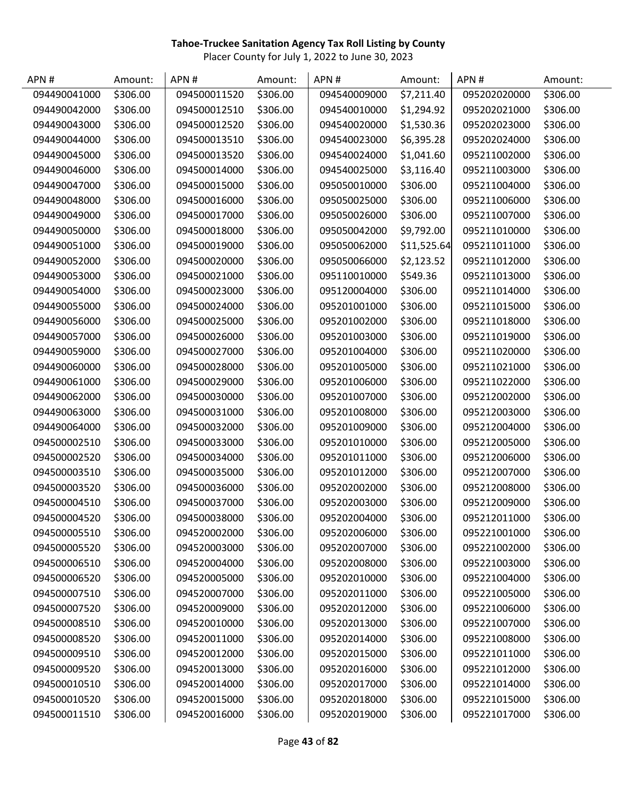| APN#         | Amount:  | APN#         | Amount:  | APN#         | Amount:     | APN#         | Amount:  |
|--------------|----------|--------------|----------|--------------|-------------|--------------|----------|
| 094490041000 | \$306.00 | 094500011520 | \$306.00 | 094540009000 | \$7,211.40  | 095202020000 | \$306.00 |
| 094490042000 | \$306.00 | 094500012510 | \$306.00 | 094540010000 | \$1,294.92  | 095202021000 | \$306.00 |
| 094490043000 | \$306.00 | 094500012520 | \$306.00 | 094540020000 | \$1,530.36  | 095202023000 | \$306.00 |
| 094490044000 | \$306.00 | 094500013510 | \$306.00 | 094540023000 | \$6,395.28  | 095202024000 | \$306.00 |
| 094490045000 | \$306.00 | 094500013520 | \$306.00 | 094540024000 | \$1,041.60  | 095211002000 | \$306.00 |
| 094490046000 | \$306.00 | 094500014000 | \$306.00 | 094540025000 | \$3,116.40  | 095211003000 | \$306.00 |
| 094490047000 | \$306.00 | 094500015000 | \$306.00 | 095050010000 | \$306.00    | 095211004000 | \$306.00 |
| 094490048000 | \$306.00 | 094500016000 | \$306.00 | 095050025000 | \$306.00    | 095211006000 | \$306.00 |
| 094490049000 | \$306.00 | 094500017000 | \$306.00 | 095050026000 | \$306.00    | 095211007000 | \$306.00 |
| 094490050000 | \$306.00 | 094500018000 | \$306.00 | 095050042000 | \$9,792.00  | 095211010000 | \$306.00 |
| 094490051000 | \$306.00 | 094500019000 | \$306.00 | 095050062000 | \$11,525.64 | 095211011000 | \$306.00 |
| 094490052000 | \$306.00 | 094500020000 | \$306.00 | 095050066000 | \$2,123.52  | 095211012000 | \$306.00 |
| 094490053000 | \$306.00 | 094500021000 | \$306.00 | 095110010000 | \$549.36    | 095211013000 | \$306.00 |
| 094490054000 | \$306.00 | 094500023000 | \$306.00 | 095120004000 | \$306.00    | 095211014000 | \$306.00 |
| 094490055000 | \$306.00 | 094500024000 | \$306.00 | 095201001000 | \$306.00    | 095211015000 | \$306.00 |
| 094490056000 | \$306.00 | 094500025000 | \$306.00 | 095201002000 | \$306.00    | 095211018000 | \$306.00 |
| 094490057000 | \$306.00 | 094500026000 | \$306.00 | 095201003000 | \$306.00    | 095211019000 | \$306.00 |
| 094490059000 | \$306.00 | 094500027000 | \$306.00 | 095201004000 | \$306.00    | 095211020000 | \$306.00 |
| 094490060000 | \$306.00 | 094500028000 | \$306.00 | 095201005000 | \$306.00    | 095211021000 | \$306.00 |
| 094490061000 | \$306.00 | 094500029000 | \$306.00 | 095201006000 | \$306.00    | 095211022000 | \$306.00 |
| 094490062000 | \$306.00 | 094500030000 | \$306.00 | 095201007000 | \$306.00    | 095212002000 | \$306.00 |
| 094490063000 | \$306.00 | 094500031000 | \$306.00 | 095201008000 | \$306.00    | 095212003000 | \$306.00 |
| 094490064000 | \$306.00 | 094500032000 | \$306.00 | 095201009000 | \$306.00    | 095212004000 | \$306.00 |
| 094500002510 | \$306.00 | 094500033000 | \$306.00 | 095201010000 | \$306.00    | 095212005000 | \$306.00 |
| 094500002520 | \$306.00 | 094500034000 | \$306.00 | 095201011000 | \$306.00    | 095212006000 | \$306.00 |
| 094500003510 | \$306.00 | 094500035000 | \$306.00 | 095201012000 | \$306.00    | 095212007000 | \$306.00 |
| 094500003520 | \$306.00 | 094500036000 | \$306.00 | 095202002000 | \$306.00    | 095212008000 | \$306.00 |
| 094500004510 | \$306.00 | 094500037000 | \$306.00 | 095202003000 | \$306.00    | 095212009000 | \$306.00 |
| 094500004520 | \$306.00 | 094500038000 | \$306.00 | 095202004000 | \$306.00    | 095212011000 | \$306.00 |
| 094500005510 | \$306.00 | 094520002000 | \$306.00 | 095202006000 | \$306.00    | 095221001000 | \$306.00 |
| 094500005520 | \$306.00 | 094520003000 | \$306.00 | 095202007000 | \$306.00    | 095221002000 | \$306.00 |
| 094500006510 | \$306.00 | 094520004000 | \$306.00 | 095202008000 | \$306.00    | 095221003000 | \$306.00 |
| 094500006520 | \$306.00 | 094520005000 | \$306.00 | 095202010000 | \$306.00    | 095221004000 | \$306.00 |
| 094500007510 | \$306.00 | 094520007000 | \$306.00 | 095202011000 | \$306.00    | 095221005000 | \$306.00 |
| 094500007520 | \$306.00 | 094520009000 | \$306.00 | 095202012000 | \$306.00    | 095221006000 | \$306.00 |
| 094500008510 | \$306.00 | 094520010000 | \$306.00 | 095202013000 | \$306.00    | 095221007000 | \$306.00 |
| 094500008520 | \$306.00 | 094520011000 | \$306.00 | 095202014000 | \$306.00    | 095221008000 | \$306.00 |
| 094500009510 | \$306.00 | 094520012000 | \$306.00 | 095202015000 | \$306.00    | 095221011000 | \$306.00 |
| 094500009520 | \$306.00 | 094520013000 | \$306.00 | 095202016000 | \$306.00    | 095221012000 | \$306.00 |
| 094500010510 | \$306.00 | 094520014000 | \$306.00 | 095202017000 | \$306.00    | 095221014000 | \$306.00 |
| 094500010520 | \$306.00 | 094520015000 | \$306.00 | 095202018000 | \$306.00    | 095221015000 | \$306.00 |
| 094500011510 | \$306.00 | 094520016000 | \$306.00 | 095202019000 | \$306.00    | 095221017000 | \$306.00 |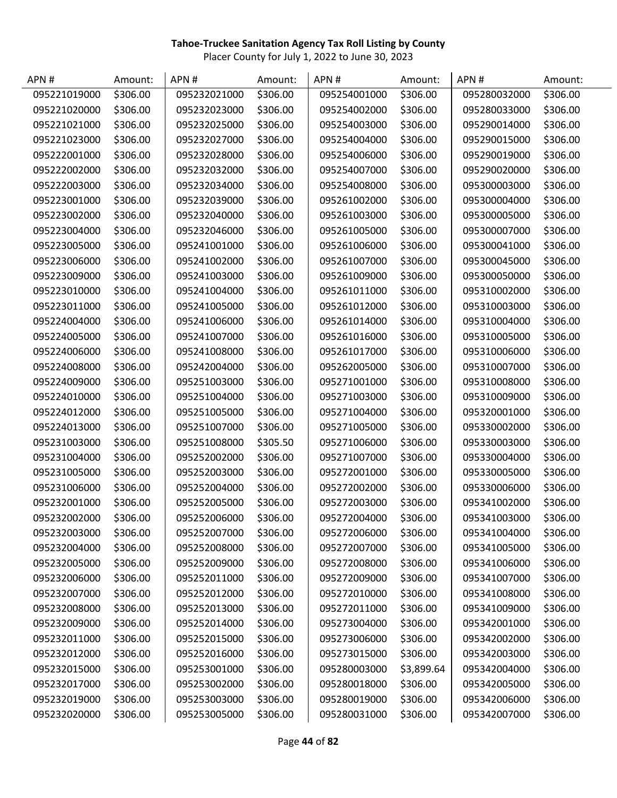| APN#         | Amount:  | APN#         | Amount:  | APN#         | Amount:    | APN#         | Amount:  |
|--------------|----------|--------------|----------|--------------|------------|--------------|----------|
| 095221019000 | \$306.00 | 095232021000 | \$306.00 | 095254001000 | \$306.00   | 095280032000 | \$306.00 |
| 095221020000 | \$306.00 | 095232023000 | \$306.00 | 095254002000 | \$306.00   | 095280033000 | \$306.00 |
| 095221021000 | \$306.00 | 095232025000 | \$306.00 | 095254003000 | \$306.00   | 095290014000 | \$306.00 |
| 095221023000 | \$306.00 | 095232027000 | \$306.00 | 095254004000 | \$306.00   | 095290015000 | \$306.00 |
| 095222001000 | \$306.00 | 095232028000 | \$306.00 | 095254006000 | \$306.00   | 095290019000 | \$306.00 |
| 095222002000 | \$306.00 | 095232032000 | \$306.00 | 095254007000 | \$306.00   | 095290020000 | \$306.00 |
| 095222003000 | \$306.00 | 095232034000 | \$306.00 | 095254008000 | \$306.00   | 095300003000 | \$306.00 |
| 095223001000 | \$306.00 | 095232039000 | \$306.00 | 095261002000 | \$306.00   | 095300004000 | \$306.00 |
| 095223002000 | \$306.00 | 095232040000 | \$306.00 | 095261003000 | \$306.00   | 095300005000 | \$306.00 |
| 095223004000 | \$306.00 | 095232046000 | \$306.00 | 095261005000 | \$306.00   | 095300007000 | \$306.00 |
| 095223005000 | \$306.00 | 095241001000 | \$306.00 | 095261006000 | \$306.00   | 095300041000 | \$306.00 |
| 095223006000 | \$306.00 | 095241002000 | \$306.00 | 095261007000 | \$306.00   | 095300045000 | \$306.00 |
| 095223009000 | \$306.00 | 095241003000 | \$306.00 | 095261009000 | \$306.00   | 095300050000 | \$306.00 |
| 095223010000 | \$306.00 | 095241004000 | \$306.00 | 095261011000 | \$306.00   | 095310002000 | \$306.00 |
| 095223011000 | \$306.00 | 095241005000 | \$306.00 | 095261012000 | \$306.00   | 095310003000 | \$306.00 |
| 095224004000 | \$306.00 | 095241006000 | \$306.00 | 095261014000 | \$306.00   | 095310004000 | \$306.00 |
| 095224005000 | \$306.00 | 095241007000 | \$306.00 | 095261016000 | \$306.00   | 095310005000 | \$306.00 |
| 095224006000 | \$306.00 | 095241008000 | \$306.00 | 095261017000 | \$306.00   | 095310006000 | \$306.00 |
| 095224008000 | \$306.00 | 095242004000 | \$306.00 | 095262005000 | \$306.00   | 095310007000 | \$306.00 |
| 095224009000 | \$306.00 | 095251003000 | \$306.00 | 095271001000 | \$306.00   | 095310008000 | \$306.00 |
| 095224010000 | \$306.00 | 095251004000 | \$306.00 | 095271003000 | \$306.00   | 095310009000 | \$306.00 |
| 095224012000 | \$306.00 | 095251005000 | \$306.00 | 095271004000 | \$306.00   | 095320001000 | \$306.00 |
| 095224013000 | \$306.00 | 095251007000 | \$306.00 | 095271005000 | \$306.00   | 095330002000 | \$306.00 |
| 095231003000 | \$306.00 | 095251008000 | \$305.50 | 095271006000 | \$306.00   | 095330003000 | \$306.00 |
| 095231004000 | \$306.00 | 095252002000 | \$306.00 | 095271007000 | \$306.00   | 095330004000 | \$306.00 |
| 095231005000 | \$306.00 | 095252003000 | \$306.00 | 095272001000 | \$306.00   | 095330005000 | \$306.00 |
| 095231006000 | \$306.00 | 095252004000 | \$306.00 | 095272002000 | \$306.00   | 095330006000 | \$306.00 |
| 095232001000 | \$306.00 | 095252005000 | \$306.00 | 095272003000 | \$306.00   | 095341002000 | \$306.00 |
| 095232002000 | \$306.00 | 095252006000 | \$306.00 | 095272004000 | \$306.00   | 095341003000 | \$306.00 |
| 095232003000 | \$306.00 | 095252007000 | \$306.00 | 095272006000 | \$306.00   | 095341004000 | \$306.00 |
| 095232004000 | \$306.00 | 095252008000 | \$306.00 | 095272007000 | \$306.00   | 095341005000 | \$306.00 |
| 095232005000 | \$306.00 | 095252009000 | \$306.00 | 095272008000 | \$306.00   | 095341006000 | \$306.00 |
| 095232006000 | \$306.00 | 095252011000 | \$306.00 | 095272009000 | \$306.00   | 095341007000 | \$306.00 |
| 095232007000 | \$306.00 | 095252012000 | \$306.00 | 095272010000 | \$306.00   | 095341008000 | \$306.00 |
| 095232008000 | \$306.00 | 095252013000 | \$306.00 | 095272011000 | \$306.00   | 095341009000 | \$306.00 |
| 095232009000 | \$306.00 | 095252014000 | \$306.00 | 095273004000 | \$306.00   | 095342001000 | \$306.00 |
| 095232011000 | \$306.00 | 095252015000 | \$306.00 | 095273006000 | \$306.00   | 095342002000 | \$306.00 |
| 095232012000 | \$306.00 | 095252016000 | \$306.00 | 095273015000 | \$306.00   | 095342003000 | \$306.00 |
| 095232015000 | \$306.00 | 095253001000 | \$306.00 | 095280003000 | \$3,899.64 | 095342004000 | \$306.00 |
| 095232017000 | \$306.00 | 095253002000 | \$306.00 | 095280018000 | \$306.00   | 095342005000 | \$306.00 |
| 095232019000 | \$306.00 | 095253003000 | \$306.00 | 095280019000 | \$306.00   | 095342006000 | \$306.00 |
| 095232020000 | \$306.00 | 095253005000 | \$306.00 | 095280031000 | \$306.00   | 095342007000 | \$306.00 |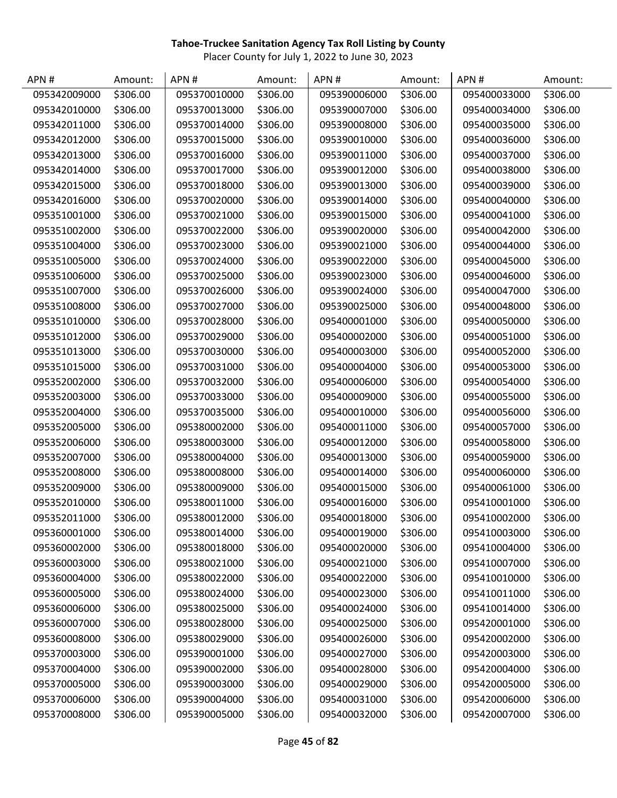| APN#         | Amount:  | APN#         | Amount:  | APN#         | Amount:  | APN#         | Amount:  |
|--------------|----------|--------------|----------|--------------|----------|--------------|----------|
| 095342009000 | \$306.00 | 095370010000 | \$306.00 | 095390006000 | \$306.00 | 095400033000 | \$306.00 |
| 095342010000 | \$306.00 | 095370013000 | \$306.00 | 095390007000 | \$306.00 | 095400034000 | \$306.00 |
| 095342011000 | \$306.00 | 095370014000 | \$306.00 | 095390008000 | \$306.00 | 095400035000 | \$306.00 |
| 095342012000 | \$306.00 | 095370015000 | \$306.00 | 095390010000 | \$306.00 | 095400036000 | \$306.00 |
| 095342013000 | \$306.00 | 095370016000 | \$306.00 | 095390011000 | \$306.00 | 095400037000 | \$306.00 |
| 095342014000 | \$306.00 | 095370017000 | \$306.00 | 095390012000 | \$306.00 | 095400038000 | \$306.00 |
| 095342015000 | \$306.00 | 095370018000 | \$306.00 | 095390013000 | \$306.00 | 095400039000 | \$306.00 |
| 095342016000 | \$306.00 | 095370020000 | \$306.00 | 095390014000 | \$306.00 | 095400040000 | \$306.00 |
| 095351001000 | \$306.00 | 095370021000 | \$306.00 | 095390015000 | \$306.00 | 095400041000 | \$306.00 |
| 095351002000 | \$306.00 | 095370022000 | \$306.00 | 095390020000 | \$306.00 | 095400042000 | \$306.00 |
| 095351004000 | \$306.00 | 095370023000 | \$306.00 | 095390021000 | \$306.00 | 095400044000 | \$306.00 |
| 095351005000 | \$306.00 | 095370024000 | \$306.00 | 095390022000 | \$306.00 | 095400045000 | \$306.00 |
| 095351006000 | \$306.00 | 095370025000 | \$306.00 | 095390023000 | \$306.00 | 095400046000 | \$306.00 |
| 095351007000 | \$306.00 | 095370026000 | \$306.00 | 095390024000 | \$306.00 | 095400047000 | \$306.00 |
| 095351008000 | \$306.00 | 095370027000 | \$306.00 | 095390025000 | \$306.00 | 095400048000 | \$306.00 |
| 095351010000 | \$306.00 | 095370028000 | \$306.00 | 095400001000 | \$306.00 | 095400050000 | \$306.00 |
| 095351012000 | \$306.00 | 095370029000 | \$306.00 | 095400002000 | \$306.00 | 095400051000 | \$306.00 |
| 095351013000 | \$306.00 | 095370030000 | \$306.00 | 095400003000 | \$306.00 | 095400052000 | \$306.00 |
| 095351015000 | \$306.00 | 095370031000 | \$306.00 | 095400004000 | \$306.00 | 095400053000 | \$306.00 |
| 095352002000 | \$306.00 | 095370032000 | \$306.00 | 095400006000 | \$306.00 | 095400054000 | \$306.00 |
| 095352003000 | \$306.00 | 095370033000 | \$306.00 | 095400009000 | \$306.00 | 095400055000 | \$306.00 |
| 095352004000 | \$306.00 | 095370035000 | \$306.00 | 095400010000 | \$306.00 | 095400056000 | \$306.00 |
| 095352005000 | \$306.00 | 095380002000 | \$306.00 | 095400011000 | \$306.00 | 095400057000 | \$306.00 |
| 095352006000 | \$306.00 | 095380003000 | \$306.00 | 095400012000 | \$306.00 | 095400058000 | \$306.00 |
| 095352007000 | \$306.00 | 095380004000 | \$306.00 | 095400013000 | \$306.00 | 095400059000 | \$306.00 |
| 095352008000 | \$306.00 | 095380008000 | \$306.00 | 095400014000 | \$306.00 | 095400060000 | \$306.00 |
| 095352009000 | \$306.00 | 095380009000 | \$306.00 | 095400015000 | \$306.00 | 095400061000 | \$306.00 |
| 095352010000 | \$306.00 | 095380011000 | \$306.00 | 095400016000 | \$306.00 | 095410001000 | \$306.00 |
| 095352011000 | \$306.00 | 095380012000 | \$306.00 | 095400018000 | \$306.00 | 095410002000 | \$306.00 |
| 095360001000 | \$306.00 | 095380014000 | \$306.00 | 095400019000 | \$306.00 | 095410003000 | \$306.00 |
| 095360002000 | \$306.00 | 095380018000 | \$306.00 | 095400020000 | \$306.00 | 095410004000 | \$306.00 |
| 095360003000 | \$306.00 | 095380021000 | \$306.00 | 095400021000 | \$306.00 | 095410007000 | \$306.00 |
| 095360004000 | \$306.00 | 095380022000 | \$306.00 | 095400022000 | \$306.00 | 095410010000 | \$306.00 |
| 095360005000 | \$306.00 | 095380024000 | \$306.00 | 095400023000 | \$306.00 | 095410011000 | \$306.00 |
| 095360006000 | \$306.00 | 095380025000 | \$306.00 | 095400024000 | \$306.00 | 095410014000 | \$306.00 |
| 095360007000 | \$306.00 | 095380028000 | \$306.00 | 095400025000 | \$306.00 | 095420001000 | \$306.00 |
| 095360008000 | \$306.00 | 095380029000 | \$306.00 | 095400026000 | \$306.00 | 095420002000 | \$306.00 |
| 095370003000 | \$306.00 | 095390001000 | \$306.00 | 095400027000 | \$306.00 | 095420003000 | \$306.00 |
| 095370004000 | \$306.00 | 095390002000 | \$306.00 | 095400028000 | \$306.00 | 095420004000 | \$306.00 |
| 095370005000 | \$306.00 | 095390003000 | \$306.00 | 095400029000 | \$306.00 | 095420005000 | \$306.00 |
| 095370006000 | \$306.00 | 095390004000 | \$306.00 | 095400031000 | \$306.00 | 095420006000 | \$306.00 |
| 095370008000 | \$306.00 | 095390005000 | \$306.00 | 095400032000 | \$306.00 | 095420007000 | \$306.00 |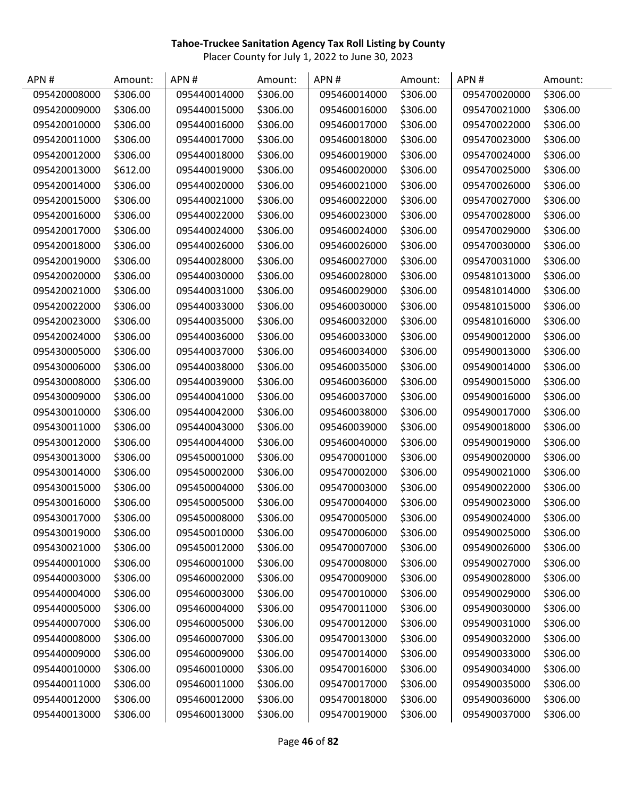| APN#         | Amount:  | APN#         | Amount:  | APN#         | Amount:  | APN#         | Amount:  |
|--------------|----------|--------------|----------|--------------|----------|--------------|----------|
| 095420008000 | \$306.00 | 095440014000 | \$306.00 | 095460014000 | \$306.00 | 095470020000 | \$306.00 |
| 095420009000 | \$306.00 | 095440015000 | \$306.00 | 095460016000 | \$306.00 | 095470021000 | \$306.00 |
| 095420010000 | \$306.00 | 095440016000 | \$306.00 | 095460017000 | \$306.00 | 095470022000 | \$306.00 |
| 095420011000 | \$306.00 | 095440017000 | \$306.00 | 095460018000 | \$306.00 | 095470023000 | \$306.00 |
| 095420012000 | \$306.00 | 095440018000 | \$306.00 | 095460019000 | \$306.00 | 095470024000 | \$306.00 |
| 095420013000 | \$612.00 | 095440019000 | \$306.00 | 095460020000 | \$306.00 | 095470025000 | \$306.00 |
| 095420014000 | \$306.00 | 095440020000 | \$306.00 | 095460021000 | \$306.00 | 095470026000 | \$306.00 |
| 095420015000 | \$306.00 | 095440021000 | \$306.00 | 095460022000 | \$306.00 | 095470027000 | \$306.00 |
| 095420016000 | \$306.00 | 095440022000 | \$306.00 | 095460023000 | \$306.00 | 095470028000 | \$306.00 |
| 095420017000 | \$306.00 | 095440024000 | \$306.00 | 095460024000 | \$306.00 | 095470029000 | \$306.00 |
| 095420018000 | \$306.00 | 095440026000 | \$306.00 | 095460026000 | \$306.00 | 095470030000 | \$306.00 |
| 095420019000 | \$306.00 | 095440028000 | \$306.00 | 095460027000 | \$306.00 | 095470031000 | \$306.00 |
| 095420020000 | \$306.00 | 095440030000 | \$306.00 | 095460028000 | \$306.00 | 095481013000 | \$306.00 |
| 095420021000 | \$306.00 | 095440031000 | \$306.00 | 095460029000 | \$306.00 | 095481014000 | \$306.00 |
| 095420022000 | \$306.00 | 095440033000 | \$306.00 | 095460030000 | \$306.00 | 095481015000 | \$306.00 |
| 095420023000 | \$306.00 | 095440035000 | \$306.00 | 095460032000 | \$306.00 | 095481016000 | \$306.00 |
| 095420024000 | \$306.00 | 095440036000 | \$306.00 | 095460033000 | \$306.00 | 095490012000 | \$306.00 |
| 095430005000 | \$306.00 | 095440037000 | \$306.00 | 095460034000 | \$306.00 | 095490013000 | \$306.00 |
| 095430006000 | \$306.00 | 095440038000 | \$306.00 | 095460035000 | \$306.00 | 095490014000 | \$306.00 |
| 095430008000 | \$306.00 | 095440039000 | \$306.00 | 095460036000 | \$306.00 | 095490015000 | \$306.00 |
| 095430009000 | \$306.00 | 095440041000 | \$306.00 | 095460037000 | \$306.00 | 095490016000 | \$306.00 |
| 095430010000 | \$306.00 | 095440042000 | \$306.00 | 095460038000 | \$306.00 | 095490017000 | \$306.00 |
| 095430011000 | \$306.00 | 095440043000 | \$306.00 | 095460039000 | \$306.00 | 095490018000 | \$306.00 |
| 095430012000 | \$306.00 | 095440044000 | \$306.00 | 095460040000 | \$306.00 | 095490019000 | \$306.00 |
| 095430013000 | \$306.00 | 095450001000 | \$306.00 | 095470001000 | \$306.00 | 095490020000 | \$306.00 |
| 095430014000 | \$306.00 | 095450002000 | \$306.00 | 095470002000 | \$306.00 | 095490021000 | \$306.00 |
| 095430015000 | \$306.00 | 095450004000 | \$306.00 | 095470003000 | \$306.00 | 095490022000 | \$306.00 |
| 095430016000 | \$306.00 | 095450005000 | \$306.00 | 095470004000 | \$306.00 | 095490023000 | \$306.00 |
| 095430017000 | \$306.00 | 095450008000 | \$306.00 | 095470005000 | \$306.00 | 095490024000 | \$306.00 |
| 095430019000 | \$306.00 | 095450010000 | \$306.00 | 095470006000 | \$306.00 | 095490025000 | \$306.00 |
| 095430021000 | \$306.00 | 095450012000 | \$306.00 | 095470007000 | \$306.00 | 095490026000 | \$306.00 |
| 095440001000 | \$306.00 | 095460001000 | \$306.00 | 095470008000 | \$306.00 | 095490027000 | \$306.00 |
| 095440003000 | \$306.00 | 095460002000 | \$306.00 | 095470009000 | \$306.00 | 095490028000 | \$306.00 |
| 095440004000 | \$306.00 | 095460003000 | \$306.00 | 095470010000 | \$306.00 | 095490029000 | \$306.00 |
| 095440005000 | \$306.00 | 095460004000 | \$306.00 | 095470011000 | \$306.00 | 095490030000 | \$306.00 |
| 095440007000 | \$306.00 | 095460005000 | \$306.00 | 095470012000 | \$306.00 | 095490031000 | \$306.00 |
| 095440008000 | \$306.00 | 095460007000 | \$306.00 | 095470013000 | \$306.00 | 095490032000 | \$306.00 |
| 095440009000 | \$306.00 | 095460009000 | \$306.00 | 095470014000 | \$306.00 | 095490033000 | \$306.00 |
| 095440010000 | \$306.00 | 095460010000 | \$306.00 | 095470016000 | \$306.00 | 095490034000 | \$306.00 |
| 095440011000 | \$306.00 | 095460011000 | \$306.00 | 095470017000 | \$306.00 | 095490035000 | \$306.00 |
| 095440012000 | \$306.00 | 095460012000 | \$306.00 | 095470018000 | \$306.00 | 095490036000 | \$306.00 |
| 095440013000 | \$306.00 | 095460013000 | \$306.00 | 095470019000 | \$306.00 | 095490037000 | \$306.00 |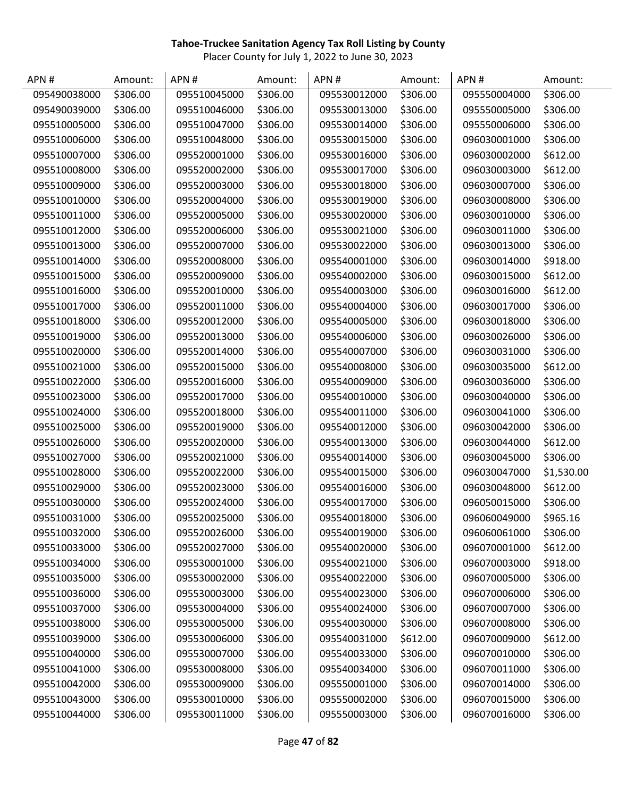| APN#         | Amount:  | APN#         | Amount:  | APN #        | Amount:  | APN#         | Amount:    |
|--------------|----------|--------------|----------|--------------|----------|--------------|------------|
| 095490038000 | \$306.00 | 095510045000 | \$306.00 | 095530012000 | \$306.00 | 095550004000 | \$306.00   |
| 095490039000 | \$306.00 | 095510046000 | \$306.00 | 095530013000 | \$306.00 | 095550005000 | \$306.00   |
| 095510005000 | \$306.00 | 095510047000 | \$306.00 | 095530014000 | \$306.00 | 095550006000 | \$306.00   |
| 095510006000 | \$306.00 | 095510048000 | \$306.00 | 095530015000 | \$306.00 | 096030001000 | \$306.00   |
| 095510007000 | \$306.00 | 095520001000 | \$306.00 | 095530016000 | \$306.00 | 096030002000 | \$612.00   |
| 095510008000 | \$306.00 | 095520002000 | \$306.00 | 095530017000 | \$306.00 | 096030003000 | \$612.00   |
| 095510009000 | \$306.00 | 095520003000 | \$306.00 | 095530018000 | \$306.00 | 096030007000 | \$306.00   |
| 095510010000 | \$306.00 | 095520004000 | \$306.00 | 095530019000 | \$306.00 | 096030008000 | \$306.00   |
| 095510011000 | \$306.00 | 095520005000 | \$306.00 | 095530020000 | \$306.00 | 096030010000 | \$306.00   |
| 095510012000 | \$306.00 | 095520006000 | \$306.00 | 095530021000 | \$306.00 | 096030011000 | \$306.00   |
| 095510013000 | \$306.00 | 095520007000 | \$306.00 | 095530022000 | \$306.00 | 096030013000 | \$306.00   |
| 095510014000 | \$306.00 | 095520008000 | \$306.00 | 095540001000 | \$306.00 | 096030014000 | \$918.00   |
| 095510015000 | \$306.00 | 095520009000 | \$306.00 | 095540002000 | \$306.00 | 096030015000 | \$612.00   |
| 095510016000 | \$306.00 | 095520010000 | \$306.00 | 095540003000 | \$306.00 | 096030016000 | \$612.00   |
| 095510017000 | \$306.00 | 095520011000 | \$306.00 | 095540004000 | \$306.00 | 096030017000 | \$306.00   |
| 095510018000 | \$306.00 | 095520012000 | \$306.00 | 095540005000 | \$306.00 | 096030018000 | \$306.00   |
| 095510019000 | \$306.00 | 095520013000 | \$306.00 | 095540006000 | \$306.00 | 096030026000 | \$306.00   |
| 095510020000 | \$306.00 | 095520014000 | \$306.00 | 095540007000 | \$306.00 | 096030031000 | \$306.00   |
| 095510021000 | \$306.00 | 095520015000 | \$306.00 | 095540008000 | \$306.00 | 096030035000 | \$612.00   |
| 095510022000 | \$306.00 | 095520016000 | \$306.00 | 095540009000 | \$306.00 | 096030036000 | \$306.00   |
| 095510023000 | \$306.00 | 095520017000 | \$306.00 | 095540010000 | \$306.00 | 096030040000 | \$306.00   |
| 095510024000 | \$306.00 | 095520018000 | \$306.00 | 095540011000 | \$306.00 | 096030041000 | \$306.00   |
| 095510025000 | \$306.00 | 095520019000 | \$306.00 | 095540012000 | \$306.00 | 096030042000 | \$306.00   |
| 095510026000 | \$306.00 | 095520020000 | \$306.00 | 095540013000 | \$306.00 | 096030044000 | \$612.00   |
| 095510027000 | \$306.00 | 095520021000 | \$306.00 | 095540014000 | \$306.00 | 096030045000 | \$306.00   |
| 095510028000 | \$306.00 | 095520022000 | \$306.00 | 095540015000 | \$306.00 | 096030047000 | \$1,530.00 |
| 095510029000 | \$306.00 | 095520023000 | \$306.00 | 095540016000 | \$306.00 | 096030048000 | \$612.00   |
| 095510030000 | \$306.00 | 095520024000 | \$306.00 | 095540017000 | \$306.00 | 096050015000 | \$306.00   |
| 095510031000 | \$306.00 | 095520025000 | \$306.00 | 095540018000 | \$306.00 | 096060049000 | \$965.16   |
| 095510032000 | \$306.00 | 095520026000 | \$306.00 | 095540019000 | \$306.00 | 096060061000 | \$306.00   |
| 095510033000 | \$306.00 | 095520027000 | \$306.00 | 095540020000 | \$306.00 | 096070001000 | \$612.00   |
| 095510034000 | \$306.00 | 095530001000 | \$306.00 | 095540021000 | \$306.00 | 096070003000 | \$918.00   |
| 095510035000 | \$306.00 | 095530002000 | \$306.00 | 095540022000 | \$306.00 | 096070005000 | \$306.00   |
| 095510036000 | \$306.00 | 095530003000 | \$306.00 | 095540023000 | \$306.00 | 096070006000 | \$306.00   |
| 095510037000 | \$306.00 | 095530004000 | \$306.00 | 095540024000 | \$306.00 | 096070007000 | \$306.00   |
| 095510038000 | \$306.00 | 095530005000 | \$306.00 | 095540030000 | \$306.00 | 096070008000 | \$306.00   |
| 095510039000 | \$306.00 | 095530006000 | \$306.00 | 095540031000 | \$612.00 | 096070009000 | \$612.00   |
| 095510040000 | \$306.00 | 095530007000 | \$306.00 | 095540033000 | \$306.00 | 096070010000 | \$306.00   |
| 095510041000 | \$306.00 | 095530008000 | \$306.00 | 095540034000 | \$306.00 | 096070011000 | \$306.00   |
| 095510042000 | \$306.00 | 095530009000 | \$306.00 | 095550001000 | \$306.00 | 096070014000 | \$306.00   |
| 095510043000 | \$306.00 | 095530010000 | \$306.00 | 095550002000 | \$306.00 | 096070015000 | \$306.00   |
| 095510044000 | \$306.00 | 095530011000 | \$306.00 | 095550003000 | \$306.00 | 096070016000 | \$306.00   |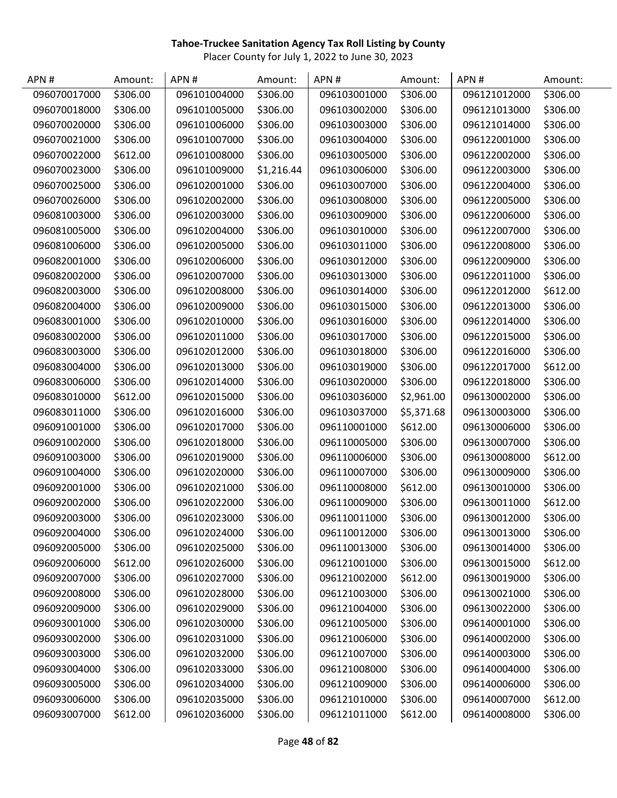| APN#         | Amount:  | APN#         | Amount:    | APN#         | Amount:    | APN#         | Amount:  |
|--------------|----------|--------------|------------|--------------|------------|--------------|----------|
| 096070017000 | \$306.00 | 096101004000 | \$306.00   | 096103001000 | \$306.00   | 096121012000 | \$306.00 |
| 096070018000 | \$306.00 | 096101005000 | \$306.00   | 096103002000 | \$306.00   | 096121013000 | \$306.00 |
| 096070020000 | \$306.00 | 096101006000 | \$306.00   | 096103003000 | \$306.00   | 096121014000 | \$306.00 |
| 096070021000 | \$306.00 | 096101007000 | \$306.00   | 096103004000 | \$306.00   | 096122001000 | \$306.00 |
| 096070022000 | \$612.00 | 096101008000 | \$306.00   | 096103005000 | \$306.00   | 096122002000 | \$306.00 |
| 096070023000 | \$306.00 | 096101009000 | \$1,216.44 | 096103006000 | \$306.00   | 096122003000 | \$306.00 |
| 096070025000 | \$306.00 | 096102001000 | \$306.00   | 096103007000 | \$306.00   | 096122004000 | \$306.00 |
| 096070026000 | \$306.00 | 096102002000 | \$306.00   | 096103008000 | \$306.00   | 096122005000 | \$306.00 |
| 096081003000 | \$306.00 | 096102003000 | \$306.00   | 096103009000 | \$306.00   | 096122006000 | \$306.00 |
| 096081005000 | \$306.00 | 096102004000 | \$306.00   | 096103010000 | \$306.00   | 096122007000 | \$306.00 |
| 096081006000 | \$306.00 | 096102005000 | \$306.00   | 096103011000 | \$306.00   | 096122008000 | \$306.00 |
| 096082001000 | \$306.00 | 096102006000 | \$306.00   | 096103012000 | \$306.00   | 096122009000 | \$306.00 |
| 096082002000 | \$306.00 | 096102007000 | \$306.00   | 096103013000 | \$306.00   | 096122011000 | \$306.00 |
| 096082003000 | \$306.00 | 096102008000 | \$306.00   | 096103014000 | \$306.00   | 096122012000 | \$612.00 |
| 096082004000 | \$306.00 | 096102009000 | \$306.00   | 096103015000 | \$306.00   | 096122013000 | \$306.00 |
| 096083001000 | \$306.00 | 096102010000 | \$306.00   | 096103016000 | \$306.00   | 096122014000 | \$306.00 |
| 096083002000 | \$306.00 | 096102011000 | \$306.00   | 096103017000 | \$306.00   | 096122015000 | \$306.00 |
| 096083003000 | \$306.00 | 096102012000 | \$306.00   | 096103018000 | \$306.00   | 096122016000 | \$306.00 |
| 096083004000 | \$306.00 | 096102013000 | \$306.00   | 096103019000 | \$306.00   | 096122017000 | \$612.00 |
| 096083006000 | \$306.00 | 096102014000 | \$306.00   | 096103020000 | \$306.00   | 096122018000 | \$306.00 |
| 096083010000 | \$612.00 | 096102015000 | \$306.00   | 096103036000 | \$2,961.00 | 096130002000 | \$306.00 |
| 096083011000 | \$306.00 | 096102016000 | \$306.00   | 096103037000 | \$5,371.68 | 096130003000 | \$306.00 |
| 096091001000 | \$306.00 | 096102017000 | \$306.00   | 096110001000 | \$612.00   | 096130006000 | \$306.00 |
| 096091002000 | \$306.00 | 096102018000 | \$306.00   | 096110005000 | \$306.00   | 096130007000 | \$306.00 |
| 096091003000 | \$306.00 | 096102019000 | \$306.00   | 096110006000 | \$306.00   | 096130008000 | \$612.00 |
| 096091004000 | \$306.00 | 096102020000 | \$306.00   | 096110007000 | \$306.00   | 096130009000 | \$306.00 |
| 096092001000 | \$306.00 | 096102021000 | \$306.00   | 096110008000 | \$612.00   | 096130010000 | \$306.00 |
| 096092002000 | \$306.00 | 096102022000 | \$306.00   | 096110009000 | \$306.00   | 096130011000 | \$612.00 |
| 096092003000 | \$306.00 | 096102023000 | \$306.00   | 096110011000 | \$306.00   | 096130012000 | \$306.00 |
| 096092004000 | \$306.00 | 096102024000 | \$306.00   | 096110012000 | \$306.00   | 096130013000 | \$306.00 |
| 096092005000 | \$306.00 | 096102025000 | \$306.00   | 096110013000 | \$306.00   | 096130014000 | \$306.00 |
| 096092006000 | \$612.00 | 096102026000 | \$306.00   | 096121001000 | \$306.00   | 096130015000 | \$612.00 |
| 096092007000 | \$306.00 | 096102027000 | \$306.00   | 096121002000 | \$612.00   | 096130019000 | \$306.00 |
| 096092008000 | \$306.00 | 096102028000 | \$306.00   | 096121003000 | \$306.00   | 096130021000 | \$306.00 |
| 096092009000 | \$306.00 | 096102029000 | \$306.00   | 096121004000 | \$306.00   | 096130022000 | \$306.00 |
| 096093001000 | \$306.00 | 096102030000 | \$306.00   | 096121005000 | \$306.00   | 096140001000 | \$306.00 |
| 096093002000 | \$306.00 | 096102031000 | \$306.00   | 096121006000 | \$306.00   | 096140002000 | \$306.00 |
| 096093003000 | \$306.00 | 096102032000 | \$306.00   | 096121007000 | \$306.00   | 096140003000 | \$306.00 |
| 096093004000 | \$306.00 | 096102033000 | \$306.00   | 096121008000 | \$306.00   | 096140004000 | \$306.00 |
| 096093005000 | \$306.00 | 096102034000 | \$306.00   | 096121009000 | \$306.00   | 096140006000 | \$306.00 |
| 096093006000 | \$306.00 | 096102035000 | \$306.00   | 096121010000 | \$306.00   | 096140007000 | \$612.00 |
| 096093007000 | \$612.00 | 096102036000 | \$306.00   | 096121011000 | \$612.00   | 096140008000 | \$306.00 |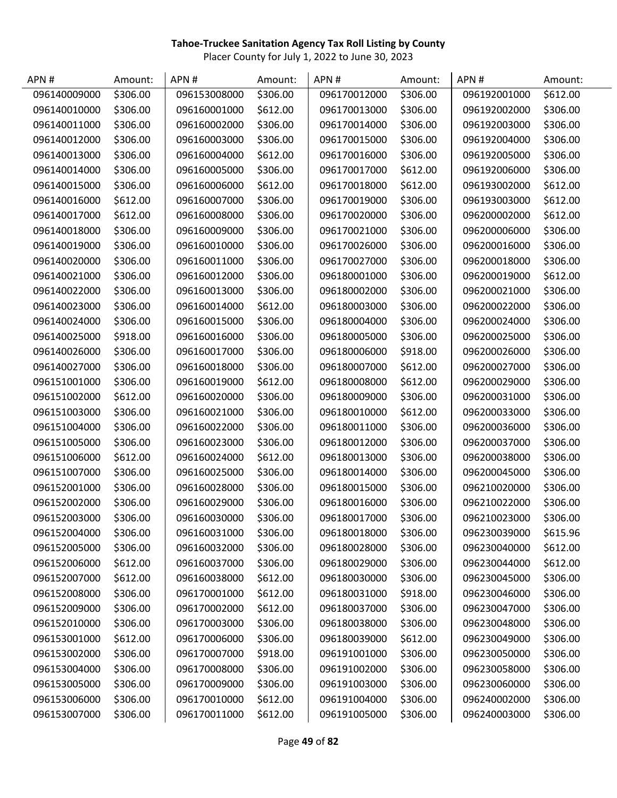| APN#         | Amount:  | APN#         | Amount:  | APN#         | Amount:  | APN#         | Amount:  |
|--------------|----------|--------------|----------|--------------|----------|--------------|----------|
| 096140009000 | \$306.00 | 096153008000 | \$306.00 | 096170012000 | \$306.00 | 096192001000 | \$612.00 |
| 096140010000 | \$306.00 | 096160001000 | \$612.00 | 096170013000 | \$306.00 | 096192002000 | \$306.00 |
| 096140011000 | \$306.00 | 096160002000 | \$306.00 | 096170014000 | \$306.00 | 096192003000 | \$306.00 |
| 096140012000 | \$306.00 | 096160003000 | \$306.00 | 096170015000 | \$306.00 | 096192004000 | \$306.00 |
| 096140013000 | \$306.00 | 096160004000 | \$612.00 | 096170016000 | \$306.00 | 096192005000 | \$306.00 |
| 096140014000 | \$306.00 | 096160005000 | \$306.00 | 096170017000 | \$612.00 | 096192006000 | \$306.00 |
| 096140015000 | \$306.00 | 096160006000 | \$612.00 | 096170018000 | \$612.00 | 096193002000 | \$612.00 |
| 096140016000 | \$612.00 | 096160007000 | \$306.00 | 096170019000 | \$306.00 | 096193003000 | \$612.00 |
| 096140017000 | \$612.00 | 096160008000 | \$306.00 | 096170020000 | \$306.00 | 096200002000 | \$612.00 |
| 096140018000 | \$306.00 | 096160009000 | \$306.00 | 096170021000 | \$306.00 | 096200006000 | \$306.00 |
| 096140019000 | \$306.00 | 096160010000 | \$306.00 | 096170026000 | \$306.00 | 096200016000 | \$306.00 |
| 096140020000 | \$306.00 | 096160011000 | \$306.00 | 096170027000 | \$306.00 | 096200018000 | \$306.00 |
| 096140021000 | \$306.00 | 096160012000 | \$306.00 | 096180001000 | \$306.00 | 096200019000 | \$612.00 |
| 096140022000 | \$306.00 | 096160013000 | \$306.00 | 096180002000 | \$306.00 | 096200021000 | \$306.00 |
| 096140023000 | \$306.00 | 096160014000 | \$612.00 | 096180003000 | \$306.00 | 096200022000 | \$306.00 |
| 096140024000 | \$306.00 | 096160015000 | \$306.00 | 096180004000 | \$306.00 | 096200024000 | \$306.00 |
| 096140025000 | \$918.00 | 096160016000 | \$306.00 | 096180005000 | \$306.00 | 096200025000 | \$306.00 |
| 096140026000 | \$306.00 | 096160017000 | \$306.00 | 096180006000 | \$918.00 | 096200026000 | \$306.00 |
| 096140027000 | \$306.00 | 096160018000 | \$306.00 | 096180007000 | \$612.00 | 096200027000 | \$306.00 |
| 096151001000 | \$306.00 | 096160019000 | \$612.00 | 096180008000 | \$612.00 | 096200029000 | \$306.00 |
| 096151002000 | \$612.00 | 096160020000 | \$306.00 | 096180009000 | \$306.00 | 096200031000 | \$306.00 |
| 096151003000 | \$306.00 | 096160021000 | \$306.00 | 096180010000 | \$612.00 | 096200033000 | \$306.00 |
| 096151004000 | \$306.00 | 096160022000 | \$306.00 | 096180011000 | \$306.00 | 096200036000 | \$306.00 |
| 096151005000 | \$306.00 | 096160023000 | \$306.00 | 096180012000 | \$306.00 | 096200037000 | \$306.00 |
| 096151006000 | \$612.00 | 096160024000 | \$612.00 | 096180013000 | \$306.00 | 096200038000 | \$306.00 |
| 096151007000 | \$306.00 | 096160025000 | \$306.00 | 096180014000 | \$306.00 | 096200045000 | \$306.00 |
| 096152001000 | \$306.00 | 096160028000 | \$306.00 | 096180015000 | \$306.00 | 096210020000 | \$306.00 |
| 096152002000 | \$306.00 | 096160029000 | \$306.00 | 096180016000 | \$306.00 | 096210022000 | \$306.00 |
| 096152003000 | \$306.00 | 096160030000 | \$306.00 | 096180017000 | \$306.00 | 096210023000 | \$306.00 |
| 096152004000 | \$306.00 | 096160031000 | \$306.00 | 096180018000 | \$306.00 | 096230039000 | \$615.96 |
| 096152005000 | \$306.00 | 096160032000 | \$306.00 | 096180028000 | \$306.00 | 096230040000 | \$612.00 |
| 096152006000 | \$612.00 | 096160037000 | \$306.00 | 096180029000 | \$306.00 | 096230044000 | \$612.00 |
| 096152007000 | \$612.00 | 096160038000 | \$612.00 | 096180030000 | \$306.00 | 096230045000 | \$306.00 |
| 096152008000 | \$306.00 | 096170001000 | \$612.00 | 096180031000 | \$918.00 | 096230046000 | \$306.00 |
| 096152009000 | \$306.00 | 096170002000 | \$612.00 | 096180037000 | \$306.00 | 096230047000 | \$306.00 |
| 096152010000 | \$306.00 | 096170003000 | \$306.00 | 096180038000 | \$306.00 | 096230048000 | \$306.00 |
| 096153001000 | \$612.00 | 096170006000 | \$306.00 | 096180039000 | \$612.00 | 096230049000 | \$306.00 |
| 096153002000 | \$306.00 | 096170007000 | \$918.00 | 096191001000 | \$306.00 | 096230050000 | \$306.00 |
| 096153004000 | \$306.00 | 096170008000 | \$306.00 | 096191002000 | \$306.00 | 096230058000 | \$306.00 |
| 096153005000 | \$306.00 | 096170009000 | \$306.00 | 096191003000 | \$306.00 | 096230060000 | \$306.00 |
| 096153006000 | \$306.00 | 096170010000 | \$612.00 | 096191004000 | \$306.00 | 096240002000 | \$306.00 |
| 096153007000 | \$306.00 | 096170011000 | \$612.00 | 096191005000 | \$306.00 | 096240003000 | \$306.00 |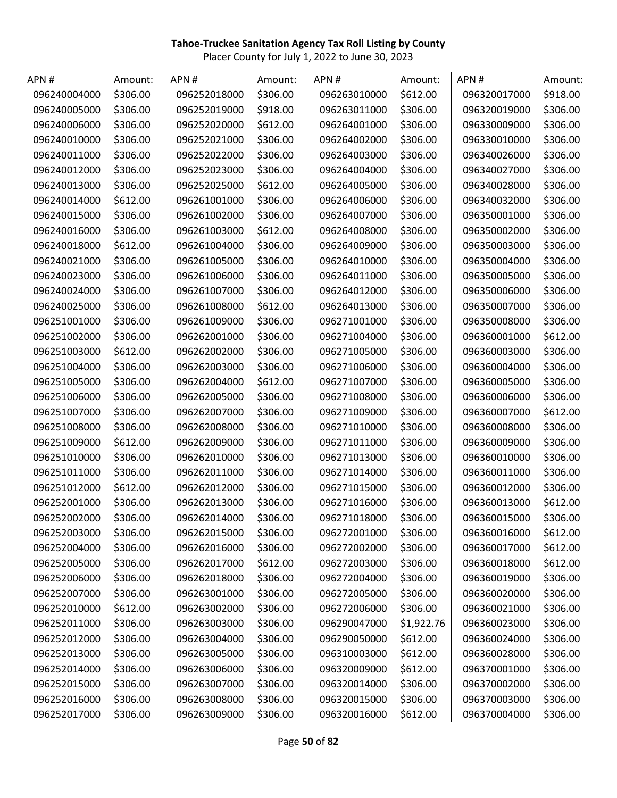| APN#         | Amount:  | APN#         | Amount:  | APN#         | Amount:    | APN#         | Amount:  |
|--------------|----------|--------------|----------|--------------|------------|--------------|----------|
| 096240004000 | \$306.00 | 096252018000 | \$306.00 | 096263010000 | \$612.00   | 096320017000 | \$918.00 |
| 096240005000 | \$306.00 | 096252019000 | \$918.00 | 096263011000 | \$306.00   | 096320019000 | \$306.00 |
| 096240006000 | \$306.00 | 096252020000 | \$612.00 | 096264001000 | \$306.00   | 096330009000 | \$306.00 |
| 096240010000 | \$306.00 | 096252021000 | \$306.00 | 096264002000 | \$306.00   | 096330010000 | \$306.00 |
| 096240011000 | \$306.00 | 096252022000 | \$306.00 | 096264003000 | \$306.00   | 096340026000 | \$306.00 |
| 096240012000 | \$306.00 | 096252023000 | \$306.00 | 096264004000 | \$306.00   | 096340027000 | \$306.00 |
| 096240013000 | \$306.00 | 096252025000 | \$612.00 | 096264005000 | \$306.00   | 096340028000 | \$306.00 |
| 096240014000 | \$612.00 | 096261001000 | \$306.00 | 096264006000 | \$306.00   | 096340032000 | \$306.00 |
| 096240015000 | \$306.00 | 096261002000 | \$306.00 | 096264007000 | \$306.00   | 096350001000 | \$306.00 |
| 096240016000 | \$306.00 | 096261003000 | \$612.00 | 096264008000 | \$306.00   | 096350002000 | \$306.00 |
| 096240018000 | \$612.00 | 096261004000 | \$306.00 | 096264009000 | \$306.00   | 096350003000 | \$306.00 |
| 096240021000 | \$306.00 | 096261005000 | \$306.00 | 096264010000 | \$306.00   | 096350004000 | \$306.00 |
| 096240023000 | \$306.00 | 096261006000 | \$306.00 | 096264011000 | \$306.00   | 096350005000 | \$306.00 |
| 096240024000 | \$306.00 | 096261007000 | \$306.00 | 096264012000 | \$306.00   | 096350006000 | \$306.00 |
| 096240025000 | \$306.00 | 096261008000 | \$612.00 | 096264013000 | \$306.00   | 096350007000 | \$306.00 |
| 096251001000 | \$306.00 | 096261009000 | \$306.00 | 096271001000 | \$306.00   | 096350008000 | \$306.00 |
| 096251002000 | \$306.00 | 096262001000 | \$306.00 | 096271004000 | \$306.00   | 096360001000 | \$612.00 |
| 096251003000 | \$612.00 | 096262002000 | \$306.00 | 096271005000 | \$306.00   | 096360003000 | \$306.00 |
| 096251004000 | \$306.00 | 096262003000 | \$306.00 | 096271006000 | \$306.00   | 096360004000 | \$306.00 |
| 096251005000 | \$306.00 | 096262004000 | \$612.00 | 096271007000 | \$306.00   | 096360005000 | \$306.00 |
| 096251006000 | \$306.00 | 096262005000 | \$306.00 | 096271008000 | \$306.00   | 096360006000 | \$306.00 |
| 096251007000 | \$306.00 | 096262007000 | \$306.00 | 096271009000 | \$306.00   | 096360007000 | \$612.00 |
| 096251008000 | \$306.00 | 096262008000 | \$306.00 | 096271010000 | \$306.00   | 096360008000 | \$306.00 |
| 096251009000 | \$612.00 | 096262009000 | \$306.00 | 096271011000 | \$306.00   | 096360009000 | \$306.00 |
| 096251010000 | \$306.00 | 096262010000 | \$306.00 | 096271013000 | \$306.00   | 096360010000 | \$306.00 |
| 096251011000 | \$306.00 | 096262011000 | \$306.00 | 096271014000 | \$306.00   | 096360011000 | \$306.00 |
| 096251012000 | \$612.00 | 096262012000 | \$306.00 | 096271015000 | \$306.00   | 096360012000 | \$306.00 |
| 096252001000 | \$306.00 | 096262013000 | \$306.00 | 096271016000 | \$306.00   | 096360013000 | \$612.00 |
| 096252002000 | \$306.00 | 096262014000 | \$306.00 | 096271018000 | \$306.00   | 096360015000 | \$306.00 |
| 096252003000 | \$306.00 | 096262015000 | \$306.00 | 096272001000 | \$306.00   | 096360016000 | \$612.00 |
| 096252004000 | \$306.00 | 096262016000 | \$306.00 | 096272002000 | \$306.00   | 096360017000 | \$612.00 |
| 096252005000 | \$306.00 | 096262017000 | \$612.00 | 096272003000 | \$306.00   | 096360018000 | \$612.00 |
| 096252006000 | \$306.00 | 096262018000 | \$306.00 | 096272004000 | \$306.00   | 096360019000 | \$306.00 |
| 096252007000 | \$306.00 | 096263001000 | \$306.00 | 096272005000 | \$306.00   | 096360020000 | \$306.00 |
| 096252010000 | \$612.00 | 096263002000 | \$306.00 | 096272006000 | \$306.00   | 096360021000 | \$306.00 |
| 096252011000 | \$306.00 | 096263003000 | \$306.00 | 096290047000 | \$1,922.76 | 096360023000 | \$306.00 |
| 096252012000 | \$306.00 | 096263004000 | \$306.00 | 096290050000 | \$612.00   | 096360024000 | \$306.00 |
| 096252013000 | \$306.00 | 096263005000 | \$306.00 | 096310003000 | \$612.00   | 096360028000 | \$306.00 |
| 096252014000 | \$306.00 | 096263006000 | \$306.00 | 096320009000 | \$612.00   | 096370001000 | \$306.00 |
| 096252015000 | \$306.00 | 096263007000 | \$306.00 | 096320014000 | \$306.00   | 096370002000 | \$306.00 |
| 096252016000 | \$306.00 | 096263008000 | \$306.00 | 096320015000 | \$306.00   | 096370003000 | \$306.00 |
| 096252017000 | \$306.00 | 096263009000 | \$306.00 | 096320016000 | \$612.00   | 096370004000 | \$306.00 |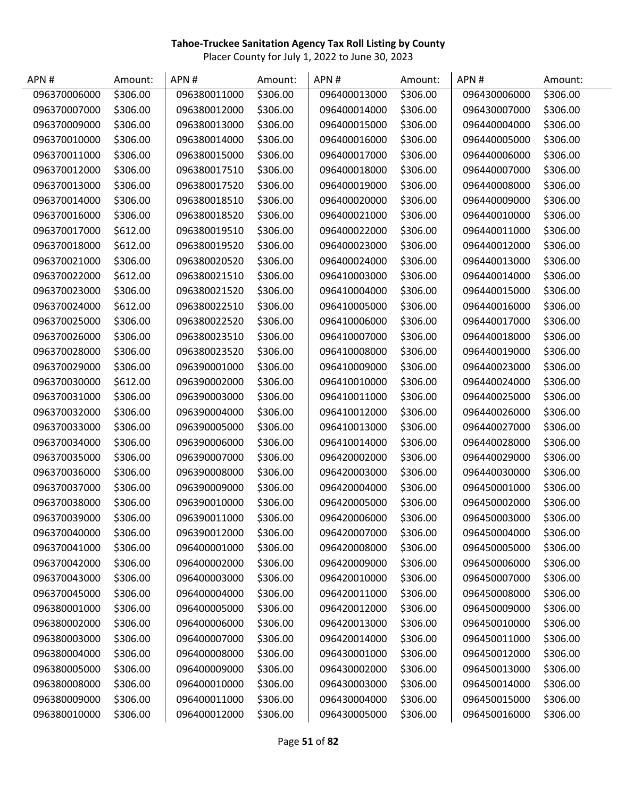| APN#         | Amount:  | APN#         | Amount:  | APN#         | Amount:  | APN#         | Amount:  |
|--------------|----------|--------------|----------|--------------|----------|--------------|----------|
| 096370006000 | \$306.00 | 096380011000 | \$306.00 | 096400013000 | \$306.00 | 096430006000 | \$306.00 |
| 096370007000 | \$306.00 | 096380012000 | \$306.00 | 096400014000 | \$306.00 | 096430007000 | \$306.00 |
| 096370009000 | \$306.00 | 096380013000 | \$306.00 | 096400015000 | \$306.00 | 096440004000 | \$306.00 |
| 096370010000 | \$306.00 | 096380014000 | \$306.00 | 096400016000 | \$306.00 | 096440005000 | \$306.00 |
| 096370011000 | \$306.00 | 096380015000 | \$306.00 | 096400017000 | \$306.00 | 096440006000 | \$306.00 |
| 096370012000 | \$306.00 | 096380017510 | \$306.00 | 096400018000 | \$306.00 | 096440007000 | \$306.00 |
| 096370013000 | \$306.00 | 096380017520 | \$306.00 | 096400019000 | \$306.00 | 096440008000 | \$306.00 |
| 096370014000 | \$306.00 | 096380018510 | \$306.00 | 096400020000 | \$306.00 | 096440009000 | \$306.00 |
| 096370016000 | \$306.00 | 096380018520 | \$306.00 | 096400021000 | \$306.00 | 096440010000 | \$306.00 |
| 096370017000 | \$612.00 | 096380019510 | \$306.00 | 096400022000 | \$306.00 | 096440011000 | \$306.00 |
| 096370018000 | \$612.00 | 096380019520 | \$306.00 | 096400023000 | \$306.00 | 096440012000 | \$306.00 |
| 096370021000 | \$306.00 | 096380020520 | \$306.00 | 096400024000 | \$306.00 | 096440013000 | \$306.00 |
| 096370022000 | \$612.00 | 096380021510 | \$306.00 | 096410003000 | \$306.00 | 096440014000 | \$306.00 |
| 096370023000 | \$306.00 | 096380021520 | \$306.00 | 096410004000 | \$306.00 | 096440015000 | \$306.00 |
| 096370024000 | \$612.00 | 096380022510 | \$306.00 | 096410005000 | \$306.00 | 096440016000 | \$306.00 |
| 096370025000 | \$306.00 | 096380022520 | \$306.00 | 096410006000 | \$306.00 | 096440017000 | \$306.00 |
| 096370026000 | \$306.00 | 096380023510 | \$306.00 | 096410007000 | \$306.00 | 096440018000 | \$306.00 |
| 096370028000 | \$306.00 | 096380023520 | \$306.00 | 096410008000 | \$306.00 | 096440019000 | \$306.00 |
| 096370029000 | \$306.00 | 096390001000 | \$306.00 | 096410009000 | \$306.00 | 096440023000 | \$306.00 |
| 096370030000 | \$612.00 | 096390002000 | \$306.00 | 096410010000 | \$306.00 | 096440024000 | \$306.00 |
| 096370031000 | \$306.00 | 096390003000 | \$306.00 | 096410011000 | \$306.00 | 096440025000 | \$306.00 |
| 096370032000 | \$306.00 | 096390004000 | \$306.00 | 096410012000 | \$306.00 | 096440026000 | \$306.00 |
| 096370033000 | \$306.00 | 096390005000 | \$306.00 | 096410013000 | \$306.00 | 096440027000 | \$306.00 |
| 096370034000 | \$306.00 | 096390006000 | \$306.00 | 096410014000 | \$306.00 | 096440028000 | \$306.00 |
| 096370035000 | \$306.00 | 096390007000 | \$306.00 | 096420002000 | \$306.00 | 096440029000 | \$306.00 |
| 096370036000 | \$306.00 | 096390008000 | \$306.00 | 096420003000 | \$306.00 | 096440030000 | \$306.00 |
| 096370037000 | \$306.00 | 096390009000 | \$306.00 | 096420004000 | \$306.00 | 096450001000 | \$306.00 |
| 096370038000 | \$306.00 | 096390010000 | \$306.00 | 096420005000 | \$306.00 | 096450002000 | \$306.00 |
| 096370039000 | \$306.00 | 096390011000 | \$306.00 | 096420006000 | \$306.00 | 096450003000 | \$306.00 |
| 096370040000 | \$306.00 | 096390012000 | \$306.00 | 096420007000 | \$306.00 | 096450004000 | \$306.00 |
| 096370041000 | \$306.00 | 096400001000 | \$306.00 | 096420008000 | \$306.00 | 096450005000 | \$306.00 |
| 096370042000 | \$306.00 | 096400002000 | \$306.00 | 096420009000 | \$306.00 | 096450006000 | \$306.00 |
| 096370043000 | \$306.00 | 096400003000 | \$306.00 | 096420010000 | \$306.00 | 096450007000 | \$306.00 |
| 096370045000 | \$306.00 | 096400004000 | \$306.00 | 096420011000 | \$306.00 | 096450008000 | \$306.00 |
| 096380001000 | \$306.00 | 096400005000 | \$306.00 | 096420012000 | \$306.00 | 096450009000 | \$306.00 |
| 096380002000 | \$306.00 | 096400006000 | \$306.00 | 096420013000 | \$306.00 | 096450010000 | \$306.00 |
| 096380003000 | \$306.00 | 096400007000 | \$306.00 | 096420014000 | \$306.00 | 096450011000 | \$306.00 |
| 096380004000 | \$306.00 | 096400008000 | \$306.00 | 096430001000 | \$306.00 | 096450012000 | \$306.00 |
| 096380005000 | \$306.00 | 096400009000 | \$306.00 | 096430002000 | \$306.00 | 096450013000 | \$306.00 |
| 096380008000 | \$306.00 | 096400010000 | \$306.00 | 096430003000 | \$306.00 | 096450014000 | \$306.00 |
| 096380009000 | \$306.00 | 096400011000 | \$306.00 | 096430004000 | \$306.00 | 096450015000 | \$306.00 |
| 096380010000 | \$306.00 | 096400012000 | \$306.00 | 096430005000 | \$306.00 | 096450016000 | \$306.00 |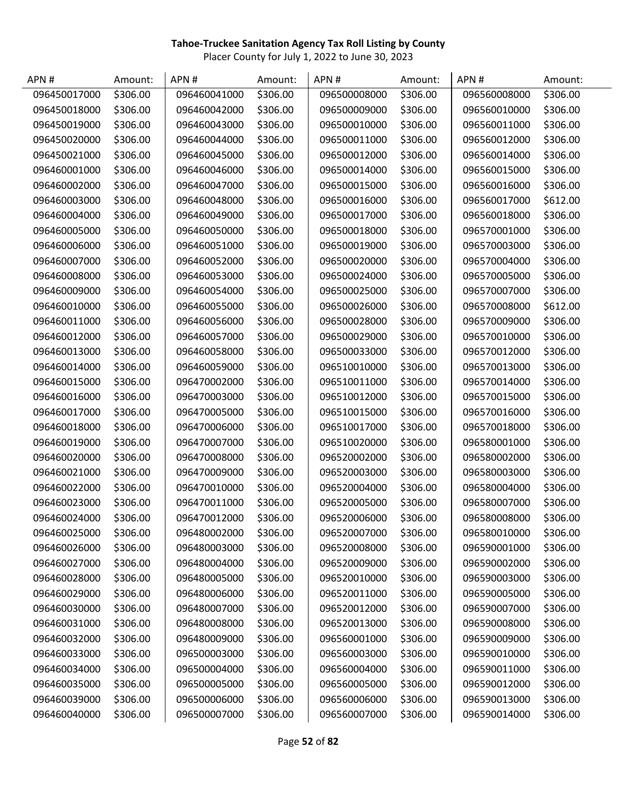| APN#         | Amount:  | APN#         | Amount:  | APN#         | Amount:  | APN#         | Amount:  |
|--------------|----------|--------------|----------|--------------|----------|--------------|----------|
| 096450017000 | \$306.00 | 096460041000 | \$306.00 | 096500008000 | \$306.00 | 096560008000 | \$306.00 |
| 096450018000 | \$306.00 | 096460042000 | \$306.00 | 096500009000 | \$306.00 | 096560010000 | \$306.00 |
| 096450019000 | \$306.00 | 096460043000 | \$306.00 | 096500010000 | \$306.00 | 096560011000 | \$306.00 |
| 096450020000 | \$306.00 | 096460044000 | \$306.00 | 096500011000 | \$306.00 | 096560012000 | \$306.00 |
| 096450021000 | \$306.00 | 096460045000 | \$306.00 | 096500012000 | \$306.00 | 096560014000 | \$306.00 |
| 096460001000 | \$306.00 | 096460046000 | \$306.00 | 096500014000 | \$306.00 | 096560015000 | \$306.00 |
| 096460002000 | \$306.00 | 096460047000 | \$306.00 | 096500015000 | \$306.00 | 096560016000 | \$306.00 |
| 096460003000 | \$306.00 | 096460048000 | \$306.00 | 096500016000 | \$306.00 | 096560017000 | \$612.00 |
| 096460004000 | \$306.00 | 096460049000 | \$306.00 | 096500017000 | \$306.00 | 096560018000 | \$306.00 |
| 096460005000 | \$306.00 | 096460050000 | \$306.00 | 096500018000 | \$306.00 | 096570001000 | \$306.00 |
| 096460006000 | \$306.00 | 096460051000 | \$306.00 | 096500019000 | \$306.00 | 096570003000 | \$306.00 |
| 096460007000 | \$306.00 | 096460052000 | \$306.00 | 096500020000 | \$306.00 | 096570004000 | \$306.00 |
| 096460008000 | \$306.00 | 096460053000 | \$306.00 | 096500024000 | \$306.00 | 096570005000 | \$306.00 |
| 096460009000 | \$306.00 | 096460054000 | \$306.00 | 096500025000 | \$306.00 | 096570007000 | \$306.00 |
| 096460010000 | \$306.00 | 096460055000 | \$306.00 | 096500026000 | \$306.00 | 096570008000 | \$612.00 |
| 096460011000 | \$306.00 | 096460056000 | \$306.00 | 096500028000 | \$306.00 | 096570009000 | \$306.00 |
| 096460012000 | \$306.00 | 096460057000 | \$306.00 | 096500029000 | \$306.00 | 096570010000 | \$306.00 |
| 096460013000 | \$306.00 | 096460058000 | \$306.00 | 096500033000 | \$306.00 | 096570012000 | \$306.00 |
| 096460014000 | \$306.00 | 096460059000 | \$306.00 | 096510010000 | \$306.00 | 096570013000 | \$306.00 |
| 096460015000 | \$306.00 | 096470002000 | \$306.00 | 096510011000 | \$306.00 | 096570014000 | \$306.00 |
| 096460016000 | \$306.00 | 096470003000 | \$306.00 | 096510012000 | \$306.00 | 096570015000 | \$306.00 |
| 096460017000 | \$306.00 | 096470005000 | \$306.00 | 096510015000 | \$306.00 | 096570016000 | \$306.00 |
| 096460018000 | \$306.00 | 096470006000 | \$306.00 | 096510017000 | \$306.00 | 096570018000 | \$306.00 |
| 096460019000 | \$306.00 | 096470007000 | \$306.00 | 096510020000 | \$306.00 | 096580001000 | \$306.00 |
| 096460020000 | \$306.00 | 096470008000 | \$306.00 | 096520002000 | \$306.00 | 096580002000 | \$306.00 |
| 096460021000 | \$306.00 | 096470009000 | \$306.00 | 096520003000 | \$306.00 | 096580003000 | \$306.00 |
| 096460022000 | \$306.00 | 096470010000 | \$306.00 | 096520004000 | \$306.00 | 096580004000 | \$306.00 |
| 096460023000 | \$306.00 | 096470011000 | \$306.00 | 096520005000 | \$306.00 | 096580007000 | \$306.00 |
| 096460024000 | \$306.00 | 096470012000 | \$306.00 | 096520006000 | \$306.00 | 096580008000 | \$306.00 |
| 096460025000 | \$306.00 | 096480002000 | \$306.00 | 096520007000 | \$306.00 | 096580010000 | \$306.00 |
| 096460026000 | \$306.00 | 096480003000 | \$306.00 | 096520008000 | \$306.00 | 096590001000 | \$306.00 |
| 096460027000 | \$306.00 | 096480004000 | \$306.00 | 096520009000 | \$306.00 | 096590002000 | \$306.00 |
| 096460028000 | \$306.00 | 096480005000 | \$306.00 | 096520010000 | \$306.00 | 096590003000 | \$306.00 |
| 096460029000 | \$306.00 | 096480006000 | \$306.00 | 096520011000 | \$306.00 | 096590005000 | \$306.00 |
| 096460030000 | \$306.00 | 096480007000 | \$306.00 | 096520012000 | \$306.00 | 096590007000 | \$306.00 |
| 096460031000 | \$306.00 | 096480008000 | \$306.00 | 096520013000 | \$306.00 | 096590008000 | \$306.00 |
| 096460032000 | \$306.00 | 096480009000 | \$306.00 | 096560001000 | \$306.00 | 096590009000 | \$306.00 |
| 096460033000 | \$306.00 | 096500003000 | \$306.00 | 096560003000 | \$306.00 | 096590010000 | \$306.00 |
| 096460034000 | \$306.00 | 096500004000 | \$306.00 | 096560004000 | \$306.00 | 096590011000 | \$306.00 |
| 096460035000 | \$306.00 | 096500005000 | \$306.00 | 096560005000 | \$306.00 | 096590012000 | \$306.00 |
| 096460039000 | \$306.00 | 096500006000 | \$306.00 | 096560006000 | \$306.00 | 096590013000 | \$306.00 |
| 096460040000 | \$306.00 | 096500007000 | \$306.00 | 096560007000 | \$306.00 | 096590014000 | \$306.00 |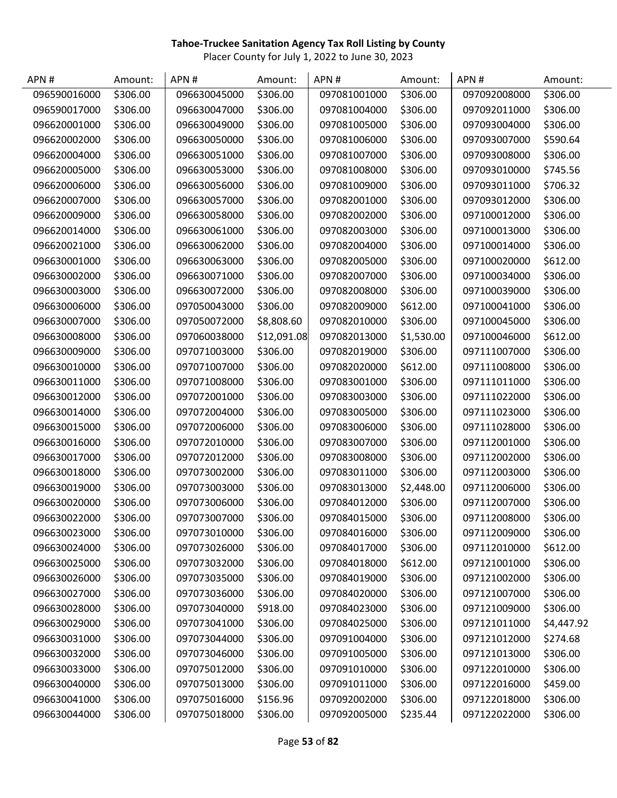| APN#         | Amount:  | APN#         | Amount:     | APN#         | Amount:    | APN#         | Amount:    |
|--------------|----------|--------------|-------------|--------------|------------|--------------|------------|
| 096590016000 | \$306.00 | 096630045000 | \$306.00    | 097081001000 | \$306.00   | 097092008000 | \$306.00   |
| 096590017000 | \$306.00 | 096630047000 | \$306.00    | 097081004000 | \$306.00   | 097092011000 | \$306.00   |
| 096620001000 | \$306.00 | 096630049000 | \$306.00    | 097081005000 | \$306.00   | 097093004000 | \$306.00   |
| 096620002000 | \$306.00 | 096630050000 | \$306.00    | 097081006000 | \$306.00   | 097093007000 | \$590.64   |
| 096620004000 | \$306.00 | 096630051000 | \$306.00    | 097081007000 | \$306.00   | 097093008000 | \$306.00   |
| 096620005000 | \$306.00 | 096630053000 | \$306.00    | 097081008000 | \$306.00   | 097093010000 | \$745.56   |
| 096620006000 | \$306.00 | 096630056000 | \$306.00    | 097081009000 | \$306.00   | 097093011000 | \$706.32   |
| 096620007000 | \$306.00 | 096630057000 | \$306.00    | 097082001000 | \$306.00   | 097093012000 | \$306.00   |
| 096620009000 | \$306.00 | 096630058000 | \$306.00    | 097082002000 | \$306.00   | 097100012000 | \$306.00   |
| 096620014000 | \$306.00 | 096630061000 | \$306.00    | 097082003000 | \$306.00   | 097100013000 | \$306.00   |
| 096620021000 | \$306.00 | 096630062000 | \$306.00    | 097082004000 | \$306.00   | 097100014000 | \$306.00   |
| 096630001000 | \$306.00 | 096630063000 | \$306.00    | 097082005000 | \$306.00   | 097100020000 | \$612.00   |
| 096630002000 | \$306.00 | 096630071000 | \$306.00    | 097082007000 | \$306.00   | 097100034000 | \$306.00   |
| 096630003000 | \$306.00 | 096630072000 | \$306.00    | 097082008000 | \$306.00   | 097100039000 | \$306.00   |
| 096630006000 | \$306.00 | 097050043000 | \$306.00    | 097082009000 | \$612.00   | 097100041000 | \$306.00   |
| 096630007000 | \$306.00 | 097050072000 | \$8,808.60  | 097082010000 | \$306.00   | 097100045000 | \$306.00   |
| 096630008000 | \$306.00 | 097060038000 | \$12,091.08 | 097082013000 | \$1,530.00 | 097100046000 | \$612.00   |
| 096630009000 | \$306.00 | 097071003000 | \$306.00    | 097082019000 | \$306.00   | 097111007000 | \$306.00   |
| 096630010000 | \$306.00 | 097071007000 | \$306.00    | 097082020000 | \$612.00   | 097111008000 | \$306.00   |
| 096630011000 | \$306.00 | 097071008000 | \$306.00    | 097083001000 | \$306.00   | 097111011000 | \$306.00   |
| 096630012000 | \$306.00 | 097072001000 | \$306.00    | 097083003000 | \$306.00   | 097111022000 | \$306.00   |
| 096630014000 | \$306.00 | 097072004000 | \$306.00    | 097083005000 | \$306.00   | 097111023000 | \$306.00   |
| 096630015000 | \$306.00 | 097072006000 | \$306.00    | 097083006000 | \$306.00   | 097111028000 | \$306.00   |
| 096630016000 | \$306.00 | 097072010000 | \$306.00    | 097083007000 | \$306.00   | 097112001000 | \$306.00   |
| 096630017000 | \$306.00 | 097072012000 | \$306.00    | 097083008000 | \$306.00   | 097112002000 | \$306.00   |
| 096630018000 | \$306.00 | 097073002000 | \$306.00    | 097083011000 | \$306.00   | 097112003000 | \$306.00   |
| 096630019000 | \$306.00 | 097073003000 | \$306.00    | 097083013000 | \$2,448.00 | 097112006000 | \$306.00   |
| 096630020000 | \$306.00 | 097073006000 | \$306.00    | 097084012000 | \$306.00   | 097112007000 | \$306.00   |
| 096630022000 | \$306.00 | 097073007000 | \$306.00    | 097084015000 | \$306.00   | 097112008000 | \$306.00   |
| 096630023000 | \$306.00 | 097073010000 | \$306.00    | 097084016000 | \$306.00   | 097112009000 | \$306.00   |
| 096630024000 | \$306.00 | 097073026000 | \$306.00    | 097084017000 | \$306.00   | 097112010000 | \$612.00   |
| 096630025000 | \$306.00 | 097073032000 | \$306.00    | 097084018000 | \$612.00   | 097121001000 | \$306.00   |
| 096630026000 | \$306.00 | 097073035000 | \$306.00    | 097084019000 | \$306.00   | 097121002000 | \$306.00   |
| 096630027000 | \$306.00 | 097073036000 | \$306.00    | 097084020000 | \$306.00   | 097121007000 | \$306.00   |
| 096630028000 | \$306.00 | 097073040000 | \$918.00    | 097084023000 | \$306.00   | 097121009000 | \$306.00   |
| 096630029000 | \$306.00 | 097073041000 | \$306.00    | 097084025000 | \$306.00   | 097121011000 | \$4,447.92 |
| 096630031000 | \$306.00 | 097073044000 | \$306.00    | 097091004000 | \$306.00   | 097121012000 | \$274.68   |
| 096630032000 | \$306.00 | 097073046000 | \$306.00    | 097091005000 | \$306.00   | 097121013000 | \$306.00   |
| 096630033000 | \$306.00 | 097075012000 | \$306.00    | 097091010000 | \$306.00   | 097122010000 | \$306.00   |
| 096630040000 | \$306.00 | 097075013000 | \$306.00    | 097091011000 | \$306.00   | 097122016000 | \$459.00   |
| 096630041000 | \$306.00 | 097075016000 | \$156.96    | 097092002000 | \$306.00   | 097122018000 | \$306.00   |
| 096630044000 | \$306.00 | 097075018000 | \$306.00    | 097092005000 | \$235.44   | 097122022000 | \$306.00   |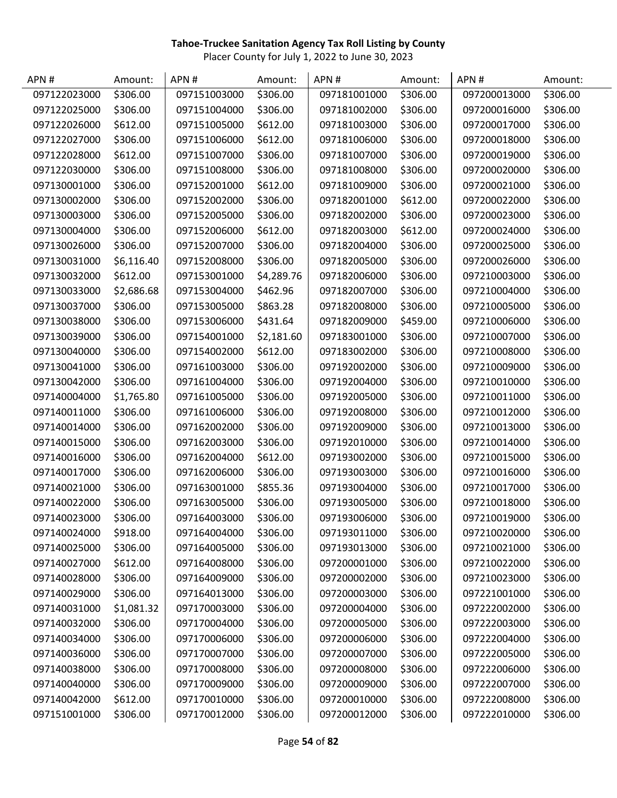| APN#         | Amount:    | APN#         | Amount:    | APN#         | Amount:  | APN#         | Amount:  |
|--------------|------------|--------------|------------|--------------|----------|--------------|----------|
| 097122023000 | \$306.00   | 097151003000 | \$306.00   | 097181001000 | \$306.00 | 097200013000 | \$306.00 |
| 097122025000 | \$306.00   | 097151004000 | \$306.00   | 097181002000 | \$306.00 | 097200016000 | \$306.00 |
| 097122026000 | \$612.00   | 097151005000 | \$612.00   | 097181003000 | \$306.00 | 097200017000 | \$306.00 |
| 097122027000 | \$306.00   | 097151006000 | \$612.00   | 097181006000 | \$306.00 | 097200018000 | \$306.00 |
| 097122028000 | \$612.00   | 097151007000 | \$306.00   | 097181007000 | \$306.00 | 097200019000 | \$306.00 |
| 097122030000 | \$306.00   | 097151008000 | \$306.00   | 097181008000 | \$306.00 | 097200020000 | \$306.00 |
| 097130001000 | \$306.00   | 097152001000 | \$612.00   | 097181009000 | \$306.00 | 097200021000 | \$306.00 |
| 097130002000 | \$306.00   | 097152002000 | \$306.00   | 097182001000 | \$612.00 | 097200022000 | \$306.00 |
| 097130003000 | \$306.00   | 097152005000 | \$306.00   | 097182002000 | \$306.00 | 097200023000 | \$306.00 |
| 097130004000 | \$306.00   | 097152006000 | \$612.00   | 097182003000 | \$612.00 | 097200024000 | \$306.00 |
| 097130026000 | \$306.00   | 097152007000 | \$306.00   | 097182004000 | \$306.00 | 097200025000 | \$306.00 |
| 097130031000 | \$6,116.40 | 097152008000 | \$306.00   | 097182005000 | \$306.00 | 097200026000 | \$306.00 |
| 097130032000 | \$612.00   | 097153001000 | \$4,289.76 | 097182006000 | \$306.00 | 097210003000 | \$306.00 |
| 097130033000 | \$2,686.68 | 097153004000 | \$462.96   | 097182007000 | \$306.00 | 097210004000 | \$306.00 |
| 097130037000 | \$306.00   | 097153005000 | \$863.28   | 097182008000 | \$306.00 | 097210005000 | \$306.00 |
| 097130038000 | \$306.00   | 097153006000 | \$431.64   | 097182009000 | \$459.00 | 097210006000 | \$306.00 |
| 097130039000 | \$306.00   | 097154001000 | \$2,181.60 | 097183001000 | \$306.00 | 097210007000 | \$306.00 |
| 097130040000 | \$306.00   | 097154002000 | \$612.00   | 097183002000 | \$306.00 | 097210008000 | \$306.00 |
| 097130041000 | \$306.00   | 097161003000 | \$306.00   | 097192002000 | \$306.00 | 097210009000 | \$306.00 |
| 097130042000 | \$306.00   | 097161004000 | \$306.00   | 097192004000 | \$306.00 | 097210010000 | \$306.00 |
| 097140004000 | \$1,765.80 | 097161005000 | \$306.00   | 097192005000 | \$306.00 | 097210011000 | \$306.00 |
| 097140011000 | \$306.00   | 097161006000 | \$306.00   | 097192008000 | \$306.00 | 097210012000 | \$306.00 |
| 097140014000 | \$306.00   | 097162002000 | \$306.00   | 097192009000 | \$306.00 | 097210013000 | \$306.00 |
| 097140015000 | \$306.00   | 097162003000 | \$306.00   | 097192010000 | \$306.00 | 097210014000 | \$306.00 |
| 097140016000 | \$306.00   | 097162004000 | \$612.00   | 097193002000 | \$306.00 | 097210015000 | \$306.00 |
| 097140017000 | \$306.00   | 097162006000 | \$306.00   | 097193003000 | \$306.00 | 097210016000 | \$306.00 |
| 097140021000 | \$306.00   | 097163001000 | \$855.36   | 097193004000 | \$306.00 | 097210017000 | \$306.00 |
| 097140022000 | \$306.00   | 097163005000 | \$306.00   | 097193005000 | \$306.00 | 097210018000 | \$306.00 |
| 097140023000 | \$306.00   | 097164003000 | \$306.00   | 097193006000 | \$306.00 | 097210019000 | \$306.00 |
| 097140024000 | \$918.00   | 097164004000 | \$306.00   | 097193011000 | \$306.00 | 097210020000 | \$306.00 |
| 097140025000 | \$306.00   | 097164005000 | \$306.00   | 097193013000 | \$306.00 | 097210021000 | \$306.00 |
| 097140027000 | \$612.00   | 097164008000 | \$306.00   | 097200001000 | \$306.00 | 097210022000 | \$306.00 |
| 097140028000 | \$306.00   | 097164009000 | \$306.00   | 097200002000 | \$306.00 | 097210023000 | \$306.00 |
| 097140029000 | \$306.00   | 097164013000 | \$306.00   | 097200003000 | \$306.00 | 097221001000 | \$306.00 |
| 097140031000 | \$1,081.32 | 097170003000 | \$306.00   | 097200004000 | \$306.00 | 097222002000 | \$306.00 |
| 097140032000 | \$306.00   | 097170004000 | \$306.00   | 097200005000 | \$306.00 | 097222003000 | \$306.00 |
| 097140034000 | \$306.00   | 097170006000 | \$306.00   | 097200006000 | \$306.00 | 097222004000 | \$306.00 |
| 097140036000 | \$306.00   | 097170007000 | \$306.00   | 097200007000 | \$306.00 | 097222005000 | \$306.00 |
| 097140038000 | \$306.00   | 097170008000 | \$306.00   | 097200008000 | \$306.00 | 097222006000 | \$306.00 |
| 097140040000 | \$306.00   | 097170009000 | \$306.00   | 097200009000 | \$306.00 | 097222007000 | \$306.00 |
| 097140042000 | \$612.00   | 097170010000 | \$306.00   | 097200010000 | \$306.00 | 097222008000 | \$306.00 |
| 097151001000 | \$306.00   | 097170012000 | \$306.00   | 097200012000 | \$306.00 | 097222010000 | \$306.00 |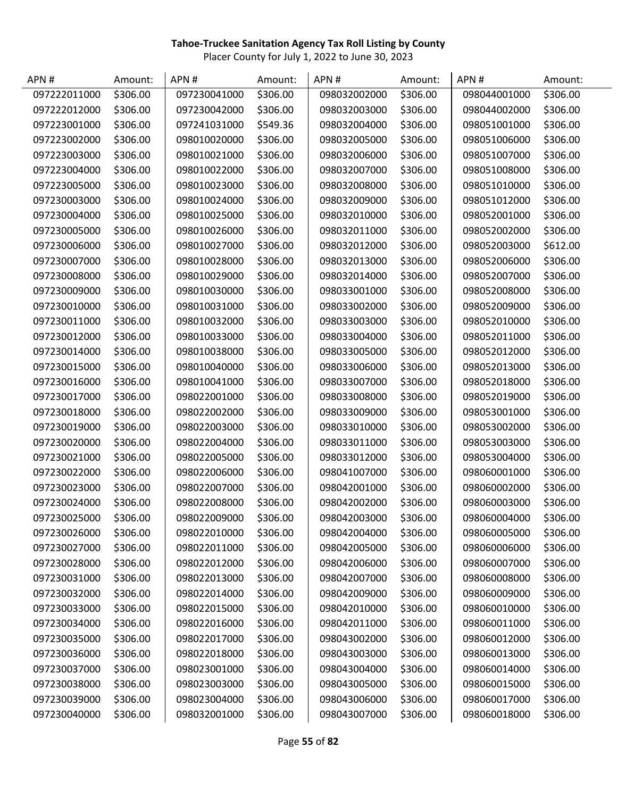| APN#         | Amount:  | APN#         | Amount:  | APN#         | Amount:  | APN#         | Amount:  |
|--------------|----------|--------------|----------|--------------|----------|--------------|----------|
| 097222011000 | \$306.00 | 097230041000 | \$306.00 | 098032002000 | \$306.00 | 098044001000 | \$306.00 |
| 097222012000 | \$306.00 | 097230042000 | \$306.00 | 098032003000 | \$306.00 | 098044002000 | \$306.00 |
| 097223001000 | \$306.00 | 097241031000 | \$549.36 | 098032004000 | \$306.00 | 098051001000 | \$306.00 |
| 097223002000 | \$306.00 | 098010020000 | \$306.00 | 098032005000 | \$306.00 | 098051006000 | \$306.00 |
| 097223003000 | \$306.00 | 098010021000 | \$306.00 | 098032006000 | \$306.00 | 098051007000 | \$306.00 |
| 097223004000 | \$306.00 | 098010022000 | \$306.00 | 098032007000 | \$306.00 | 098051008000 | \$306.00 |
| 097223005000 | \$306.00 | 098010023000 | \$306.00 | 098032008000 | \$306.00 | 098051010000 | \$306.00 |
| 097230003000 | \$306.00 | 098010024000 | \$306.00 | 098032009000 | \$306.00 | 098051012000 | \$306.00 |
| 097230004000 | \$306.00 | 098010025000 | \$306.00 | 098032010000 | \$306.00 | 098052001000 | \$306.00 |
| 097230005000 | \$306.00 | 098010026000 | \$306.00 | 098032011000 | \$306.00 | 098052002000 | \$306.00 |
| 097230006000 | \$306.00 | 098010027000 | \$306.00 | 098032012000 | \$306.00 | 098052003000 | \$612.00 |
| 097230007000 | \$306.00 | 098010028000 | \$306.00 | 098032013000 | \$306.00 | 098052006000 | \$306.00 |
| 097230008000 | \$306.00 | 098010029000 | \$306.00 | 098032014000 | \$306.00 | 098052007000 | \$306.00 |
| 097230009000 | \$306.00 | 098010030000 | \$306.00 | 098033001000 | \$306.00 | 098052008000 | \$306.00 |
| 097230010000 | \$306.00 | 098010031000 | \$306.00 | 098033002000 | \$306.00 | 098052009000 | \$306.00 |
| 097230011000 | \$306.00 | 098010032000 | \$306.00 | 098033003000 | \$306.00 | 098052010000 | \$306.00 |
| 097230012000 | \$306.00 | 098010033000 | \$306.00 | 098033004000 | \$306.00 | 098052011000 | \$306.00 |
| 097230014000 | \$306.00 | 098010038000 | \$306.00 | 098033005000 | \$306.00 | 098052012000 | \$306.00 |
| 097230015000 | \$306.00 | 098010040000 | \$306.00 | 098033006000 | \$306.00 | 098052013000 | \$306.00 |
| 097230016000 | \$306.00 | 098010041000 | \$306.00 | 098033007000 | \$306.00 | 098052018000 | \$306.00 |
| 097230017000 | \$306.00 | 098022001000 | \$306.00 | 098033008000 | \$306.00 | 098052019000 | \$306.00 |
| 097230018000 | \$306.00 | 098022002000 | \$306.00 | 098033009000 | \$306.00 | 098053001000 | \$306.00 |
| 097230019000 | \$306.00 | 098022003000 | \$306.00 | 098033010000 | \$306.00 | 098053002000 | \$306.00 |
| 097230020000 | \$306.00 | 098022004000 | \$306.00 | 098033011000 | \$306.00 | 098053003000 | \$306.00 |
| 097230021000 | \$306.00 | 098022005000 | \$306.00 | 098033012000 | \$306.00 | 098053004000 | \$306.00 |
| 097230022000 | \$306.00 | 098022006000 | \$306.00 | 098041007000 | \$306.00 | 098060001000 | \$306.00 |
| 097230023000 | \$306.00 | 098022007000 | \$306.00 | 098042001000 | \$306.00 | 098060002000 | \$306.00 |
| 097230024000 | \$306.00 | 098022008000 | \$306.00 | 098042002000 | \$306.00 | 098060003000 | \$306.00 |
| 097230025000 | \$306.00 | 098022009000 | \$306.00 | 098042003000 | \$306.00 | 098060004000 | \$306.00 |
| 097230026000 | \$306.00 | 098022010000 | \$306.00 | 098042004000 | \$306.00 | 098060005000 | \$306.00 |
| 097230027000 | \$306.00 | 098022011000 | \$306.00 | 098042005000 | \$306.00 | 098060006000 | \$306.00 |
| 097230028000 | \$306.00 | 098022012000 | \$306.00 | 098042006000 | \$306.00 | 098060007000 | \$306.00 |
| 097230031000 | \$306.00 | 098022013000 | \$306.00 | 098042007000 | \$306.00 | 098060008000 | \$306.00 |
| 097230032000 | \$306.00 | 098022014000 | \$306.00 | 098042009000 | \$306.00 | 098060009000 | \$306.00 |
| 097230033000 | \$306.00 | 098022015000 | \$306.00 | 098042010000 | \$306.00 | 098060010000 | \$306.00 |
| 097230034000 | \$306.00 | 098022016000 | \$306.00 | 098042011000 | \$306.00 | 098060011000 | \$306.00 |
| 097230035000 | \$306.00 | 098022017000 | \$306.00 | 098043002000 | \$306.00 | 098060012000 | \$306.00 |
| 097230036000 | \$306.00 | 098022018000 | \$306.00 | 098043003000 | \$306.00 | 098060013000 | \$306.00 |
| 097230037000 | \$306.00 | 098023001000 | \$306.00 | 098043004000 | \$306.00 | 098060014000 | \$306.00 |
| 097230038000 | \$306.00 | 098023003000 | \$306.00 | 098043005000 | \$306.00 | 098060015000 | \$306.00 |
| 097230039000 | \$306.00 | 098023004000 | \$306.00 | 098043006000 | \$306.00 | 098060017000 | \$306.00 |
| 097230040000 | \$306.00 | 098032001000 | \$306.00 | 098043007000 | \$306.00 | 098060018000 | \$306.00 |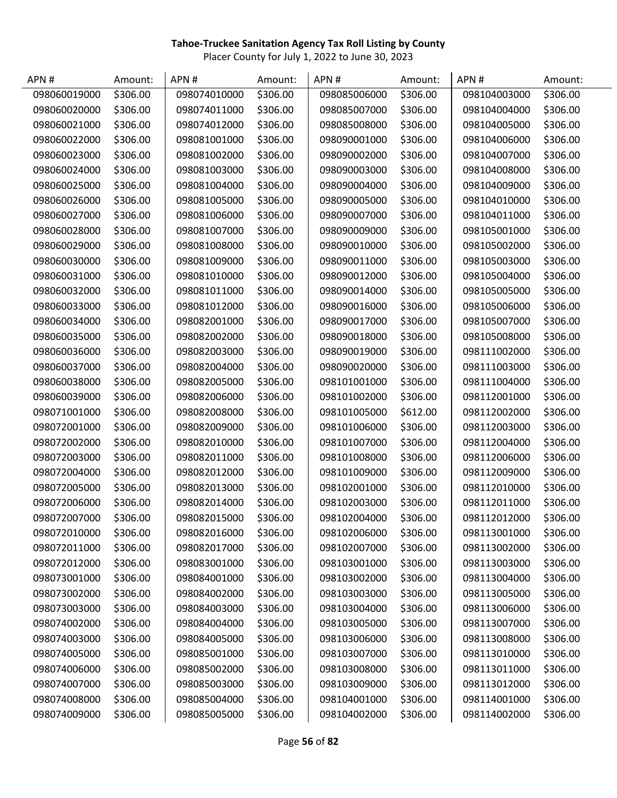| APN#         | Amount:  | APN#         | Amount:  | APN#         | Amount:  | APN#         | Amount:  |
|--------------|----------|--------------|----------|--------------|----------|--------------|----------|
| 098060019000 | \$306.00 | 098074010000 | \$306.00 | 098085006000 | \$306.00 | 098104003000 | \$306.00 |
| 098060020000 | \$306.00 | 098074011000 | \$306.00 | 098085007000 | \$306.00 | 098104004000 | \$306.00 |
| 098060021000 | \$306.00 | 098074012000 | \$306.00 | 098085008000 | \$306.00 | 098104005000 | \$306.00 |
| 098060022000 | \$306.00 | 098081001000 | \$306.00 | 098090001000 | \$306.00 | 098104006000 | \$306.00 |
| 098060023000 | \$306.00 | 098081002000 | \$306.00 | 098090002000 | \$306.00 | 098104007000 | \$306.00 |
| 098060024000 | \$306.00 | 098081003000 | \$306.00 | 098090003000 | \$306.00 | 098104008000 | \$306.00 |
| 098060025000 | \$306.00 | 098081004000 | \$306.00 | 098090004000 | \$306.00 | 098104009000 | \$306.00 |
| 098060026000 | \$306.00 | 098081005000 | \$306.00 | 098090005000 | \$306.00 | 098104010000 | \$306.00 |
| 098060027000 | \$306.00 | 098081006000 | \$306.00 | 098090007000 | \$306.00 | 098104011000 | \$306.00 |
| 098060028000 | \$306.00 | 098081007000 | \$306.00 | 098090009000 | \$306.00 | 098105001000 | \$306.00 |
| 098060029000 | \$306.00 | 098081008000 | \$306.00 | 098090010000 | \$306.00 | 098105002000 | \$306.00 |
| 098060030000 | \$306.00 | 098081009000 | \$306.00 | 098090011000 | \$306.00 | 098105003000 | \$306.00 |
| 098060031000 | \$306.00 | 098081010000 | \$306.00 | 098090012000 | \$306.00 | 098105004000 | \$306.00 |
| 098060032000 | \$306.00 | 098081011000 | \$306.00 | 098090014000 | \$306.00 | 098105005000 | \$306.00 |
| 098060033000 | \$306.00 | 098081012000 | \$306.00 | 098090016000 | \$306.00 | 098105006000 | \$306.00 |
| 098060034000 | \$306.00 | 098082001000 | \$306.00 | 098090017000 | \$306.00 | 098105007000 | \$306.00 |
| 098060035000 | \$306.00 | 098082002000 | \$306.00 | 098090018000 | \$306.00 | 098105008000 | \$306.00 |
| 098060036000 | \$306.00 | 098082003000 | \$306.00 | 098090019000 | \$306.00 | 098111002000 | \$306.00 |
| 098060037000 | \$306.00 | 098082004000 | \$306.00 | 098090020000 | \$306.00 | 098111003000 | \$306.00 |
| 098060038000 | \$306.00 | 098082005000 | \$306.00 | 098101001000 | \$306.00 | 098111004000 | \$306.00 |
| 098060039000 | \$306.00 | 098082006000 | \$306.00 | 098101002000 | \$306.00 | 098112001000 | \$306.00 |
| 098071001000 | \$306.00 | 098082008000 | \$306.00 | 098101005000 | \$612.00 | 098112002000 | \$306.00 |
| 098072001000 | \$306.00 | 098082009000 | \$306.00 | 098101006000 | \$306.00 | 098112003000 | \$306.00 |
| 098072002000 | \$306.00 | 098082010000 | \$306.00 | 098101007000 | \$306.00 | 098112004000 | \$306.00 |
| 098072003000 | \$306.00 | 098082011000 | \$306.00 | 098101008000 | \$306.00 | 098112006000 | \$306.00 |
| 098072004000 | \$306.00 | 098082012000 | \$306.00 | 098101009000 | \$306.00 | 098112009000 | \$306.00 |
| 098072005000 | \$306.00 | 098082013000 | \$306.00 | 098102001000 | \$306.00 | 098112010000 | \$306.00 |
| 098072006000 | \$306.00 | 098082014000 | \$306.00 | 098102003000 | \$306.00 | 098112011000 | \$306.00 |
| 098072007000 | \$306.00 | 098082015000 | \$306.00 | 098102004000 | \$306.00 | 098112012000 | \$306.00 |
| 098072010000 | \$306.00 | 098082016000 | \$306.00 | 098102006000 | \$306.00 | 098113001000 | \$306.00 |
| 098072011000 | \$306.00 | 098082017000 | \$306.00 | 098102007000 | \$306.00 | 098113002000 | \$306.00 |
| 098072012000 | \$306.00 | 098083001000 | \$306.00 | 098103001000 | \$306.00 | 098113003000 | \$306.00 |
| 098073001000 | \$306.00 | 098084001000 | \$306.00 | 098103002000 | \$306.00 | 098113004000 | \$306.00 |
| 098073002000 | \$306.00 | 098084002000 | \$306.00 | 098103003000 | \$306.00 | 098113005000 | \$306.00 |
| 098073003000 | \$306.00 | 098084003000 | \$306.00 | 098103004000 | \$306.00 | 098113006000 | \$306.00 |
| 098074002000 | \$306.00 | 098084004000 | \$306.00 | 098103005000 | \$306.00 | 098113007000 | \$306.00 |
| 098074003000 | \$306.00 | 098084005000 | \$306.00 | 098103006000 | \$306.00 | 098113008000 | \$306.00 |
| 098074005000 | \$306.00 | 098085001000 | \$306.00 | 098103007000 | \$306.00 | 098113010000 | \$306.00 |
| 098074006000 | \$306.00 | 098085002000 | \$306.00 | 098103008000 | \$306.00 | 098113011000 | \$306.00 |
| 098074007000 | \$306.00 | 098085003000 | \$306.00 | 098103009000 | \$306.00 | 098113012000 | \$306.00 |
| 098074008000 | \$306.00 | 098085004000 | \$306.00 | 098104001000 | \$306.00 | 098114001000 | \$306.00 |
| 098074009000 | \$306.00 | 098085005000 | \$306.00 | 098104002000 | \$306.00 | 098114002000 | \$306.00 |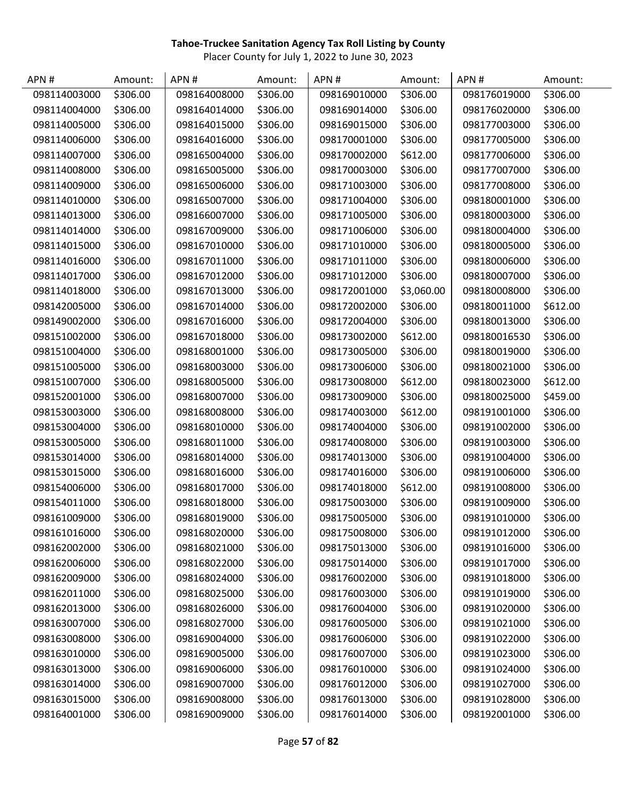| APN#         | Amount:  | APN#         | Amount:  | APN#         | Amount:    | APN#         | Amount:  |
|--------------|----------|--------------|----------|--------------|------------|--------------|----------|
| 098114003000 | \$306.00 | 098164008000 | \$306.00 | 098169010000 | \$306.00   | 098176019000 | \$306.00 |
| 098114004000 | \$306.00 | 098164014000 | \$306.00 | 098169014000 | \$306.00   | 098176020000 | \$306.00 |
| 098114005000 | \$306.00 | 098164015000 | \$306.00 | 098169015000 | \$306.00   | 098177003000 | \$306.00 |
| 098114006000 | \$306.00 | 098164016000 | \$306.00 | 098170001000 | \$306.00   | 098177005000 | \$306.00 |
| 098114007000 | \$306.00 | 098165004000 | \$306.00 | 098170002000 | \$612.00   | 098177006000 | \$306.00 |
| 098114008000 | \$306.00 | 098165005000 | \$306.00 | 098170003000 | \$306.00   | 098177007000 | \$306.00 |
| 098114009000 | \$306.00 | 098165006000 | \$306.00 | 098171003000 | \$306.00   | 098177008000 | \$306.00 |
| 098114010000 | \$306.00 | 098165007000 | \$306.00 | 098171004000 | \$306.00   | 098180001000 | \$306.00 |
| 098114013000 | \$306.00 | 098166007000 | \$306.00 | 098171005000 | \$306.00   | 098180003000 | \$306.00 |
| 098114014000 | \$306.00 | 098167009000 | \$306.00 | 098171006000 | \$306.00   | 098180004000 | \$306.00 |
| 098114015000 | \$306.00 | 098167010000 | \$306.00 | 098171010000 | \$306.00   | 098180005000 | \$306.00 |
| 098114016000 | \$306.00 | 098167011000 | \$306.00 | 098171011000 | \$306.00   | 098180006000 | \$306.00 |
| 098114017000 | \$306.00 | 098167012000 | \$306.00 | 098171012000 | \$306.00   | 098180007000 | \$306.00 |
| 098114018000 | \$306.00 | 098167013000 | \$306.00 | 098172001000 | \$3,060.00 | 098180008000 | \$306.00 |
| 098142005000 | \$306.00 | 098167014000 | \$306.00 | 098172002000 | \$306.00   | 098180011000 | \$612.00 |
| 098149002000 | \$306.00 | 098167016000 | \$306.00 | 098172004000 | \$306.00   | 098180013000 | \$306.00 |
| 098151002000 | \$306.00 | 098167018000 | \$306.00 | 098173002000 | \$612.00   | 098180016530 | \$306.00 |
| 098151004000 | \$306.00 | 098168001000 | \$306.00 | 098173005000 | \$306.00   | 098180019000 | \$306.00 |
| 098151005000 | \$306.00 | 098168003000 | \$306.00 | 098173006000 | \$306.00   | 098180021000 | \$306.00 |
| 098151007000 | \$306.00 | 098168005000 | \$306.00 | 098173008000 | \$612.00   | 098180023000 | \$612.00 |
| 098152001000 | \$306.00 | 098168007000 | \$306.00 | 098173009000 | \$306.00   | 098180025000 | \$459.00 |
| 098153003000 | \$306.00 | 098168008000 | \$306.00 | 098174003000 | \$612.00   | 098191001000 | \$306.00 |
| 098153004000 | \$306.00 | 098168010000 | \$306.00 | 098174004000 | \$306.00   | 098191002000 | \$306.00 |
| 098153005000 | \$306.00 | 098168011000 | \$306.00 | 098174008000 | \$306.00   | 098191003000 | \$306.00 |
| 098153014000 | \$306.00 | 098168014000 | \$306.00 | 098174013000 | \$306.00   | 098191004000 | \$306.00 |
| 098153015000 | \$306.00 | 098168016000 | \$306.00 | 098174016000 | \$306.00   | 098191006000 | \$306.00 |
| 098154006000 | \$306.00 | 098168017000 | \$306.00 | 098174018000 | \$612.00   | 098191008000 | \$306.00 |
| 098154011000 | \$306.00 | 098168018000 | \$306.00 | 098175003000 | \$306.00   | 098191009000 | \$306.00 |
| 098161009000 | \$306.00 | 098168019000 | \$306.00 | 098175005000 | \$306.00   | 098191010000 | \$306.00 |
| 098161016000 | \$306.00 | 098168020000 | \$306.00 | 098175008000 | \$306.00   | 098191012000 | \$306.00 |
| 098162002000 | \$306.00 | 098168021000 | \$306.00 | 098175013000 | \$306.00   | 098191016000 | \$306.00 |
| 098162006000 | \$306.00 | 098168022000 | \$306.00 | 098175014000 | \$306.00   | 098191017000 | \$306.00 |
| 098162009000 | \$306.00 | 098168024000 | \$306.00 | 098176002000 | \$306.00   | 098191018000 | \$306.00 |
| 098162011000 | \$306.00 | 098168025000 | \$306.00 | 098176003000 | \$306.00   | 098191019000 | \$306.00 |
| 098162013000 | \$306.00 | 098168026000 | \$306.00 | 098176004000 | \$306.00   | 098191020000 | \$306.00 |
| 098163007000 | \$306.00 | 098168027000 | \$306.00 | 098176005000 | \$306.00   | 098191021000 | \$306.00 |
| 098163008000 | \$306.00 | 098169004000 | \$306.00 | 098176006000 | \$306.00   | 098191022000 | \$306.00 |
| 098163010000 | \$306.00 | 098169005000 | \$306.00 | 098176007000 | \$306.00   | 098191023000 | \$306.00 |
| 098163013000 | \$306.00 | 098169006000 | \$306.00 | 098176010000 | \$306.00   | 098191024000 | \$306.00 |
| 098163014000 | \$306.00 | 098169007000 | \$306.00 | 098176012000 | \$306.00   | 098191027000 | \$306.00 |
| 098163015000 | \$306.00 | 098169008000 | \$306.00 | 098176013000 | \$306.00   | 098191028000 | \$306.00 |
| 098164001000 | \$306.00 | 098169009000 | \$306.00 | 098176014000 | \$306.00   | 098192001000 | \$306.00 |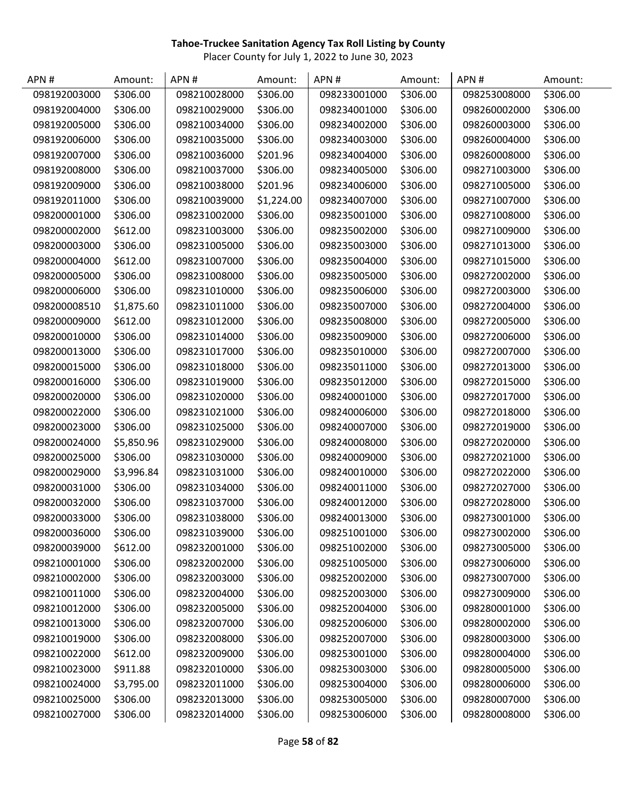| APN#         | Amount:    | APN#         | Amount:    | APN#         | Amount:  | APN#         | Amount:  |
|--------------|------------|--------------|------------|--------------|----------|--------------|----------|
| 098192003000 | \$306.00   | 098210028000 | \$306.00   | 098233001000 | \$306.00 | 098253008000 | \$306.00 |
| 098192004000 | \$306.00   | 098210029000 | \$306.00   | 098234001000 | \$306.00 | 098260002000 | \$306.00 |
| 098192005000 | \$306.00   | 098210034000 | \$306.00   | 098234002000 | \$306.00 | 098260003000 | \$306.00 |
| 098192006000 | \$306.00   | 098210035000 | \$306.00   | 098234003000 | \$306.00 | 098260004000 | \$306.00 |
| 098192007000 | \$306.00   | 098210036000 | \$201.96   | 098234004000 | \$306.00 | 098260008000 | \$306.00 |
| 098192008000 | \$306.00   | 098210037000 | \$306.00   | 098234005000 | \$306.00 | 098271003000 | \$306.00 |
| 098192009000 | \$306.00   | 098210038000 | \$201.96   | 098234006000 | \$306.00 | 098271005000 | \$306.00 |
| 098192011000 | \$306.00   | 098210039000 | \$1,224.00 | 098234007000 | \$306.00 | 098271007000 | \$306.00 |
| 098200001000 | \$306.00   | 098231002000 | \$306.00   | 098235001000 | \$306.00 | 098271008000 | \$306.00 |
| 098200002000 | \$612.00   | 098231003000 | \$306.00   | 098235002000 | \$306.00 | 098271009000 | \$306.00 |
| 098200003000 | \$306.00   | 098231005000 | \$306.00   | 098235003000 | \$306.00 | 098271013000 | \$306.00 |
| 098200004000 | \$612.00   | 098231007000 | \$306.00   | 098235004000 | \$306.00 | 098271015000 | \$306.00 |
| 098200005000 | \$306.00   | 098231008000 | \$306.00   | 098235005000 | \$306.00 | 098272002000 | \$306.00 |
| 098200006000 | \$306.00   | 098231010000 | \$306.00   | 098235006000 | \$306.00 | 098272003000 | \$306.00 |
| 098200008510 | \$1,875.60 | 098231011000 | \$306.00   | 098235007000 | \$306.00 | 098272004000 | \$306.00 |
| 098200009000 | \$612.00   | 098231012000 | \$306.00   | 098235008000 | \$306.00 | 098272005000 | \$306.00 |
| 098200010000 | \$306.00   | 098231014000 | \$306.00   | 098235009000 | \$306.00 | 098272006000 | \$306.00 |
| 098200013000 | \$306.00   | 098231017000 | \$306.00   | 098235010000 | \$306.00 | 098272007000 | \$306.00 |
| 098200015000 | \$306.00   | 098231018000 | \$306.00   | 098235011000 | \$306.00 | 098272013000 | \$306.00 |
| 098200016000 | \$306.00   | 098231019000 | \$306.00   | 098235012000 | \$306.00 | 098272015000 | \$306.00 |
| 098200020000 | \$306.00   | 098231020000 | \$306.00   | 098240001000 | \$306.00 | 098272017000 | \$306.00 |
| 098200022000 | \$306.00   | 098231021000 | \$306.00   | 098240006000 | \$306.00 | 098272018000 | \$306.00 |
| 098200023000 | \$306.00   | 098231025000 | \$306.00   | 098240007000 | \$306.00 | 098272019000 | \$306.00 |
| 098200024000 | \$5,850.96 | 098231029000 | \$306.00   | 098240008000 | \$306.00 | 098272020000 | \$306.00 |
| 098200025000 | \$306.00   | 098231030000 | \$306.00   | 098240009000 | \$306.00 | 098272021000 | \$306.00 |
| 098200029000 | \$3,996.84 | 098231031000 | \$306.00   | 098240010000 | \$306.00 | 098272022000 | \$306.00 |
| 098200031000 | \$306.00   | 098231034000 | \$306.00   | 098240011000 | \$306.00 | 098272027000 | \$306.00 |
| 098200032000 | \$306.00   | 098231037000 | \$306.00   | 098240012000 | \$306.00 | 098272028000 | \$306.00 |
| 098200033000 | \$306.00   | 098231038000 | \$306.00   | 098240013000 | \$306.00 | 098273001000 | \$306.00 |
| 098200036000 | \$306.00   | 098231039000 | \$306.00   | 098251001000 | \$306.00 | 098273002000 | \$306.00 |
| 098200039000 | \$612.00   | 098232001000 | \$306.00   | 098251002000 | \$306.00 | 098273005000 | \$306.00 |
| 098210001000 | \$306.00   | 098232002000 | \$306.00   | 098251005000 | \$306.00 | 098273006000 | \$306.00 |
| 098210002000 | \$306.00   | 098232003000 | \$306.00   | 098252002000 | \$306.00 | 098273007000 | \$306.00 |
| 098210011000 | \$306.00   | 098232004000 | \$306.00   | 098252003000 | \$306.00 | 098273009000 | \$306.00 |
| 098210012000 | \$306.00   | 098232005000 | \$306.00   | 098252004000 | \$306.00 | 098280001000 | \$306.00 |
| 098210013000 | \$306.00   | 098232007000 | \$306.00   | 098252006000 | \$306.00 | 098280002000 | \$306.00 |
| 098210019000 | \$306.00   | 098232008000 | \$306.00   | 098252007000 | \$306.00 | 098280003000 | \$306.00 |
| 098210022000 | \$612.00   | 098232009000 | \$306.00   | 098253001000 | \$306.00 | 098280004000 | \$306.00 |
| 098210023000 | \$911.88   | 098232010000 | \$306.00   | 098253003000 | \$306.00 | 098280005000 | \$306.00 |
| 098210024000 | \$3,795.00 | 098232011000 | \$306.00   | 098253004000 | \$306.00 | 098280006000 | \$306.00 |
| 098210025000 | \$306.00   | 098232013000 | \$306.00   | 098253005000 | \$306.00 | 098280007000 | \$306.00 |
| 098210027000 | \$306.00   | 098232014000 | \$306.00   | 098253006000 | \$306.00 | 098280008000 | \$306.00 |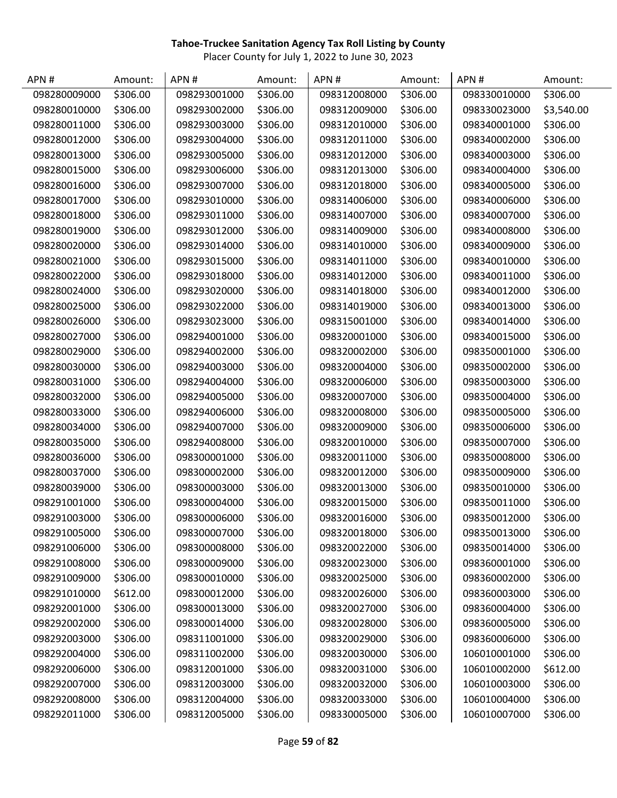| APN#         | Amount:  | APN#         | Amount:  | APN#         | Amount:  | APN#         | Amount:    |
|--------------|----------|--------------|----------|--------------|----------|--------------|------------|
| 098280009000 | \$306.00 | 098293001000 | \$306.00 | 098312008000 | \$306.00 | 098330010000 | \$306.00   |
| 098280010000 | \$306.00 | 098293002000 | \$306.00 | 098312009000 | \$306.00 | 098330023000 | \$3,540.00 |
| 098280011000 | \$306.00 | 098293003000 | \$306.00 | 098312010000 | \$306.00 | 098340001000 | \$306.00   |
| 098280012000 | \$306.00 | 098293004000 | \$306.00 | 098312011000 | \$306.00 | 098340002000 | \$306.00   |
| 098280013000 | \$306.00 | 098293005000 | \$306.00 | 098312012000 | \$306.00 | 098340003000 | \$306.00   |
| 098280015000 | \$306.00 | 098293006000 | \$306.00 | 098312013000 | \$306.00 | 098340004000 | \$306.00   |
| 098280016000 | \$306.00 | 098293007000 | \$306.00 | 098312018000 | \$306.00 | 098340005000 | \$306.00   |
| 098280017000 | \$306.00 | 098293010000 | \$306.00 | 098314006000 | \$306.00 | 098340006000 | \$306.00   |
| 098280018000 | \$306.00 | 098293011000 | \$306.00 | 098314007000 | \$306.00 | 098340007000 | \$306.00   |
| 098280019000 | \$306.00 | 098293012000 | \$306.00 | 098314009000 | \$306.00 | 098340008000 | \$306.00   |
| 098280020000 | \$306.00 | 098293014000 | \$306.00 | 098314010000 | \$306.00 | 098340009000 | \$306.00   |
| 098280021000 | \$306.00 | 098293015000 | \$306.00 | 098314011000 | \$306.00 | 098340010000 | \$306.00   |
| 098280022000 | \$306.00 | 098293018000 | \$306.00 | 098314012000 | \$306.00 | 098340011000 | \$306.00   |
| 098280024000 | \$306.00 | 098293020000 | \$306.00 | 098314018000 | \$306.00 | 098340012000 | \$306.00   |
| 098280025000 | \$306.00 | 098293022000 | \$306.00 | 098314019000 | \$306.00 | 098340013000 | \$306.00   |
| 098280026000 | \$306.00 | 098293023000 | \$306.00 | 098315001000 | \$306.00 | 098340014000 | \$306.00   |
| 098280027000 | \$306.00 | 098294001000 | \$306.00 | 098320001000 | \$306.00 | 098340015000 | \$306.00   |
| 098280029000 | \$306.00 | 098294002000 | \$306.00 | 098320002000 | \$306.00 | 098350001000 | \$306.00   |
| 098280030000 | \$306.00 | 098294003000 | \$306.00 | 098320004000 | \$306.00 | 098350002000 | \$306.00   |
| 098280031000 | \$306.00 | 098294004000 | \$306.00 | 098320006000 | \$306.00 | 098350003000 | \$306.00   |
| 098280032000 | \$306.00 | 098294005000 | \$306.00 | 098320007000 | \$306.00 | 098350004000 | \$306.00   |
| 098280033000 | \$306.00 | 098294006000 | \$306.00 | 098320008000 | \$306.00 | 098350005000 | \$306.00   |
| 098280034000 | \$306.00 | 098294007000 | \$306.00 | 098320009000 | \$306.00 | 098350006000 | \$306.00   |
| 098280035000 | \$306.00 | 098294008000 | \$306.00 | 098320010000 | \$306.00 | 098350007000 | \$306.00   |
| 098280036000 | \$306.00 | 098300001000 | \$306.00 | 098320011000 | \$306.00 | 098350008000 | \$306.00   |
| 098280037000 | \$306.00 | 098300002000 | \$306.00 | 098320012000 | \$306.00 | 098350009000 | \$306.00   |
| 098280039000 | \$306.00 | 098300003000 | \$306.00 | 098320013000 | \$306.00 | 098350010000 | \$306.00   |
| 098291001000 | \$306.00 | 098300004000 | \$306.00 | 098320015000 | \$306.00 | 098350011000 | \$306.00   |
| 098291003000 | \$306.00 | 098300006000 | \$306.00 | 098320016000 | \$306.00 | 098350012000 | \$306.00   |
| 098291005000 | \$306.00 | 098300007000 | \$306.00 | 098320018000 | \$306.00 | 098350013000 | \$306.00   |
| 098291006000 | \$306.00 | 098300008000 | \$306.00 | 098320022000 | \$306.00 | 098350014000 | \$306.00   |
| 098291008000 | \$306.00 | 098300009000 | \$306.00 | 098320023000 | \$306.00 | 098360001000 | \$306.00   |
| 098291009000 | \$306.00 | 098300010000 | \$306.00 | 098320025000 | \$306.00 | 098360002000 | \$306.00   |
| 098291010000 | \$612.00 | 098300012000 | \$306.00 | 098320026000 | \$306.00 | 098360003000 | \$306.00   |
| 098292001000 | \$306.00 | 098300013000 | \$306.00 | 098320027000 | \$306.00 | 098360004000 | \$306.00   |
| 098292002000 | \$306.00 | 098300014000 | \$306.00 | 098320028000 | \$306.00 | 098360005000 | \$306.00   |
| 098292003000 | \$306.00 | 098311001000 | \$306.00 | 098320029000 | \$306.00 | 098360006000 | \$306.00   |
| 098292004000 | \$306.00 | 098311002000 | \$306.00 | 098320030000 | \$306.00 | 106010001000 | \$306.00   |
| 098292006000 | \$306.00 | 098312001000 | \$306.00 | 098320031000 | \$306.00 | 106010002000 | \$612.00   |
| 098292007000 | \$306.00 | 098312003000 | \$306.00 | 098320032000 | \$306.00 | 106010003000 | \$306.00   |
| 098292008000 | \$306.00 | 098312004000 | \$306.00 | 098320033000 | \$306.00 | 106010004000 | \$306.00   |
| 098292011000 | \$306.00 | 098312005000 | \$306.00 | 098330005000 | \$306.00 | 106010007000 | \$306.00   |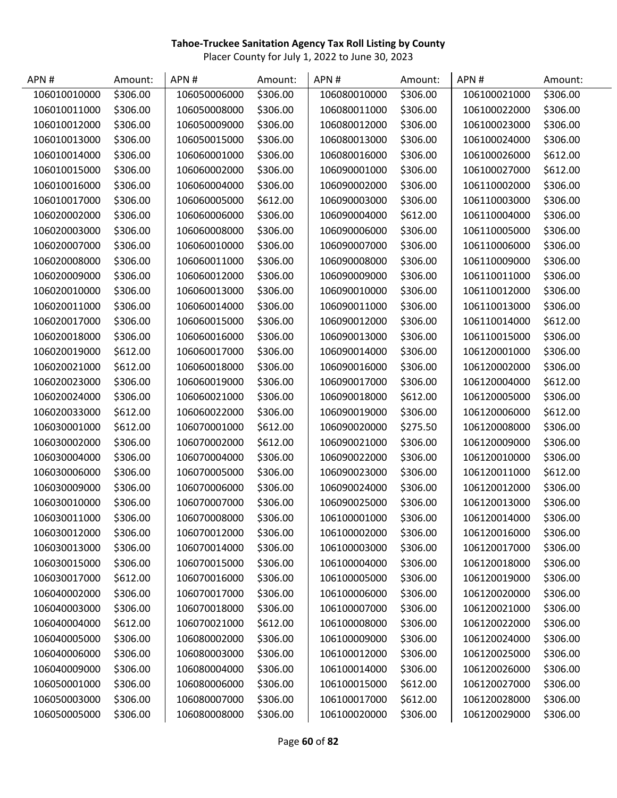| APN#         | Amount:  | APN#         | Amount:  | APN#         | Amount:  | APN#         | Amount:  |
|--------------|----------|--------------|----------|--------------|----------|--------------|----------|
| 106010010000 | \$306.00 | 106050006000 | \$306.00 | 106080010000 | \$306.00 | 106100021000 | \$306.00 |
| 106010011000 | \$306.00 | 106050008000 | \$306.00 | 106080011000 | \$306.00 | 106100022000 | \$306.00 |
| 106010012000 | \$306.00 | 106050009000 | \$306.00 | 106080012000 | \$306.00 | 106100023000 | \$306.00 |
| 106010013000 | \$306.00 | 106050015000 | \$306.00 | 106080013000 | \$306.00 | 106100024000 | \$306.00 |
| 106010014000 | \$306.00 | 106060001000 | \$306.00 | 106080016000 | \$306.00 | 106100026000 | \$612.00 |
| 106010015000 | \$306.00 | 106060002000 | \$306.00 | 106090001000 | \$306.00 | 106100027000 | \$612.00 |
| 106010016000 | \$306.00 | 106060004000 | \$306.00 | 106090002000 | \$306.00 | 106110002000 | \$306.00 |
| 106010017000 | \$306.00 | 106060005000 | \$612.00 | 106090003000 | \$306.00 | 106110003000 | \$306.00 |
| 106020002000 | \$306.00 | 106060006000 | \$306.00 | 106090004000 | \$612.00 | 106110004000 | \$306.00 |
| 106020003000 | \$306.00 | 106060008000 | \$306.00 | 106090006000 | \$306.00 | 106110005000 | \$306.00 |
| 106020007000 | \$306.00 | 106060010000 | \$306.00 | 106090007000 | \$306.00 | 106110006000 | \$306.00 |
| 106020008000 | \$306.00 | 106060011000 | \$306.00 | 106090008000 | \$306.00 | 106110009000 | \$306.00 |
| 106020009000 | \$306.00 | 106060012000 | \$306.00 | 106090009000 | \$306.00 | 106110011000 | \$306.00 |
| 106020010000 | \$306.00 | 106060013000 | \$306.00 | 106090010000 | \$306.00 | 106110012000 | \$306.00 |
| 106020011000 | \$306.00 | 106060014000 | \$306.00 | 106090011000 | \$306.00 | 106110013000 | \$306.00 |
| 106020017000 | \$306.00 | 106060015000 | \$306.00 | 106090012000 | \$306.00 | 106110014000 | \$612.00 |
| 106020018000 | \$306.00 | 106060016000 | \$306.00 | 106090013000 | \$306.00 | 106110015000 | \$306.00 |
| 106020019000 | \$612.00 | 106060017000 | \$306.00 | 106090014000 | \$306.00 | 106120001000 | \$306.00 |
| 106020021000 | \$612.00 | 106060018000 | \$306.00 | 106090016000 | \$306.00 | 106120002000 | \$306.00 |
| 106020023000 | \$306.00 | 106060019000 | \$306.00 | 106090017000 | \$306.00 | 106120004000 | \$612.00 |
| 106020024000 | \$306.00 | 106060021000 | \$306.00 | 106090018000 | \$612.00 | 106120005000 | \$306.00 |
| 106020033000 | \$612.00 | 106060022000 | \$306.00 | 106090019000 | \$306.00 | 106120006000 | \$612.00 |
| 106030001000 | \$612.00 | 106070001000 | \$612.00 | 106090020000 | \$275.50 | 106120008000 | \$306.00 |
| 106030002000 | \$306.00 | 106070002000 | \$612.00 | 106090021000 | \$306.00 | 106120009000 | \$306.00 |
| 106030004000 | \$306.00 | 106070004000 | \$306.00 | 106090022000 | \$306.00 | 106120010000 | \$306.00 |
| 106030006000 | \$306.00 | 106070005000 | \$306.00 | 106090023000 | \$306.00 | 106120011000 | \$612.00 |
| 106030009000 | \$306.00 | 106070006000 | \$306.00 | 106090024000 | \$306.00 | 106120012000 | \$306.00 |
| 106030010000 | \$306.00 | 106070007000 | \$306.00 | 106090025000 | \$306.00 | 106120013000 | \$306.00 |
| 106030011000 | \$306.00 | 106070008000 | \$306.00 | 106100001000 | \$306.00 | 106120014000 | \$306.00 |
| 106030012000 | \$306.00 | 106070012000 | \$306.00 | 106100002000 | \$306.00 | 106120016000 | \$306.00 |
| 106030013000 | \$306.00 | 106070014000 | \$306.00 | 106100003000 | \$306.00 | 106120017000 | \$306.00 |
| 106030015000 | \$306.00 | 106070015000 | \$306.00 | 106100004000 | \$306.00 | 106120018000 | \$306.00 |
| 106030017000 | \$612.00 | 106070016000 | \$306.00 | 106100005000 | \$306.00 | 106120019000 | \$306.00 |
| 106040002000 | \$306.00 | 106070017000 | \$306.00 | 106100006000 | \$306.00 | 106120020000 | \$306.00 |
| 106040003000 | \$306.00 | 106070018000 | \$306.00 | 106100007000 | \$306.00 | 106120021000 | \$306.00 |
| 106040004000 | \$612.00 | 106070021000 | \$612.00 | 106100008000 | \$306.00 | 106120022000 | \$306.00 |
| 106040005000 | \$306.00 | 106080002000 | \$306.00 | 106100009000 | \$306.00 | 106120024000 | \$306.00 |
| 106040006000 | \$306.00 | 106080003000 | \$306.00 | 106100012000 | \$306.00 | 106120025000 | \$306.00 |
| 106040009000 | \$306.00 | 106080004000 | \$306.00 | 106100014000 | \$306.00 | 106120026000 | \$306.00 |
| 106050001000 | \$306.00 | 106080006000 | \$306.00 | 106100015000 | \$612.00 | 106120027000 | \$306.00 |
| 106050003000 | \$306.00 | 106080007000 | \$306.00 | 106100017000 | \$612.00 | 106120028000 | \$306.00 |
| 106050005000 | \$306.00 | 106080008000 | \$306.00 | 106100020000 | \$306.00 | 106120029000 | \$306.00 |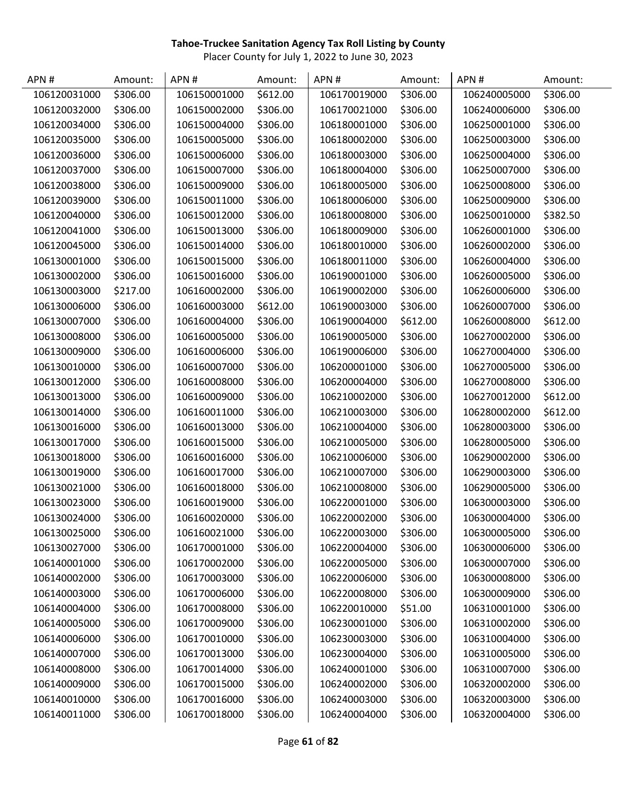| APN #        | Amount:  | APN#         | Amount:  | APN#         | Amount:  | APN#         | Amount:  |
|--------------|----------|--------------|----------|--------------|----------|--------------|----------|
| 106120031000 | \$306.00 | 106150001000 | \$612.00 | 106170019000 | \$306.00 | 106240005000 | \$306.00 |
| 106120032000 | \$306.00 | 106150002000 | \$306.00 | 106170021000 | \$306.00 | 106240006000 | \$306.00 |
| 106120034000 | \$306.00 | 106150004000 | \$306.00 | 106180001000 | \$306.00 | 106250001000 | \$306.00 |
| 106120035000 | \$306.00 | 106150005000 | \$306.00 | 106180002000 | \$306.00 | 106250003000 | \$306.00 |
| 106120036000 | \$306.00 | 106150006000 | \$306.00 | 106180003000 | \$306.00 | 106250004000 | \$306.00 |
| 106120037000 | \$306.00 | 106150007000 | \$306.00 | 106180004000 | \$306.00 | 106250007000 | \$306.00 |
| 106120038000 | \$306.00 | 106150009000 | \$306.00 | 106180005000 | \$306.00 | 106250008000 | \$306.00 |
| 106120039000 | \$306.00 | 106150011000 | \$306.00 | 106180006000 | \$306.00 | 106250009000 | \$306.00 |
| 106120040000 | \$306.00 | 106150012000 | \$306.00 | 106180008000 | \$306.00 | 106250010000 | \$382.50 |
| 106120041000 | \$306.00 | 106150013000 | \$306.00 | 106180009000 | \$306.00 | 106260001000 | \$306.00 |
| 106120045000 | \$306.00 | 106150014000 | \$306.00 | 106180010000 | \$306.00 | 106260002000 | \$306.00 |
| 106130001000 | \$306.00 | 106150015000 | \$306.00 | 106180011000 | \$306.00 | 106260004000 | \$306.00 |
| 106130002000 | \$306.00 | 106150016000 | \$306.00 | 106190001000 | \$306.00 | 106260005000 | \$306.00 |
| 106130003000 | \$217.00 | 106160002000 | \$306.00 | 106190002000 | \$306.00 | 106260006000 | \$306.00 |
| 106130006000 | \$306.00 | 106160003000 | \$612.00 | 106190003000 | \$306.00 | 106260007000 | \$306.00 |
| 106130007000 | \$306.00 | 106160004000 | \$306.00 | 106190004000 | \$612.00 | 106260008000 | \$612.00 |
| 106130008000 | \$306.00 | 106160005000 | \$306.00 | 106190005000 | \$306.00 | 106270002000 | \$306.00 |
| 106130009000 | \$306.00 | 106160006000 | \$306.00 | 106190006000 | \$306.00 | 106270004000 | \$306.00 |
| 106130010000 | \$306.00 | 106160007000 | \$306.00 | 106200001000 | \$306.00 | 106270005000 | \$306.00 |
| 106130012000 | \$306.00 | 106160008000 | \$306.00 | 106200004000 | \$306.00 | 106270008000 | \$306.00 |
| 106130013000 | \$306.00 | 106160009000 | \$306.00 | 106210002000 | \$306.00 | 106270012000 | \$612.00 |
| 106130014000 | \$306.00 | 106160011000 | \$306.00 | 106210003000 | \$306.00 | 106280002000 | \$612.00 |
| 106130016000 | \$306.00 | 106160013000 | \$306.00 | 106210004000 | \$306.00 | 106280003000 | \$306.00 |
| 106130017000 | \$306.00 | 106160015000 | \$306.00 | 106210005000 | \$306.00 | 106280005000 | \$306.00 |
| 106130018000 | \$306.00 | 106160016000 | \$306.00 | 106210006000 | \$306.00 | 106290002000 | \$306.00 |
| 106130019000 | \$306.00 | 106160017000 | \$306.00 | 106210007000 | \$306.00 | 106290003000 | \$306.00 |
| 106130021000 | \$306.00 | 106160018000 | \$306.00 | 106210008000 | \$306.00 | 106290005000 | \$306.00 |
| 106130023000 | \$306.00 | 106160019000 | \$306.00 | 106220001000 | \$306.00 | 106300003000 | \$306.00 |
| 106130024000 | \$306.00 | 106160020000 | \$306.00 | 106220002000 | \$306.00 | 106300004000 | \$306.00 |
| 106130025000 | \$306.00 | 106160021000 | \$306.00 | 106220003000 | \$306.00 | 106300005000 | \$306.00 |
| 106130027000 | \$306.00 | 106170001000 | \$306.00 | 106220004000 | \$306.00 | 106300006000 | \$306.00 |
| 106140001000 | \$306.00 | 106170002000 | \$306.00 | 106220005000 | \$306.00 | 106300007000 | \$306.00 |
| 106140002000 | \$306.00 | 106170003000 | \$306.00 | 106220006000 | \$306.00 | 106300008000 | \$306.00 |
| 106140003000 | \$306.00 | 106170006000 | \$306.00 | 106220008000 | \$306.00 | 106300009000 | \$306.00 |
| 106140004000 | \$306.00 | 106170008000 | \$306.00 | 106220010000 | \$51.00  | 106310001000 | \$306.00 |
| 106140005000 | \$306.00 | 106170009000 | \$306.00 | 106230001000 | \$306.00 | 106310002000 | \$306.00 |
| 106140006000 | \$306.00 | 106170010000 | \$306.00 | 106230003000 | \$306.00 | 106310004000 | \$306.00 |
| 106140007000 | \$306.00 | 106170013000 | \$306.00 | 106230004000 | \$306.00 | 106310005000 | \$306.00 |
| 106140008000 | \$306.00 | 106170014000 | \$306.00 | 106240001000 | \$306.00 | 106310007000 | \$306.00 |
| 106140009000 | \$306.00 | 106170015000 | \$306.00 | 106240002000 | \$306.00 | 106320002000 | \$306.00 |
| 106140010000 | \$306.00 | 106170016000 | \$306.00 | 106240003000 | \$306.00 | 106320003000 | \$306.00 |
| 106140011000 | \$306.00 | 106170018000 | \$306.00 | 106240004000 | \$306.00 | 106320004000 | \$306.00 |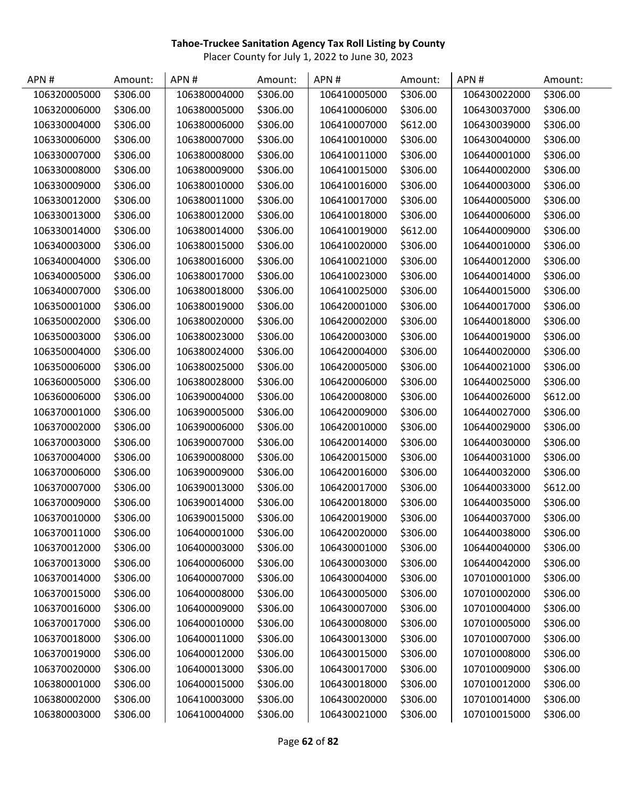| APN#         | Amount:  | APN#         | Amount:  | APN#         | Amount:  | APN#         | Amount:  |
|--------------|----------|--------------|----------|--------------|----------|--------------|----------|
| 106320005000 | \$306.00 | 106380004000 | \$306.00 | 106410005000 | \$306.00 | 106430022000 | \$306.00 |
| 106320006000 | \$306.00 | 106380005000 | \$306.00 | 106410006000 | \$306.00 | 106430037000 | \$306.00 |
| 106330004000 | \$306.00 | 106380006000 | \$306.00 | 106410007000 | \$612.00 | 106430039000 | \$306.00 |
| 106330006000 | \$306.00 | 106380007000 | \$306.00 | 106410010000 | \$306.00 | 106430040000 | \$306.00 |
| 106330007000 | \$306.00 | 106380008000 | \$306.00 | 106410011000 | \$306.00 | 106440001000 | \$306.00 |
| 106330008000 | \$306.00 | 106380009000 | \$306.00 | 106410015000 | \$306.00 | 106440002000 | \$306.00 |
| 106330009000 | \$306.00 | 106380010000 | \$306.00 | 106410016000 | \$306.00 | 106440003000 | \$306.00 |
| 106330012000 | \$306.00 | 106380011000 | \$306.00 | 106410017000 | \$306.00 | 106440005000 | \$306.00 |
| 106330013000 | \$306.00 | 106380012000 | \$306.00 | 106410018000 | \$306.00 | 106440006000 | \$306.00 |
| 106330014000 | \$306.00 | 106380014000 | \$306.00 | 106410019000 | \$612.00 | 106440009000 | \$306.00 |
| 106340003000 | \$306.00 | 106380015000 | \$306.00 | 106410020000 | \$306.00 | 106440010000 | \$306.00 |
| 106340004000 | \$306.00 | 106380016000 | \$306.00 | 106410021000 | \$306.00 | 106440012000 | \$306.00 |
| 106340005000 | \$306.00 | 106380017000 | \$306.00 | 106410023000 | \$306.00 | 106440014000 | \$306.00 |
| 106340007000 | \$306.00 | 106380018000 | \$306.00 | 106410025000 | \$306.00 | 106440015000 | \$306.00 |
| 106350001000 | \$306.00 | 106380019000 | \$306.00 | 106420001000 | \$306.00 | 106440017000 | \$306.00 |
| 106350002000 | \$306.00 | 106380020000 | \$306.00 | 106420002000 | \$306.00 | 106440018000 | \$306.00 |
| 106350003000 | \$306.00 | 106380023000 | \$306.00 | 106420003000 | \$306.00 | 106440019000 | \$306.00 |
| 106350004000 | \$306.00 | 106380024000 | \$306.00 | 106420004000 | \$306.00 | 106440020000 | \$306.00 |
| 106350006000 | \$306.00 | 106380025000 | \$306.00 | 106420005000 | \$306.00 | 106440021000 | \$306.00 |
| 106360005000 | \$306.00 | 106380028000 | \$306.00 | 106420006000 | \$306.00 | 106440025000 | \$306.00 |
| 106360006000 | \$306.00 | 106390004000 | \$306.00 | 106420008000 | \$306.00 | 106440026000 | \$612.00 |
| 106370001000 | \$306.00 | 106390005000 | \$306.00 | 106420009000 | \$306.00 | 106440027000 | \$306.00 |
| 106370002000 | \$306.00 | 106390006000 | \$306.00 | 106420010000 | \$306.00 | 106440029000 | \$306.00 |
| 106370003000 | \$306.00 | 106390007000 | \$306.00 | 106420014000 | \$306.00 | 106440030000 | \$306.00 |
| 106370004000 | \$306.00 | 106390008000 | \$306.00 | 106420015000 | \$306.00 | 106440031000 | \$306.00 |
| 106370006000 | \$306.00 | 106390009000 | \$306.00 | 106420016000 | \$306.00 | 106440032000 | \$306.00 |
| 106370007000 | \$306.00 | 106390013000 | \$306.00 | 106420017000 | \$306.00 | 106440033000 | \$612.00 |
| 106370009000 | \$306.00 | 106390014000 | \$306.00 | 106420018000 | \$306.00 | 106440035000 | \$306.00 |
| 106370010000 | \$306.00 | 106390015000 | \$306.00 | 106420019000 | \$306.00 | 106440037000 | \$306.00 |
| 106370011000 | \$306.00 | 106400001000 | \$306.00 | 106420020000 | \$306.00 | 106440038000 | \$306.00 |
| 106370012000 | \$306.00 | 106400003000 | \$306.00 | 106430001000 | \$306.00 | 106440040000 | \$306.00 |
| 106370013000 | \$306.00 | 106400006000 | \$306.00 | 106430003000 | \$306.00 | 106440042000 | \$306.00 |
| 106370014000 | \$306.00 | 106400007000 | \$306.00 | 106430004000 | \$306.00 | 107010001000 | \$306.00 |
| 106370015000 | \$306.00 | 106400008000 | \$306.00 | 106430005000 | \$306.00 | 107010002000 | \$306.00 |
| 106370016000 | \$306.00 | 106400009000 | \$306.00 | 106430007000 | \$306.00 | 107010004000 | \$306.00 |
| 106370017000 | \$306.00 | 106400010000 | \$306.00 | 106430008000 | \$306.00 | 107010005000 | \$306.00 |
| 106370018000 | \$306.00 | 106400011000 | \$306.00 | 106430013000 | \$306.00 | 107010007000 | \$306.00 |
| 106370019000 | \$306.00 | 106400012000 | \$306.00 | 106430015000 | \$306.00 | 107010008000 | \$306.00 |
| 106370020000 | \$306.00 | 106400013000 | \$306.00 | 106430017000 | \$306.00 | 107010009000 | \$306.00 |
| 106380001000 | \$306.00 | 106400015000 | \$306.00 | 106430018000 | \$306.00 | 107010012000 | \$306.00 |
| 106380002000 | \$306.00 | 106410003000 | \$306.00 | 106430020000 | \$306.00 | 107010014000 | \$306.00 |
| 106380003000 | \$306.00 | 106410004000 | \$306.00 | 106430021000 | \$306.00 | 107010015000 | \$306.00 |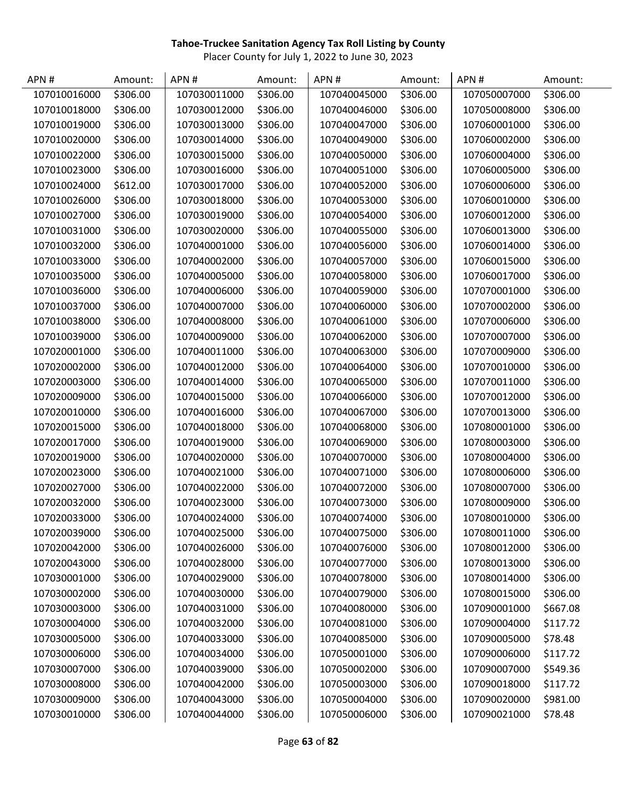| APN#         | Amount:  | APN#         | Amount:  | APN#         | Amount:  | APN#         | Amount:  |
|--------------|----------|--------------|----------|--------------|----------|--------------|----------|
| 107010016000 | \$306.00 | 107030011000 | \$306.00 | 107040045000 | \$306.00 | 107050007000 | \$306.00 |
| 107010018000 | \$306.00 | 107030012000 | \$306.00 | 107040046000 | \$306.00 | 107050008000 | \$306.00 |
| 107010019000 | \$306.00 | 107030013000 | \$306.00 | 107040047000 | \$306.00 | 107060001000 | \$306.00 |
| 107010020000 | \$306.00 | 107030014000 | \$306.00 | 107040049000 | \$306.00 | 107060002000 | \$306.00 |
| 107010022000 | \$306.00 | 107030015000 | \$306.00 | 107040050000 | \$306.00 | 107060004000 | \$306.00 |
| 107010023000 | \$306.00 | 107030016000 | \$306.00 | 107040051000 | \$306.00 | 107060005000 | \$306.00 |
| 107010024000 | \$612.00 | 107030017000 | \$306.00 | 107040052000 | \$306.00 | 107060006000 | \$306.00 |
| 107010026000 | \$306.00 | 107030018000 | \$306.00 | 107040053000 | \$306.00 | 107060010000 | \$306.00 |
| 107010027000 | \$306.00 | 107030019000 | \$306.00 | 107040054000 | \$306.00 | 107060012000 | \$306.00 |
| 107010031000 | \$306.00 | 107030020000 | \$306.00 | 107040055000 | \$306.00 | 107060013000 | \$306.00 |
| 107010032000 | \$306.00 | 107040001000 | \$306.00 | 107040056000 | \$306.00 | 107060014000 | \$306.00 |
| 107010033000 | \$306.00 | 107040002000 | \$306.00 | 107040057000 | \$306.00 | 107060015000 | \$306.00 |
| 107010035000 | \$306.00 | 107040005000 | \$306.00 | 107040058000 | \$306.00 | 107060017000 | \$306.00 |
| 107010036000 | \$306.00 | 107040006000 | \$306.00 | 107040059000 | \$306.00 | 107070001000 | \$306.00 |
| 107010037000 | \$306.00 | 107040007000 | \$306.00 | 107040060000 | \$306.00 | 107070002000 | \$306.00 |
| 107010038000 | \$306.00 | 107040008000 | \$306.00 | 107040061000 | \$306.00 | 107070006000 | \$306.00 |
| 107010039000 | \$306.00 | 107040009000 | \$306.00 | 107040062000 | \$306.00 | 107070007000 | \$306.00 |
| 107020001000 | \$306.00 | 107040011000 | \$306.00 | 107040063000 | \$306.00 | 107070009000 | \$306.00 |
| 107020002000 | \$306.00 | 107040012000 | \$306.00 | 107040064000 | \$306.00 | 107070010000 | \$306.00 |
| 107020003000 | \$306.00 | 107040014000 | \$306.00 | 107040065000 | \$306.00 | 107070011000 | \$306.00 |
| 107020009000 | \$306.00 | 107040015000 | \$306.00 | 107040066000 | \$306.00 | 107070012000 | \$306.00 |
| 107020010000 | \$306.00 | 107040016000 | \$306.00 | 107040067000 | \$306.00 | 107070013000 | \$306.00 |
| 107020015000 | \$306.00 | 107040018000 | \$306.00 | 107040068000 | \$306.00 | 107080001000 | \$306.00 |
| 107020017000 | \$306.00 | 107040019000 | \$306.00 | 107040069000 | \$306.00 | 107080003000 | \$306.00 |
| 107020019000 | \$306.00 | 107040020000 | \$306.00 | 107040070000 | \$306.00 | 107080004000 | \$306.00 |
| 107020023000 | \$306.00 | 107040021000 | \$306.00 | 107040071000 | \$306.00 | 107080006000 | \$306.00 |
| 107020027000 | \$306.00 | 107040022000 | \$306.00 | 107040072000 | \$306.00 | 107080007000 | \$306.00 |
| 107020032000 | \$306.00 | 107040023000 | \$306.00 | 107040073000 | \$306.00 | 107080009000 | \$306.00 |
| 107020033000 | \$306.00 | 107040024000 | \$306.00 | 107040074000 | \$306.00 | 107080010000 | \$306.00 |
| 107020039000 | \$306.00 | 107040025000 | \$306.00 | 107040075000 | \$306.00 | 107080011000 | \$306.00 |
| 107020042000 | \$306.00 | 107040026000 | \$306.00 | 107040076000 | \$306.00 | 107080012000 | \$306.00 |
| 107020043000 | \$306.00 | 107040028000 | \$306.00 | 107040077000 | \$306.00 | 107080013000 | \$306.00 |
| 107030001000 | \$306.00 | 107040029000 | \$306.00 | 107040078000 | \$306.00 | 107080014000 | \$306.00 |
| 107030002000 | \$306.00 | 107040030000 | \$306.00 | 107040079000 | \$306.00 | 107080015000 | \$306.00 |
| 107030003000 | \$306.00 | 107040031000 | \$306.00 | 107040080000 | \$306.00 | 107090001000 | \$667.08 |
| 107030004000 | \$306.00 | 107040032000 | \$306.00 | 107040081000 | \$306.00 | 107090004000 | \$117.72 |
| 107030005000 | \$306.00 | 107040033000 | \$306.00 | 107040085000 | \$306.00 | 107090005000 | \$78.48  |
| 107030006000 | \$306.00 | 107040034000 | \$306.00 | 107050001000 | \$306.00 | 107090006000 | \$117.72 |
| 107030007000 | \$306.00 | 107040039000 | \$306.00 | 107050002000 | \$306.00 | 107090007000 | \$549.36 |
| 107030008000 | \$306.00 | 107040042000 | \$306.00 | 107050003000 | \$306.00 | 107090018000 | \$117.72 |
| 107030009000 | \$306.00 | 107040043000 | \$306.00 | 107050004000 | \$306.00 | 107090020000 | \$981.00 |
| 107030010000 | \$306.00 | 107040044000 | \$306.00 | 107050006000 | \$306.00 | 107090021000 | \$78.48  |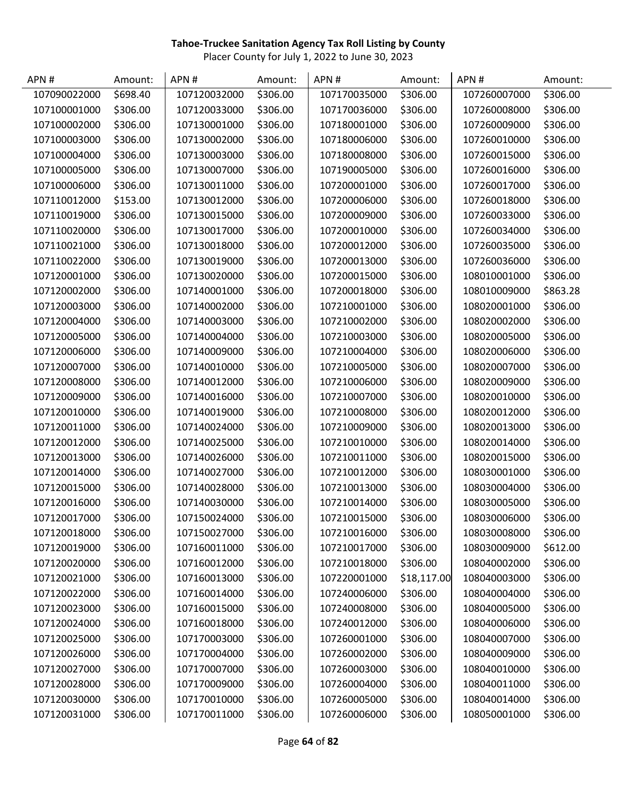| APN#         | Amount:  | APN#         | Amount:  | APN#         | Amount:     | APN#         | Amount:  |
|--------------|----------|--------------|----------|--------------|-------------|--------------|----------|
| 107090022000 | \$698.40 | 107120032000 | \$306.00 | 107170035000 | \$306.00    | 107260007000 | \$306.00 |
| 107100001000 | \$306.00 | 107120033000 | \$306.00 | 107170036000 | \$306.00    | 107260008000 | \$306.00 |
| 107100002000 | \$306.00 | 107130001000 | \$306.00 | 107180001000 | \$306.00    | 107260009000 | \$306.00 |
| 107100003000 | \$306.00 | 107130002000 | \$306.00 | 107180006000 | \$306.00    | 107260010000 | \$306.00 |
| 107100004000 | \$306.00 | 107130003000 | \$306.00 | 107180008000 | \$306.00    | 107260015000 | \$306.00 |
| 107100005000 | \$306.00 | 107130007000 | \$306.00 | 107190005000 | \$306.00    | 107260016000 | \$306.00 |
| 107100006000 | \$306.00 | 107130011000 | \$306.00 | 107200001000 | \$306.00    | 107260017000 | \$306.00 |
| 107110012000 | \$153.00 | 107130012000 | \$306.00 | 107200006000 | \$306.00    | 107260018000 | \$306.00 |
| 107110019000 | \$306.00 | 107130015000 | \$306.00 | 107200009000 | \$306.00    | 107260033000 | \$306.00 |
| 107110020000 | \$306.00 | 107130017000 | \$306.00 | 107200010000 | \$306.00    | 107260034000 | \$306.00 |
| 107110021000 | \$306.00 | 107130018000 | \$306.00 | 107200012000 | \$306.00    | 107260035000 | \$306.00 |
| 107110022000 | \$306.00 | 107130019000 | \$306.00 | 107200013000 | \$306.00    | 107260036000 | \$306.00 |
| 107120001000 | \$306.00 | 107130020000 | \$306.00 | 107200015000 | \$306.00    | 108010001000 | \$306.00 |
| 107120002000 | \$306.00 | 107140001000 | \$306.00 | 107200018000 | \$306.00    | 108010009000 | \$863.28 |
| 107120003000 | \$306.00 | 107140002000 | \$306.00 | 107210001000 | \$306.00    | 108020001000 | \$306.00 |
| 107120004000 | \$306.00 | 107140003000 | \$306.00 | 107210002000 | \$306.00    | 108020002000 | \$306.00 |
| 107120005000 | \$306.00 | 107140004000 | \$306.00 | 107210003000 | \$306.00    | 108020005000 | \$306.00 |
| 107120006000 | \$306.00 | 107140009000 | \$306.00 | 107210004000 | \$306.00    | 108020006000 | \$306.00 |
| 107120007000 | \$306.00 | 107140010000 | \$306.00 | 107210005000 | \$306.00    | 108020007000 | \$306.00 |
| 107120008000 | \$306.00 | 107140012000 | \$306.00 | 107210006000 | \$306.00    | 108020009000 | \$306.00 |
| 107120009000 | \$306.00 | 107140016000 | \$306.00 | 107210007000 | \$306.00    | 108020010000 | \$306.00 |
| 107120010000 | \$306.00 | 107140019000 | \$306.00 | 107210008000 | \$306.00    | 108020012000 | \$306.00 |
| 107120011000 | \$306.00 | 107140024000 | \$306.00 | 107210009000 | \$306.00    | 108020013000 | \$306.00 |
| 107120012000 | \$306.00 | 107140025000 | \$306.00 | 107210010000 | \$306.00    | 108020014000 | \$306.00 |
| 107120013000 | \$306.00 | 107140026000 | \$306.00 | 107210011000 | \$306.00    | 108020015000 | \$306.00 |
| 107120014000 | \$306.00 | 107140027000 | \$306.00 | 107210012000 | \$306.00    | 108030001000 | \$306.00 |
| 107120015000 | \$306.00 | 107140028000 | \$306.00 | 107210013000 | \$306.00    | 108030004000 | \$306.00 |
| 107120016000 | \$306.00 | 107140030000 | \$306.00 | 107210014000 | \$306.00    | 108030005000 | \$306.00 |
| 107120017000 | \$306.00 | 107150024000 | \$306.00 | 107210015000 | \$306.00    | 108030006000 | \$306.00 |
| 107120018000 | \$306.00 | 107150027000 | \$306.00 | 107210016000 | \$306.00    | 108030008000 | \$306.00 |
| 107120019000 | \$306.00 | 107160011000 | \$306.00 | 107210017000 | \$306.00    | 108030009000 | \$612.00 |
| 107120020000 | \$306.00 | 107160012000 | \$306.00 | 107210018000 | \$306.00    | 108040002000 | \$306.00 |
| 107120021000 | \$306.00 | 107160013000 | \$306.00 | 107220001000 | \$18,117.00 | 108040003000 | \$306.00 |
| 107120022000 | \$306.00 | 107160014000 | \$306.00 | 107240006000 | \$306.00    | 108040004000 | \$306.00 |
| 107120023000 | \$306.00 | 107160015000 | \$306.00 | 107240008000 | \$306.00    | 108040005000 | \$306.00 |
| 107120024000 | \$306.00 | 107160018000 | \$306.00 | 107240012000 | \$306.00    | 108040006000 | \$306.00 |
| 107120025000 | \$306.00 | 107170003000 | \$306.00 | 107260001000 | \$306.00    | 108040007000 | \$306.00 |
| 107120026000 | \$306.00 | 107170004000 | \$306.00 | 107260002000 | \$306.00    | 108040009000 | \$306.00 |
| 107120027000 | \$306.00 | 107170007000 | \$306.00 | 107260003000 | \$306.00    | 108040010000 | \$306.00 |
| 107120028000 | \$306.00 | 107170009000 | \$306.00 | 107260004000 | \$306.00    | 108040011000 | \$306.00 |
| 107120030000 | \$306.00 | 107170010000 | \$306.00 | 107260005000 | \$306.00    | 108040014000 | \$306.00 |
| 107120031000 | \$306.00 | 107170011000 | \$306.00 | 107260006000 | \$306.00    | 108050001000 | \$306.00 |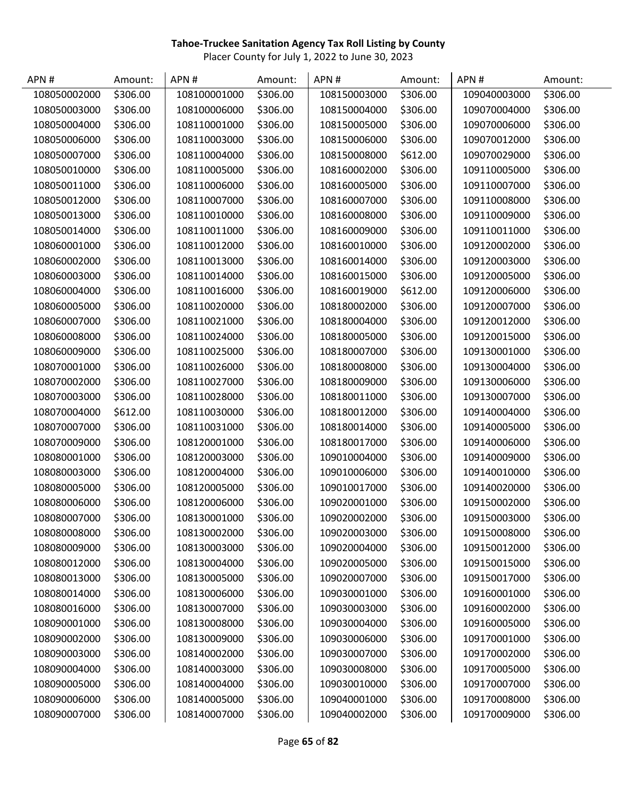| APN#         | Amount:  | APN#         | Amount:  | APN#         | Amount:  | APN#         | Amount:  |
|--------------|----------|--------------|----------|--------------|----------|--------------|----------|
| 108050002000 | \$306.00 | 108100001000 | \$306.00 | 108150003000 | \$306.00 | 109040003000 | \$306.00 |
| 108050003000 | \$306.00 | 108100006000 | \$306.00 | 108150004000 | \$306.00 | 109070004000 | \$306.00 |
| 108050004000 | \$306.00 | 108110001000 | \$306.00 | 108150005000 | \$306.00 | 109070006000 | \$306.00 |
| 108050006000 | \$306.00 | 108110003000 | \$306.00 | 108150006000 | \$306.00 | 109070012000 | \$306.00 |
| 108050007000 | \$306.00 | 108110004000 | \$306.00 | 108150008000 | \$612.00 | 109070029000 | \$306.00 |
| 108050010000 | \$306.00 | 108110005000 | \$306.00 | 108160002000 | \$306.00 | 109110005000 | \$306.00 |
| 108050011000 | \$306.00 | 108110006000 | \$306.00 | 108160005000 | \$306.00 | 109110007000 | \$306.00 |
| 108050012000 | \$306.00 | 108110007000 | \$306.00 | 108160007000 | \$306.00 | 109110008000 | \$306.00 |
| 108050013000 | \$306.00 | 108110010000 | \$306.00 | 108160008000 | \$306.00 | 109110009000 | \$306.00 |
| 108050014000 | \$306.00 | 108110011000 | \$306.00 | 108160009000 | \$306.00 | 109110011000 | \$306.00 |
| 108060001000 | \$306.00 | 108110012000 | \$306.00 | 108160010000 | \$306.00 | 109120002000 | \$306.00 |
| 108060002000 | \$306.00 | 108110013000 | \$306.00 | 108160014000 | \$306.00 | 109120003000 | \$306.00 |
| 108060003000 | \$306.00 | 108110014000 | \$306.00 | 108160015000 | \$306.00 | 109120005000 | \$306.00 |
| 108060004000 | \$306.00 | 108110016000 | \$306.00 | 108160019000 | \$612.00 | 109120006000 | \$306.00 |
| 108060005000 | \$306.00 | 108110020000 | \$306.00 | 108180002000 | \$306.00 | 109120007000 | \$306.00 |
| 108060007000 | \$306.00 | 108110021000 | \$306.00 | 108180004000 | \$306.00 | 109120012000 | \$306.00 |
| 108060008000 | \$306.00 | 108110024000 | \$306.00 | 108180005000 | \$306.00 | 109120015000 | \$306.00 |
| 108060009000 | \$306.00 | 108110025000 | \$306.00 | 108180007000 | \$306.00 | 109130001000 | \$306.00 |
| 108070001000 | \$306.00 | 108110026000 | \$306.00 | 108180008000 | \$306.00 | 109130004000 | \$306.00 |
| 108070002000 | \$306.00 | 108110027000 | \$306.00 | 108180009000 | \$306.00 | 109130006000 | \$306.00 |
| 108070003000 | \$306.00 | 108110028000 | \$306.00 | 108180011000 | \$306.00 | 109130007000 | \$306.00 |
| 108070004000 | \$612.00 | 108110030000 | \$306.00 | 108180012000 | \$306.00 | 109140004000 | \$306.00 |
| 108070007000 | \$306.00 | 108110031000 | \$306.00 | 108180014000 | \$306.00 | 109140005000 | \$306.00 |
| 108070009000 | \$306.00 | 108120001000 | \$306.00 | 108180017000 | \$306.00 | 109140006000 | \$306.00 |
| 108080001000 | \$306.00 | 108120003000 | \$306.00 | 109010004000 | \$306.00 | 109140009000 | \$306.00 |
| 108080003000 | \$306.00 | 108120004000 | \$306.00 | 109010006000 | \$306.00 | 109140010000 | \$306.00 |
| 108080005000 | \$306.00 | 108120005000 | \$306.00 | 109010017000 | \$306.00 | 109140020000 | \$306.00 |
| 108080006000 | \$306.00 | 108120006000 | \$306.00 | 109020001000 | \$306.00 | 109150002000 | \$306.00 |
| 108080007000 | \$306.00 | 108130001000 | \$306.00 | 109020002000 | \$306.00 | 109150003000 | \$306.00 |
| 108080008000 | \$306.00 | 108130002000 | \$306.00 | 109020003000 | \$306.00 | 109150008000 | \$306.00 |
| 108080009000 | \$306.00 | 108130003000 | \$306.00 | 109020004000 | \$306.00 | 109150012000 | \$306.00 |
| 108080012000 | \$306.00 | 108130004000 | \$306.00 | 109020005000 | \$306.00 | 109150015000 | \$306.00 |
| 108080013000 | \$306.00 | 108130005000 | \$306.00 | 109020007000 | \$306.00 | 109150017000 | \$306.00 |
| 108080014000 | \$306.00 | 108130006000 | \$306.00 | 109030001000 | \$306.00 | 109160001000 | \$306.00 |
| 108080016000 | \$306.00 | 108130007000 | \$306.00 | 109030003000 | \$306.00 | 109160002000 | \$306.00 |
| 108090001000 | \$306.00 | 108130008000 | \$306.00 | 109030004000 | \$306.00 | 109160005000 | \$306.00 |
| 108090002000 | \$306.00 | 108130009000 | \$306.00 | 109030006000 | \$306.00 | 109170001000 | \$306.00 |
| 108090003000 | \$306.00 | 108140002000 | \$306.00 | 109030007000 | \$306.00 | 109170002000 | \$306.00 |
| 108090004000 | \$306.00 | 108140003000 | \$306.00 | 109030008000 | \$306.00 | 109170005000 | \$306.00 |
| 108090005000 | \$306.00 | 108140004000 | \$306.00 | 109030010000 | \$306.00 | 109170007000 | \$306.00 |
| 108090006000 | \$306.00 | 108140005000 | \$306.00 | 109040001000 | \$306.00 | 109170008000 | \$306.00 |
| 108090007000 | \$306.00 | 108140007000 | \$306.00 | 109040002000 | \$306.00 | 109170009000 | \$306.00 |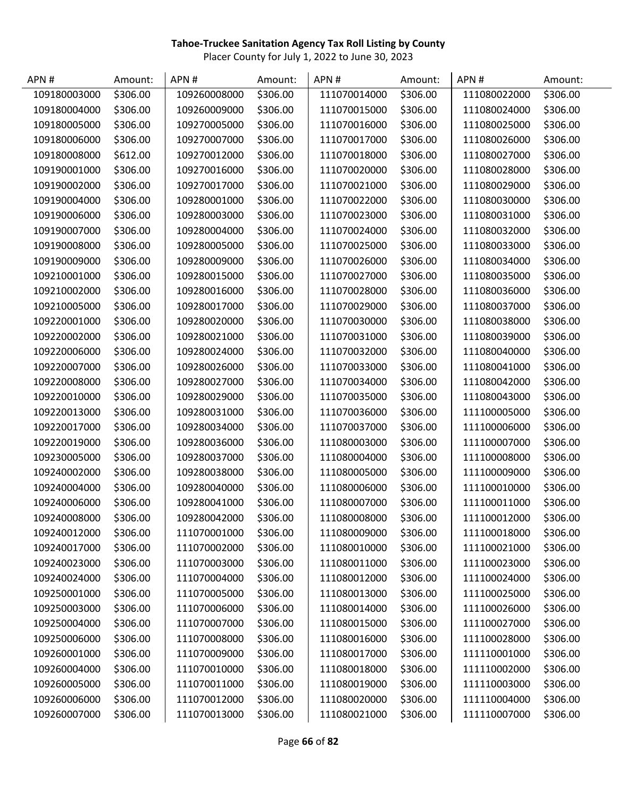| APN#         | Amount:  | APN#         | Amount:  | APN#         | Amount:  | APN#         | Amount:  |
|--------------|----------|--------------|----------|--------------|----------|--------------|----------|
| 109180003000 | \$306.00 | 109260008000 | \$306.00 | 111070014000 | \$306.00 | 111080022000 | \$306.00 |
| 109180004000 | \$306.00 | 109260009000 | \$306.00 | 111070015000 | \$306.00 | 111080024000 | \$306.00 |
| 109180005000 | \$306.00 | 109270005000 | \$306.00 | 111070016000 | \$306.00 | 111080025000 | \$306.00 |
| 109180006000 | \$306.00 | 109270007000 | \$306.00 | 111070017000 | \$306.00 | 111080026000 | \$306.00 |
| 109180008000 | \$612.00 | 109270012000 | \$306.00 | 111070018000 | \$306.00 | 111080027000 | \$306.00 |
| 109190001000 | \$306.00 | 109270016000 | \$306.00 | 111070020000 | \$306.00 | 111080028000 | \$306.00 |
| 109190002000 | \$306.00 | 109270017000 | \$306.00 | 111070021000 | \$306.00 | 111080029000 | \$306.00 |
| 109190004000 | \$306.00 | 109280001000 | \$306.00 | 111070022000 | \$306.00 | 111080030000 | \$306.00 |
| 109190006000 | \$306.00 | 109280003000 | \$306.00 | 111070023000 | \$306.00 | 111080031000 | \$306.00 |
| 109190007000 | \$306.00 | 109280004000 | \$306.00 | 111070024000 | \$306.00 | 111080032000 | \$306.00 |
| 109190008000 | \$306.00 | 109280005000 | \$306.00 | 111070025000 | \$306.00 | 111080033000 | \$306.00 |
| 109190009000 | \$306.00 | 109280009000 | \$306.00 | 111070026000 | \$306.00 | 111080034000 | \$306.00 |
| 109210001000 | \$306.00 | 109280015000 | \$306.00 | 111070027000 | \$306.00 | 111080035000 | \$306.00 |
| 109210002000 | \$306.00 | 109280016000 | \$306.00 | 111070028000 | \$306.00 | 111080036000 | \$306.00 |
| 109210005000 | \$306.00 | 109280017000 | \$306.00 | 111070029000 | \$306.00 | 111080037000 | \$306.00 |
| 109220001000 | \$306.00 | 109280020000 | \$306.00 | 111070030000 | \$306.00 | 111080038000 | \$306.00 |
| 109220002000 | \$306.00 | 109280021000 | \$306.00 | 111070031000 | \$306.00 | 111080039000 | \$306.00 |
| 109220006000 | \$306.00 | 109280024000 | \$306.00 | 111070032000 | \$306.00 | 111080040000 | \$306.00 |
| 109220007000 | \$306.00 | 109280026000 | \$306.00 | 111070033000 | \$306.00 | 111080041000 | \$306.00 |
| 109220008000 | \$306.00 | 109280027000 | \$306.00 | 111070034000 | \$306.00 | 111080042000 | \$306.00 |
| 109220010000 | \$306.00 | 109280029000 | \$306.00 | 111070035000 | \$306.00 | 111080043000 | \$306.00 |
| 109220013000 | \$306.00 | 109280031000 | \$306.00 | 111070036000 | \$306.00 | 111100005000 | \$306.00 |
| 109220017000 | \$306.00 | 109280034000 | \$306.00 | 111070037000 | \$306.00 | 111100006000 | \$306.00 |
| 109220019000 | \$306.00 | 109280036000 | \$306.00 | 111080003000 | \$306.00 | 111100007000 | \$306.00 |
| 109230005000 | \$306.00 | 109280037000 | \$306.00 | 111080004000 | \$306.00 | 111100008000 | \$306.00 |
| 109240002000 | \$306.00 | 109280038000 | \$306.00 | 111080005000 | \$306.00 | 111100009000 | \$306.00 |
| 109240004000 | \$306.00 | 109280040000 | \$306.00 | 111080006000 | \$306.00 | 111100010000 | \$306.00 |
| 109240006000 | \$306.00 | 109280041000 | \$306.00 | 111080007000 | \$306.00 | 111100011000 | \$306.00 |
| 109240008000 | \$306.00 | 109280042000 | \$306.00 | 111080008000 | \$306.00 | 111100012000 | \$306.00 |
| 109240012000 | \$306.00 | 111070001000 | \$306.00 | 111080009000 | \$306.00 | 111100018000 | \$306.00 |
| 109240017000 | \$306.00 | 111070002000 | \$306.00 | 111080010000 | \$306.00 | 111100021000 | \$306.00 |
| 109240023000 | \$306.00 | 111070003000 | \$306.00 | 111080011000 | \$306.00 | 111100023000 | \$306.00 |
| 109240024000 | \$306.00 | 111070004000 | \$306.00 | 111080012000 | \$306.00 | 111100024000 | \$306.00 |
| 109250001000 | \$306.00 | 111070005000 | \$306.00 | 111080013000 | \$306.00 | 111100025000 | \$306.00 |
| 109250003000 | \$306.00 | 111070006000 | \$306.00 | 111080014000 | \$306.00 | 111100026000 | \$306.00 |
| 109250004000 | \$306.00 | 111070007000 | \$306.00 | 111080015000 | \$306.00 | 111100027000 | \$306.00 |
| 109250006000 | \$306.00 | 111070008000 | \$306.00 | 111080016000 | \$306.00 | 111100028000 | \$306.00 |
| 109260001000 | \$306.00 | 111070009000 | \$306.00 | 111080017000 | \$306.00 | 111110001000 | \$306.00 |
| 109260004000 | \$306.00 | 111070010000 | \$306.00 | 111080018000 | \$306.00 | 111110002000 | \$306.00 |
| 109260005000 | \$306.00 | 111070011000 | \$306.00 | 111080019000 | \$306.00 | 111110003000 | \$306.00 |
| 109260006000 | \$306.00 | 111070012000 | \$306.00 | 111080020000 | \$306.00 | 111110004000 | \$306.00 |
| 109260007000 | \$306.00 | 111070013000 | \$306.00 | 111080021000 | \$306.00 | 111110007000 | \$306.00 |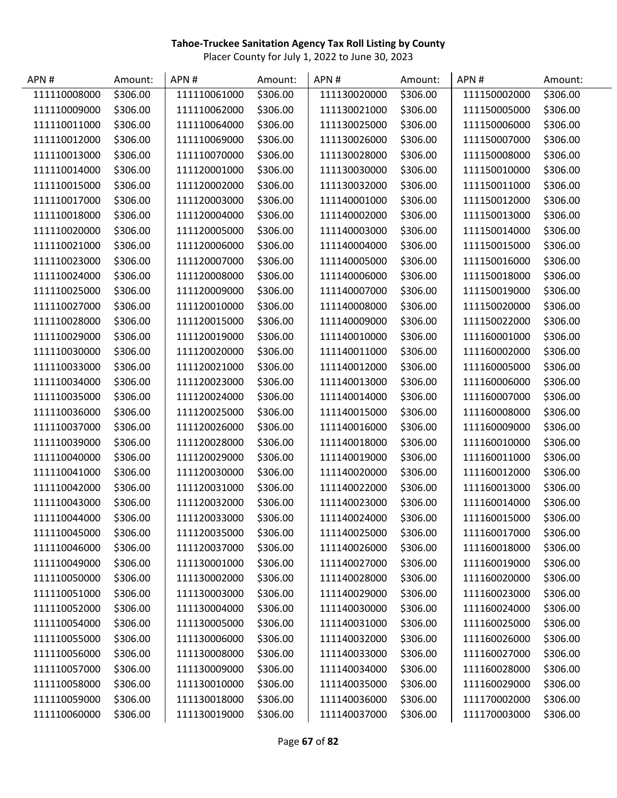| APN#         | Amount:  | APN#         | Amount:  | APN#         | Amount:  | APN#         | Amount:  |
|--------------|----------|--------------|----------|--------------|----------|--------------|----------|
| 111110008000 | \$306.00 | 111110061000 | \$306.00 | 111130020000 | \$306.00 | 111150002000 | \$306.00 |
| 111110009000 | \$306.00 | 111110062000 | \$306.00 | 111130021000 | \$306.00 | 111150005000 | \$306.00 |
| 111110011000 | \$306.00 | 111110064000 | \$306.00 | 111130025000 | \$306.00 | 111150006000 | \$306.00 |
| 111110012000 | \$306.00 | 111110069000 | \$306.00 | 111130026000 | \$306.00 | 111150007000 | \$306.00 |
| 111110013000 | \$306.00 | 111110070000 | \$306.00 | 111130028000 | \$306.00 | 111150008000 | \$306.00 |
| 111110014000 | \$306.00 | 111120001000 | \$306.00 | 111130030000 | \$306.00 | 111150010000 | \$306.00 |
| 111110015000 | \$306.00 | 111120002000 | \$306.00 | 111130032000 | \$306.00 | 111150011000 | \$306.00 |
| 111110017000 | \$306.00 | 111120003000 | \$306.00 | 111140001000 | \$306.00 | 111150012000 | \$306.00 |
| 111110018000 | \$306.00 | 111120004000 | \$306.00 | 111140002000 | \$306.00 | 111150013000 | \$306.00 |
| 111110020000 | \$306.00 | 111120005000 | \$306.00 | 111140003000 | \$306.00 | 111150014000 | \$306.00 |
| 111110021000 | \$306.00 | 111120006000 | \$306.00 | 111140004000 | \$306.00 | 111150015000 | \$306.00 |
| 111110023000 | \$306.00 | 111120007000 | \$306.00 | 111140005000 | \$306.00 | 111150016000 | \$306.00 |
| 111110024000 | \$306.00 | 111120008000 | \$306.00 | 111140006000 | \$306.00 | 111150018000 | \$306.00 |
| 111110025000 | \$306.00 | 111120009000 | \$306.00 | 111140007000 | \$306.00 | 111150019000 | \$306.00 |
| 111110027000 | \$306.00 | 111120010000 | \$306.00 | 111140008000 | \$306.00 | 111150020000 | \$306.00 |
| 111110028000 | \$306.00 | 111120015000 | \$306.00 | 111140009000 | \$306.00 | 111150022000 | \$306.00 |
| 111110029000 | \$306.00 | 111120019000 | \$306.00 | 111140010000 | \$306.00 | 111160001000 | \$306.00 |
| 111110030000 | \$306.00 | 111120020000 | \$306.00 | 111140011000 | \$306.00 | 111160002000 | \$306.00 |
| 111110033000 | \$306.00 | 111120021000 | \$306.00 | 111140012000 | \$306.00 | 111160005000 | \$306.00 |
| 111110034000 | \$306.00 | 111120023000 | \$306.00 | 111140013000 | \$306.00 | 111160006000 | \$306.00 |
| 111110035000 | \$306.00 | 111120024000 | \$306.00 | 111140014000 | \$306.00 | 111160007000 | \$306.00 |
| 111110036000 | \$306.00 | 111120025000 | \$306.00 | 111140015000 | \$306.00 | 111160008000 | \$306.00 |
| 111110037000 | \$306.00 | 111120026000 | \$306.00 | 111140016000 | \$306.00 | 111160009000 | \$306.00 |
| 111110039000 | \$306.00 | 111120028000 | \$306.00 | 111140018000 | \$306.00 | 111160010000 | \$306.00 |
| 111110040000 | \$306.00 | 111120029000 | \$306.00 | 111140019000 | \$306.00 | 111160011000 | \$306.00 |
| 111110041000 | \$306.00 | 111120030000 | \$306.00 | 111140020000 | \$306.00 | 111160012000 | \$306.00 |
| 111110042000 | \$306.00 | 111120031000 | \$306.00 | 111140022000 | \$306.00 | 111160013000 | \$306.00 |
| 111110043000 | \$306.00 | 111120032000 | \$306.00 | 111140023000 | \$306.00 | 111160014000 | \$306.00 |
| 111110044000 | \$306.00 | 111120033000 | \$306.00 | 111140024000 | \$306.00 | 111160015000 | \$306.00 |
| 111110045000 | \$306.00 | 111120035000 | \$306.00 | 111140025000 | \$306.00 | 111160017000 | \$306.00 |
| 111110046000 | \$306.00 | 111120037000 | \$306.00 | 111140026000 | \$306.00 | 111160018000 | \$306.00 |
| 111110049000 | \$306.00 | 111130001000 | \$306.00 | 111140027000 | \$306.00 | 111160019000 | \$306.00 |
| 111110050000 | \$306.00 | 111130002000 | \$306.00 | 111140028000 | \$306.00 | 111160020000 | \$306.00 |
| 111110051000 | \$306.00 | 111130003000 | \$306.00 | 111140029000 | \$306.00 | 111160023000 | \$306.00 |
| 111110052000 | \$306.00 | 111130004000 | \$306.00 | 111140030000 | \$306.00 | 111160024000 | \$306.00 |
| 111110054000 | \$306.00 | 111130005000 | \$306.00 | 111140031000 | \$306.00 | 111160025000 | \$306.00 |
| 111110055000 | \$306.00 | 111130006000 | \$306.00 | 111140032000 | \$306.00 | 111160026000 | \$306.00 |
| 111110056000 | \$306.00 | 111130008000 | \$306.00 | 111140033000 | \$306.00 | 111160027000 | \$306.00 |
| 111110057000 | \$306.00 | 111130009000 | \$306.00 | 111140034000 | \$306.00 | 111160028000 | \$306.00 |
| 111110058000 | \$306.00 | 111130010000 | \$306.00 | 111140035000 | \$306.00 | 111160029000 | \$306.00 |
| 111110059000 | \$306.00 | 111130018000 | \$306.00 | 111140036000 | \$306.00 | 111170002000 | \$306.00 |
| 111110060000 | \$306.00 | 111130019000 | \$306.00 | 111140037000 | \$306.00 | 111170003000 | \$306.00 |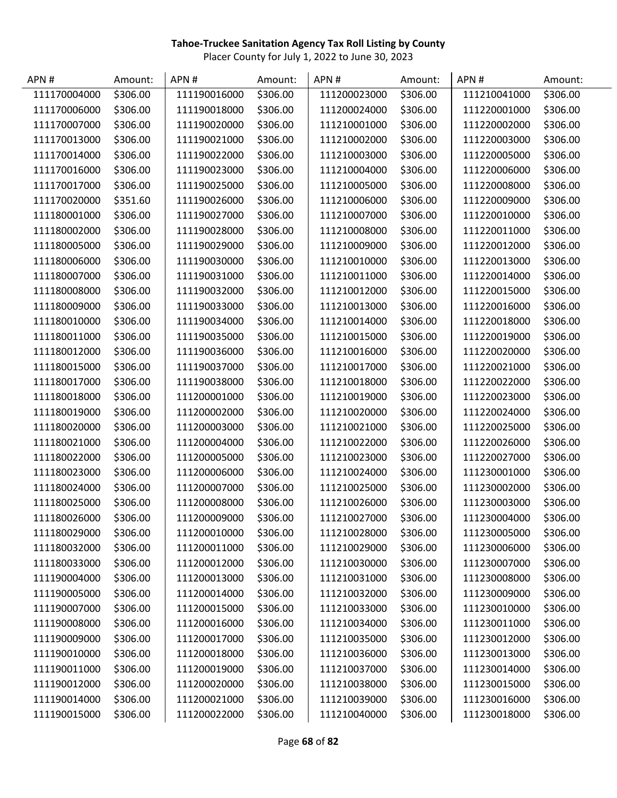| APN#         | Amount:  | APN#         | Amount:  | APN#         | Amount:  | APN#         | Amount:  |
|--------------|----------|--------------|----------|--------------|----------|--------------|----------|
| 111170004000 | \$306.00 | 111190016000 | \$306.00 | 111200023000 | \$306.00 | 111210041000 | \$306.00 |
| 111170006000 | \$306.00 | 111190018000 | \$306.00 | 111200024000 | \$306.00 | 111220001000 | \$306.00 |
| 111170007000 | \$306.00 | 111190020000 | \$306.00 | 111210001000 | \$306.00 | 111220002000 | \$306.00 |
| 111170013000 | \$306.00 | 111190021000 | \$306.00 | 111210002000 | \$306.00 | 111220003000 | \$306.00 |
| 111170014000 | \$306.00 | 111190022000 | \$306.00 | 111210003000 | \$306.00 | 111220005000 | \$306.00 |
| 111170016000 | \$306.00 | 111190023000 | \$306.00 | 111210004000 | \$306.00 | 111220006000 | \$306.00 |
| 111170017000 | \$306.00 | 111190025000 | \$306.00 | 111210005000 | \$306.00 | 111220008000 | \$306.00 |
| 111170020000 | \$351.60 | 111190026000 | \$306.00 | 111210006000 | \$306.00 | 111220009000 | \$306.00 |
| 111180001000 | \$306.00 | 111190027000 | \$306.00 | 111210007000 | \$306.00 | 111220010000 | \$306.00 |
| 111180002000 | \$306.00 | 111190028000 | \$306.00 | 111210008000 | \$306.00 | 111220011000 | \$306.00 |
| 111180005000 | \$306.00 | 111190029000 | \$306.00 | 111210009000 | \$306.00 | 111220012000 | \$306.00 |
| 111180006000 | \$306.00 | 111190030000 | \$306.00 | 111210010000 | \$306.00 | 111220013000 | \$306.00 |
| 111180007000 | \$306.00 | 111190031000 | \$306.00 | 111210011000 | \$306.00 | 111220014000 | \$306.00 |
| 111180008000 | \$306.00 | 111190032000 | \$306.00 | 111210012000 | \$306.00 | 111220015000 | \$306.00 |
| 111180009000 | \$306.00 | 111190033000 | \$306.00 | 111210013000 | \$306.00 | 111220016000 | \$306.00 |
| 111180010000 | \$306.00 | 111190034000 | \$306.00 | 111210014000 | \$306.00 | 111220018000 | \$306.00 |
| 111180011000 | \$306.00 | 111190035000 | \$306.00 | 111210015000 | \$306.00 | 111220019000 | \$306.00 |
| 111180012000 | \$306.00 | 111190036000 | \$306.00 | 111210016000 | \$306.00 | 111220020000 | \$306.00 |
| 111180015000 | \$306.00 | 111190037000 | \$306.00 | 111210017000 | \$306.00 | 111220021000 | \$306.00 |
| 111180017000 | \$306.00 | 111190038000 | \$306.00 | 111210018000 | \$306.00 | 111220022000 | \$306.00 |
| 111180018000 | \$306.00 | 111200001000 | \$306.00 | 111210019000 | \$306.00 | 111220023000 | \$306.00 |
| 111180019000 | \$306.00 | 111200002000 | \$306.00 | 111210020000 | \$306.00 | 111220024000 | \$306.00 |
| 111180020000 | \$306.00 | 111200003000 | \$306.00 | 111210021000 | \$306.00 | 111220025000 | \$306.00 |
| 111180021000 | \$306.00 | 111200004000 | \$306.00 | 111210022000 | \$306.00 | 111220026000 | \$306.00 |
| 111180022000 | \$306.00 | 111200005000 | \$306.00 | 111210023000 | \$306.00 | 111220027000 | \$306.00 |
| 111180023000 | \$306.00 | 111200006000 | \$306.00 | 111210024000 | \$306.00 | 111230001000 | \$306.00 |
| 111180024000 | \$306.00 | 111200007000 | \$306.00 | 111210025000 | \$306.00 | 111230002000 | \$306.00 |
| 111180025000 | \$306.00 | 111200008000 | \$306.00 | 111210026000 | \$306.00 | 111230003000 | \$306.00 |
| 111180026000 | \$306.00 | 111200009000 | \$306.00 | 111210027000 | \$306.00 | 111230004000 | \$306.00 |
| 111180029000 | \$306.00 | 111200010000 | \$306.00 | 111210028000 | \$306.00 | 111230005000 | \$306.00 |
| 111180032000 | \$306.00 | 111200011000 | \$306.00 | 111210029000 | \$306.00 | 111230006000 | \$306.00 |
| 111180033000 | \$306.00 | 111200012000 | \$306.00 | 111210030000 | \$306.00 | 111230007000 | \$306.00 |
| 111190004000 | \$306.00 | 111200013000 | \$306.00 | 111210031000 | \$306.00 | 111230008000 | \$306.00 |
| 111190005000 | \$306.00 | 111200014000 | \$306.00 | 111210032000 | \$306.00 | 111230009000 | \$306.00 |
| 111190007000 | \$306.00 | 111200015000 | \$306.00 | 111210033000 | \$306.00 | 111230010000 | \$306.00 |
| 111190008000 | \$306.00 | 111200016000 | \$306.00 | 111210034000 | \$306.00 | 111230011000 | \$306.00 |
| 111190009000 | \$306.00 | 111200017000 | \$306.00 | 111210035000 | \$306.00 | 111230012000 | \$306.00 |
| 111190010000 | \$306.00 | 111200018000 | \$306.00 | 111210036000 | \$306.00 | 111230013000 | \$306.00 |
| 111190011000 | \$306.00 | 111200019000 | \$306.00 | 111210037000 | \$306.00 | 111230014000 | \$306.00 |
| 111190012000 | \$306.00 | 111200020000 | \$306.00 | 111210038000 | \$306.00 | 111230015000 | \$306.00 |
| 111190014000 | \$306.00 | 111200021000 | \$306.00 | 111210039000 | \$306.00 | 111230016000 | \$306.00 |
| 111190015000 | \$306.00 | 111200022000 | \$306.00 | 111210040000 | \$306.00 | 111230018000 | \$306.00 |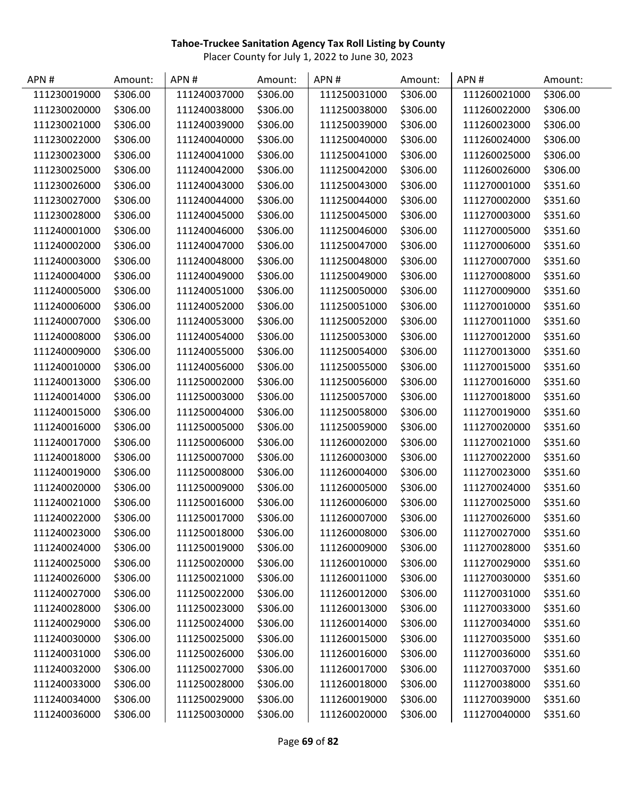| APN#         | Amount:  | APN#         | Amount:  | APN#         | Amount:  | APN#         | Amount:  |
|--------------|----------|--------------|----------|--------------|----------|--------------|----------|
| 111230019000 | \$306.00 | 111240037000 | \$306.00 | 111250031000 | \$306.00 | 111260021000 | \$306.00 |
| 111230020000 | \$306.00 | 111240038000 | \$306.00 | 111250038000 | \$306.00 | 111260022000 | \$306.00 |
| 111230021000 | \$306.00 | 111240039000 | \$306.00 | 111250039000 | \$306.00 | 111260023000 | \$306.00 |
| 111230022000 | \$306.00 | 111240040000 | \$306.00 | 111250040000 | \$306.00 | 111260024000 | \$306.00 |
| 111230023000 | \$306.00 | 111240041000 | \$306.00 | 111250041000 | \$306.00 | 111260025000 | \$306.00 |
| 111230025000 | \$306.00 | 111240042000 | \$306.00 | 111250042000 | \$306.00 | 111260026000 | \$306.00 |
| 111230026000 | \$306.00 | 111240043000 | \$306.00 | 111250043000 | \$306.00 | 111270001000 | \$351.60 |
| 111230027000 | \$306.00 | 111240044000 | \$306.00 | 111250044000 | \$306.00 | 111270002000 | \$351.60 |
| 111230028000 | \$306.00 | 111240045000 | \$306.00 | 111250045000 | \$306.00 | 111270003000 | \$351.60 |
| 111240001000 | \$306.00 | 111240046000 | \$306.00 | 111250046000 | \$306.00 | 111270005000 | \$351.60 |
| 111240002000 | \$306.00 | 111240047000 | \$306.00 | 111250047000 | \$306.00 | 111270006000 | \$351.60 |
| 111240003000 | \$306.00 | 111240048000 | \$306.00 | 111250048000 | \$306.00 | 111270007000 | \$351.60 |
| 111240004000 | \$306.00 | 111240049000 | \$306.00 | 111250049000 | \$306.00 | 111270008000 | \$351.60 |
| 111240005000 | \$306.00 | 111240051000 | \$306.00 | 111250050000 | \$306.00 | 111270009000 | \$351.60 |
| 111240006000 | \$306.00 | 111240052000 | \$306.00 | 111250051000 | \$306.00 | 111270010000 | \$351.60 |
| 111240007000 | \$306.00 | 111240053000 | \$306.00 | 111250052000 | \$306.00 | 111270011000 | \$351.60 |
| 111240008000 | \$306.00 | 111240054000 | \$306.00 | 111250053000 | \$306.00 | 111270012000 | \$351.60 |
| 111240009000 | \$306.00 | 111240055000 | \$306.00 | 111250054000 | \$306.00 | 111270013000 | \$351.60 |
| 111240010000 | \$306.00 | 111240056000 | \$306.00 | 111250055000 | \$306.00 | 111270015000 | \$351.60 |
| 111240013000 | \$306.00 | 111250002000 | \$306.00 | 111250056000 | \$306.00 | 111270016000 | \$351.60 |
| 111240014000 | \$306.00 | 111250003000 | \$306.00 | 111250057000 | \$306.00 | 111270018000 | \$351.60 |
| 111240015000 | \$306.00 | 111250004000 | \$306.00 | 111250058000 | \$306.00 | 111270019000 | \$351.60 |
| 111240016000 | \$306.00 | 111250005000 | \$306.00 | 111250059000 | \$306.00 | 111270020000 | \$351.60 |
| 111240017000 | \$306.00 | 111250006000 | \$306.00 | 111260002000 | \$306.00 | 111270021000 | \$351.60 |
| 111240018000 | \$306.00 | 111250007000 | \$306.00 | 111260003000 | \$306.00 | 111270022000 | \$351.60 |
| 111240019000 | \$306.00 | 111250008000 | \$306.00 | 111260004000 | \$306.00 | 111270023000 | \$351.60 |
| 111240020000 | \$306.00 | 111250009000 | \$306.00 | 111260005000 | \$306.00 | 111270024000 | \$351.60 |
| 111240021000 | \$306.00 | 111250016000 | \$306.00 | 111260006000 | \$306.00 | 111270025000 | \$351.60 |
| 111240022000 | \$306.00 | 111250017000 | \$306.00 | 111260007000 | \$306.00 | 111270026000 | \$351.60 |
| 111240023000 | \$306.00 | 111250018000 | \$306.00 | 111260008000 | \$306.00 | 111270027000 | \$351.60 |
| 111240024000 | \$306.00 | 111250019000 | \$306.00 | 111260009000 | \$306.00 | 111270028000 | \$351.60 |
| 111240025000 | \$306.00 | 111250020000 | \$306.00 | 111260010000 | \$306.00 | 111270029000 | \$351.60 |
| 111240026000 | \$306.00 | 111250021000 | \$306.00 | 111260011000 | \$306.00 | 111270030000 | \$351.60 |
| 111240027000 | \$306.00 | 111250022000 | \$306.00 | 111260012000 | \$306.00 | 111270031000 | \$351.60 |
| 111240028000 | \$306.00 | 111250023000 | \$306.00 | 111260013000 | \$306.00 | 111270033000 | \$351.60 |
| 111240029000 | \$306.00 | 111250024000 | \$306.00 | 111260014000 | \$306.00 | 111270034000 | \$351.60 |
| 111240030000 | \$306.00 | 111250025000 | \$306.00 | 111260015000 | \$306.00 | 111270035000 | \$351.60 |
| 111240031000 | \$306.00 | 111250026000 | \$306.00 | 111260016000 | \$306.00 | 111270036000 | \$351.60 |
| 111240032000 | \$306.00 | 111250027000 | \$306.00 | 111260017000 | \$306.00 | 111270037000 | \$351.60 |
| 111240033000 | \$306.00 | 111250028000 | \$306.00 | 111260018000 | \$306.00 | 111270038000 | \$351.60 |
| 111240034000 | \$306.00 | 111250029000 | \$306.00 | 111260019000 | \$306.00 | 111270039000 | \$351.60 |
| 111240036000 | \$306.00 | 111250030000 | \$306.00 | 111260020000 | \$306.00 | 111270040000 | \$351.60 |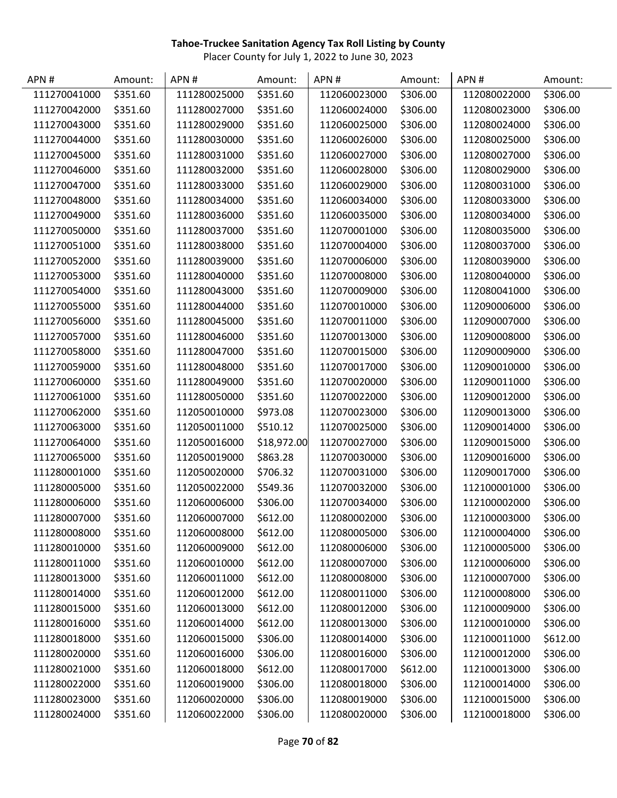| APN#         | Amount:  | APN#         | Amount:     | APN#         | Amount:  | APN#         | Amount:  |
|--------------|----------|--------------|-------------|--------------|----------|--------------|----------|
| 111270041000 | \$351.60 | 111280025000 | \$351.60    | 112060023000 | \$306.00 | 112080022000 | \$306.00 |
| 111270042000 | \$351.60 | 111280027000 | \$351.60    | 112060024000 | \$306.00 | 112080023000 | \$306.00 |
| 111270043000 | \$351.60 | 111280029000 | \$351.60    | 112060025000 | \$306.00 | 112080024000 | \$306.00 |
| 111270044000 | \$351.60 | 111280030000 | \$351.60    | 112060026000 | \$306.00 | 112080025000 | \$306.00 |
| 111270045000 | \$351.60 | 111280031000 | \$351.60    | 112060027000 | \$306.00 | 112080027000 | \$306.00 |
| 111270046000 | \$351.60 | 111280032000 | \$351.60    | 112060028000 | \$306.00 | 112080029000 | \$306.00 |
| 111270047000 | \$351.60 | 111280033000 | \$351.60    | 112060029000 | \$306.00 | 112080031000 | \$306.00 |
| 111270048000 | \$351.60 | 111280034000 | \$351.60    | 112060034000 | \$306.00 | 112080033000 | \$306.00 |
| 111270049000 | \$351.60 | 111280036000 | \$351.60    | 112060035000 | \$306.00 | 112080034000 | \$306.00 |
| 111270050000 | \$351.60 | 111280037000 | \$351.60    | 112070001000 | \$306.00 | 112080035000 | \$306.00 |
| 111270051000 | \$351.60 | 111280038000 | \$351.60    | 112070004000 | \$306.00 | 112080037000 | \$306.00 |
| 111270052000 | \$351.60 | 111280039000 | \$351.60    | 112070006000 | \$306.00 | 112080039000 | \$306.00 |
| 111270053000 | \$351.60 | 111280040000 | \$351.60    | 112070008000 | \$306.00 | 112080040000 | \$306.00 |
| 111270054000 | \$351.60 | 111280043000 | \$351.60    | 112070009000 | \$306.00 | 112080041000 | \$306.00 |
| 111270055000 | \$351.60 | 111280044000 | \$351.60    | 112070010000 | \$306.00 | 112090006000 | \$306.00 |
| 111270056000 | \$351.60 | 111280045000 | \$351.60    | 112070011000 | \$306.00 | 112090007000 | \$306.00 |
| 111270057000 | \$351.60 | 111280046000 | \$351.60    | 112070013000 | \$306.00 | 112090008000 | \$306.00 |
| 111270058000 | \$351.60 | 111280047000 | \$351.60    | 112070015000 | \$306.00 | 112090009000 | \$306.00 |
| 111270059000 | \$351.60 | 111280048000 | \$351.60    | 112070017000 | \$306.00 | 112090010000 | \$306.00 |
| 111270060000 | \$351.60 | 111280049000 | \$351.60    | 112070020000 | \$306.00 | 112090011000 | \$306.00 |
| 111270061000 | \$351.60 | 111280050000 | \$351.60    | 112070022000 | \$306.00 | 112090012000 | \$306.00 |
| 111270062000 | \$351.60 | 112050010000 | \$973.08    | 112070023000 | \$306.00 | 112090013000 | \$306.00 |
| 111270063000 | \$351.60 | 112050011000 | \$510.12    | 112070025000 | \$306.00 | 112090014000 | \$306.00 |
| 111270064000 | \$351.60 | 112050016000 | \$18,972.00 | 112070027000 | \$306.00 | 112090015000 | \$306.00 |
| 111270065000 | \$351.60 | 112050019000 | \$863.28    | 112070030000 | \$306.00 | 112090016000 | \$306.00 |
| 111280001000 | \$351.60 | 112050020000 | \$706.32    | 112070031000 | \$306.00 | 112090017000 | \$306.00 |
| 111280005000 | \$351.60 | 112050022000 | \$549.36    | 112070032000 | \$306.00 | 112100001000 | \$306.00 |
| 111280006000 | \$351.60 | 112060006000 | \$306.00    | 112070034000 | \$306.00 | 112100002000 | \$306.00 |
| 111280007000 | \$351.60 | 112060007000 | \$612.00    | 112080002000 | \$306.00 | 112100003000 | \$306.00 |
| 111280008000 | \$351.60 | 112060008000 | \$612.00    | 112080005000 | \$306.00 | 112100004000 | \$306.00 |
| 111280010000 | \$351.60 | 112060009000 | \$612.00    | 112080006000 | \$306.00 | 112100005000 | \$306.00 |
| 111280011000 | \$351.60 | 112060010000 | \$612.00    | 112080007000 | \$306.00 | 112100006000 | \$306.00 |
| 111280013000 | \$351.60 | 112060011000 | \$612.00    | 112080008000 | \$306.00 | 112100007000 | \$306.00 |
| 111280014000 | \$351.60 | 112060012000 | \$612.00    | 112080011000 | \$306.00 | 112100008000 | \$306.00 |
| 111280015000 | \$351.60 | 112060013000 | \$612.00    | 112080012000 | \$306.00 | 112100009000 | \$306.00 |
| 111280016000 | \$351.60 | 112060014000 | \$612.00    | 112080013000 | \$306.00 | 112100010000 | \$306.00 |
| 111280018000 | \$351.60 | 112060015000 | \$306.00    | 112080014000 | \$306.00 | 112100011000 | \$612.00 |
| 111280020000 | \$351.60 | 112060016000 | \$306.00    | 112080016000 | \$306.00 | 112100012000 | \$306.00 |
| 111280021000 | \$351.60 | 112060018000 | \$612.00    | 112080017000 | \$612.00 | 112100013000 | \$306.00 |
| 111280022000 | \$351.60 | 112060019000 | \$306.00    | 112080018000 | \$306.00 | 112100014000 | \$306.00 |
| 111280023000 | \$351.60 | 112060020000 | \$306.00    | 112080019000 | \$306.00 | 112100015000 | \$306.00 |
| 111280024000 | \$351.60 | 112060022000 | \$306.00    | 112080020000 | \$306.00 | 112100018000 | \$306.00 |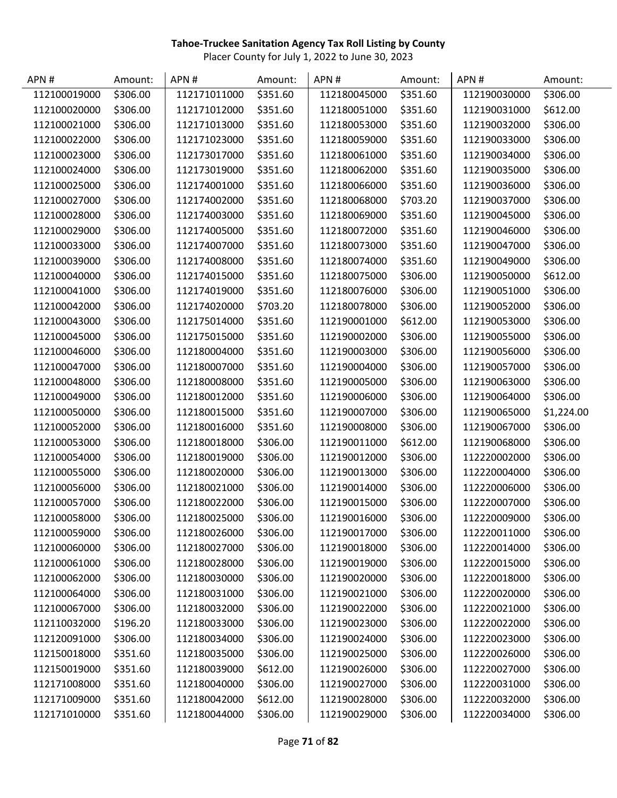| APN#         | Amount:  | APN#         | Amount:  | APN#         | Amount:  | APN#         | Amount:    |
|--------------|----------|--------------|----------|--------------|----------|--------------|------------|
| 112100019000 | \$306.00 | 112171011000 | \$351.60 | 112180045000 | \$351.60 | 112190030000 | \$306.00   |
| 112100020000 | \$306.00 | 112171012000 | \$351.60 | 112180051000 | \$351.60 | 112190031000 | \$612.00   |
| 112100021000 | \$306.00 | 112171013000 | \$351.60 | 112180053000 | \$351.60 | 112190032000 | \$306.00   |
| 112100022000 | \$306.00 | 112171023000 | \$351.60 | 112180059000 | \$351.60 | 112190033000 | \$306.00   |
| 112100023000 | \$306.00 | 112173017000 | \$351.60 | 112180061000 | \$351.60 | 112190034000 | \$306.00   |
| 112100024000 | \$306.00 | 112173019000 | \$351.60 | 112180062000 | \$351.60 | 112190035000 | \$306.00   |
| 112100025000 | \$306.00 | 112174001000 | \$351.60 | 112180066000 | \$351.60 | 112190036000 | \$306.00   |
| 112100027000 | \$306.00 | 112174002000 | \$351.60 | 112180068000 | \$703.20 | 112190037000 | \$306.00   |
| 112100028000 | \$306.00 | 112174003000 | \$351.60 | 112180069000 | \$351.60 | 112190045000 | \$306.00   |
| 112100029000 | \$306.00 | 112174005000 | \$351.60 | 112180072000 | \$351.60 | 112190046000 | \$306.00   |
| 112100033000 | \$306.00 | 112174007000 | \$351.60 | 112180073000 | \$351.60 | 112190047000 | \$306.00   |
| 112100039000 | \$306.00 | 112174008000 | \$351.60 | 112180074000 | \$351.60 | 112190049000 | \$306.00   |
| 112100040000 | \$306.00 | 112174015000 | \$351.60 | 112180075000 | \$306.00 | 112190050000 | \$612.00   |
| 112100041000 | \$306.00 | 112174019000 | \$351.60 | 112180076000 | \$306.00 | 112190051000 | \$306.00   |
| 112100042000 | \$306.00 | 112174020000 | \$703.20 | 112180078000 | \$306.00 | 112190052000 | \$306.00   |
| 112100043000 | \$306.00 | 112175014000 | \$351.60 | 112190001000 | \$612.00 | 112190053000 | \$306.00   |
| 112100045000 | \$306.00 | 112175015000 | \$351.60 | 112190002000 | \$306.00 | 112190055000 | \$306.00   |
| 112100046000 | \$306.00 | 112180004000 | \$351.60 | 112190003000 | \$306.00 | 112190056000 | \$306.00   |
| 112100047000 | \$306.00 | 112180007000 | \$351.60 | 112190004000 | \$306.00 | 112190057000 | \$306.00   |
| 112100048000 | \$306.00 | 112180008000 | \$351.60 | 112190005000 | \$306.00 | 112190063000 | \$306.00   |
| 112100049000 | \$306.00 | 112180012000 | \$351.60 | 112190006000 | \$306.00 | 112190064000 | \$306.00   |
| 112100050000 | \$306.00 | 112180015000 | \$351.60 | 112190007000 | \$306.00 | 112190065000 | \$1,224.00 |
| 112100052000 | \$306.00 | 112180016000 | \$351.60 | 112190008000 | \$306.00 | 112190067000 | \$306.00   |
| 112100053000 | \$306.00 | 112180018000 | \$306.00 | 112190011000 | \$612.00 | 112190068000 | \$306.00   |
| 112100054000 | \$306.00 | 112180019000 | \$306.00 | 112190012000 | \$306.00 | 112220002000 | \$306.00   |
| 112100055000 | \$306.00 | 112180020000 | \$306.00 | 112190013000 | \$306.00 | 112220004000 | \$306.00   |
| 112100056000 | \$306.00 | 112180021000 | \$306.00 | 112190014000 | \$306.00 | 112220006000 | \$306.00   |
| 112100057000 | \$306.00 | 112180022000 | \$306.00 | 112190015000 | \$306.00 | 112220007000 | \$306.00   |
| 112100058000 | \$306.00 | 112180025000 | \$306.00 | 112190016000 | \$306.00 | 112220009000 | \$306.00   |
| 112100059000 | \$306.00 | 112180026000 | \$306.00 | 112190017000 | \$306.00 | 112220011000 | \$306.00   |
| 112100060000 | \$306.00 | 112180027000 | \$306.00 | 112190018000 | \$306.00 | 112220014000 | \$306.00   |
| 112100061000 | \$306.00 | 112180028000 | \$306.00 | 112190019000 | \$306.00 | 112220015000 | \$306.00   |
| 112100062000 | \$306.00 | 112180030000 | \$306.00 | 112190020000 | \$306.00 | 112220018000 | \$306.00   |
| 112100064000 | \$306.00 | 112180031000 | \$306.00 | 112190021000 | \$306.00 | 112220020000 | \$306.00   |
| 112100067000 | \$306.00 | 112180032000 | \$306.00 | 112190022000 | \$306.00 | 112220021000 | \$306.00   |
| 112110032000 | \$196.20 | 112180033000 | \$306.00 | 112190023000 | \$306.00 | 112220022000 | \$306.00   |
| 112120091000 | \$306.00 | 112180034000 | \$306.00 | 112190024000 | \$306.00 | 112220023000 | \$306.00   |
| 112150018000 | \$351.60 | 112180035000 | \$306.00 | 112190025000 | \$306.00 | 112220026000 | \$306.00   |
| 112150019000 | \$351.60 | 112180039000 | \$612.00 | 112190026000 | \$306.00 | 112220027000 | \$306.00   |
| 112171008000 | \$351.60 | 112180040000 | \$306.00 | 112190027000 | \$306.00 | 112220031000 | \$306.00   |
| 112171009000 | \$351.60 | 112180042000 | \$612.00 | 112190028000 | \$306.00 | 112220032000 | \$306.00   |
| 112171010000 | \$351.60 | 112180044000 | \$306.00 | 112190029000 | \$306.00 | 112220034000 | \$306.00   |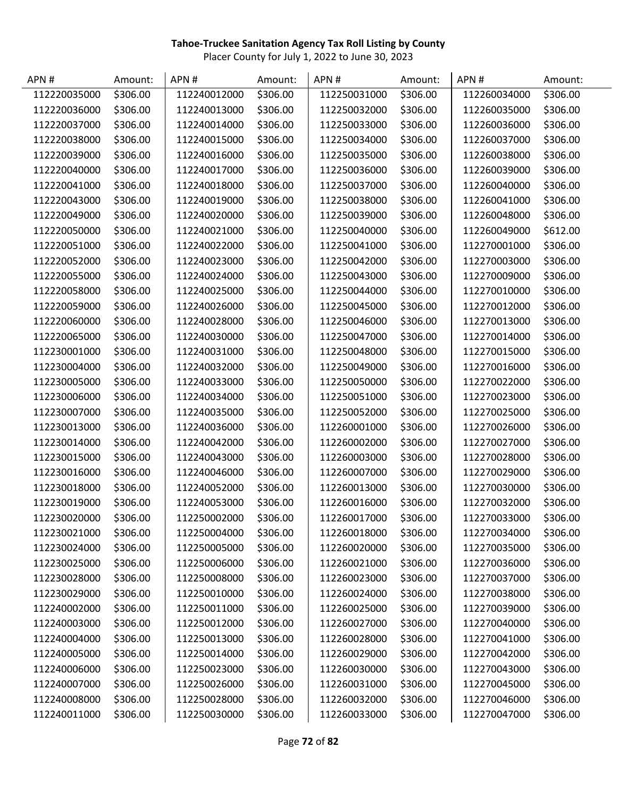| APN#         | Amount:  | APN#         | Amount:  | APN#         | Amount:  | APN#         | Amount:  |
|--------------|----------|--------------|----------|--------------|----------|--------------|----------|
| 112220035000 | \$306.00 | 112240012000 | \$306.00 | 112250031000 | \$306.00 | 112260034000 | \$306.00 |
| 112220036000 | \$306.00 | 112240013000 | \$306.00 | 112250032000 | \$306.00 | 112260035000 | \$306.00 |
| 112220037000 | \$306.00 | 112240014000 | \$306.00 | 112250033000 | \$306.00 | 112260036000 | \$306.00 |
| 112220038000 | \$306.00 | 112240015000 | \$306.00 | 112250034000 | \$306.00 | 112260037000 | \$306.00 |
| 112220039000 | \$306.00 | 112240016000 | \$306.00 | 112250035000 | \$306.00 | 112260038000 | \$306.00 |
| 112220040000 | \$306.00 | 112240017000 | \$306.00 | 112250036000 | \$306.00 | 112260039000 | \$306.00 |
| 112220041000 | \$306.00 | 112240018000 | \$306.00 | 112250037000 | \$306.00 | 112260040000 | \$306.00 |
| 112220043000 | \$306.00 | 112240019000 | \$306.00 | 112250038000 | \$306.00 | 112260041000 | \$306.00 |
| 112220049000 | \$306.00 | 112240020000 | \$306.00 | 112250039000 | \$306.00 | 112260048000 | \$306.00 |
| 112220050000 | \$306.00 | 112240021000 | \$306.00 | 112250040000 | \$306.00 | 112260049000 | \$612.00 |
| 112220051000 | \$306.00 | 112240022000 | \$306.00 | 112250041000 | \$306.00 | 112270001000 | \$306.00 |
| 112220052000 | \$306.00 | 112240023000 | \$306.00 | 112250042000 | \$306.00 | 112270003000 | \$306.00 |
| 112220055000 | \$306.00 | 112240024000 | \$306.00 | 112250043000 | \$306.00 | 112270009000 | \$306.00 |
| 112220058000 | \$306.00 | 112240025000 | \$306.00 | 112250044000 | \$306.00 | 112270010000 | \$306.00 |
| 112220059000 | \$306.00 | 112240026000 | \$306.00 | 112250045000 | \$306.00 | 112270012000 | \$306.00 |
| 112220060000 | \$306.00 | 112240028000 | \$306.00 | 112250046000 | \$306.00 | 112270013000 | \$306.00 |
| 112220065000 | \$306.00 | 112240030000 | \$306.00 | 112250047000 | \$306.00 | 112270014000 | \$306.00 |
| 112230001000 | \$306.00 | 112240031000 | \$306.00 | 112250048000 | \$306.00 | 112270015000 | \$306.00 |
| 112230004000 | \$306.00 | 112240032000 | \$306.00 | 112250049000 | \$306.00 | 112270016000 | \$306.00 |
| 112230005000 | \$306.00 | 112240033000 | \$306.00 | 112250050000 | \$306.00 | 112270022000 | \$306.00 |
| 112230006000 | \$306.00 | 112240034000 | \$306.00 | 112250051000 | \$306.00 | 112270023000 | \$306.00 |
| 112230007000 | \$306.00 | 112240035000 | \$306.00 | 112250052000 | \$306.00 | 112270025000 | \$306.00 |
| 112230013000 | \$306.00 | 112240036000 | \$306.00 | 112260001000 | \$306.00 | 112270026000 | \$306.00 |
| 112230014000 | \$306.00 | 112240042000 | \$306.00 | 112260002000 | \$306.00 | 112270027000 | \$306.00 |
| 112230015000 | \$306.00 | 112240043000 | \$306.00 | 112260003000 | \$306.00 | 112270028000 | \$306.00 |
| 112230016000 | \$306.00 | 112240046000 | \$306.00 | 112260007000 | \$306.00 | 112270029000 | \$306.00 |
| 112230018000 | \$306.00 | 112240052000 | \$306.00 | 112260013000 | \$306.00 | 112270030000 | \$306.00 |
| 112230019000 | \$306.00 | 112240053000 | \$306.00 | 112260016000 | \$306.00 | 112270032000 | \$306.00 |
| 112230020000 | \$306.00 | 112250002000 | \$306.00 | 112260017000 | \$306.00 | 112270033000 | \$306.00 |
| 112230021000 | \$306.00 | 112250004000 | \$306.00 | 112260018000 | \$306.00 | 112270034000 | \$306.00 |
| 112230024000 | \$306.00 | 112250005000 | \$306.00 | 112260020000 | \$306.00 | 112270035000 | \$306.00 |
| 112230025000 | \$306.00 | 112250006000 | \$306.00 | 112260021000 | \$306.00 | 112270036000 | \$306.00 |
| 112230028000 | \$306.00 | 112250008000 | \$306.00 | 112260023000 | \$306.00 | 112270037000 | \$306.00 |
| 112230029000 | \$306.00 | 112250010000 | \$306.00 | 112260024000 | \$306.00 | 112270038000 | \$306.00 |
| 112240002000 | \$306.00 | 112250011000 | \$306.00 | 112260025000 | \$306.00 | 112270039000 | \$306.00 |
| 112240003000 | \$306.00 | 112250012000 | \$306.00 | 112260027000 | \$306.00 | 112270040000 | \$306.00 |
| 112240004000 | \$306.00 | 112250013000 | \$306.00 | 112260028000 | \$306.00 | 112270041000 | \$306.00 |
| 112240005000 | \$306.00 | 112250014000 | \$306.00 | 112260029000 | \$306.00 | 112270042000 | \$306.00 |
| 112240006000 | \$306.00 | 112250023000 | \$306.00 | 112260030000 | \$306.00 | 112270043000 | \$306.00 |
| 112240007000 | \$306.00 | 112250026000 | \$306.00 | 112260031000 | \$306.00 | 112270045000 | \$306.00 |
| 112240008000 | \$306.00 | 112250028000 | \$306.00 | 112260032000 | \$306.00 | 112270046000 | \$306.00 |
| 112240011000 | \$306.00 | 112250030000 | \$306.00 | 112260033000 | \$306.00 | 112270047000 | \$306.00 |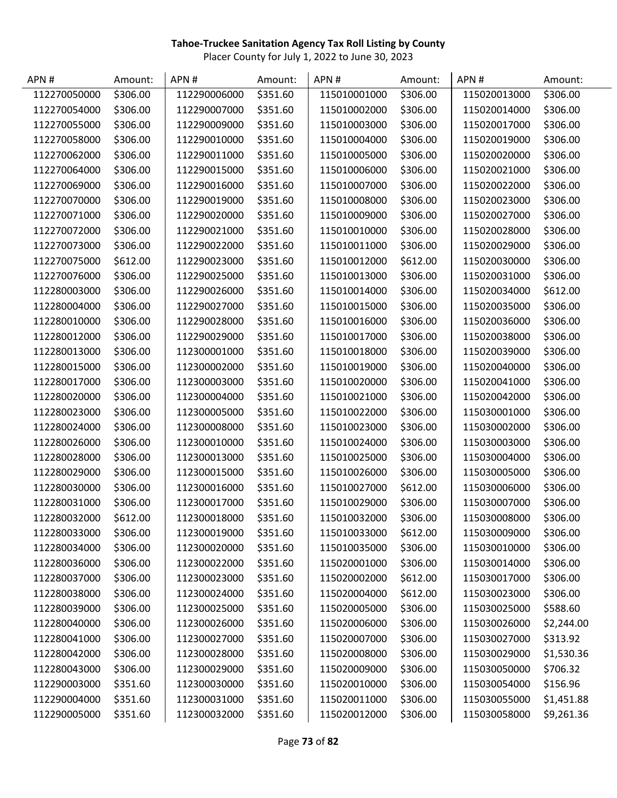| APN#         | Amount:  | APN#         | Amount:  | APN#         | Amount:  | APN#         | Amount:    |
|--------------|----------|--------------|----------|--------------|----------|--------------|------------|
| 112270050000 | \$306.00 | 112290006000 | \$351.60 | 115010001000 | \$306.00 | 115020013000 | \$306.00   |
| 112270054000 | \$306.00 | 112290007000 | \$351.60 | 115010002000 | \$306.00 | 115020014000 | \$306.00   |
| 112270055000 | \$306.00 | 112290009000 | \$351.60 | 115010003000 | \$306.00 | 115020017000 | \$306.00   |
| 112270058000 | \$306.00 | 112290010000 | \$351.60 | 115010004000 | \$306.00 | 115020019000 | \$306.00   |
| 112270062000 | \$306.00 | 112290011000 | \$351.60 | 115010005000 | \$306.00 | 115020020000 | \$306.00   |
| 112270064000 | \$306.00 | 112290015000 | \$351.60 | 115010006000 | \$306.00 | 115020021000 | \$306.00   |
| 112270069000 | \$306.00 | 112290016000 | \$351.60 | 115010007000 | \$306.00 | 115020022000 | \$306.00   |
| 112270070000 | \$306.00 | 112290019000 | \$351.60 | 115010008000 | \$306.00 | 115020023000 | \$306.00   |
| 112270071000 | \$306.00 | 112290020000 | \$351.60 | 115010009000 | \$306.00 | 115020027000 | \$306.00   |
| 112270072000 | \$306.00 | 112290021000 | \$351.60 | 115010010000 | \$306.00 | 115020028000 | \$306.00   |
| 112270073000 | \$306.00 | 112290022000 | \$351.60 | 115010011000 | \$306.00 | 115020029000 | \$306.00   |
| 112270075000 | \$612.00 | 112290023000 | \$351.60 | 115010012000 | \$612.00 | 115020030000 | \$306.00   |
| 112270076000 | \$306.00 | 112290025000 | \$351.60 | 115010013000 | \$306.00 | 115020031000 | \$306.00   |
| 112280003000 | \$306.00 | 112290026000 | \$351.60 | 115010014000 | \$306.00 | 115020034000 | \$612.00   |
| 112280004000 | \$306.00 | 112290027000 | \$351.60 | 115010015000 | \$306.00 | 115020035000 | \$306.00   |
| 112280010000 | \$306.00 | 112290028000 | \$351.60 | 115010016000 | \$306.00 | 115020036000 | \$306.00   |
| 112280012000 | \$306.00 | 112290029000 | \$351.60 | 115010017000 | \$306.00 | 115020038000 | \$306.00   |
| 112280013000 | \$306.00 | 112300001000 | \$351.60 | 115010018000 | \$306.00 | 115020039000 | \$306.00   |
| 112280015000 | \$306.00 | 112300002000 | \$351.60 | 115010019000 | \$306.00 | 115020040000 | \$306.00   |
| 112280017000 | \$306.00 | 112300003000 | \$351.60 | 115010020000 | \$306.00 | 115020041000 | \$306.00   |
| 112280020000 | \$306.00 | 112300004000 | \$351.60 | 115010021000 | \$306.00 | 115020042000 | \$306.00   |
| 112280023000 | \$306.00 | 112300005000 | \$351.60 | 115010022000 | \$306.00 | 115030001000 | \$306.00   |
| 112280024000 | \$306.00 | 112300008000 | \$351.60 | 115010023000 | \$306.00 | 115030002000 | \$306.00   |
| 112280026000 | \$306.00 | 112300010000 | \$351.60 | 115010024000 | \$306.00 | 115030003000 | \$306.00   |
| 112280028000 | \$306.00 | 112300013000 | \$351.60 | 115010025000 | \$306.00 | 115030004000 | \$306.00   |
| 112280029000 | \$306.00 | 112300015000 | \$351.60 | 115010026000 | \$306.00 | 115030005000 | \$306.00   |
| 112280030000 | \$306.00 | 112300016000 | \$351.60 | 115010027000 | \$612.00 | 115030006000 | \$306.00   |
| 112280031000 | \$306.00 | 112300017000 | \$351.60 | 115010029000 | \$306.00 | 115030007000 | \$306.00   |
| 112280032000 | \$612.00 | 112300018000 | \$351.60 | 115010032000 | \$306.00 | 115030008000 | \$306.00   |
| 112280033000 | \$306.00 | 112300019000 | \$351.60 | 115010033000 | \$612.00 | 115030009000 | \$306.00   |
| 112280034000 | \$306.00 | 112300020000 | \$351.60 | 115010035000 | \$306.00 | 115030010000 | \$306.00   |
| 112280036000 | \$306.00 | 112300022000 | \$351.60 | 115020001000 | \$306.00 | 115030014000 | \$306.00   |
| 112280037000 | \$306.00 | 112300023000 | \$351.60 | 115020002000 | \$612.00 | 115030017000 | \$306.00   |
| 112280038000 | \$306.00 | 112300024000 | \$351.60 | 115020004000 | \$612.00 | 115030023000 | \$306.00   |
| 112280039000 | \$306.00 | 112300025000 | \$351.60 | 115020005000 | \$306.00 | 115030025000 | \$588.60   |
| 112280040000 | \$306.00 | 112300026000 | \$351.60 | 115020006000 | \$306.00 | 115030026000 | \$2,244.00 |
| 112280041000 | \$306.00 | 112300027000 | \$351.60 | 115020007000 | \$306.00 | 115030027000 | \$313.92   |
| 112280042000 | \$306.00 | 112300028000 | \$351.60 | 115020008000 | \$306.00 | 115030029000 | \$1,530.36 |
| 112280043000 | \$306.00 | 112300029000 | \$351.60 | 115020009000 | \$306.00 | 115030050000 | \$706.32   |
| 112290003000 | \$351.60 | 112300030000 | \$351.60 | 115020010000 | \$306.00 | 115030054000 | \$156.96   |
| 112290004000 | \$351.60 | 112300031000 | \$351.60 | 115020011000 | \$306.00 | 115030055000 | \$1,451.88 |
| 112290005000 | \$351.60 | 112300032000 | \$351.60 | 115020012000 | \$306.00 | 115030058000 | \$9,261.36 |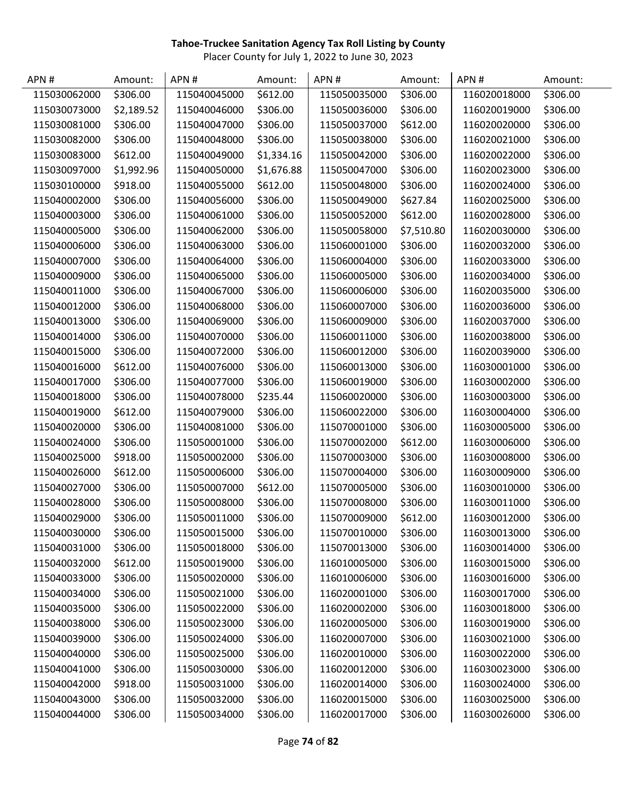| APN #        | Amount:    | APN#         | Amount:    | APN#         | Amount:    | APN#         | Amount:  |
|--------------|------------|--------------|------------|--------------|------------|--------------|----------|
| 115030062000 | \$306.00   | 115040045000 | \$612.00   | 115050035000 | \$306.00   | 116020018000 | \$306.00 |
| 115030073000 | \$2,189.52 | 115040046000 | \$306.00   | 115050036000 | \$306.00   | 116020019000 | \$306.00 |
| 115030081000 | \$306.00   | 115040047000 | \$306.00   | 115050037000 | \$612.00   | 116020020000 | \$306.00 |
| 115030082000 | \$306.00   | 115040048000 | \$306.00   | 115050038000 | \$306.00   | 116020021000 | \$306.00 |
| 115030083000 | \$612.00   | 115040049000 | \$1,334.16 | 115050042000 | \$306.00   | 116020022000 | \$306.00 |
| 115030097000 | \$1,992.96 | 115040050000 | \$1,676.88 | 115050047000 | \$306.00   | 116020023000 | \$306.00 |
| 115030100000 | \$918.00   | 115040055000 | \$612.00   | 115050048000 | \$306.00   | 116020024000 | \$306.00 |
| 115040002000 | \$306.00   | 115040056000 | \$306.00   | 115050049000 | \$627.84   | 116020025000 | \$306.00 |
| 115040003000 | \$306.00   | 115040061000 | \$306.00   | 115050052000 | \$612.00   | 116020028000 | \$306.00 |
| 115040005000 | \$306.00   | 115040062000 | \$306.00   | 115050058000 | \$7,510.80 | 116020030000 | \$306.00 |
| 115040006000 | \$306.00   | 115040063000 | \$306.00   | 115060001000 | \$306.00   | 116020032000 | \$306.00 |
| 115040007000 | \$306.00   | 115040064000 | \$306.00   | 115060004000 | \$306.00   | 116020033000 | \$306.00 |
| 115040009000 | \$306.00   | 115040065000 | \$306.00   | 115060005000 | \$306.00   | 116020034000 | \$306.00 |
| 115040011000 | \$306.00   | 115040067000 | \$306.00   | 115060006000 | \$306.00   | 116020035000 | \$306.00 |
| 115040012000 | \$306.00   | 115040068000 | \$306.00   | 115060007000 | \$306.00   | 116020036000 | \$306.00 |
| 115040013000 | \$306.00   | 115040069000 | \$306.00   | 115060009000 | \$306.00   | 116020037000 | \$306.00 |
| 115040014000 | \$306.00   | 115040070000 | \$306.00   | 115060011000 | \$306.00   | 116020038000 | \$306.00 |
| 115040015000 | \$306.00   | 115040072000 | \$306.00   | 115060012000 | \$306.00   | 116020039000 | \$306.00 |
| 115040016000 | \$612.00   | 115040076000 | \$306.00   | 115060013000 | \$306.00   | 116030001000 | \$306.00 |
| 115040017000 | \$306.00   | 115040077000 | \$306.00   | 115060019000 | \$306.00   | 116030002000 | \$306.00 |
| 115040018000 | \$306.00   | 115040078000 | \$235.44   | 115060020000 | \$306.00   | 116030003000 | \$306.00 |
| 115040019000 | \$612.00   | 115040079000 | \$306.00   | 115060022000 | \$306.00   | 116030004000 | \$306.00 |
| 115040020000 | \$306.00   | 115040081000 | \$306.00   | 115070001000 | \$306.00   | 116030005000 | \$306.00 |
| 115040024000 | \$306.00   | 115050001000 | \$306.00   | 115070002000 | \$612.00   | 116030006000 | \$306.00 |
| 115040025000 | \$918.00   | 115050002000 | \$306.00   | 115070003000 | \$306.00   | 116030008000 | \$306.00 |
| 115040026000 | \$612.00   | 115050006000 | \$306.00   | 115070004000 | \$306.00   | 116030009000 | \$306.00 |
| 115040027000 | \$306.00   | 115050007000 | \$612.00   | 115070005000 | \$306.00   | 116030010000 | \$306.00 |
| 115040028000 | \$306.00   | 115050008000 | \$306.00   | 115070008000 | \$306.00   | 116030011000 | \$306.00 |
| 115040029000 | \$306.00   | 115050011000 | \$306.00   | 115070009000 | \$612.00   | 116030012000 | \$306.00 |
| 115040030000 | \$306.00   | 115050015000 | \$306.00   | 115070010000 | \$306.00   | 116030013000 | \$306.00 |
| 115040031000 | \$306.00   | 115050018000 | \$306.00   | 115070013000 | \$306.00   | 116030014000 | \$306.00 |
| 115040032000 | \$612.00   | 115050019000 | \$306.00   | 116010005000 | \$306.00   | 116030015000 | \$306.00 |
| 115040033000 | \$306.00   | 115050020000 | \$306.00   | 116010006000 | \$306.00   | 116030016000 | \$306.00 |
| 115040034000 | \$306.00   | 115050021000 | \$306.00   | 116020001000 | \$306.00   | 116030017000 | \$306.00 |
| 115040035000 | \$306.00   | 115050022000 | \$306.00   | 116020002000 | \$306.00   | 116030018000 | \$306.00 |
| 115040038000 | \$306.00   | 115050023000 | \$306.00   | 116020005000 | \$306.00   | 116030019000 | \$306.00 |
| 115040039000 | \$306.00   | 115050024000 | \$306.00   | 116020007000 | \$306.00   | 116030021000 | \$306.00 |
| 115040040000 | \$306.00   | 115050025000 | \$306.00   | 116020010000 | \$306.00   | 116030022000 | \$306.00 |
| 115040041000 | \$306.00   | 115050030000 | \$306.00   | 116020012000 | \$306.00   | 116030023000 | \$306.00 |
| 115040042000 | \$918.00   | 115050031000 | \$306.00   | 116020014000 | \$306.00   | 116030024000 | \$306.00 |
| 115040043000 | \$306.00   | 115050032000 | \$306.00   | 116020015000 | \$306.00   | 116030025000 | \$306.00 |
| 115040044000 | \$306.00   | 115050034000 | \$306.00   | 116020017000 | \$306.00   | 116030026000 | \$306.00 |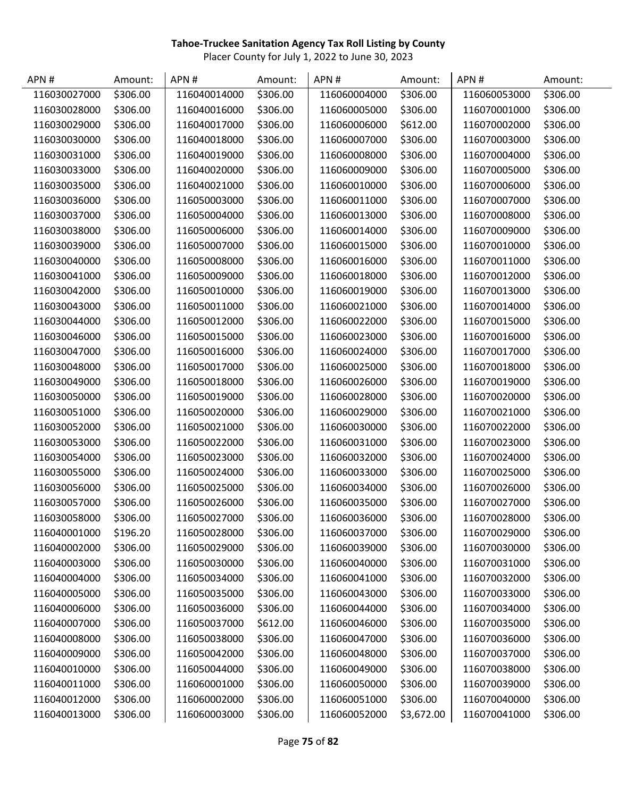| APN#         | Amount:  | APN#         | Amount:  | APN#         | Amount:    | APN#         | Amount:  |
|--------------|----------|--------------|----------|--------------|------------|--------------|----------|
| 116030027000 | \$306.00 | 116040014000 | \$306.00 | 116060004000 | \$306.00   | 116060053000 | \$306.00 |
| 116030028000 | \$306.00 | 116040016000 | \$306.00 | 116060005000 | \$306.00   | 116070001000 | \$306.00 |
| 116030029000 | \$306.00 | 116040017000 | \$306.00 | 116060006000 | \$612.00   | 116070002000 | \$306.00 |
| 116030030000 | \$306.00 | 116040018000 | \$306.00 | 116060007000 | \$306.00   | 116070003000 | \$306.00 |
| 116030031000 | \$306.00 | 116040019000 | \$306.00 | 116060008000 | \$306.00   | 116070004000 | \$306.00 |
| 116030033000 | \$306.00 | 116040020000 | \$306.00 | 116060009000 | \$306.00   | 116070005000 | \$306.00 |
| 116030035000 | \$306.00 | 116040021000 | \$306.00 | 116060010000 | \$306.00   | 116070006000 | \$306.00 |
| 116030036000 | \$306.00 | 116050003000 | \$306.00 | 116060011000 | \$306.00   | 116070007000 | \$306.00 |
| 116030037000 | \$306.00 | 116050004000 | \$306.00 | 116060013000 | \$306.00   | 116070008000 | \$306.00 |
| 116030038000 | \$306.00 | 116050006000 | \$306.00 | 116060014000 | \$306.00   | 116070009000 | \$306.00 |
| 116030039000 | \$306.00 | 116050007000 | \$306.00 | 116060015000 | \$306.00   | 116070010000 | \$306.00 |
| 116030040000 | \$306.00 | 116050008000 | \$306.00 | 116060016000 | \$306.00   | 116070011000 | \$306.00 |
| 116030041000 | \$306.00 | 116050009000 | \$306.00 | 116060018000 | \$306.00   | 116070012000 | \$306.00 |
| 116030042000 | \$306.00 | 116050010000 | \$306.00 | 116060019000 | \$306.00   | 116070013000 | \$306.00 |
| 116030043000 | \$306.00 | 116050011000 | \$306.00 | 116060021000 | \$306.00   | 116070014000 | \$306.00 |
| 116030044000 | \$306.00 | 116050012000 | \$306.00 | 116060022000 | \$306.00   | 116070015000 | \$306.00 |
| 116030046000 | \$306.00 | 116050015000 | \$306.00 | 116060023000 | \$306.00   | 116070016000 | \$306.00 |
| 116030047000 | \$306.00 | 116050016000 | \$306.00 | 116060024000 | \$306.00   | 116070017000 | \$306.00 |
| 116030048000 | \$306.00 | 116050017000 | \$306.00 | 116060025000 | \$306.00   | 116070018000 | \$306.00 |
| 116030049000 | \$306.00 | 116050018000 | \$306.00 | 116060026000 | \$306.00   | 116070019000 | \$306.00 |
| 116030050000 | \$306.00 | 116050019000 | \$306.00 | 116060028000 | \$306.00   | 116070020000 | \$306.00 |
| 116030051000 | \$306.00 | 116050020000 | \$306.00 | 116060029000 | \$306.00   | 116070021000 | \$306.00 |
| 116030052000 | \$306.00 | 116050021000 | \$306.00 | 116060030000 | \$306.00   | 116070022000 | \$306.00 |
| 116030053000 | \$306.00 | 116050022000 | \$306.00 | 116060031000 | \$306.00   | 116070023000 | \$306.00 |
| 116030054000 | \$306.00 | 116050023000 | \$306.00 | 116060032000 | \$306.00   | 116070024000 | \$306.00 |
| 116030055000 | \$306.00 | 116050024000 | \$306.00 | 116060033000 | \$306.00   | 116070025000 | \$306.00 |
| 116030056000 | \$306.00 | 116050025000 | \$306.00 | 116060034000 | \$306.00   | 116070026000 | \$306.00 |
| 116030057000 | \$306.00 | 116050026000 | \$306.00 | 116060035000 | \$306.00   | 116070027000 | \$306.00 |
| 116030058000 | \$306.00 | 116050027000 | \$306.00 | 116060036000 | \$306.00   | 116070028000 | \$306.00 |
| 116040001000 | \$196.20 | 116050028000 | \$306.00 | 116060037000 | \$306.00   | 116070029000 | \$306.00 |
| 116040002000 | \$306.00 | 116050029000 | \$306.00 | 116060039000 | \$306.00   | 116070030000 | \$306.00 |
| 116040003000 | \$306.00 | 116050030000 | \$306.00 | 116060040000 | \$306.00   | 116070031000 | \$306.00 |
| 116040004000 | \$306.00 | 116050034000 | \$306.00 | 116060041000 | \$306.00   | 116070032000 | \$306.00 |
| 116040005000 | \$306.00 | 116050035000 | \$306.00 | 116060043000 | \$306.00   | 116070033000 | \$306.00 |
| 116040006000 | \$306.00 | 116050036000 | \$306.00 | 116060044000 | \$306.00   | 116070034000 | \$306.00 |
| 116040007000 | \$306.00 | 116050037000 | \$612.00 | 116060046000 | \$306.00   | 116070035000 | \$306.00 |
| 116040008000 | \$306.00 | 116050038000 | \$306.00 | 116060047000 | \$306.00   | 116070036000 | \$306.00 |
| 116040009000 | \$306.00 | 116050042000 | \$306.00 | 116060048000 | \$306.00   | 116070037000 | \$306.00 |
| 116040010000 | \$306.00 | 116050044000 | \$306.00 | 116060049000 | \$306.00   | 116070038000 | \$306.00 |
| 116040011000 | \$306.00 | 116060001000 | \$306.00 | 116060050000 | \$306.00   | 116070039000 | \$306.00 |
| 116040012000 | \$306.00 | 116060002000 | \$306.00 | 116060051000 | \$306.00   | 116070040000 | \$306.00 |
| 116040013000 | \$306.00 | 116060003000 | \$306.00 | 116060052000 | \$3,672.00 | 116070041000 | \$306.00 |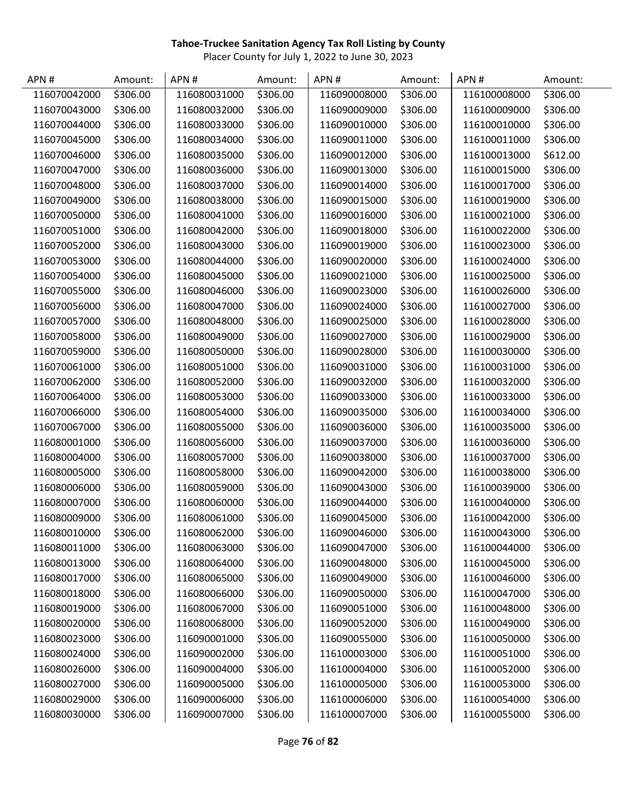| APN#         | Amount:  | APN#         | Amount:  | APN#         | Amount:  | APN#         | Amount:  |
|--------------|----------|--------------|----------|--------------|----------|--------------|----------|
| 116070042000 | \$306.00 | 116080031000 | \$306.00 | 116090008000 | \$306.00 | 116100008000 | \$306.00 |
| 116070043000 | \$306.00 | 116080032000 | \$306.00 | 116090009000 | \$306.00 | 116100009000 | \$306.00 |
| 116070044000 | \$306.00 | 116080033000 | \$306.00 | 116090010000 | \$306.00 | 116100010000 | \$306.00 |
| 116070045000 | \$306.00 | 116080034000 | \$306.00 | 116090011000 | \$306.00 | 116100011000 | \$306.00 |
| 116070046000 | \$306.00 | 116080035000 | \$306.00 | 116090012000 | \$306.00 | 116100013000 | \$612.00 |
| 116070047000 | \$306.00 | 116080036000 | \$306.00 | 116090013000 | \$306.00 | 116100015000 | \$306.00 |
| 116070048000 | \$306.00 | 116080037000 | \$306.00 | 116090014000 | \$306.00 | 116100017000 | \$306.00 |
| 116070049000 | \$306.00 | 116080038000 | \$306.00 | 116090015000 | \$306.00 | 116100019000 | \$306.00 |
| 116070050000 | \$306.00 | 116080041000 | \$306.00 | 116090016000 | \$306.00 | 116100021000 | \$306.00 |
| 116070051000 | \$306.00 | 116080042000 | \$306.00 | 116090018000 | \$306.00 | 116100022000 | \$306.00 |
| 116070052000 | \$306.00 | 116080043000 | \$306.00 | 116090019000 | \$306.00 | 116100023000 | \$306.00 |
| 116070053000 | \$306.00 | 116080044000 | \$306.00 | 116090020000 | \$306.00 | 116100024000 | \$306.00 |
| 116070054000 | \$306.00 | 116080045000 | \$306.00 | 116090021000 | \$306.00 | 116100025000 | \$306.00 |
| 116070055000 | \$306.00 | 116080046000 | \$306.00 | 116090023000 | \$306.00 | 116100026000 | \$306.00 |
| 116070056000 | \$306.00 | 116080047000 | \$306.00 | 116090024000 | \$306.00 | 116100027000 | \$306.00 |
| 116070057000 | \$306.00 | 116080048000 | \$306.00 | 116090025000 | \$306.00 | 116100028000 | \$306.00 |
| 116070058000 | \$306.00 | 116080049000 | \$306.00 | 116090027000 | \$306.00 | 116100029000 | \$306.00 |
| 116070059000 | \$306.00 | 116080050000 | \$306.00 | 116090028000 | \$306.00 | 116100030000 | \$306.00 |
| 116070061000 | \$306.00 | 116080051000 | \$306.00 | 116090031000 | \$306.00 | 116100031000 | \$306.00 |
| 116070062000 | \$306.00 | 116080052000 | \$306.00 | 116090032000 | \$306.00 | 116100032000 | \$306.00 |
| 116070064000 | \$306.00 | 116080053000 | \$306.00 | 116090033000 | \$306.00 | 116100033000 | \$306.00 |
| 116070066000 | \$306.00 | 116080054000 | \$306.00 | 116090035000 | \$306.00 | 116100034000 | \$306.00 |
| 116070067000 | \$306.00 | 116080055000 | \$306.00 | 116090036000 | \$306.00 | 116100035000 | \$306.00 |
| 116080001000 | \$306.00 | 116080056000 | \$306.00 | 116090037000 | \$306.00 | 116100036000 | \$306.00 |
| 116080004000 | \$306.00 | 116080057000 | \$306.00 | 116090038000 | \$306.00 | 116100037000 | \$306.00 |
| 116080005000 | \$306.00 | 116080058000 | \$306.00 | 116090042000 | \$306.00 | 116100038000 | \$306.00 |
| 116080006000 | \$306.00 | 116080059000 | \$306.00 | 116090043000 | \$306.00 | 116100039000 | \$306.00 |
| 116080007000 | \$306.00 | 116080060000 | \$306.00 | 116090044000 | \$306.00 | 116100040000 | \$306.00 |
| 116080009000 | \$306.00 | 116080061000 | \$306.00 | 116090045000 | \$306.00 | 116100042000 | \$306.00 |
| 116080010000 | \$306.00 | 116080062000 | \$306.00 | 116090046000 | \$306.00 | 116100043000 | \$306.00 |
| 116080011000 | \$306.00 | 116080063000 | \$306.00 | 116090047000 | \$306.00 | 116100044000 | \$306.00 |
| 116080013000 | \$306.00 | 116080064000 | \$306.00 | 116090048000 | \$306.00 | 116100045000 | \$306.00 |
| 116080017000 | \$306.00 | 116080065000 | \$306.00 | 116090049000 | \$306.00 | 116100046000 | \$306.00 |
| 116080018000 | \$306.00 | 116080066000 | \$306.00 | 116090050000 | \$306.00 | 116100047000 | \$306.00 |
| 116080019000 | \$306.00 | 116080067000 | \$306.00 | 116090051000 | \$306.00 | 116100048000 | \$306.00 |
| 116080020000 | \$306.00 | 116080068000 | \$306.00 | 116090052000 | \$306.00 | 116100049000 | \$306.00 |
| 116080023000 | \$306.00 | 116090001000 | \$306.00 | 116090055000 | \$306.00 | 116100050000 | \$306.00 |
| 116080024000 | \$306.00 | 116090002000 | \$306.00 | 116100003000 | \$306.00 | 116100051000 | \$306.00 |
| 116080026000 | \$306.00 | 116090004000 | \$306.00 | 116100004000 | \$306.00 | 116100052000 | \$306.00 |
| 116080027000 | \$306.00 | 116090005000 | \$306.00 | 116100005000 | \$306.00 | 116100053000 | \$306.00 |
| 116080029000 | \$306.00 | 116090006000 | \$306.00 | 116100006000 | \$306.00 | 116100054000 | \$306.00 |
| 116080030000 | \$306.00 | 116090007000 | \$306.00 | 116100007000 | \$306.00 | 116100055000 | \$306.00 |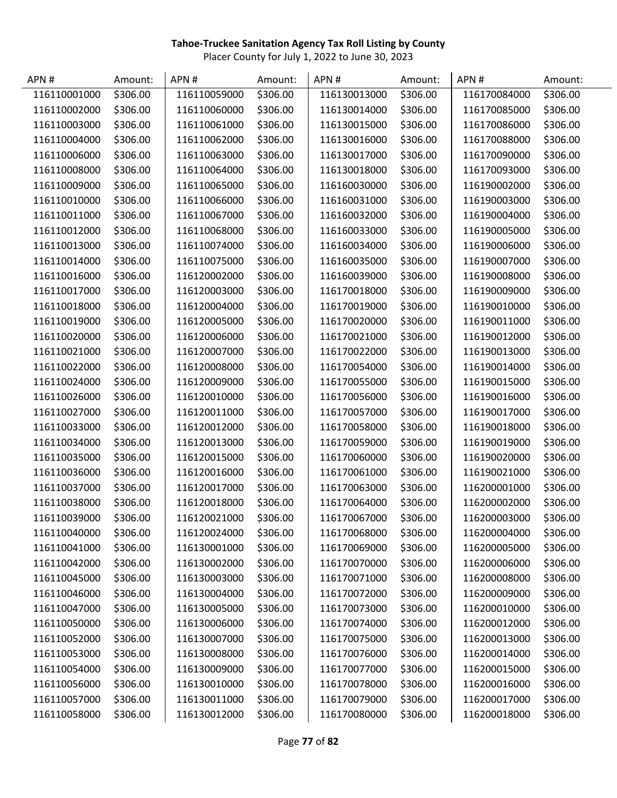| APN#         | Amount:  | APN#         | Amount:  | APN#         | Amount:  | APN#         | Amount:  |
|--------------|----------|--------------|----------|--------------|----------|--------------|----------|
| 116110001000 | \$306.00 | 116110059000 | \$306.00 | 116130013000 | \$306.00 | 116170084000 | \$306.00 |
| 116110002000 | \$306.00 | 116110060000 | \$306.00 | 116130014000 | \$306.00 | 116170085000 | \$306.00 |
| 116110003000 | \$306.00 | 116110061000 | \$306.00 | 116130015000 | \$306.00 | 116170086000 | \$306.00 |
| 116110004000 | \$306.00 | 116110062000 | \$306.00 | 116130016000 | \$306.00 | 116170088000 | \$306.00 |
| 116110006000 | \$306.00 | 116110063000 | \$306.00 | 116130017000 | \$306.00 | 116170090000 | \$306.00 |
| 116110008000 | \$306.00 | 116110064000 | \$306.00 | 116130018000 | \$306.00 | 116170093000 | \$306.00 |
| 116110009000 | \$306.00 | 116110065000 | \$306.00 | 116160030000 | \$306.00 | 116190002000 | \$306.00 |
| 116110010000 | \$306.00 | 116110066000 | \$306.00 | 116160031000 | \$306.00 | 116190003000 | \$306.00 |
| 116110011000 | \$306.00 | 116110067000 | \$306.00 | 116160032000 | \$306.00 | 116190004000 | \$306.00 |
| 116110012000 | \$306.00 | 116110068000 | \$306.00 | 116160033000 | \$306.00 | 116190005000 | \$306.00 |
| 116110013000 | \$306.00 | 116110074000 | \$306.00 | 116160034000 | \$306.00 | 116190006000 | \$306.00 |
| 116110014000 | \$306.00 | 116110075000 | \$306.00 | 116160035000 | \$306.00 | 116190007000 | \$306.00 |
| 116110016000 | \$306.00 | 116120002000 | \$306.00 | 116160039000 | \$306.00 | 116190008000 | \$306.00 |
| 116110017000 | \$306.00 | 116120003000 | \$306.00 | 116170018000 | \$306.00 | 116190009000 | \$306.00 |
| 116110018000 | \$306.00 | 116120004000 | \$306.00 | 116170019000 | \$306.00 | 116190010000 | \$306.00 |
| 116110019000 | \$306.00 | 116120005000 | \$306.00 | 116170020000 | \$306.00 | 116190011000 | \$306.00 |
| 116110020000 | \$306.00 | 116120006000 | \$306.00 | 116170021000 | \$306.00 | 116190012000 | \$306.00 |
| 116110021000 | \$306.00 | 116120007000 | \$306.00 | 116170022000 | \$306.00 | 116190013000 | \$306.00 |
| 116110022000 | \$306.00 | 116120008000 | \$306.00 | 116170054000 | \$306.00 | 116190014000 | \$306.00 |
| 116110024000 | \$306.00 | 116120009000 | \$306.00 | 116170055000 | \$306.00 | 116190015000 | \$306.00 |
| 116110026000 | \$306.00 | 116120010000 | \$306.00 | 116170056000 | \$306.00 | 116190016000 | \$306.00 |
| 116110027000 | \$306.00 | 116120011000 | \$306.00 | 116170057000 | \$306.00 | 116190017000 | \$306.00 |
| 116110033000 | \$306.00 | 116120012000 | \$306.00 | 116170058000 | \$306.00 | 116190018000 | \$306.00 |
| 116110034000 | \$306.00 | 116120013000 | \$306.00 | 116170059000 | \$306.00 | 116190019000 | \$306.00 |
| 116110035000 | \$306.00 | 116120015000 | \$306.00 | 116170060000 | \$306.00 | 116190020000 | \$306.00 |
| 116110036000 | \$306.00 | 116120016000 | \$306.00 | 116170061000 | \$306.00 | 116190021000 | \$306.00 |
| 116110037000 | \$306.00 | 116120017000 | \$306.00 | 116170063000 | \$306.00 | 116200001000 | \$306.00 |
| 116110038000 | \$306.00 | 116120018000 | \$306.00 | 116170064000 | \$306.00 | 116200002000 | \$306.00 |
| 116110039000 | \$306.00 | 116120021000 | \$306.00 | 116170067000 | \$306.00 | 116200003000 | \$306.00 |
| 116110040000 | \$306.00 | 116120024000 | \$306.00 | 116170068000 | \$306.00 | 116200004000 | \$306.00 |
| 116110041000 | \$306.00 | 116130001000 | \$306.00 | 116170069000 | \$306.00 | 116200005000 | \$306.00 |
| 116110042000 | \$306.00 | 116130002000 | \$306.00 | 116170070000 | \$306.00 | 116200006000 | \$306.00 |
| 116110045000 | \$306.00 | 116130003000 | \$306.00 | 116170071000 | \$306.00 | 116200008000 | \$306.00 |
| 116110046000 | \$306.00 | 116130004000 | \$306.00 | 116170072000 | \$306.00 | 116200009000 | \$306.00 |
| 116110047000 | \$306.00 | 116130005000 | \$306.00 | 116170073000 | \$306.00 | 116200010000 | \$306.00 |
| 116110050000 | \$306.00 | 116130006000 | \$306.00 | 116170074000 | \$306.00 | 116200012000 | \$306.00 |
| 116110052000 | \$306.00 | 116130007000 | \$306.00 | 116170075000 | \$306.00 | 116200013000 | \$306.00 |
| 116110053000 | \$306.00 | 116130008000 | \$306.00 | 116170076000 | \$306.00 | 116200014000 | \$306.00 |
| 116110054000 | \$306.00 | 116130009000 | \$306.00 | 116170077000 | \$306.00 | 116200015000 | \$306.00 |
| 116110056000 | \$306.00 | 116130010000 | \$306.00 | 116170078000 | \$306.00 | 116200016000 | \$306.00 |
| 116110057000 | \$306.00 | 116130011000 | \$306.00 | 116170079000 | \$306.00 | 116200017000 | \$306.00 |
| 116110058000 | \$306.00 | 116130012000 | \$306.00 | 116170080000 | \$306.00 | 116200018000 | \$306.00 |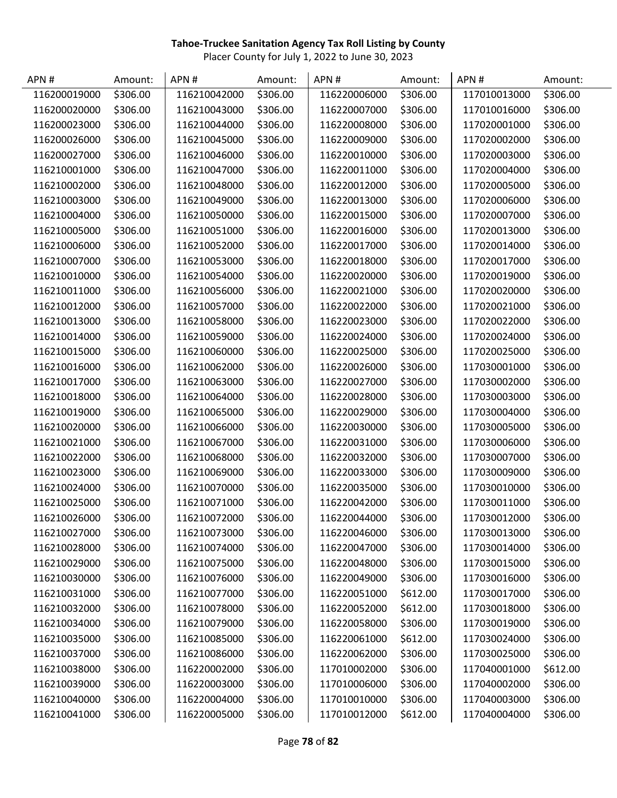| APN#         | Amount:  | APN#         | Amount:  | APN#         | Amount:  | APN#         | Amount:  |
|--------------|----------|--------------|----------|--------------|----------|--------------|----------|
| 116200019000 | \$306.00 | 116210042000 | \$306.00 | 116220006000 | \$306.00 | 117010013000 | \$306.00 |
| 116200020000 | \$306.00 | 116210043000 | \$306.00 | 116220007000 | \$306.00 | 117010016000 | \$306.00 |
| 116200023000 | \$306.00 | 116210044000 | \$306.00 | 116220008000 | \$306.00 | 117020001000 | \$306.00 |
| 116200026000 | \$306.00 | 116210045000 | \$306.00 | 116220009000 | \$306.00 | 117020002000 | \$306.00 |
| 116200027000 | \$306.00 | 116210046000 | \$306.00 | 116220010000 | \$306.00 | 117020003000 | \$306.00 |
| 116210001000 | \$306.00 | 116210047000 | \$306.00 | 116220011000 | \$306.00 | 117020004000 | \$306.00 |
| 116210002000 | \$306.00 | 116210048000 | \$306.00 | 116220012000 | \$306.00 | 117020005000 | \$306.00 |
| 116210003000 | \$306.00 | 116210049000 | \$306.00 | 116220013000 | \$306.00 | 117020006000 | \$306.00 |
| 116210004000 | \$306.00 | 116210050000 | \$306.00 | 116220015000 | \$306.00 | 117020007000 | \$306.00 |
| 116210005000 | \$306.00 | 116210051000 | \$306.00 | 116220016000 | \$306.00 | 117020013000 | \$306.00 |
| 116210006000 | \$306.00 | 116210052000 | \$306.00 | 116220017000 | \$306.00 | 117020014000 | \$306.00 |
| 116210007000 | \$306.00 | 116210053000 | \$306.00 | 116220018000 | \$306.00 | 117020017000 | \$306.00 |
| 116210010000 | \$306.00 | 116210054000 | \$306.00 | 116220020000 | \$306.00 | 117020019000 | \$306.00 |
| 116210011000 | \$306.00 | 116210056000 | \$306.00 | 116220021000 | \$306.00 | 117020020000 | \$306.00 |
| 116210012000 | \$306.00 | 116210057000 | \$306.00 | 116220022000 | \$306.00 | 117020021000 | \$306.00 |
| 116210013000 | \$306.00 | 116210058000 | \$306.00 | 116220023000 | \$306.00 | 117020022000 | \$306.00 |
| 116210014000 | \$306.00 | 116210059000 | \$306.00 | 116220024000 | \$306.00 | 117020024000 | \$306.00 |
| 116210015000 | \$306.00 | 116210060000 | \$306.00 | 116220025000 | \$306.00 | 117020025000 | \$306.00 |
| 116210016000 | \$306.00 | 116210062000 | \$306.00 | 116220026000 | \$306.00 | 117030001000 | \$306.00 |
| 116210017000 | \$306.00 | 116210063000 | \$306.00 | 116220027000 | \$306.00 | 117030002000 | \$306.00 |
| 116210018000 | \$306.00 | 116210064000 | \$306.00 | 116220028000 | \$306.00 | 117030003000 | \$306.00 |
| 116210019000 | \$306.00 | 116210065000 | \$306.00 | 116220029000 | \$306.00 | 117030004000 | \$306.00 |
| 116210020000 | \$306.00 | 116210066000 | \$306.00 | 116220030000 | \$306.00 | 117030005000 | \$306.00 |
| 116210021000 | \$306.00 | 116210067000 | \$306.00 | 116220031000 | \$306.00 | 117030006000 | \$306.00 |
| 116210022000 | \$306.00 | 116210068000 | \$306.00 | 116220032000 | \$306.00 | 117030007000 | \$306.00 |
| 116210023000 | \$306.00 | 116210069000 | \$306.00 | 116220033000 | \$306.00 | 117030009000 | \$306.00 |
| 116210024000 | \$306.00 | 116210070000 | \$306.00 | 116220035000 | \$306.00 | 117030010000 | \$306.00 |
| 116210025000 | \$306.00 | 116210071000 | \$306.00 | 116220042000 | \$306.00 | 117030011000 | \$306.00 |
| 116210026000 | \$306.00 | 116210072000 | \$306.00 | 116220044000 | \$306.00 | 117030012000 | \$306.00 |
| 116210027000 | \$306.00 | 116210073000 | \$306.00 | 116220046000 | \$306.00 | 117030013000 | \$306.00 |
| 116210028000 | \$306.00 | 116210074000 | \$306.00 | 116220047000 | \$306.00 | 117030014000 | \$306.00 |
| 116210029000 | \$306.00 | 116210075000 | \$306.00 | 116220048000 | \$306.00 | 117030015000 | \$306.00 |
| 116210030000 | \$306.00 | 116210076000 | \$306.00 | 116220049000 | \$306.00 | 117030016000 | \$306.00 |
| 116210031000 | \$306.00 | 116210077000 | \$306.00 | 116220051000 | \$612.00 | 117030017000 | \$306.00 |
| 116210032000 | \$306.00 | 116210078000 | \$306.00 | 116220052000 | \$612.00 | 117030018000 | \$306.00 |
| 116210034000 | \$306.00 | 116210079000 | \$306.00 | 116220058000 | \$306.00 | 117030019000 | \$306.00 |
| 116210035000 | \$306.00 | 116210085000 | \$306.00 | 116220061000 | \$612.00 | 117030024000 | \$306.00 |
| 116210037000 | \$306.00 | 116210086000 | \$306.00 | 116220062000 | \$306.00 | 117030025000 | \$306.00 |
| 116210038000 | \$306.00 | 116220002000 | \$306.00 | 117010002000 | \$306.00 | 117040001000 | \$612.00 |
| 116210039000 | \$306.00 | 116220003000 | \$306.00 | 117010006000 | \$306.00 | 117040002000 | \$306.00 |
| 116210040000 | \$306.00 | 116220004000 | \$306.00 | 117010010000 | \$306.00 | 117040003000 | \$306.00 |
| 116210041000 | \$306.00 | 116220005000 | \$306.00 | 117010012000 | \$612.00 | 117040004000 | \$306.00 |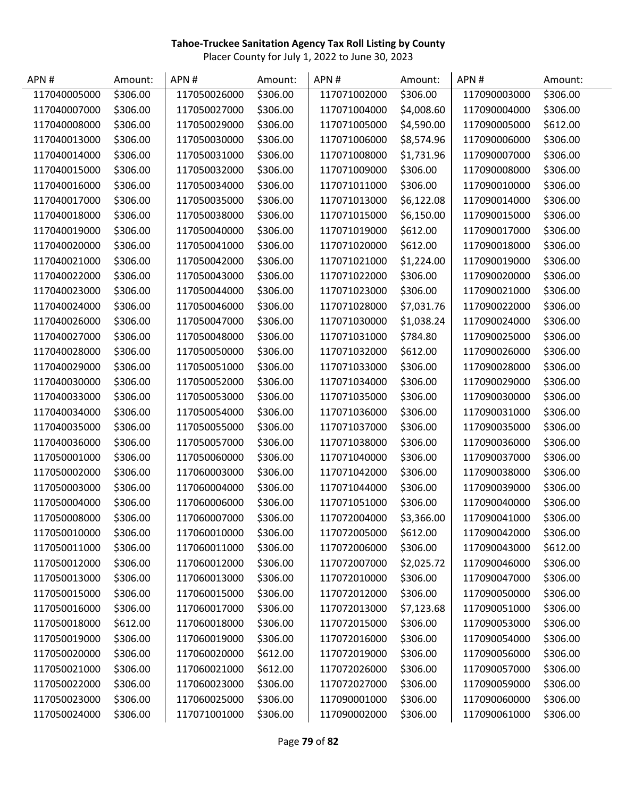| APN#         | Amount:  | APN#         | Amount:  | APN#         | Amount:    | APN#         | Amount:  |
|--------------|----------|--------------|----------|--------------|------------|--------------|----------|
| 117040005000 | \$306.00 | 117050026000 | \$306.00 | 117071002000 | \$306.00   | 117090003000 | \$306.00 |
| 117040007000 | \$306.00 | 117050027000 | \$306.00 | 117071004000 | \$4,008.60 | 117090004000 | \$306.00 |
| 117040008000 | \$306.00 | 117050029000 | \$306.00 | 117071005000 | \$4,590.00 | 117090005000 | \$612.00 |
| 117040013000 | \$306.00 | 117050030000 | \$306.00 | 117071006000 | \$8,574.96 | 117090006000 | \$306.00 |
| 117040014000 | \$306.00 | 117050031000 | \$306.00 | 117071008000 | \$1,731.96 | 117090007000 | \$306.00 |
| 117040015000 | \$306.00 | 117050032000 | \$306.00 | 117071009000 | \$306.00   | 117090008000 | \$306.00 |
| 117040016000 | \$306.00 | 117050034000 | \$306.00 | 117071011000 | \$306.00   | 117090010000 | \$306.00 |
| 117040017000 | \$306.00 | 117050035000 | \$306.00 | 117071013000 | \$6,122.08 | 117090014000 | \$306.00 |
| 117040018000 | \$306.00 | 117050038000 | \$306.00 | 117071015000 | \$6,150.00 | 117090015000 | \$306.00 |
| 117040019000 | \$306.00 | 117050040000 | \$306.00 | 117071019000 | \$612.00   | 117090017000 | \$306.00 |
| 117040020000 | \$306.00 | 117050041000 | \$306.00 | 117071020000 | \$612.00   | 117090018000 | \$306.00 |
| 117040021000 | \$306.00 | 117050042000 | \$306.00 | 117071021000 | \$1,224.00 | 117090019000 | \$306.00 |
| 117040022000 | \$306.00 | 117050043000 | \$306.00 | 117071022000 | \$306.00   | 117090020000 | \$306.00 |
| 117040023000 | \$306.00 | 117050044000 | \$306.00 | 117071023000 | \$306.00   | 117090021000 | \$306.00 |
| 117040024000 | \$306.00 | 117050046000 | \$306.00 | 117071028000 | \$7,031.76 | 117090022000 | \$306.00 |
| 117040026000 | \$306.00 | 117050047000 | \$306.00 | 117071030000 | \$1,038.24 | 117090024000 | \$306.00 |
| 117040027000 | \$306.00 | 117050048000 | \$306.00 | 117071031000 | \$784.80   | 117090025000 | \$306.00 |
| 117040028000 | \$306.00 | 117050050000 | \$306.00 | 117071032000 | \$612.00   | 117090026000 | \$306.00 |
| 117040029000 | \$306.00 | 117050051000 | \$306.00 | 117071033000 | \$306.00   | 117090028000 | \$306.00 |
| 117040030000 | \$306.00 | 117050052000 | \$306.00 | 117071034000 | \$306.00   | 117090029000 | \$306.00 |
| 117040033000 | \$306.00 | 117050053000 | \$306.00 | 117071035000 | \$306.00   | 117090030000 | \$306.00 |
| 117040034000 | \$306.00 | 117050054000 | \$306.00 | 117071036000 | \$306.00   | 117090031000 | \$306.00 |
| 117040035000 | \$306.00 | 117050055000 | \$306.00 | 117071037000 | \$306.00   | 117090035000 | \$306.00 |
| 117040036000 | \$306.00 | 117050057000 | \$306.00 | 117071038000 | \$306.00   | 117090036000 | \$306.00 |
| 117050001000 | \$306.00 | 117050060000 | \$306.00 | 117071040000 | \$306.00   | 117090037000 | \$306.00 |
| 117050002000 | \$306.00 | 117060003000 | \$306.00 | 117071042000 | \$306.00   | 117090038000 | \$306.00 |
| 117050003000 | \$306.00 | 117060004000 | \$306.00 | 117071044000 | \$306.00   | 117090039000 | \$306.00 |
| 117050004000 | \$306.00 | 117060006000 | \$306.00 | 117071051000 | \$306.00   | 117090040000 | \$306.00 |
| 117050008000 | \$306.00 | 117060007000 | \$306.00 | 117072004000 | \$3,366.00 | 117090041000 | \$306.00 |
| 117050010000 | \$306.00 | 117060010000 | \$306.00 | 117072005000 | \$612.00   | 117090042000 | \$306.00 |
| 117050011000 | \$306.00 | 117060011000 | \$306.00 | 117072006000 | \$306.00   | 117090043000 | \$612.00 |
| 117050012000 | \$306.00 | 117060012000 | \$306.00 | 117072007000 | \$2,025.72 | 117090046000 | \$306.00 |
| 117050013000 | \$306.00 | 117060013000 | \$306.00 | 117072010000 | \$306.00   | 117090047000 | \$306.00 |
| 117050015000 | \$306.00 | 117060015000 | \$306.00 | 117072012000 | \$306.00   | 117090050000 | \$306.00 |
| 117050016000 | \$306.00 | 117060017000 | \$306.00 | 117072013000 | \$7,123.68 | 117090051000 | \$306.00 |
| 117050018000 | \$612.00 | 117060018000 | \$306.00 | 117072015000 | \$306.00   | 117090053000 | \$306.00 |
| 117050019000 | \$306.00 | 117060019000 | \$306.00 | 117072016000 | \$306.00   | 117090054000 | \$306.00 |
| 117050020000 | \$306.00 | 117060020000 | \$612.00 | 117072019000 | \$306.00   | 117090056000 | \$306.00 |
| 117050021000 | \$306.00 | 117060021000 | \$612.00 | 117072026000 | \$306.00   | 117090057000 | \$306.00 |
| 117050022000 | \$306.00 | 117060023000 | \$306.00 | 117072027000 | \$306.00   | 117090059000 | \$306.00 |
| 117050023000 | \$306.00 | 117060025000 | \$306.00 | 117090001000 | \$306.00   | 117090060000 | \$306.00 |
| 117050024000 | \$306.00 | 117071001000 | \$306.00 | 117090002000 | \$306.00   | 117090061000 | \$306.00 |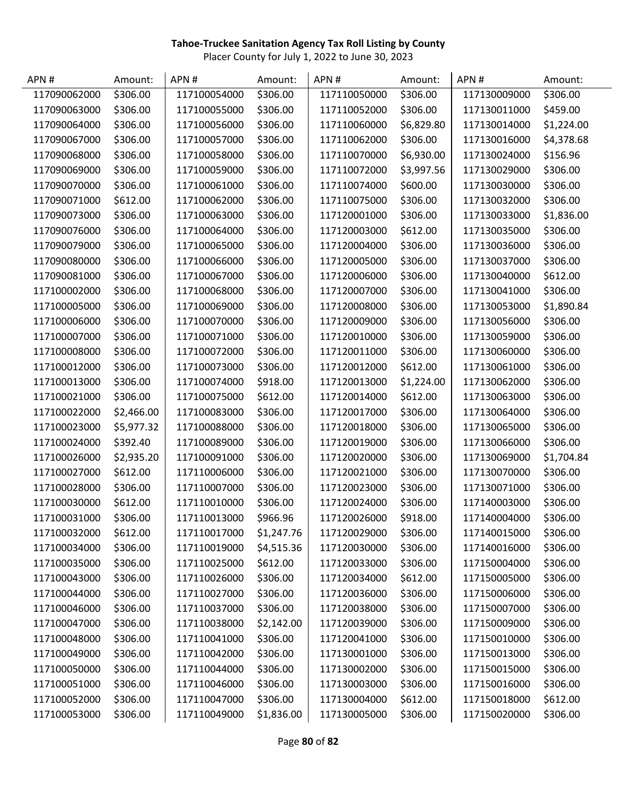| APN#         | Amount:    | APN#         | Amount:    | APN#         | Amount:    | APN#         | Amount:    |
|--------------|------------|--------------|------------|--------------|------------|--------------|------------|
| 117090062000 | \$306.00   | 117100054000 | \$306.00   | 117110050000 | \$306.00   | 117130009000 | \$306.00   |
| 117090063000 | \$306.00   | 117100055000 | \$306.00   | 117110052000 | \$306.00   | 117130011000 | \$459.00   |
| 117090064000 | \$306.00   | 117100056000 | \$306.00   | 117110060000 | \$6,829.80 | 117130014000 | \$1,224.00 |
| 117090067000 | \$306.00   | 117100057000 | \$306.00   | 117110062000 | \$306.00   | 117130016000 | \$4,378.68 |
| 117090068000 | \$306.00   | 117100058000 | \$306.00   | 117110070000 | \$6,930.00 | 117130024000 | \$156.96   |
| 117090069000 | \$306.00   | 117100059000 | \$306.00   | 117110072000 | \$3,997.56 | 117130029000 | \$306.00   |
| 117090070000 | \$306.00   | 117100061000 | \$306.00   | 117110074000 | \$600.00   | 117130030000 | \$306.00   |
| 117090071000 | \$612.00   | 117100062000 | \$306.00   | 117110075000 | \$306.00   | 117130032000 | \$306.00   |
| 117090073000 | \$306.00   | 117100063000 | \$306.00   | 117120001000 | \$306.00   | 117130033000 | \$1,836.00 |
| 117090076000 | \$306.00   | 117100064000 | \$306.00   | 117120003000 | \$612.00   | 117130035000 | \$306.00   |
| 117090079000 | \$306.00   | 117100065000 | \$306.00   | 117120004000 | \$306.00   | 117130036000 | \$306.00   |
| 117090080000 | \$306.00   | 117100066000 | \$306.00   | 117120005000 | \$306.00   | 117130037000 | \$306.00   |
| 117090081000 | \$306.00   | 117100067000 | \$306.00   | 117120006000 | \$306.00   | 117130040000 | \$612.00   |
| 117100002000 | \$306.00   | 117100068000 | \$306.00   | 117120007000 | \$306.00   | 117130041000 | \$306.00   |
| 117100005000 | \$306.00   | 117100069000 | \$306.00   | 117120008000 | \$306.00   | 117130053000 | \$1,890.84 |
| 117100006000 | \$306.00   | 117100070000 | \$306.00   | 117120009000 | \$306.00   | 117130056000 | \$306.00   |
| 117100007000 | \$306.00   | 117100071000 | \$306.00   | 117120010000 | \$306.00   | 117130059000 | \$306.00   |
| 117100008000 | \$306.00   | 117100072000 | \$306.00   | 117120011000 | \$306.00   | 117130060000 | \$306.00   |
| 117100012000 | \$306.00   | 117100073000 | \$306.00   | 117120012000 | \$612.00   | 117130061000 | \$306.00   |
| 117100013000 | \$306.00   | 117100074000 | \$918.00   | 117120013000 | \$1,224.00 | 117130062000 | \$306.00   |
| 117100021000 | \$306.00   | 117100075000 | \$612.00   | 117120014000 | \$612.00   | 117130063000 | \$306.00   |
| 117100022000 | \$2,466.00 | 117100083000 | \$306.00   | 117120017000 | \$306.00   | 117130064000 | \$306.00   |
| 117100023000 | \$5,977.32 | 117100088000 | \$306.00   | 117120018000 | \$306.00   | 117130065000 | \$306.00   |
| 117100024000 | \$392.40   | 117100089000 | \$306.00   | 117120019000 | \$306.00   | 117130066000 | \$306.00   |
| 117100026000 | \$2,935.20 | 117100091000 | \$306.00   | 117120020000 | \$306.00   | 117130069000 | \$1,704.84 |
| 117100027000 | \$612.00   | 117110006000 | \$306.00   | 117120021000 | \$306.00   | 117130070000 | \$306.00   |
| 117100028000 | \$306.00   | 117110007000 | \$306.00   | 117120023000 | \$306.00   | 117130071000 | \$306.00   |
| 117100030000 | \$612.00   | 117110010000 | \$306.00   | 117120024000 | \$306.00   | 117140003000 | \$306.00   |
| 117100031000 | \$306.00   | 117110013000 | \$966.96   | 117120026000 | \$918.00   | 117140004000 | \$306.00   |
| 117100032000 | \$612.00   | 117110017000 | \$1,247.76 | 117120029000 | \$306.00   | 117140015000 | \$306.00   |
| 117100034000 | \$306.00   | 117110019000 | \$4,515.36 | 117120030000 | \$306.00   | 117140016000 | \$306.00   |
| 117100035000 | \$306.00   | 117110025000 | \$612.00   | 117120033000 | \$306.00   | 117150004000 | \$306.00   |
| 117100043000 | \$306.00   | 117110026000 | \$306.00   | 117120034000 | \$612.00   | 117150005000 | \$306.00   |
| 117100044000 | \$306.00   | 117110027000 | \$306.00   | 117120036000 | \$306.00   | 117150006000 | \$306.00   |
| 117100046000 | \$306.00   | 117110037000 | \$306.00   | 117120038000 | \$306.00   | 117150007000 | \$306.00   |
| 117100047000 | \$306.00   | 117110038000 | \$2,142.00 | 117120039000 | \$306.00   | 117150009000 | \$306.00   |
| 117100048000 | \$306.00   | 117110041000 | \$306.00   | 117120041000 | \$306.00   | 117150010000 | \$306.00   |
| 117100049000 | \$306.00   | 117110042000 | \$306.00   | 117130001000 | \$306.00   | 117150013000 | \$306.00   |
| 117100050000 | \$306.00   | 117110044000 | \$306.00   | 117130002000 | \$306.00   | 117150015000 | \$306.00   |
| 117100051000 | \$306.00   | 117110046000 | \$306.00   | 117130003000 | \$306.00   | 117150016000 | \$306.00   |
| 117100052000 | \$306.00   | 117110047000 | \$306.00   | 117130004000 | \$612.00   | 117150018000 | \$612.00   |
| 117100053000 | \$306.00   | 117110049000 | \$1,836.00 | 117130005000 | \$306.00   | 117150020000 | \$306.00   |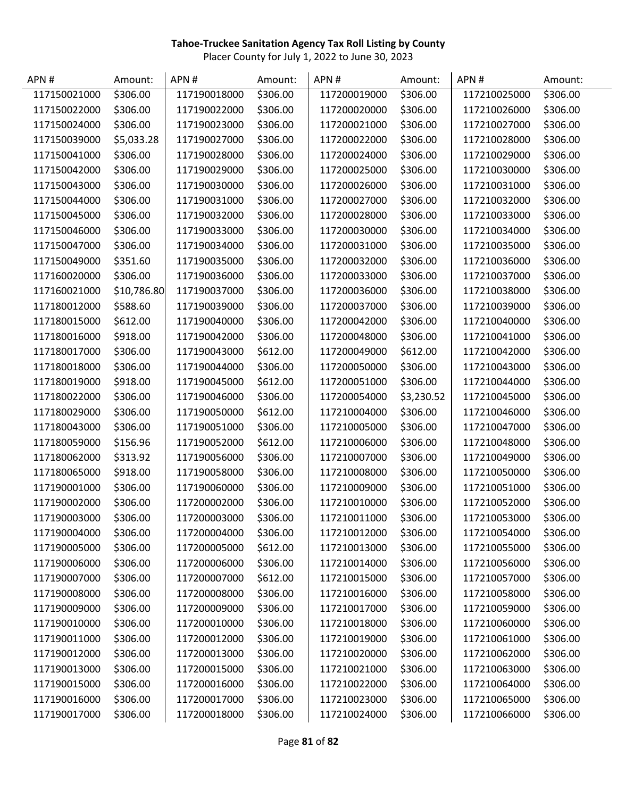| APN#         | Amount:     | APN#         | Amount:  | APN#         | Amount:    | APN#         | Amount:  |
|--------------|-------------|--------------|----------|--------------|------------|--------------|----------|
| 117150021000 | \$306.00    | 117190018000 | \$306.00 | 117200019000 | \$306.00   | 117210025000 | \$306.00 |
| 117150022000 | \$306.00    | 117190022000 | \$306.00 | 117200020000 | \$306.00   | 117210026000 | \$306.00 |
| 117150024000 | \$306.00    | 117190023000 | \$306.00 | 117200021000 | \$306.00   | 117210027000 | \$306.00 |
| 117150039000 | \$5,033.28  | 117190027000 | \$306.00 | 117200022000 | \$306.00   | 117210028000 | \$306.00 |
| 117150041000 | \$306.00    | 117190028000 | \$306.00 | 117200024000 | \$306.00   | 117210029000 | \$306.00 |
| 117150042000 | \$306.00    | 117190029000 | \$306.00 | 117200025000 | \$306.00   | 117210030000 | \$306.00 |
| 117150043000 | \$306.00    | 117190030000 | \$306.00 | 117200026000 | \$306.00   | 117210031000 | \$306.00 |
| 117150044000 | \$306.00    | 117190031000 | \$306.00 | 117200027000 | \$306.00   | 117210032000 | \$306.00 |
| 117150045000 | \$306.00    | 117190032000 | \$306.00 | 117200028000 | \$306.00   | 117210033000 | \$306.00 |
| 117150046000 | \$306.00    | 117190033000 | \$306.00 | 117200030000 | \$306.00   | 117210034000 | \$306.00 |
| 117150047000 | \$306.00    | 117190034000 | \$306.00 | 117200031000 | \$306.00   | 117210035000 | \$306.00 |
| 117150049000 | \$351.60    | 117190035000 | \$306.00 | 117200032000 | \$306.00   | 117210036000 | \$306.00 |
| 117160020000 | \$306.00    | 117190036000 | \$306.00 | 117200033000 | \$306.00   | 117210037000 | \$306.00 |
| 117160021000 | \$10,786.80 | 117190037000 | \$306.00 | 117200036000 | \$306.00   | 117210038000 | \$306.00 |
| 117180012000 | \$588.60    | 117190039000 | \$306.00 | 117200037000 | \$306.00   | 117210039000 | \$306.00 |
| 117180015000 | \$612.00    | 117190040000 | \$306.00 | 117200042000 | \$306.00   | 117210040000 | \$306.00 |
| 117180016000 | \$918.00    | 117190042000 | \$306.00 | 117200048000 | \$306.00   | 117210041000 | \$306.00 |
| 117180017000 | \$306.00    | 117190043000 | \$612.00 | 117200049000 | \$612.00   | 117210042000 | \$306.00 |
| 117180018000 | \$306.00    | 117190044000 | \$306.00 | 117200050000 | \$306.00   | 117210043000 | \$306.00 |
| 117180019000 | \$918.00    | 117190045000 | \$612.00 | 117200051000 | \$306.00   | 117210044000 | \$306.00 |
| 117180022000 | \$306.00    | 117190046000 | \$306.00 | 117200054000 | \$3,230.52 | 117210045000 | \$306.00 |
| 117180029000 | \$306.00    | 117190050000 | \$612.00 | 117210004000 | \$306.00   | 117210046000 | \$306.00 |
| 117180043000 | \$306.00    | 117190051000 | \$306.00 | 117210005000 | \$306.00   | 117210047000 | \$306.00 |
| 117180059000 | \$156.96    | 117190052000 | \$612.00 | 117210006000 | \$306.00   | 117210048000 | \$306.00 |
| 117180062000 | \$313.92    | 117190056000 | \$306.00 | 117210007000 | \$306.00   | 117210049000 | \$306.00 |
| 117180065000 | \$918.00    | 117190058000 | \$306.00 | 117210008000 | \$306.00   | 117210050000 | \$306.00 |
| 117190001000 | \$306.00    | 117190060000 | \$306.00 | 117210009000 | \$306.00   | 117210051000 | \$306.00 |
| 117190002000 | \$306.00    | 117200002000 | \$306.00 | 117210010000 | \$306.00   | 117210052000 | \$306.00 |
| 117190003000 | \$306.00    | 117200003000 | \$306.00 | 117210011000 | \$306.00   | 117210053000 | \$306.00 |
| 117190004000 | \$306.00    | 117200004000 | \$306.00 | 117210012000 | \$306.00   | 117210054000 | \$306.00 |
| 117190005000 | \$306.00    | 117200005000 | \$612.00 | 117210013000 | \$306.00   | 117210055000 | \$306.00 |
| 117190006000 | \$306.00    | 117200006000 | \$306.00 | 117210014000 | \$306.00   | 117210056000 | \$306.00 |
| 117190007000 | \$306.00    | 117200007000 | \$612.00 | 117210015000 | \$306.00   | 117210057000 | \$306.00 |
| 117190008000 | \$306.00    | 117200008000 | \$306.00 | 117210016000 | \$306.00   | 117210058000 | \$306.00 |
| 117190009000 | \$306.00    | 117200009000 | \$306.00 | 117210017000 | \$306.00   | 117210059000 | \$306.00 |
| 117190010000 | \$306.00    | 117200010000 | \$306.00 | 117210018000 | \$306.00   | 117210060000 | \$306.00 |
| 117190011000 | \$306.00    | 117200012000 | \$306.00 | 117210019000 | \$306.00   | 117210061000 | \$306.00 |
| 117190012000 | \$306.00    | 117200013000 | \$306.00 | 117210020000 | \$306.00   | 117210062000 | \$306.00 |
| 117190013000 | \$306.00    | 117200015000 | \$306.00 | 117210021000 | \$306.00   | 117210063000 | \$306.00 |
| 117190015000 | \$306.00    | 117200016000 | \$306.00 | 117210022000 | \$306.00   | 117210064000 | \$306.00 |
| 117190016000 | \$306.00    | 117200017000 | \$306.00 | 117210023000 | \$306.00   | 117210065000 | \$306.00 |
| 117190017000 | \$306.00    | 117200018000 | \$306.00 | 117210024000 | \$306.00   | 117210066000 | \$306.00 |